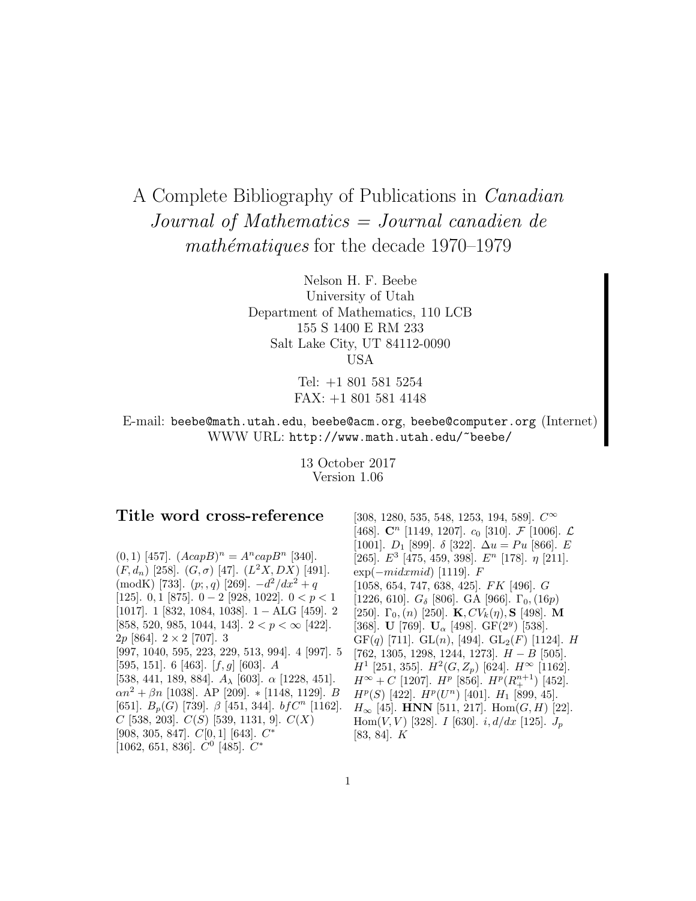# A Complete Bibliography of Publications in Canadian Journal of Mathematics = Journal canadien de  $mathématiques$  for the decade 1970–1979

Nelson H. F. Beebe University of Utah Department of Mathematics, 110 LCB 155 S 1400 E RM 233 Salt Lake City, UT 84112-0090 USA

> Tel: +1 801 581 5254 FAX: +1 801 581 4148

E-mail: beebe@math.utah.edu, beebe@acm.org, beebe@computer.org (Internet) WWW URL: http://www.math.utah.edu/~beebe/

> 13 October 2017 Version 1.06

# **Title word cross-reference**

 $(0, 1)$  [457].  $(AcapB)^n = A^ncapB^n$  [340].  $(F, d_n)$  [258].  $(G, \sigma)$  [47].  $(L^2X, DX)$  [491]. (modK) [733].  $(p; q)$  [269].  $-d^2/dx^2 + q$ [125]. 0, 1 [875].  $0-2$  [928, 1022].  $0 < p < 1$ [1017]. 1 [832, 1084, 1038]. 1 − ALG [459]. 2 [858, 520, 985, 1044, 143].  $2 < p < \infty$  [422]. 2p [864].  $2 \times 2$  [707]. 3 [997, 1040, 595, 223, 229, 513, 994]. 4 [997]. 5 [595, 151]. 6 [463].  $[f, g]$  [603]. A [538, 441, 189, 884].  $A_{\lambda}$  [603].  $\alpha$  [1228, 451].  $\alpha n^2 + \beta n$  [1038]. AP [209]. \* [1148, 1129]. B [651].  $B_p(G)$  [739].  $\beta$  [451, 344]. bf $C^n$  [1162].  $C$  [538, 203].  $C(S)$  [539, 1131, 9].  $C(X)$ [908, 305, 847]. C[0, 1] [643]. C<sup>∗</sup> [1062, 651, 836].  $C^0$  [485].  $C^*$ 

[308, 1280, 535, 548, 1253, 194, 589].  $C^{\infty}$ [468].  $\mathbb{C}^n$  [1149, 1207].  $c_0$  [310].  $\mathcal{F}$  [1006].  $\mathcal{L}$ [1001].  $D_1$  [899].  $\delta$  [322].  $\Delta u = Pu$  [866]. E [265].  $E^3$  [475, 459, 398].  $E^n$  [178].  $\eta$  [211].  $\exp(-midxmid)$  [1119]. F [1058, 654, 747, 638, 425]. FK [496]. G [1226, 610].  $G_{\delta}$  [806]. GA [966].  $\Gamma_0$ , (16*p*) [250].  $\Gamma_0$ , (n) [250]. **K**,  $CV_k(\eta)$ , **S** [498]. **M** [368]. **U** [769]. **U**<sub>α</sub> [498]. GF(2<sup>y</sup>) [538].  $GF(q)$  [711].  $GL(n)$ , [494].  $GL_2(F)$  [1124]. H [762, 1305, 1298, 1244, 1273].  $H - B$  [505].  $H^1$  [251, 355].  $H^2(G, Z_p)$  [624].  $H^{\infty}$  [1162].  $H^{\infty} + C$  [1207].  $H^{p}$  [856].  $H^{p}(R_{+}^{n+1})$  [452].  $H^p(S)$  [422].  $H^p(U^n)$  [401].  $H_1$  [899, 45].  $H_{\infty}$  [45]. **HNN** [511, 217]. Hom $(G, H)$  [22]. Hom $(V, V)$  [328]. I [630]. i,  $d/dx$  [125].  $J_p$ [83, 84]. K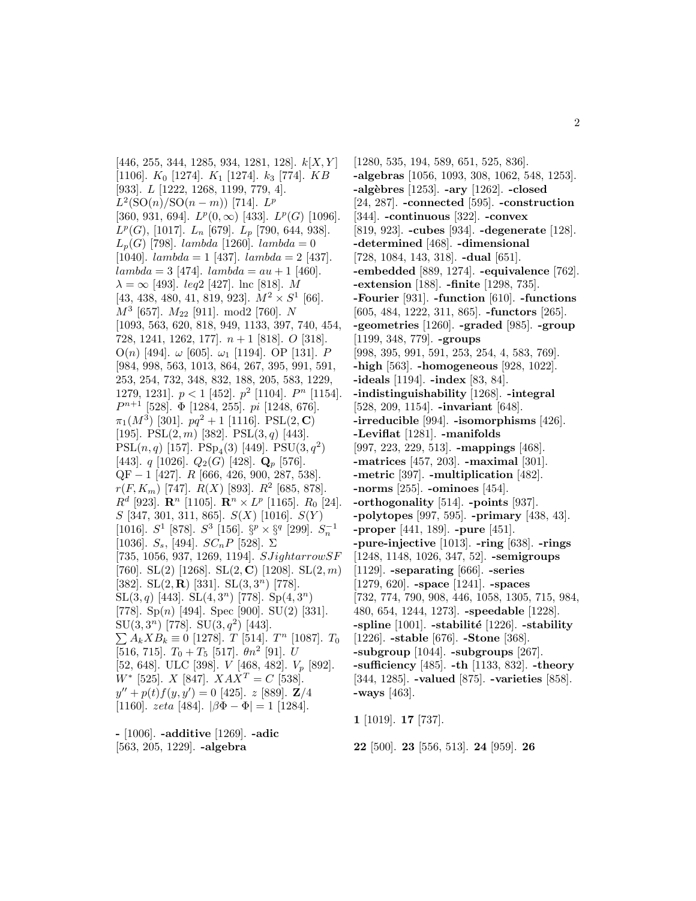[446, 255, 344, 1285, 934, 1281, 128].  $k[X, Y]$ [1106].  $K_0$  [1274].  $K_1$  [1274].  $k_3$  [774].  $KB$ [933]. L [1222, 1268, 1199, 779, 4].  $L^2(SO(n)/SO(n-m))$  [714].  $L^p$ [360, 931, 694].  $L^p(0,\infty)$  [433].  $L^p(G)$  [1096].  $L^p(G)$ , [1017].  $L_n$  [679].  $L_p$  [790, 644, 938].  $L_p(G)$  [798]. lambda [1260]. lambda = 0 [1040].  $lambda = 1$  [437].  $lambda = 2$  [437].  $lambda = 3$  [474].  $lambda = au + 1$  [460].  $\lambda = \infty$  [493]. *leg*2 [427]. lnc [818]. M [43, 438, 480, 41, 819, 923].  $M^2 \times S^1$  [66].  $M^3$  [657].  $M_{22}$  [911]. mod2 [760]. N [1093, 563, 620, 818, 949, 1133, 397, 740, 454, 728, 1241, 1262, 177.  $n+1$  [818]. O [318]. O(n) [494].  $\omega$  [605].  $\omega_1$  [1194]. OP [131]. P [984, 998, 563, 1013, 864, 267, 395, 991, 591, 253, 254, 732, 348, 832, 188, 205, 583, 1229, 1279, 1231].  $p < 1$  [452].  $p^2$  [1104].  $P^n$  [1154].  $P^{n+1}$  [528].  $\Phi$  [1284, 255]. pi [1248, 676].  $\pi_1(M^3)$  [301].  $pq^2 + 1$  [1116]. PSL(2, **C**) [195]. PSL $(2, m)$  [382]. PSL $(3, q)$  [443]. PSL $(n, q)$  [157]. PS $p_4(3)$  [449]. PSU $(3, q^2)$ [443].  $q$  [1026].  $Q_2(G)$  [428].  $\mathbf{Q}_p$  [576]. QF − 1 [427]. *R* [666, 426, 900, 287, 538].  $r(F, K_m)$  [747].  $R(X)$  [893].  $R^2$  [685, 878].  $R^d$  [923]. **R**<sup>n</sup> [1105]. **R**<sup>n</sup> ×  $L^p$  [1165].  $R_0$  [24].  $S$  [347, 301, 311, 865].  $S(X)$  [1016].  $S(Y)$ [1016].  $S^1$  [878].  $S^3$  [156].  $\S^p \times \S^q$  [299].  $S_n^-$ [1036].  $S_s$ , [494].  $SC_nP$  [528].  $\Sigma$  $[735, 1056, 937, 1269, 1194]$ .  $SJightarrow SF$ [760]. SL(2) [1268]. SL(2, **C**) [1208]. SL(2, m) [382]. SL(2, **R**) [331]. SL(3, 3<sup>n</sup>) [778].  $SL(3,q)$  [443].  $SL(4,3^n)$  [778].  $Sp(4,3^n)$ [778].  $Sp(n)$  [494]. Spec [900]. SU(2) [331].  $SU(3,3^n)$  [778].  $SU(3,q^2)$  [443].  $\sum_{k} A_k X B_k \equiv 0$  [1278]. T [514]. T<sup>n</sup> [1087]. T<sub>0</sub> [516, 715].  $T_0 + T_5$  [517].  $\theta n^2$  [91]. U [52, 648]. ULC [398].  $V$  [468, 482].  $V_p$  [892].  $W^*$  [525].  $X$  [847].  $XAX^T = C$  [538].  $y'' + p(t)f(y, y') = 0$  [425]. z [889]. **Z**/4 [1160]. zeta [484].  $|\beta\Phi - \Phi| = 1$  [1284].

**-** [1006]. **-additive** [1269]. **-adic** [563, 205, 1229]. **-algebra**

[1280, 535, 194, 589, 651, 525, 836]. **-algebras** [1056, 1093, 308, 1062, 548, 1253]. **-alg`ebres** [1253]. **-ary** [1262]. **-closed** [24, 287]. **-connected** [595]. **-construction** [344]. **-continuous** [322]. **-convex** [819, 923]. **-cubes** [934]. **-degenerate** [128]. **-determined** [468]. **-dimensional** [728, 1084, 143, 318]. **-dual** [651]. **-embedded** [889, 1274]. **-equivalence** [762]. **-extension** [188]. **-finite** [1298, 735]. **-Fourier** [931]. **-function** [610]. **-functions** [605, 484, 1222, 311, 865]. **-functors** [265]. **-geometries** [1260]. **-graded** [985]. **-group** [1199, 348, 779]. **-groups** [998, 395, 991, 591, 253, 254, 4, 583, 769]. **-high** [563]. **-homogeneous** [928, 1022]. **-ideals** [1194]. **-index** [83, 84]. **-indistinguishability** [1268]. **-integral** [528, 209, 1154]. **-invariant** [648]. **-irreducible** [994]. **-isomorphisms** [426]. **-Leviflat** [1281]. **-manifolds** [997, 223, 229, 513]. **-mappings** [468]. **-matrices** [457, 203]. **-maximal** [301]. **-metric** [397]. **-multiplication** [482]. **-norms** [255]. **-ominoes** [454]. **-orthogonality** [514]. **-points** [937]. **-polytopes** [997, 595]. **-primary** [438, 43]. **-proper** [441, 189]. **-pure** [451]. **-pure-injective** [1013]. **-ring** [638]. **-rings** [1248, 1148, 1026, 347, 52]. **-semigroups** [1129]. **-separating** [666]. **-series** [1279, 620]. **-space** [1241]. **-spaces** [732, 774, 790, 908, 446, 1058, 1305, 715, 984, 480, 654, 1244, 1273]. **-speedable** [1228]. **-spline** [1001]. **-stabilit´e** [1226]. **-stability** [1226]. **-stable** [676]. **-Stone** [368]. **-subgroup** [1044]. **-subgroups** [267]. **-sufficiency** [485]. **-th** [1133, 832]. **-theory** [344, 1285]. **-valued** [875]. **-varieties** [858]. **-ways** [463].

**1** [1019]. **17** [737].

**22** [500]. **23** [556, 513]. **24** [959]. **26**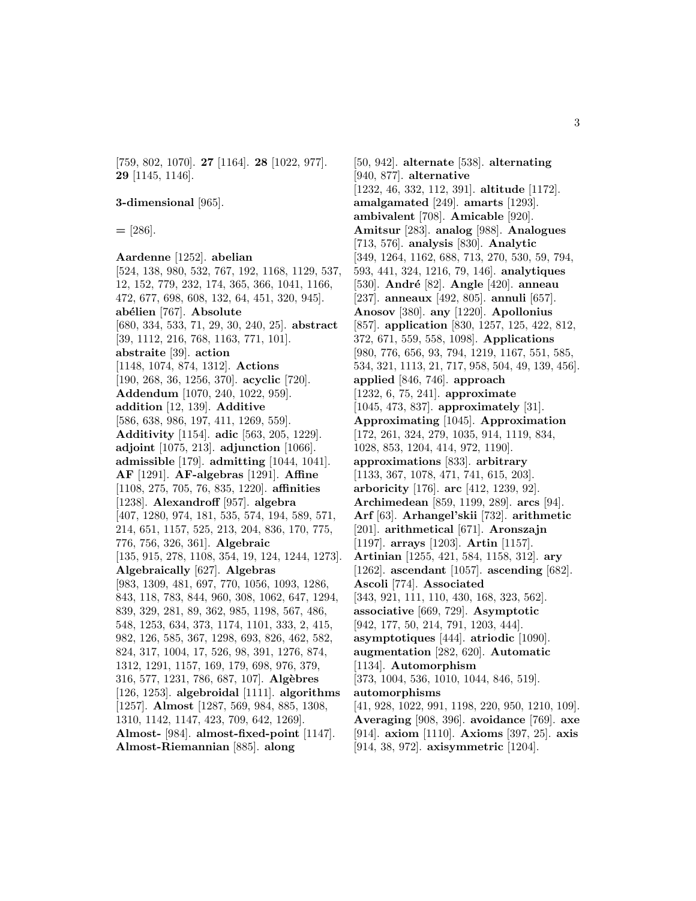[759, 802, 1070]. **27** [1164]. **28** [1022, 977]. **29** [1145, 1146].

#### **3-dimensional** [965].

**=** [286].

# **Aardenne** [1252]. **abelian**

[524, 138, 980, 532, 767, 192, 1168, 1129, 537, 12, 152, 779, 232, 174, 365, 366, 1041, 1166, 472, 677, 698, 608, 132, 64, 451, 320, 945]. **ab´elien** [767]. **Absolute** [680, 334, 533, 71, 29, 30, 240, 25]. **abstract** [39, 1112, 216, 768, 1163, 771, 101]. **abstraite** [39]. **action** [1148, 1074, 874, 1312]. **Actions** [190, 268, 36, 1256, 370]. **acyclic** [720]. **Addendum** [1070, 240, 1022, 959]. **addition** [12, 139]. **Additive** [586, 638, 986, 197, 411, 1269, 559]. **Additivity** [1154]. **adic** [563, 205, 1229]. **adjoint** [1075, 213]. **adjunction** [1066]. **admissible** [179]. **admitting** [1044, 1041]. **AF** [1291]. **AF-algebras** [1291]. **Affine** [1108, 275, 705, 76, 835, 1220]. **affinities** [1238]. **Alexandroff** [957]. **algebra** [407, 1280, 974, 181, 535, 574, 194, 589, 571, 214, 651, 1157, 525, 213, 204, 836, 170, 775, 776, 756, 326, 361]. **Algebraic** [135, 915, 278, 1108, 354, 19, 124, 1244, 1273]. **Algebraically** [627]. **Algebras** [983, 1309, 481, 697, 770, 1056, 1093, 1286, 843, 118, 783, 844, 960, 308, 1062, 647, 1294, 839, 329, 281, 89, 362, 985, 1198, 567, 486, 548, 1253, 634, 373, 1174, 1101, 333, 2, 415, 982, 126, 585, 367, 1298, 693, 826, 462, 582, 824, 317, 1004, 17, 526, 98, 391, 1276, 874, 1312, 1291, 1157, 169, 179, 698, 976, 379, 316, 577, 1231, 786, 687, 107]. **Alg`ebres** [126, 1253]. **algebroidal** [1111]. **algorithms** [1257]. **Almost** [1287, 569, 984, 885, 1308, 1310, 1142, 1147, 423, 709, 642, 1269]. **Almost-** [984]. **almost-fixed-point** [1147]. **Almost-Riemannian** [885]. **along**

[50, 942]. **alternate** [538]. **alternating** [940, 877]. **alternative** [1232, 46, 332, 112, 391]. **altitude** [1172]. **amalgamated** [249]. **amarts** [1293]. **ambivalent** [708]. **Amicable** [920]. **Amitsur** [283]. **analog** [988]. **Analogues** [713, 576]. **analysis** [830]. **Analytic** [349, 1264, 1162, 688, 713, 270, 530, 59, 794, 593, 441, 324, 1216, 79, 146]. **analytiques** [530]. **Andr´e** [82]. **Angle** [420]. **anneau** [237]. **anneaux** [492, 805]. **annuli** [657]. **Anosov** [380]. **any** [1220]. **Apollonius** [857]. **application** [830, 1257, 125, 422, 812, 372, 671, 559, 558, 1098]. **Applications** [980, 776, 656, 93, 794, 1219, 1167, 551, 585, 534, 321, 1113, 21, 717, 958, 504, 49, 139, 456]. **applied** [846, 746]. **approach** [1232, 6, 75, 241]. **approximate** [1045, 473, 837]. **approximately** [31]. **Approximating** [1045]. **Approximation** [172, 261, 324, 279, 1035, 914, 1119, 834, 1028, 853, 1204, 414, 972, 1190]. **approximations** [833]. **arbitrary** [1133, 367, 1078, 471, 741, 615, 203]. **arboricity** [176]. **arc** [412, 1239, 92]. **Archimedean** [859, 1199, 289]. **arcs** [94]. **Arf** [63]. **Arhangel'skii** [732]. **arithmetic** [201]. **arithmetical** [671]. **Aronszajn** [1197]. **arrays** [1203]. **Artin** [1157]. **Artinian** [1255, 421, 584, 1158, 312]. **ary** [1262]. **ascendant** [1057]. **ascending** [682]. **Ascoli** [774]. **Associated** [343, 921, 111, 110, 430, 168, 323, 562]. **associative** [669, 729]. **Asymptotic** [942, 177, 50, 214, 791, 1203, 444]. **asymptotiques** [444]. **atriodic** [1090]. **augmentation** [282, 620]. **Automatic** [1134]. **Automorphism** [373, 1004, 536, 1010, 1044, 846, 519]. **automorphisms** [41, 928, 1022, 991, 1198, 220, 950, 1210, 109]. **Averaging** [908, 396]. **avoidance** [769]. **axe** [914]. **axiom** [1110]. **Axioms** [397, 25]. **axis** [914, 38, 972]. **axisymmetric** [1204].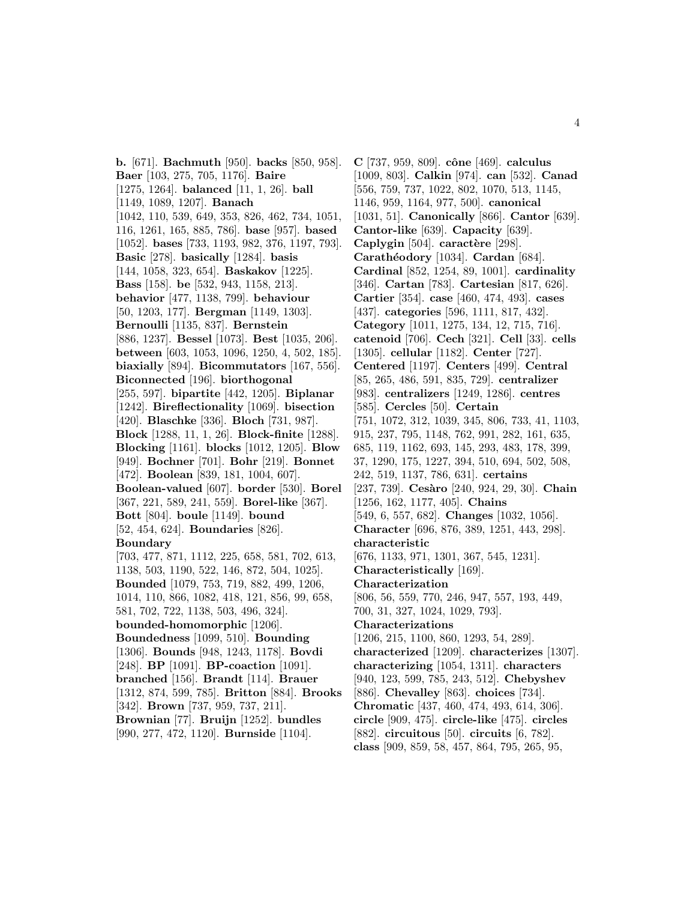**b.** [671]. **Bachmuth** [950]. **backs** [850, 958]. **Baer** [103, 275, 705, 1176]. **Baire** [1275, 1264]. **balanced** [11, 1, 26]. **ball** [1149, 1089, 1207]. **Banach** [1042, 110, 539, 649, 353, 826, 462, 734, 1051, 116, 1261, 165, 885, 786]. **base** [957]. **based** [1052]. **bases** [733, 1193, 982, 376, 1197, 793]. **Basic** [278]. **basically** [1284]. **basis** [144, 1058, 323, 654]. **Baskakov** [1225]. **Bass** [158]. **be** [532, 943, 1158, 213]. **behavior** [477, 1138, 799]. **behaviour** [50, 1203, 177]. **Bergman** [1149, 1303]. **Bernoulli** [1135, 837]. **Bernstein** [886, 1237]. **Bessel** [1073]. **Best** [1035, 206]. **between** [603, 1053, 1096, 1250, 4, 502, 185]. **biaxially** [894]. **Bicommutators** [167, 556]. **Biconnected** [196]. **biorthogonal** [255, 597]. **bipartite** [442, 1205]. **Biplanar** [1242]. **Bireflectionality** [1069]. **bisection** [420]. **Blaschke** [336]. **Bloch** [731, 987]. **Block** [1288, 11, 1, 26]. **Block-finite** [1288]. **Blocking** [1161]. **blocks** [1012, 1205]. **Blow** [949]. **Bochner** [701]. **Bohr** [219]. **Bonnet** [472]. **Boolean** [839, 181, 1004, 607]. **Boolean-valued** [607]. **border** [530]. **Borel** [367, 221, 589, 241, 559]. **Borel-like** [367]. **Bott** [804]. **boule** [1149]. **bound** [52, 454, 624]. **Boundaries** [826]. **Boundary** [703, 477, 871, 1112, 225, 658, 581, 702, 613, 1138, 503, 1190, 522, 146, 872, 504, 1025]. **Bounded** [1079, 753, 719, 882, 499, 1206, 1014, 110, 866, 1082, 418, 121, 856, 99, 658, 581, 702, 722, 1138, 503, 496, 324]. **bounded-homomorphic** [1206]. **Boundedness** [1099, 510]. **Bounding** [1306]. **Bounds** [948, 1243, 1178]. **Bovdi** [248]. **BP** [1091]. **BP-coaction** [1091]. **branched** [156]. **Brandt** [114]. **Brauer** [1312, 874, 599, 785]. **Britton** [884]. **Brooks** [342]. **Brown** [737, 959, 737, 211]. **Brownian** [77]. **Bruijn** [1252]. **bundles** [990, 277, 472, 1120]. **Burnside** [1104].

**C** [737, 959, 809]. **cˆone** [469]. **calculus** [1009, 803]. **Calkin** [974]. **can** [532]. **Canad** [556, 759, 737, 1022, 802, 1070, 513, 1145, 1146, 959, 1164, 977, 500]. **canonical** [1031, 51]. **Canonically** [866]. **Cantor** [639]. **Cantor-like** [639]. **Capacity** [639]. **Caplygin** [504]. **caractère** [298]. **Carath´eodory** [1034]. **Cardan** [684]. **Cardinal** [852, 1254, 89, 1001]. **cardinality** [346]. **Cartan** [783]. **Cartesian** [817, 626]. **Cartier** [354]. **case** [460, 474, 493]. **cases** [437]. **categories** [596, 1111, 817, 432]. **Category** [1011, 1275, 134, 12, 715, 716]. **catenoid** [706]. **Cech** [321]. **Cell** [33]. **cells** [1305]. **cellular** [1182]. **Center** [727]. **Centered** [1197]. **Centers** [499]. **Central** [85, 265, 486, 591, 835, 729]. **centralizer** [983]. **centralizers** [1249, 1286]. **centres** [585]. **Cercles** [50]. **Certain** [751, 1072, 312, 1039, 345, 806, 733, 41, 1103, 915, 237, 795, 1148, 762, 991, 282, 161, 635, 685, 119, 1162, 693, 145, 293, 483, 178, 399, 37, 1290, 175, 1227, 394, 510, 694, 502, 508, 242, 519, 1137, 786, 631]. **certains** [237, 739]. **Ces`aro** [240, 924, 29, 30]. **Chain** [1256, 162, 1177, 405]. **Chains** [549, 6, 557, 682]. **Changes** [1032, 1056]. **Character** [696, 876, 389, 1251, 443, 298]. **characteristic** [676, 1133, 971, 1301, 367, 545, 1231]. **Characteristically** [169]. **Characterization** [806, 56, 559, 770, 246, 947, 557, 193, 449, 700, 31, 327, 1024, 1029, 793]. **Characterizations** [1206, 215, 1100, 860, 1293, 54, 289]. **characterized** [1209]. **characterizes** [1307]. **characterizing** [1054, 1311]. **characters** [940, 123, 599, 785, 243, 512]. **Chebyshev** [886]. **Chevalley** [863]. **choices** [734]. **Chromatic** [437, 460, 474, 493, 614, 306]. **circle** [909, 475]. **circle-like** [475]. **circles** [882]. **circuitous** [50]. **circuits** [6, 782]. **class** [909, 859, 58, 457, 864, 795, 265, 95,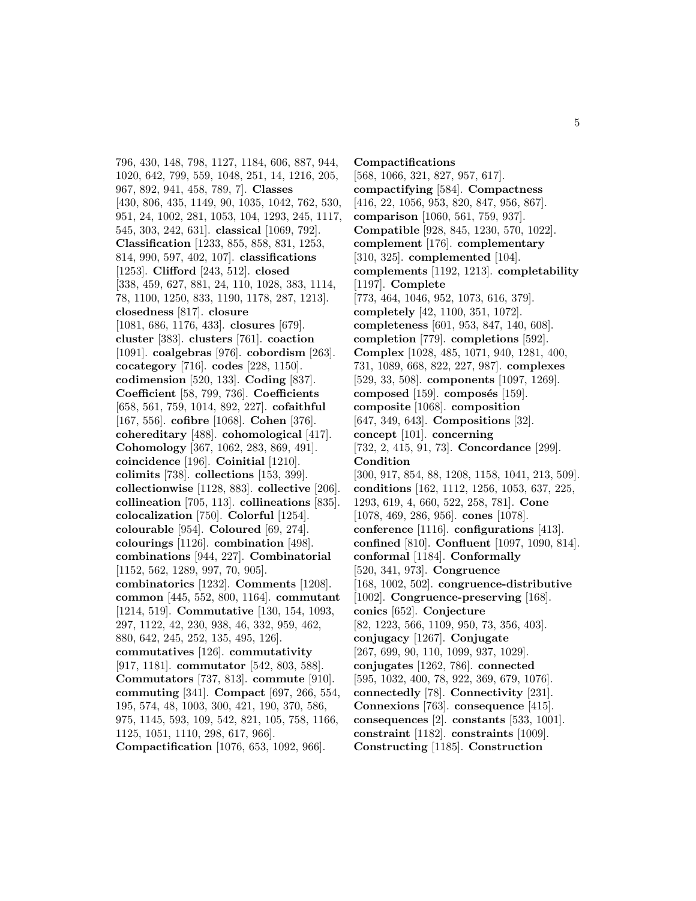796, 430, 148, 798, 1127, 1184, 606, 887, 944, 1020, 642, 799, 559, 1048, 251, 14, 1216, 205, 967, 892, 941, 458, 789, 7]. **Classes** [430, 806, 435, 1149, 90, 1035, 1042, 762, 530, 951, 24, 1002, 281, 1053, 104, 1293, 245, 1117, 545, 303, 242, 631]. **classical** [1069, 792]. **Classification** [1233, 855, 858, 831, 1253, 814, 990, 597, 402, 107]. **classifications** [1253]. **Clifford** [243, 512]. **closed** [338, 459, 627, 881, 24, 110, 1028, 383, 1114, 78, 1100, 1250, 833, 1190, 1178, 287, 1213]. **closedness** [817]. **closure** [1081, 686, 1176, 433]. **closures** [679]. **cluster** [383]. **clusters** [761]. **coaction** [1091]. **coalgebras** [976]. **cobordism** [263]. **cocategory** [716]. **codes** [228, 1150]. **codimension** [520, 133]. **Coding** [837]. **Coefficient** [58, 799, 736]. **Coefficients** [658, 561, 759, 1014, 892, 227]. **cofaithful** [167, 556]. **cofibre** [1068]. **Cohen** [376]. **cohereditary** [488]. **cohomological** [417]. **Cohomology** [367, 1062, 283, 869, 491]. **coincidence** [196]. **Coinitial** [1210]. **colimits** [738]. **collections** [153, 399]. **collectionwise** [1128, 883]. **collective** [206]. **collineation** [705, 113]. **collineations** [835]. **colocalization** [750]. **Colorful** [1254]. **colourable** [954]. **Coloured** [69, 274]. **colourings** [1126]. **combination** [498]. **combinations** [944, 227]. **Combinatorial** [1152, 562, 1289, 997, 70, 905]. **combinatorics** [1232]. **Comments** [1208]. **common** [445, 552, 800, 1164]. **commutant** [1214, 519]. **Commutative** [130, 154, 1093, 297, 1122, 42, 230, 938, 46, 332, 959, 462, 880, 642, 245, 252, 135, 495, 126]. **commutatives** [126]. **commutativity** [917, 1181]. **commutator** [542, 803, 588]. **Commutators** [737, 813]. **commute** [910]. **commuting** [341]. **Compact** [697, 266, 554, 195, 574, 48, 1003, 300, 421, 190, 370, 586, 975, 1145, 593, 109, 542, 821, 105, 758, 1166, 1125, 1051, 1110, 298, 617, 966]. **Compactification** [1076, 653, 1092, 966].

**Compactifications** [568, 1066, 321, 827, 957, 617]. **compactifying** [584]. **Compactness** [416, 22, 1056, 953, 820, 847, 956, 867]. **comparison** [1060, 561, 759, 937]. **Compatible** [928, 845, 1230, 570, 1022]. **complement** [176]. **complementary** [310, 325]. **complemented** [104]. **complements** [1192, 1213]. **completability** [1197]. **Complete** [773, 464, 1046, 952, 1073, 616, 379]. **completely** [42, 1100, 351, 1072]. **completeness** [601, 953, 847, 140, 608]. **completion** [779]. **completions** [592]. **Complex** [1028, 485, 1071, 940, 1281, 400, 731, 1089, 668, 822, 227, 987]. **complexes** [529, 33, 508]. **components** [1097, 1269]. **composed** [159]. **composés** [159]. **composite** [1068]. **composition** [647, 349, 643]. **Compositions** [32]. **concept** [101]. **concerning** [732, 2, 415, 91, 73]. **Concordance** [299]. **Condition** [300, 917, 854, 88, 1208, 1158, 1041, 213, 509]. **conditions** [162, 1112, 1256, 1053, 637, 225, 1293, 619, 4, 660, 522, 258, 781]. **Cone** [1078, 469, 286, 956]. **cones** [1078]. **conference** [1116]. **configurations** [413]. **confined** [810]. **Confluent** [1097, 1090, 814]. **conformal** [1184]. **Conformally** [520, 341, 973]. **Congruence** [168, 1002, 502]. **congruence-distributive** [1002]. **Congruence-preserving** [168]. **conics** [652]. **Conjecture** [82, 1223, 566, 1109, 950, 73, 356, 403]. **conjugacy** [1267]. **Conjugate** [267, 699, 90, 110, 1099, 937, 1029]. **conjugates** [1262, 786]. **connected** [595, 1032, 400, 78, 922, 369, 679, 1076]. **connectedly** [78]. **Connectivity** [231]. **Connexions** [763]. **consequence** [415]. **consequences** [2]. **constants** [533, 1001]. **constraint** [1182]. **constraints** [1009]. **Constructing** [1185]. **Construction**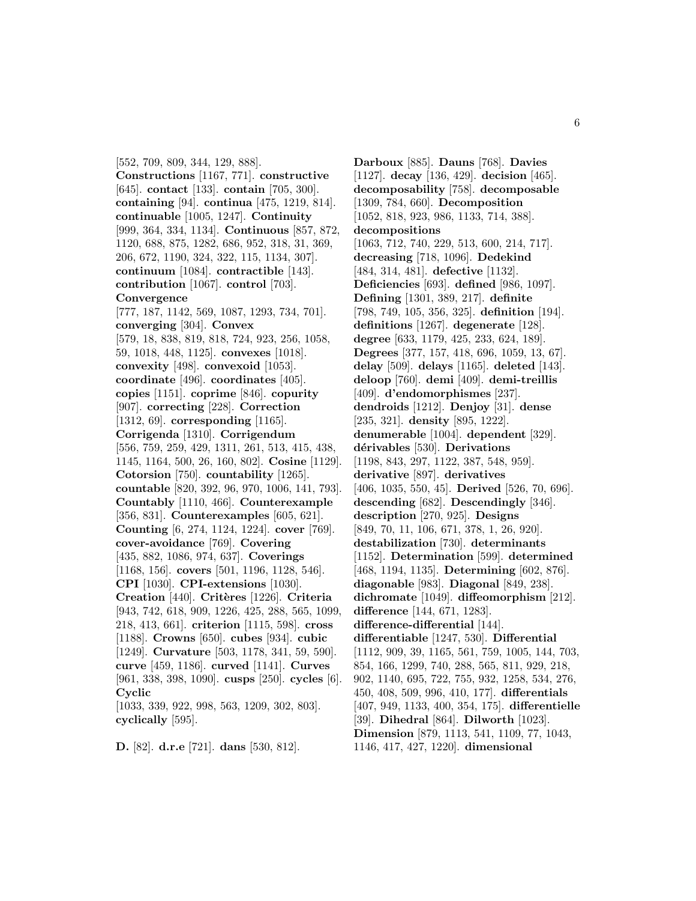[552, 709, 809, 344, 129, 888]. **Constructions** [1167, 771]. **constructive** [645]. **contact** [133]. **contain** [705, 300]. **containing** [94]. **continua** [475, 1219, 814]. **continuable** [1005, 1247]. **Continuity** [999, 364, 334, 1134]. **Continuous** [857, 872, 1120, 688, 875, 1282, 686, 952, 318, 31, 369, 206, 672, 1190, 324, 322, 115, 1134, 307]. **continuum** [1084]. **contractible** [143]. **contribution** [1067]. **control** [703]. **Convergence** [777, 187, 1142, 569, 1087, 1293, 734, 701]. **converging** [304]. **Convex** [579, 18, 838, 819, 818, 724, 923, 256, 1058, 59, 1018, 448, 1125]. **convexes** [1018]. **convexity** [498]. **convexoid** [1053]. **coordinate** [496]. **coordinates** [405]. **copies** [1151]. **coprime** [846]. **copurity** [907]. **correcting** [228]. **Correction** [1312, 69]. **corresponding** [1165]. **Corrigenda** [1310]. **Corrigendum** [556, 759, 259, 429, 1311, 261, 513, 415, 438, 1145, 1164, 500, 26, 160, 802]. **Cosine** [1129]. **Cotorsion** [750]. **countability** [1265]. **countable** [820, 392, 96, 970, 1006, 141, 793]. **Countably** [1110, 466]. **Counterexample** [356, 831]. **Counterexamples** [605, 621]. **Counting** [6, 274, 1124, 1224]. **cover** [769]. **cover-avoidance** [769]. **Covering** [435, 882, 1086, 974, 637]. **Coverings** [1168, 156]. **covers** [501, 1196, 1128, 546]. **CPI** [1030]. **CPI-extensions** [1030]. **Creation** [440]. **Crit`eres** [1226]. **Criteria** [943, 742, 618, 909, 1226, 425, 288, 565, 1099, 218, 413, 661]. **criterion** [1115, 598]. **cross** [1188]. **Crowns** [650]. **cubes** [934]. **cubic** [1249]. **Curvature** [503, 1178, 341, 59, 590]. **curve** [459, 1186]. **curved** [1141]. **Curves** [961, 338, 398, 1090]. **cusps** [250]. **cycles** [6]. **Cyclic** [1033, 339, 922, 998, 563, 1209, 302, 803]. **cyclically** [595].

**D.** [82]. **d.r.e** [721]. **dans** [530, 812].

**Darboux** [885]. **Dauns** [768]. **Davies** [1127]. **decay** [136, 429]. **decision** [465]. **decomposability** [758]. **decomposable** [1309, 784, 660]. **Decomposition** [1052, 818, 923, 986, 1133, 714, 388]. **decompositions** [1063, 712, 740, 229, 513, 600, 214, 717]. **decreasing** [718, 1096]. **Dedekind** [484, 314, 481]. **defective** [1132]. **Deficiencies** [693]. **defined** [986, 1097]. **Defining** [1301, 389, 217]. **definite** [798, 749, 105, 356, 325]. **definition** [194]. **definitions** [1267]. **degenerate** [128]. **degree** [633, 1179, 425, 233, 624, 189]. **Degrees** [377, 157, 418, 696, 1059, 13, 67]. **delay** [509]. **delays** [1165]. **deleted** [143]. **deloop** [760]. **demi** [409]. **demi-treillis** [409]. **d'endomorphismes** [237]. **dendroids** [1212]. **Denjoy** [31]. **dense** [235, 321]. **density** [895, 1222]. **denumerable** [1004]. **dependent** [329]. **d´erivables** [530]. **Derivations** [1198, 843, 297, 1122, 387, 548, 959]. **derivative** [897]. **derivatives** [406, 1035, 550, 45]. **Derived** [526, 70, 696]. **descending** [682]. **Descendingly** [346]. **description** [270, 925]. **Designs** [849, 70, 11, 106, 671, 378, 1, 26, 920]. **destabilization** [730]. **determinants** [1152]. **Determination** [599]. **determined** [468, 1194, 1135]. **Determining** [602, 876]. **diagonable** [983]. **Diagonal** [849, 238]. **dichromate** [1049]. **diffeomorphism** [212]. **difference** [144, 671, 1283]. **difference-differential** [144]. **differentiable** [1247, 530]. **Differential** [1112, 909, 39, 1165, 561, 759, 1005, 144, 703, 854, 166, 1299, 740, 288, 565, 811, 929, 218, 902, 1140, 695, 722, 755, 932, 1258, 534, 276, 450, 408, 509, 996, 410, 177]. **differentials** [407, 949, 1133, 400, 354, 175]. **differentielle** [39]. **Dihedral** [864]. **Dilworth** [1023]. **Dimension** [879, 1113, 541, 1109, 77, 1043, 1146, 417, 427, 1220]. **dimensional**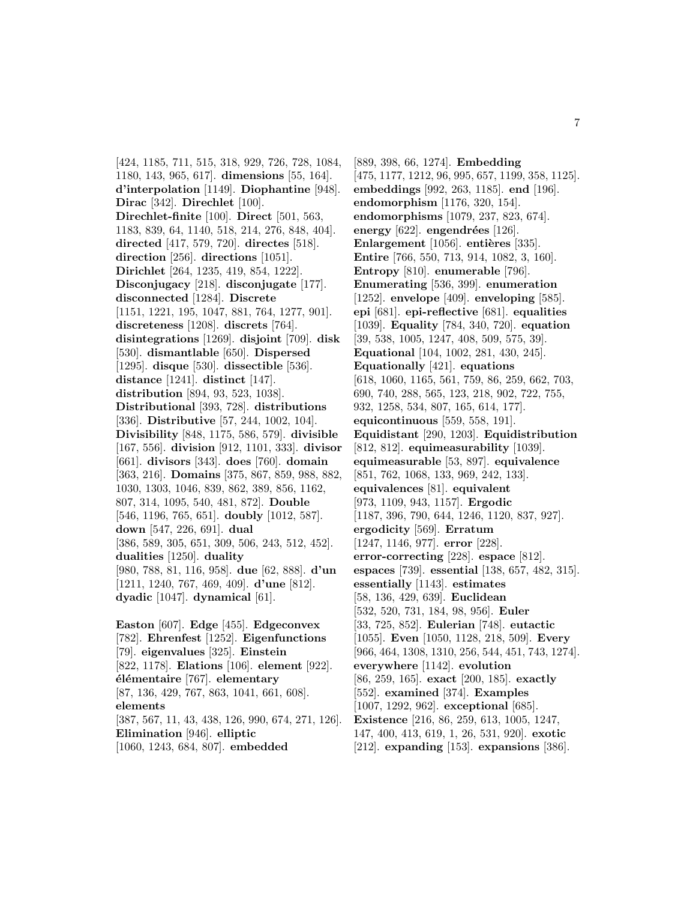[424, 1185, 711, 515, 318, 929, 726, 728, 1084, 1180, 143, 965, 617]. **dimensions** [55, 164]. **d'interpolation** [1149]. **Diophantine** [948]. **Dirac** [342]. **Direchlet** [100]. **Direchlet-finite** [100]. **Direct** [501, 563, 1183, 839, 64, 1140, 518, 214, 276, 848, 404]. **directed** [417, 579, 720]. **directes** [518]. **direction** [256]. **directions** [1051]. **Dirichlet** [264, 1235, 419, 854, 1222]. **Disconjugacy** [218]. **disconjugate** [177]. **disconnected** [1284]. **Discrete** [1151, 1221, 195, 1047, 881, 764, 1277, 901]. **discreteness** [1208]. **discrets** [764]. **disintegrations** [1269]. **disjoint** [709]. **disk** [530]. **dismantlable** [650]. **Dispersed** [1295]. **disque** [530]. **dissectible** [536]. **distance** [1241]. **distinct** [147]. **distribution** [894, 93, 523, 1038]. **Distributional** [393, 728]. **distributions** [336]. **Distributive** [57, 244, 1002, 104]. **Divisibility** [848, 1175, 586, 579]. **divisible** [167, 556]. **division** [912, 1101, 333]. **divisor** [661]. **divisors** [343]. **does** [760]. **domain** [363, 216]. **Domains** [375, 867, 859, 988, 882, 1030, 1303, 1046, 839, 862, 389, 856, 1162, 807, 314, 1095, 540, 481, 872]. **Double** [546, 1196, 765, 651]. **doubly** [1012, 587]. **down** [547, 226, 691]. **dual** [386, 589, 305, 651, 309, 506, 243, 512, 452]. **dualities** [1250]. **duality** [980, 788, 81, 116, 958]. **due** [62, 888]. **d'un** [1211, 1240, 767, 469, 409]. **d'une** [812]. **dyadic** [1047]. **dynamical** [61]. **Easton** [607]. **Edge** [455]. **Edgeconvex** [782]. **Ehrenfest** [1252]. **Eigenfunctions** [79]. **eigenvalues** [325]. **Einstein** [822, 1178]. **Elations** [106]. **element** [922]. **´el´ementaire** [767]. **elementary** [87, 136, 429, 767, 863, 1041, 661, 608]. **elements** [387, 567, 11, 43, 438, 126, 990, 674, 271, 126].

**Elimination** [946]. **elliptic**

[1060, 1243, 684, 807]. **embedded**

[889, 398, 66, 1274]. **Embedding** [475, 1177, 1212, 96, 995, 657, 1199, 358, 1125]. **embeddings** [992, 263, 1185]. **end** [196]. **endomorphism** [1176, 320, 154]. **endomorphisms** [1079, 237, 823, 674]. **energy** [622]. **engendrées** [126]. **Enlargement** [1056]. **entières** [335]. **Entire** [766, 550, 713, 914, 1082, 3, 160]. **Entropy** [810]. **enumerable** [796]. **Enumerating** [536, 399]. **enumeration** [1252]. **envelope** [409]. **enveloping** [585]. **epi** [681]. **epi-reflective** [681]. **equalities** [1039]. **Equality** [784, 340, 720]. **equation** [39, 538, 1005, 1247, 408, 509, 575, 39]. **Equational** [104, 1002, 281, 430, 245]. **Equationally** [421]. **equations** [618, 1060, 1165, 561, 759, 86, 259, 662, 703, 690, 740, 288, 565, 123, 218, 902, 722, 755, 932, 1258, 534, 807, 165, 614, 177]. **equicontinuous** [559, 558, 191]. **Equidistant** [290, 1203]. **Equidistribution** [812, 812]. **equimeasurability** [1039]. **equimeasurable** [53, 897]. **equivalence** [851, 762, 1068, 133, 969, 242, 133]. **equivalences** [81]. **equivalent** [973, 1109, 943, 1157]. **Ergodic** [1187, 396, 790, 644, 1246, 1120, 837, 927]. **ergodicity** [569]. **Erratum** [1247, 1146, 977]. **error** [228]. **error-correcting** [228]. **espace** [812]. **espaces** [739]. **essential** [138, 657, 482, 315]. **essentially** [1143]. **estimates** [58, 136, 429, 639]. **Euclidean** [532, 520, 731, 184, 98, 956]. **Euler** [33, 725, 852]. **Eulerian** [748]. **eutactic** [1055]. **Even** [1050, 1128, 218, 509]. **Every** [966, 464, 1308, 1310, 256, 544, 451, 743, 1274]. **everywhere** [1142]. **evolution** [86, 259, 165]. **exact** [200, 185]. **exactly** [552]. **examined** [374]. **Examples** [1007, 1292, 962]. **exceptional** [685]. **Existence** [216, 86, 259, 613, 1005, 1247, 147, 400, 413, 619, 1, 26, 531, 920]. **exotic** [212]. **expanding** [153]. **expansions** [386].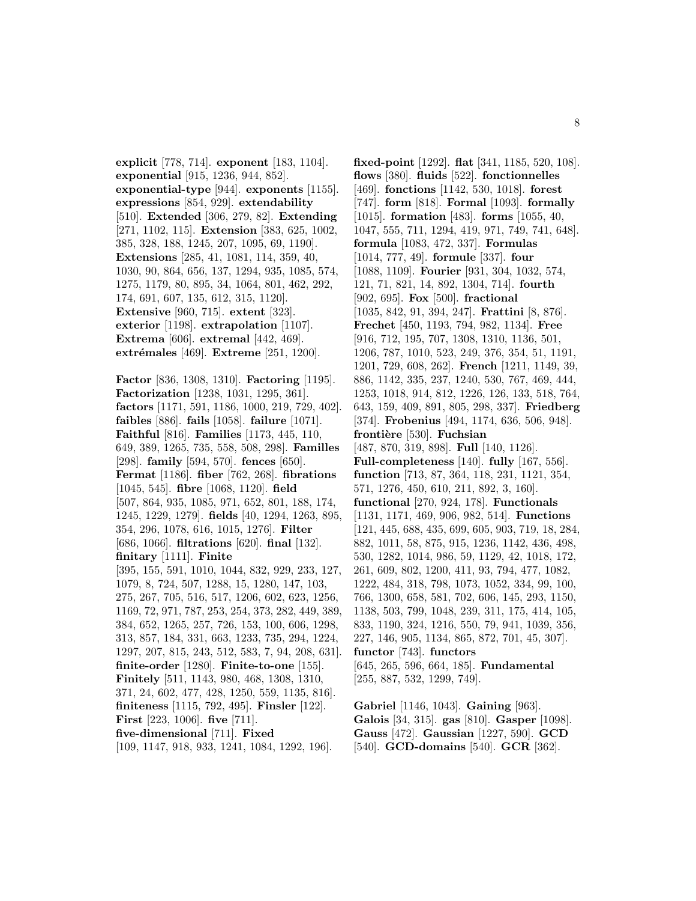**explicit** [778, 714]. **exponent** [183, 1104]. **exponential** [915, 1236, 944, 852]. **exponential-type** [944]. **exponents** [1155]. **expressions** [854, 929]. **extendability** [510]. **Extended** [306, 279, 82]. **Extending** [271, 1102, 115]. **Extension** [383, 625, 1002, 385, 328, 188, 1245, 207, 1095, 69, 1190]. **Extensions** [285, 41, 1081, 114, 359, 40, 1030, 90, 864, 656, 137, 1294, 935, 1085, 574, 1275, 1179, 80, 895, 34, 1064, 801, 462, 292, 174, 691, 607, 135, 612, 315, 1120]. **Extensive** [960, 715]. **extent** [323]. **exterior** [1198]. **extrapolation** [1107]. **Extrema** [606]. **extremal** [442, 469]. **extrémales** [469]. **Extreme** [251, 1200].

**Factor** [836, 1308, 1310]. **Factoring** [1195]. **Factorization** [1238, 1031, 1295, 361]. **factors** [1171, 591, 1186, 1000, 219, 729, 402]. **faibles** [886]. **fails** [1058]. **failure** [1071]. **Faithful** [816]. **Families** [1173, 445, 110, 649, 389, 1265, 735, 558, 508, 298]. **Familles** [298]. **family** [594, 570]. **fences** [650]. **Fermat** [1186]. **fiber** [762, 268]. **fibrations** [1045, 545]. **fibre** [1068, 1120]. **field** [507, 864, 935, 1085, 971, 652, 801, 188, 174, 1245, 1229, 1279]. **fields** [40, 1294, 1263, 895, 354, 296, 1078, 616, 1015, 1276]. **Filter** [686, 1066]. **filtrations** [620]. **final** [132]. **finitary** [1111]. **Finite** [395, 155, 591, 1010, 1044, 832, 929, 233, 127, 1079, 8, 724, 507, 1288, 15, 1280, 147, 103, 275, 267, 705, 516, 517, 1206, 602, 623, 1256, 1169, 72, 971, 787, 253, 254, 373, 282, 449, 389, 384, 652, 1265, 257, 726, 153, 100, 606, 1298, 313, 857, 184, 331, 663, 1233, 735, 294, 1224, 1297, 207, 815, 243, 512, 583, 7, 94, 208, 631]. **finite-order** [1280]. **Finite-to-one** [155]. **Finitely** [511, 1143, 980, 468, 1308, 1310, 371, 24, 602, 477, 428, 1250, 559, 1135, 816]. **finiteness** [1115, 792, 495]. **Finsler** [122]. **First** [223, 1006]. **five** [711]. **five-dimensional** [711]. **Fixed** [109, 1147, 918, 933, 1241, 1084, 1292, 196].

**fixed-point** [1292]. **flat** [341, 1185, 520, 108]. **flows** [380]. **fluids** [522]. **fonctionnelles** [469]. **fonctions** [1142, 530, 1018]. **forest** [747]. **form** [818]. **Formal** [1093]. **formally** [1015]. **formation** [483]. **forms** [1055, 40, 1047, 555, 711, 1294, 419, 971, 749, 741, 648]. **formula** [1083, 472, 337]. **Formulas** [1014, 777, 49]. **formule** [337]. **four** [1088, 1109]. **Fourier** [931, 304, 1032, 574, 121, 71, 821, 14, 892, 1304, 714]. **fourth** [902, 695]. **Fox** [500]. **fractional** [1035, 842, 91, 394, 247]. **Frattini** [8, 876]. **Frechet** [450, 1193, 794, 982, 1134]. **Free** [916, 712, 195, 707, 1308, 1310, 1136, 501, 1206, 787, 1010, 523, 249, 376, 354, 51, 1191, 1201, 729, 608, 262]. **French** [1211, 1149, 39, 886, 1142, 335, 237, 1240, 530, 767, 469, 444, 1253, 1018, 914, 812, 1226, 126, 133, 518, 764, 643, 159, 409, 891, 805, 298, 337]. **Friedberg** [374]. **Frobenius** [494, 1174, 636, 506, 948]. frontière [530]. Fuchsian [487, 870, 319, 898]. **Full** [140, 1126]. **Full-completeness** [140]. **fully** [167, 556]. **function** [713, 87, 364, 118, 231, 1121, 354, 571, 1276, 450, 610, 211, 892, 3, 160]. **functional** [270, 924, 178]. **Functionals** [1131, 1171, 469, 906, 982, 514]. **Functions** [121, 445, 688, 435, 699, 605, 903, 719, 18, 284, 882, 1011, 58, 875, 915, 1236, 1142, 436, 498, 530, 1282, 1014, 986, 59, 1129, 42, 1018, 172, 261, 609, 802, 1200, 411, 93, 794, 477, 1082, 1222, 484, 318, 798, 1073, 1052, 334, 99, 100, 766, 1300, 658, 581, 702, 606, 145, 293, 1150, 1138, 503, 799, 1048, 239, 311, 175, 414, 105, 833, 1190, 324, 1216, 550, 79, 941, 1039, 356, 227, 146, 905, 1134, 865, 872, 701, 45, 307]. **functor** [743]. **functors** [645, 265, 596, 664, 185]. **Fundamental** [255, 887, 532, 1299, 749].

**Gabriel** [1146, 1043]. **Gaining** [963]. **Galois** [34, 315]. **gas** [810]. **Gasper** [1098]. **Gauss** [472]. **Gaussian** [1227, 590]. **GCD** [540]. **GCD-domains** [540]. **GCR** [362].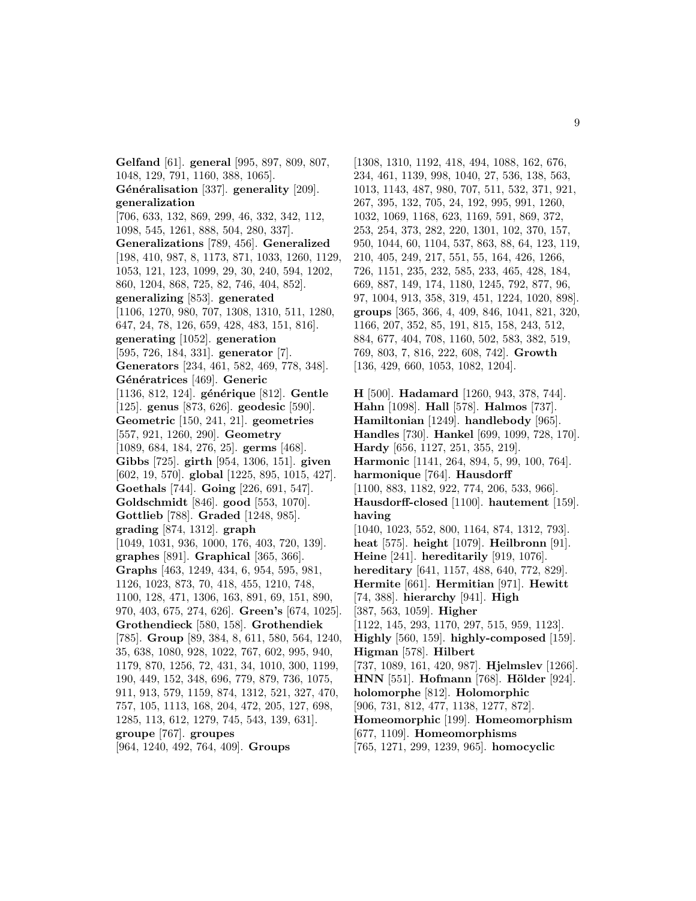**Gelfand** [61]. **general** [995, 897, 809, 807, 1048, 129, 791, 1160, 388, 1065]. Généralisation [337]. generality [209]. **generalization** [706, 633, 132, 869, 299, 46, 332, 342, 112, 1098, 545, 1261, 888, 504, 280, 337]. **Generalizations** [789, 456]. **Generalized** [198, 410, 987, 8, 1173, 871, 1033, 1260, 1129, 1053, 121, 123, 1099, 29, 30, 240, 594, 1202, 860, 1204, 868, 725, 82, 746, 404, 852]. **generalizing** [853]. **generated** [1106, 1270, 980, 707, 1308, 1310, 511, 1280, 647, 24, 78, 126, 659, 428, 483, 151, 816]. **generating** [1052]. **generation** [595, 726, 184, 331]. **generator** [7]. **Generators** [234, 461, 582, 469, 778, 348]. **G´en´eratrices** [469]. **Generic** [1136, 812, 124]. **générique** [812]. **Gentle** [125]. **genus** [873, 626]. **geodesic** [590]. **Geometric** [150, 241, 21]. **geometries** [557, 921, 1260, 290]. **Geometry** [1089, 684, 184, 276, 25]. **germs** [468]. **Gibbs** [725]. **girth** [954, 1306, 151]. **given** [602, 19, 570]. **global** [1225, 895, 1015, 427]. **Goethals** [744]. **Going** [226, 691, 547]. **Goldschmidt** [846]. **good** [553, 1070]. **Gottlieb** [788]. **Graded** [1248, 985]. **grading** [874, 1312]. **graph** [1049, 1031, 936, 1000, 176, 403, 720, 139]. **graphes** [891]. **Graphical** [365, 366]. **Graphs** [463, 1249, 434, 6, 954, 595, 981, 1126, 1023, 873, 70, 418, 455, 1210, 748, 1100, 128, 471, 1306, 163, 891, 69, 151, 890, 970, 403, 675, 274, 626]. **Green's** [674, 1025]. **Grothendieck** [580, 158]. **Grothendiek** [785]. **Group** [89, 384, 8, 611, 580, 564, 1240, 35, 638, 1080, 928, 1022, 767, 602, 995, 940, 1179, 870, 1256, 72, 431, 34, 1010, 300, 1199, 190, 449, 152, 348, 696, 779, 879, 736, 1075, 911, 913, 579, 1159, 874, 1312, 521, 327, 470, 757, 105, 1113, 168, 204, 472, 205, 127, 698, 1285, 113, 612, 1279, 745, 543, 139, 631]. **groupe** [767]. **groupes** [964, 1240, 492, 764, 409]. **Groups**

[1308, 1310, 1192, 418, 494, 1088, 162, 676, 234, 461, 1139, 998, 1040, 27, 536, 138, 563, 1013, 1143, 487, 980, 707, 511, 532, 371, 921, 267, 395, 132, 705, 24, 192, 995, 991, 1260, 1032, 1069, 1168, 623, 1169, 591, 869, 372, 253, 254, 373, 282, 220, 1301, 102, 370, 157, 950, 1044, 60, 1104, 537, 863, 88, 64, 123, 119, 210, 405, 249, 217, 551, 55, 164, 426, 1266, 726, 1151, 235, 232, 585, 233, 465, 428, 184, 669, 887, 149, 174, 1180, 1245, 792, 877, 96, 97, 1004, 913, 358, 319, 451, 1224, 1020, 898]. **groups** [365, 366, 4, 409, 846, 1041, 821, 320, 1166, 207, 352, 85, 191, 815, 158, 243, 512, 884, 677, 404, 708, 1160, 502, 583, 382, 519, 769, 803, 7, 816, 222, 608, 742]. **Growth** [136, 429, 660, 1053, 1082, 1204].

**H** [500]. **Hadamard** [1260, 943, 378, 744]. **Hahn** [1098]. **Hall** [578]. **Halmos** [737]. **Hamiltonian** [1249]. **handlebody** [965]. **Handles** [730]. **Hankel** [699, 1099, 728, 170]. **Hardy** [656, 1127, 251, 355, 219]. **Harmonic** [1141, 264, 894, 5, 99, 100, 764]. **harmonique** [764]. **Hausdorff** [1100, 883, 1182, 922, 774, 206, 533, 966]. **Hausdorff-closed** [1100]. **hautement** [159]. **having** [1040, 1023, 552, 800, 1164, 874, 1312, 793]. **heat** [575]. **height** [1079]. **Heilbronn** [91]. **Heine** [241]. **hereditarily** [919, 1076]. **hereditary** [641, 1157, 488, 640, 772, 829]. **Hermite** [661]. **Hermitian** [971]. **Hewitt** [74, 388]. **hierarchy** [941]. **High** [387, 563, 1059]. **Higher** [1122, 145, 293, 1170, 297, 515, 959, 1123]. **Highly** [560, 159]. **highly-composed** [159]. **Higman** [578]. **Hilbert** [737, 1089, 161, 420, 987]. **Hjelmslev** [1266]. **HNN** [551]. **Hofmann** [768]. **Hölder** [924]. **holomorphe** [812]. **Holomorphic** [906, 731, 812, 477, 1138, 1277, 872]. **Homeomorphic** [199]. **Homeomorphism** [677, 1109]. **Homeomorphisms** [765, 1271, 299, 1239, 965]. **homocyclic**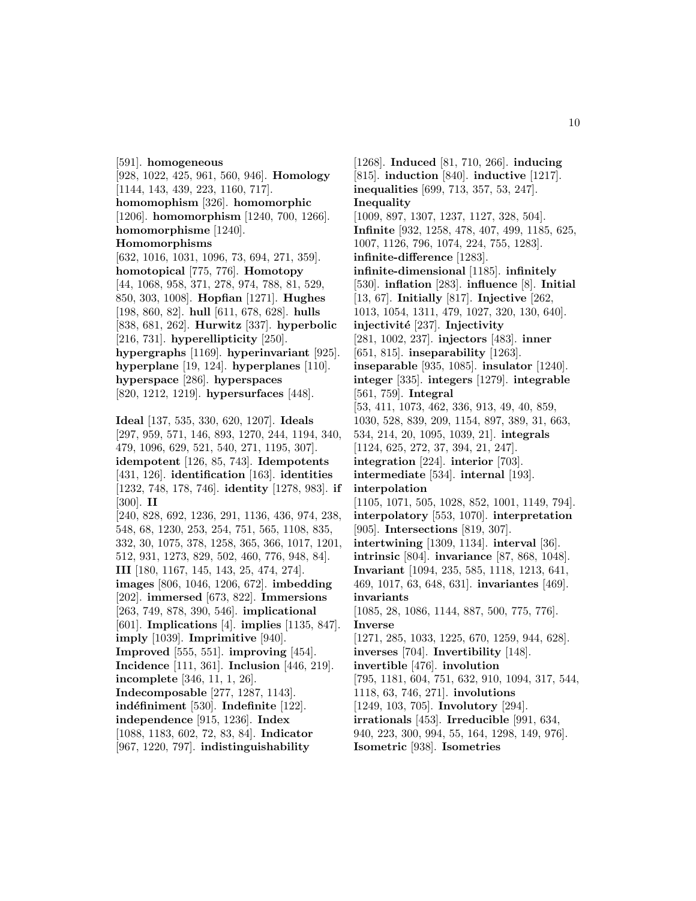[591]. **homogeneous** [928, 1022, 425, 961, 560, 946]. **Homology** [1144, 143, 439, 223, 1160, 717]. **homomophism** [326]. **homomorphic** [1206]. **homomorphism** [1240, 700, 1266]. **homomorphisme** [1240]. **Homomorphisms** [632, 1016, 1031, 1096, 73, 694, 271, 359]. **homotopical** [775, 776]. **Homotopy** [44, 1068, 958, 371, 278, 974, 788, 81, 529, 850, 303, 1008]. **Hopfian** [1271]. **Hughes** [198, 860, 82]. **hull** [611, 678, 628]. **hulls** [838, 681, 262]. **Hurwitz** [337]. **hyperbolic** [216, 731]. **hyperellipticity** [250]. **hypergraphs** [1169]. **hyperinvariant** [925]. **hyperplane** [19, 124]. **hyperplanes** [110]. **hyperspace** [286]. **hyperspaces** [820, 1212, 1219]. **hypersurfaces** [448]. **Ideal** [137, 535, 330, 620, 1207]. **Ideals** [297, 959, 571, 146, 893, 1270, 244, 1194, 340, 479, 1096, 629, 521, 540, 271, 1195, 307]. **idempotent** [126, 85, 743]. **Idempotents** [431, 126]. **identification** [163]. **identities** [1232, 748, 178, 746]. **identity** [1278, 983]. **if** [300]. **II** [240, 828, 692, 1236, 291, 1136, 436, 974, 238, 548, 68, 1230, 253, 254, 751, 565, 1108, 835, 332, 30, 1075, 378, 1258, 365, 366, 1017, 1201, 512, 931, 1273, 829, 502, 460, 776, 948, 84]. **III** [180, 1167, 145, 143, 25, 474, 274]. **images** [806, 1046, 1206, 672]. **imbedding** [202]. **immersed** [673, 822]. **Immersions** [263, 749, 878, 390, 546]. **implicational** [601]. **Implications** [4]. **implies** [1135, 847]. **imply** [1039]. **Imprimitive** [940]. **Improved** [555, 551]. **improving** [454]. **Incidence** [111, 361]. **Inclusion** [446, 219]. **incomplete** [346, 11, 1, 26]. **Indecomposable** [277, 1287, 1143]. **ind´efiniment** [530]. **Indefinite** [122]. **independence** [915, 1236]. **Index**

[1088, 1183, 602, 72, 83, 84]. **Indicator** [967, 1220, 797]. **indistinguishability**

[1268]. **Induced** [81, 710, 266]. **inducing** [815]. **induction** [840]. **inductive** [1217]. **inequalities** [699, 713, 357, 53, 247]. **Inequality** [1009, 897, 1307, 1237, 1127, 328, 504]. **Infinite** [932, 1258, 478, 407, 499, 1185, 625, 1007, 1126, 796, 1074, 224, 755, 1283]. **infinite-difference** [1283]. **infinite-dimensional** [1185]. **infinitely** [530]. **inflation** [283]. **influence** [8]. **Initial** [13, 67]. **Initially** [817]. **Injective** [262, 1013, 1054, 1311, 479, 1027, 320, 130, 640]. **injectivit´e** [237]. **Injectivity** [281, 1002, 237]. **injectors** [483]. **inner** [651, 815]. **inseparability** [1263]. **inseparable** [935, 1085]. **insulator** [1240]. **integer** [335]. **integers** [1279]. **integrable** [561, 759]. **Integral** [53, 411, 1073, 462, 336, 913, 49, 40, 859, 1030, 528, 839, 209, 1154, 897, 389, 31, 663, 534, 214, 20, 1095, 1039, 21]. **integrals** [1124, 625, 272, 37, 394, 21, 247]. **integration** [224]. **interior** [703]. **intermediate** [534]. **internal** [193]. **interpolation** [1105, 1071, 505, 1028, 852, 1001, 1149, 794]. **interpolatory** [553, 1070]. **interpretation** [905]. **Intersections** [819, 307]. **intertwining** [1309, 1134]. **interval** [36]. **intrinsic** [804]. **invariance** [87, 868, 1048]. **Invariant** [1094, 235, 585, 1118, 1213, 641, 469, 1017, 63, 648, 631]. **invariantes** [469]. **invariants** [1085, 28, 1086, 1144, 887, 500, 775, 776]. **Inverse** [1271, 285, 1033, 1225, 670, 1259, 944, 628]. **inverses** [704]. **Invertibility** [148]. **invertible** [476]. **involution** [795, 1181, 604, 751, 632, 910, 1094, 317, 544, 1118, 63, 746, 271]. **involutions** [1249, 103, 705]. **Involutory** [294]. **irrationals** [453]. **Irreducible** [991, 634, 940, 223, 300, 994, 55, 164, 1298, 149, 976]. **Isometric** [938]. **Isometries**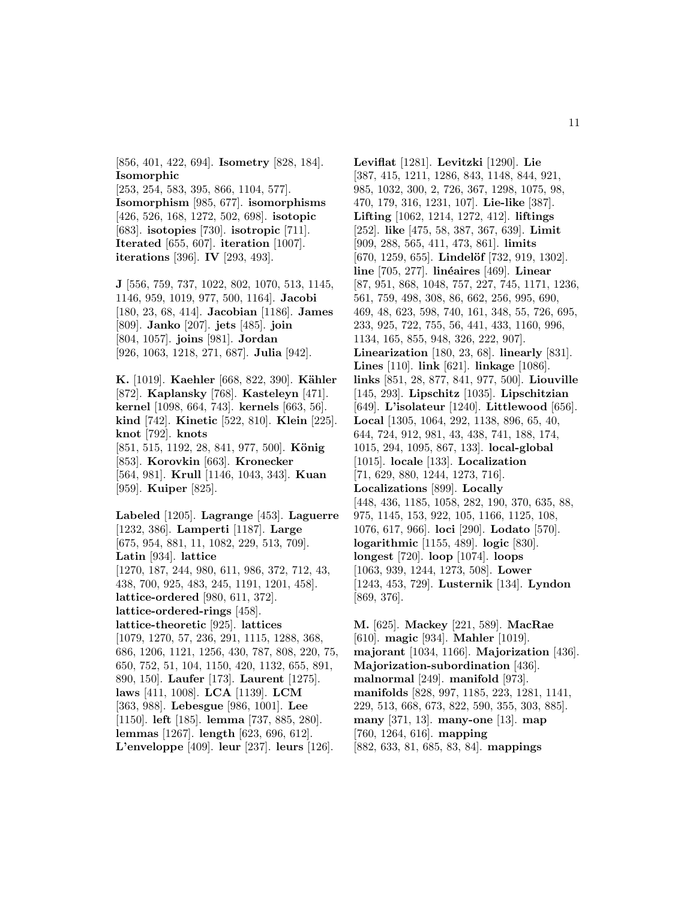[856, 401, 422, 694]. **Isometry** [828, 184]. **Isomorphic**

[253, 254, 583, 395, 866, 1104, 577]. **Isomorphism** [985, 677]. **isomorphisms** [426, 526, 168, 1272, 502, 698]. **isotopic** [683]. **isotopies** [730]. **isotropic** [711]. **Iterated** [655, 607]. **iteration** [1007]. **iterations** [396]. **IV** [293, 493].

**J** [556, 759, 737, 1022, 802, 1070, 513, 1145, 1146, 959, 1019, 977, 500, 1164]. **Jacobi** [180, 23, 68, 414]. **Jacobian** [1186]. **James** [809]. **Janko** [207]. **jets** [485]. **join** [804, 1057]. **joins** [981]. **Jordan** [926, 1063, 1218, 271, 687]. **Julia** [942].

**K.** [1019]. **Kaehler** [668, 822, 390]. **Kähler** [872]. **Kaplansky** [768]. **Kasteleyn** [471]. **kernel** [1098, 664, 743]. **kernels** [663, 56]. **kind** [742]. **Kinetic** [522, 810]. **Klein** [225]. **knot** [792]. **knots** [851, 515, 1192, 28, 841, 977, 500]. **König** [853]. **Korovkin** [663]. **Kronecker** [564, 981]. **Krull** [1146, 1043, 343]. **Kuan** [959]. **Kuiper** [825].

**Labeled** [1205]. **Lagrange** [453]. **Laguerre** [1232, 386]. **Lamperti** [1187]. **Large** [675, 954, 881, 11, 1082, 229, 513, 709]. **Latin** [934]. **lattice** [1270, 187, 244, 980, 611, 986, 372, 712, 43, 438, 700, 925, 483, 245, 1191, 1201, 458]. **lattice-ordered** [980, 611, 372]. **lattice-ordered-rings** [458]. **lattice-theoretic** [925]. **lattices** [1079, 1270, 57, 236, 291, 1115, 1288, 368, 686, 1206, 1121, 1256, 430, 787, 808, 220, 75, 650, 752, 51, 104, 1150, 420, 1132, 655, 891, 890, 150]. **Laufer** [173]. **Laurent** [1275]. **laws** [411, 1008]. **LCA** [1139]. **LCM** [363, 988]. **Lebesgue** [986, 1001]. **Lee** [1150]. **left** [185]. **lemma** [737, 885, 280]. **lemmas** [1267]. **length** [623, 696, 612]. **L'enveloppe** [409]. **leur** [237]. **leurs** [126].

**Leviflat** [1281]. **Levitzki** [1290]. **Lie** [387, 415, 1211, 1286, 843, 1148, 844, 921, 985, 1032, 300, 2, 726, 367, 1298, 1075, 98, 470, 179, 316, 1231, 107]. **Lie-like** [387]. **Lifting** [1062, 1214, 1272, 412]. **liftings** [252]. **like** [475, 58, 387, 367, 639]. **Limit** [909, 288, 565, 411, 473, 861]. **limits** [670, 1259, 655]. **Lindelöf** [732, 919, 1302]. **line** [705, 277]. **lin´eaires** [469]. **Linear** [87, 951, 868, 1048, 757, 227, 745, 1171, 1236, 561, 759, 498, 308, 86, 662, 256, 995, 690, 469, 48, 623, 598, 740, 161, 348, 55, 726, 695, 233, 925, 722, 755, 56, 441, 433, 1160, 996, 1134, 165, 855, 948, 326, 222, 907]. **Linearization** [180, 23, 68]. **linearly** [831]. **Lines** [110]. **link** [621]. **linkage** [1086]. **links** [851, 28, 877, 841, 977, 500]. **Liouville** [145, 293]. **Lipschitz** [1035]. **Lipschitzian** [649]. **L'isolateur** [1240]. **Littlewood** [656]. **Local** [1305, 1064, 292, 1138, 896, 65, 40, 644, 724, 912, 981, 43, 438, 741, 188, 174, 1015, 294, 1095, 867, 133]. **local-global** [1015]. **locale** [133]. **Localization** [71, 629, 880, 1244, 1273, 716]. **Localizations** [899]. **Locally** [448, 436, 1185, 1058, 282, 190, 370, 635, 88, 975, 1145, 153, 922, 105, 1166, 1125, 108, 1076, 617, 966]. **loci** [290]. **Lodato** [570]. **logarithmic** [1155, 489]. **logic** [830]. **longest** [720]. **loop** [1074]. **loops** [1063, 939, 1244, 1273, 508]. **Lower** [1243, 453, 729]. **Lusternik** [134]. **Lyndon** [869, 376].

**M.** [625]. **Mackey** [221, 589]. **MacRae** [610]. **magic** [934]. **Mahler** [1019]. **majorant** [1034, 1166]. **Majorization** [436]. **Majorization-subordination** [436]. **malnormal** [249]. **manifold** [973]. **manifolds** [828, 997, 1185, 223, 1281, 1141, 229, 513, 668, 673, 822, 590, 355, 303, 885]. **many** [371, 13]. **many-one** [13]. **map** [760, 1264, 616]. **mapping** [882, 633, 81, 685, 83, 84]. **mappings**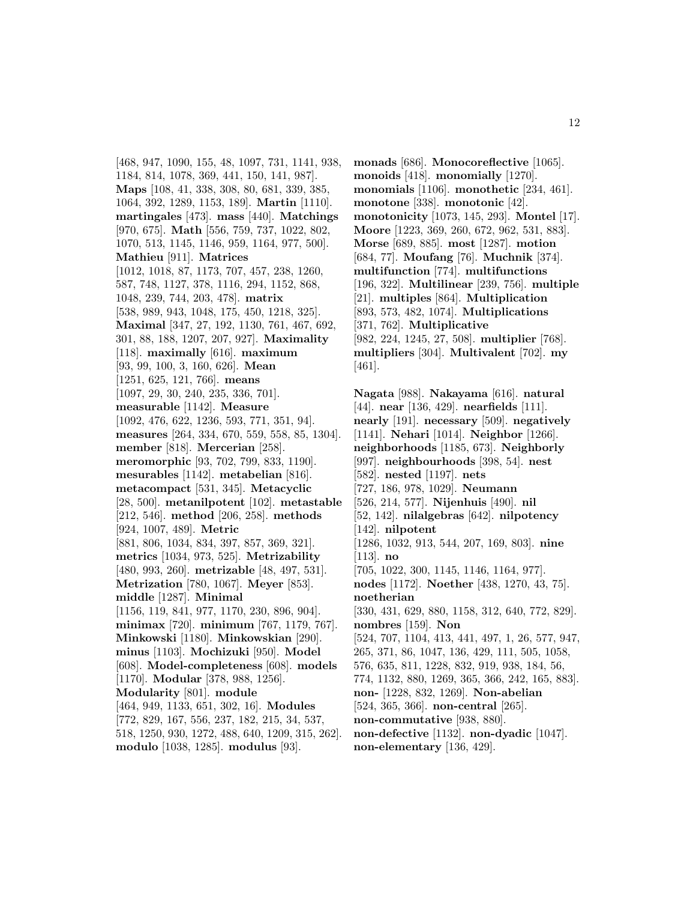[468, 947, 1090, 155, 48, 1097, 731, 1141, 938, 1184, 814, 1078, 369, 441, 150, 141, 987]. **Maps** [108, 41, 338, 308, 80, 681, 339, 385, 1064, 392, 1289, 1153, 189]. **Martin** [1110]. **martingales** [473]. **mass** [440]. **Matchings** [970, 675]. **Math** [556, 759, 737, 1022, 802, 1070, 513, 1145, 1146, 959, 1164, 977, 500]. **Mathieu** [911]. **Matrices** [1012, 1018, 87, 1173, 707, 457, 238, 1260, 587, 748, 1127, 378, 1116, 294, 1152, 868, 1048, 239, 744, 203, 478]. **matrix** [538, 989, 943, 1048, 175, 450, 1218, 325]. **Maximal** [347, 27, 192, 1130, 761, 467, 692, 301, 88, 188, 1207, 207, 927]. **Maximality** [118]. **maximally** [616]. **maximum** [93, 99, 100, 3, 160, 626]. **Mean** [1251, 625, 121, 766]. **means** [1097, 29, 30, 240, 235, 336, 701]. **measurable** [1142]. **Measure** [1092, 476, 622, 1236, 593, 771, 351, 94]. **measures** [264, 334, 670, 559, 558, 85, 1304]. **member** [818]. **Mercerian** [258]. **meromorphic** [93, 702, 799, 833, 1190]. **mesurables** [1142]. **metabelian** [816]. **metacompact** [531, 345]. **Metacyclic** [28, 500]. **metanilpotent** [102]. **metastable** [212, 546]. **method** [206, 258]. **methods** [924, 1007, 489]. **Metric** [881, 806, 1034, 834, 397, 857, 369, 321]. **metrics** [1034, 973, 525]. **Metrizability** [480, 993, 260]. **metrizable** [48, 497, 531]. **Metrization** [780, 1067]. **Meyer** [853]. **middle** [1287]. **Minimal** [1156, 119, 841, 977, 1170, 230, 896, 904]. **minimax** [720]. **minimum** [767, 1179, 767]. **Minkowski** [1180]. **Minkowskian** [290]. **minus** [1103]. **Mochizuki** [950]. **Model** [608]. **Model-completeness** [608]. **models** [1170]. **Modular** [378, 988, 1256]. **Modularity** [801]. **module** [464, 949, 1133, 651, 302, 16]. **Modules** [772, 829, 167, 556, 237, 182, 215, 34, 537, 518, 1250, 930, 1272, 488, 640, 1209, 315, 262].

**modulo** [1038, 1285]. **modulus** [93].

**monads** [686]. **Monocoreflective** [1065]. **monoids** [418]. **monomially** [1270]. **monomials** [1106]. **monothetic** [234, 461]. **monotone** [338]. **monotonic** [42]. **monotonicity** [1073, 145, 293]. **Montel** [17]. **Moore** [1223, 369, 260, 672, 962, 531, 883]. **Morse** [689, 885]. **most** [1287]. **motion** [684, 77]. **Moufang** [76]. **Muchnik** [374]. **multifunction** [774]. **multifunctions** [196, 322]. **Multilinear** [239, 756]. **multiple** [21]. **multiples** [864]. **Multiplication** [893, 573, 482, 1074]. **Multiplications** [371, 762]. **Multiplicative** [982, 224, 1245, 27, 508]. **multiplier** [768]. **multipliers** [304]. **Multivalent** [702]. **my** [461].

**Nagata** [988]. **Nakayama** [616]. **natural** [44]. **near** [136, 429]. **nearfields** [111]. **nearly** [191]. **necessary** [509]. **negatively** [1141]. **Nehari** [1014]. **Neighbor** [1266]. **neighborhoods** [1185, 673]. **Neighborly** [997]. **neighbourhoods** [398, 54]. **nest** [582]. **nested** [1197]. **nets** [727, 186, 978, 1029]. **Neumann** [526, 214, 577]. **Nijenhuis** [490]. **nil** [52, 142]. **nilalgebras** [642]. **nilpotency** [142]. **nilpotent** [1286, 1032, 913, 544, 207, 169, 803]. **nine** [113]. **no** [705, 1022, 300, 1145, 1146, 1164, 977]. **nodes** [1172]. **Noether** [438, 1270, 43, 75]. **noetherian** [330, 431, 629, 880, 1158, 312, 640, 772, 829]. **nombres** [159]. **Non** [524, 707, 1104, 413, 441, 497, 1, 26, 577, 947, 265, 371, 86, 1047, 136, 429, 111, 505, 1058, 576, 635, 811, 1228, 832, 919, 938, 184, 56, 774, 1132, 880, 1269, 365, 366, 242, 165, 883]. **non-** [1228, 832, 1269]. **Non-abelian** [524, 365, 366]. **non-central** [265]. **non-commutative** [938, 880]. **non-defective** [1132]. **non-dyadic** [1047]. **non-elementary** [136, 429].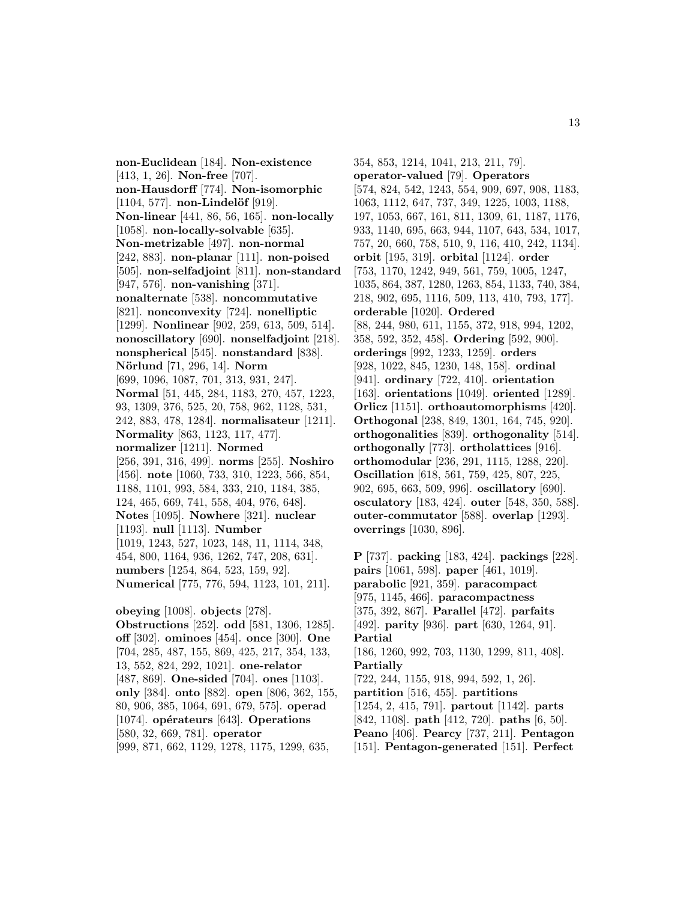**non-Euclidean** [184]. **Non-existence** [413, 1, 26]. **Non-free** [707]. **non-Hausdorff** [774]. **Non-isomorphic** [1104, 577]. **non-Lindelöf** [919]. **Non-linear** [441, 86, 56, 165]. **non-locally** [1058]. **non-locally-solvable** [635]. **Non-metrizable** [497]. **non-normal** [242, 883]. **non-planar** [111]. **non-poised** [505]. **non-selfadjoint** [811]. **non-standard** [947, 576]. **non-vanishing** [371]. **nonalternate** [538]. **noncommutative** [821]. **nonconvexity** [724]. **nonelliptic** [1299]. **Nonlinear** [902, 259, 613, 509, 514]. **nonoscillatory** [690]. **nonselfadjoint** [218]. **nonspherical** [545]. **nonstandard** [838]. **N¨orlund** [71, 296, 14]. **Norm** [699, 1096, 1087, 701, 313, 931, 247]. **Normal** [51, 445, 284, 1183, 270, 457, 1223, 93, 1309, 376, 525, 20, 758, 962, 1128, 531, 242, 883, 478, 1284]. **normalisateur** [1211]. **Normality** [863, 1123, 117, 477]. **normalizer** [1211]. **Normed** [256, 391, 316, 499]. **norms** [255]. **Noshiro** [456]. **note** [1060, 733, 310, 1223, 566, 854, 1188, 1101, 993, 584, 333, 210, 1184, 385, 124, 465, 669, 741, 558, 404, 976, 648]. **Notes** [1095]. **Nowhere** [321]. **nuclear** [1193]. **null** [1113]. **Number** [1019, 1243, 527, 1023, 148, 11, 1114, 348, 454, 800, 1164, 936, 1262, 747, 208, 631]. **numbers** [1254, 864, 523, 159, 92]. **Numerical** [775, 776, 594, 1123, 101, 211]. **obeying** [1008]. **objects** [278]. **Obstructions** [252]. **odd** [581, 1306, 1285]. **off** [302]. **ominoes** [454]. **once** [300]. **One**

[704, 285, 487, 155, 869, 425, 217, 354, 133, 13, 552, 824, 292, 1021]. **one-relator** [487, 869]. **One-sided** [704]. **ones** [1103]. **only** [384]. **onto** [882]. **open** [806, 362, 155, 80, 906, 385, 1064, 691, 679, 575]. **operad** [1074]. **opérateurs** [643]. **Operations** [580, 32, 669, 781]. **operator**

[999, 871, 662, 1129, 1278, 1175, 1299, 635,

354, 853, 1214, 1041, 213, 211, 79]. **operator-valued** [79]. **Operators** [574, 824, 542, 1243, 554, 909, 697, 908, 1183, 1063, 1112, 647, 737, 349, 1225, 1003, 1188, 197, 1053, 667, 161, 811, 1309, 61, 1187, 1176, 933, 1140, 695, 663, 944, 1107, 643, 534, 1017, 757, 20, 660, 758, 510, 9, 116, 410, 242, 1134]. **orbit** [195, 319]. **orbital** [1124]. **order** [753, 1170, 1242, 949, 561, 759, 1005, 1247, 1035, 864, 387, 1280, 1263, 854, 1133, 740, 384, 218, 902, 695, 1116, 509, 113, 410, 793, 177]. **orderable** [1020]. **Ordered** [88, 244, 980, 611, 1155, 372, 918, 994, 1202, 358, 592, 352, 458]. **Ordering** [592, 900]. **orderings** [992, 1233, 1259]. **orders** [928, 1022, 845, 1230, 148, 158]. **ordinal** [941]. **ordinary** [722, 410]. **orientation** [163]. **orientations** [1049]. **oriented** [1289]. **Orlicz** [1151]. **orthoautomorphisms** [420]. **Orthogonal** [238, 849, 1301, 164, 745, 920]. **orthogonalities** [839]. **orthogonality** [514]. **orthogonally** [773]. **ortholattices** [916]. **orthomodular** [236, 291, 1115, 1288, 220]. **Oscillation** [618, 561, 759, 425, 807, 225, 902, 695, 663, 509, 996]. **oscillatory** [690]. **osculatory** [183, 424]. **outer** [548, 350, 588]. **outer-commutator** [588]. **overlap** [1293]. **overrings** [1030, 896].

**P** [737]. **packing** [183, 424]. **packings** [228]. **pairs** [1061, 598]. **paper** [461, 1019]. **parabolic** [921, 359]. **paracompact** [975, 1145, 466]. **paracompactness** [375, 392, 867]. **Parallel** [472]. **parfaits** [492]. **parity** [936]. **part** [630, 1264, 91]. **Partial** [186, 1260, 992, 703, 1130, 1299, 811, 408]. **Partially** [722, 244, 1155, 918, 994, 592, 1, 26]. **partition** [516, 455]. **partitions** [1254, 2, 415, 791]. **partout** [1142]. **parts** [842, 1108]. **path** [412, 720]. **paths** [6, 50]. **Peano** [406]. **Pearcy** [737, 211]. **Pentagon** [151]. **Pentagon-generated** [151]. **Perfect**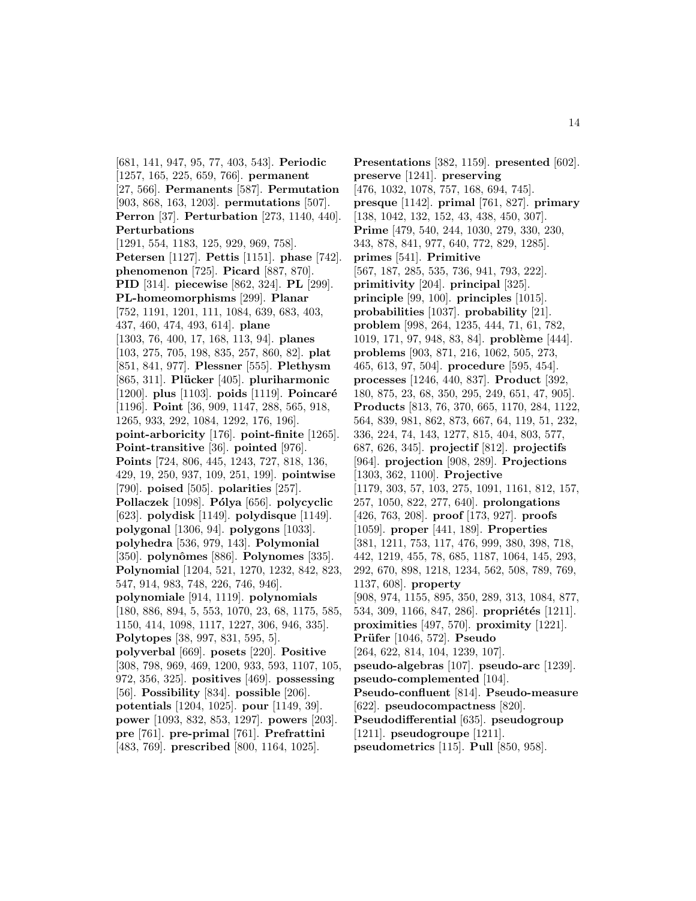[681, 141, 947, 95, 77, 403, 543]. **Periodic** [1257, 165, 225, 659, 766]. **permanent** [27, 566]. **Permanents** [587]. **Permutation** [903, 868, 163, 1203]. **permutations** [507]. **Perron** [37]. **Perturbation** [273, 1140, 440]. **Perturbations** [1291, 554, 1183, 125, 929, 969, 758]. **Petersen** [1127]. **Pettis** [1151]. **phase** [742]. **phenomenon** [725]. **Picard** [887, 870]. **PID** [314]. **piecewise** [862, 324]. **PL** [299]. **PL-homeomorphisms** [299]. **Planar** [752, 1191, 1201, 111, 1084, 639, 683, 403, 437, 460, 474, 493, 614]. **plane** [1303, 76, 400, 17, 168, 113, 94]. **planes** [103, 275, 705, 198, 835, 257, 860, 82]. **plat** [851, 841, 977]. **Plessner** [555]. **Plethysm** [865, 311]. **Pl¨ucker** [405]. **pluriharmonic** [1200]. **plus** [1103]. **poids** [1119]. **Poincaré** [1196]. **Point** [36, 909, 1147, 288, 565, 918, 1265, 933, 292, 1084, 1292, 176, 196]. **point-arboricity** [176]. **point-finite** [1265]. **Point-transitive** [36]. **pointed** [976]. **Points** [724, 806, 445, 1243, 727, 818, 136, 429, 19, 250, 937, 109, 251, 199]. **pointwise** [790]. **poised** [505]. **polarities** [257]. **Pollaczek** [1098]. **Pólya** [656]. **polycyclic** [623]. **polydisk** [1149]. **polydisque** [1149]. **polygonal** [1306, 94]. **polygons** [1033]. **polyhedra** [536, 979, 143]. **Polymonial** [350]. **polynˆomes** [886]. **Polynomes** [335]. **Polynomial** [1204, 521, 1270, 1232, 842, 823, 547, 914, 983, 748, 226, 746, 946]. **polynomiale** [914, 1119]. **polynomials** [180, 886, 894, 5, 553, 1070, 23, 68, 1175, 585, 1150, 414, 1098, 1117, 1227, 306, 946, 335]. **Polytopes** [38, 997, 831, 595, 5]. **polyverbal** [669]. **posets** [220]. **Positive** [308, 798, 969, 469, 1200, 933, 593, 1107, 105, 972, 356, 325]. **positives** [469]. **possessing** [56]. **Possibility** [834]. **possible** [206]. **potentials** [1204, 1025]. **pour** [1149, 39]. **power** [1093, 832, 853, 1297]. **powers** [203]. **pre** [761]. **pre-primal** [761]. **Prefrattini** [483, 769]. **prescribed** [800, 1164, 1025].

**Presentations** [382, 1159]. **presented** [602]. **preserve** [1241]. **preserving** [476, 1032, 1078, 757, 168, 694, 745]. **presque** [1142]. **primal** [761, 827]. **primary** [138, 1042, 132, 152, 43, 438, 450, 307]. **Prime** [479, 540, 244, 1030, 279, 330, 230, 343, 878, 841, 977, 640, 772, 829, 1285]. **primes** [541]. **Primitive** [567, 187, 285, 535, 736, 941, 793, 222]. **primitivity** [204]. **principal** [325]. **principle** [99, 100]. **principles** [1015]. **probabilities** [1037]. **probability** [21]. **problem** [998, 264, 1235, 444, 71, 61, 782, 1019, 171, 97, 948, 83, 84. **problème** [444]. **problems** [903, 871, 216, 1062, 505, 273, 465, 613, 97, 504]. **procedure** [595, 454]. **processes** [1246, 440, 837]. **Product** [392, 180, 875, 23, 68, 350, 295, 249, 651, 47, 905]. **Products** [813, 76, 370, 665, 1170, 284, 1122, 564, 839, 981, 862, 873, 667, 64, 119, 51, 232, 336, 224, 74, 143, 1277, 815, 404, 803, 577, 687, 626, 345]. **projectif** [812]. **projectifs** [964]. **projection** [908, 289]. **Projections** [1303, 362, 1100]. **Projective** [1179, 303, 57, 103, 275, 1091, 1161, 812, 157, 257, 1050, 822, 277, 640]. **prolongations** [426, 763, 208]. **proof** [173, 927]. **proofs** [1059]. **proper** [441, 189]. **Properties** [381, 1211, 753, 117, 476, 999, 380, 398, 718, 442, 1219, 455, 78, 685, 1187, 1064, 145, 293, 292, 670, 898, 1218, 1234, 562, 508, 789, 769, 1137, 608]. **property** [908, 974, 1155, 895, 350, 289, 313, 1084, 877, 534, 309, 1166, 847, 286]. **propriétés** [1211]. **proximities** [497, 570]. **proximity** [1221]. **Pr¨ufer** [1046, 572]. **Pseudo** [264, 622, 814, 104, 1239, 107]. **pseudo-algebras** [107]. **pseudo-arc** [1239]. **pseudo-complemented** [104]. **Pseudo-confluent** [814]. **Pseudo-measure** [622]. **pseudocompactness** [820]. **Pseudodifferential** [635]. **pseudogroup** [1211]. **pseudogroupe** [1211]. **pseudometrics** [115]. **Pull** [850, 958].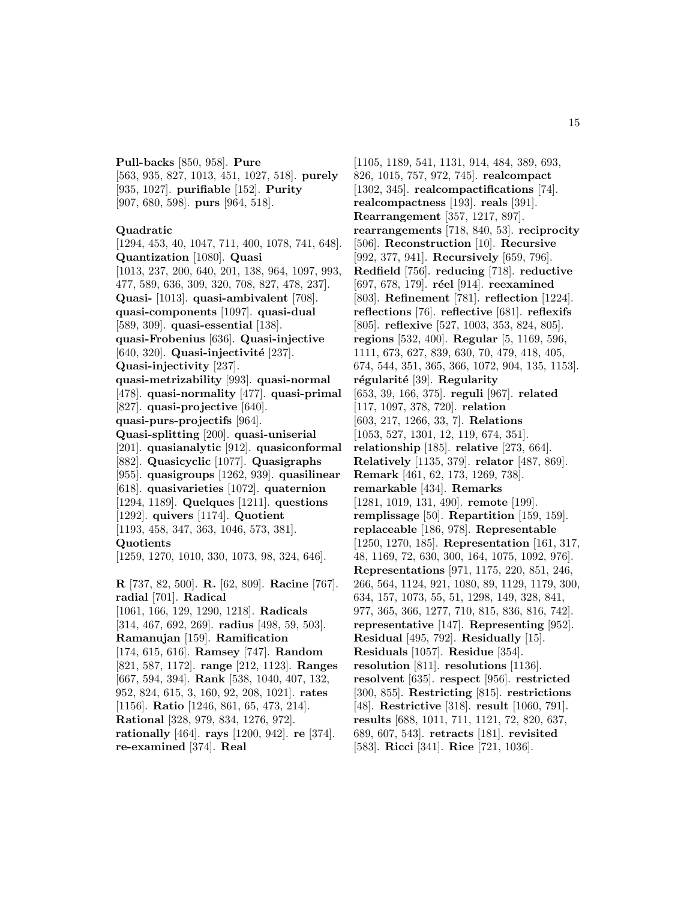**Pull-backs** [850, 958]. **Pure** [563, 935, 827, 1013, 451, 1027, 518]. **purely** [935, 1027]. **purifiable** [152]. **Purity** [907, 680, 598]. **purs** [964, 518].

#### **Quadratic**

[1294, 453, 40, 1047, 711, 400, 1078, 741, 648]. **Quantization** [1080]. **Quasi** [1013, 237, 200, 640, 201, 138, 964, 1097, 993, 477, 589, 636, 309, 320, 708, 827, 478, 237]. **Quasi-** [1013]. **quasi-ambivalent** [708]. **quasi-components** [1097]. **quasi-dual** [589, 309]. **quasi-essential** [138]. **quasi-Frobenius** [636]. **Quasi-injective** [640, 320]. **Quasi-injectivit´e** [237]. **Quasi-injectivity** [237]. **quasi-metrizability** [993]. **quasi-normal** [478]. **quasi-normality** [477]. **quasi-primal** [827]. **quasi-projective** [640]. **quasi-purs-projectifs** [964]. **Quasi-splitting** [200]. **quasi-uniserial** [201]. **quasianalytic** [912]. **quasiconformal** [882]. **Quasicyclic** [1077]. **Quasigraphs** [955]. **quasigroups** [1262, 939]. **quasilinear** [618]. **quasivarieties** [1072]. **quaternion** [1294, 1189]. **Quelques** [1211]. **questions** [1292]. **quivers** [1174]. **Quotient** [1193, 458, 347, 363, 1046, 573, 381]. **Quotients** [1259, 1270, 1010, 330, 1073, 98, 324, 646]. **R** [737, 82, 500]. **R.** [62, 809]. **Racine** [767]. **radial** [701]. **Radical** [1061, 166, 129, 1290, 1218]. **Radicals** [314, 467, 692, 269]. **radius** [498, 59, 503]. **Ramanujan** [159]. **Ramification** [174, 615, 616]. **Ramsey** [747]. **Random** [821, 587, 1172]. **range** [212, 1123]. **Ranges** [667, 594, 394]. **Rank** [538, 1040, 407, 132, 952, 824, 615, 3, 160, 92, 208, 1021]. **rates** [1156]. **Ratio** [1246, 861, 65, 473, 214]. **Rational** [328, 979, 834, 1276, 972]. **rationally** [464]. **rays** [1200, 942]. **re** [374]. **re-examined** [374]. **Real**

[1105, 1189, 541, 1131, 914, 484, 389, 693, 826, 1015, 757, 972, 745]. **realcompact** [1302, 345]. **realcompactifications** [74]. **realcompactness** [193]. **reals** [391]. **Rearrangement** [357, 1217, 897]. **rearrangements** [718, 840, 53]. **reciprocity** [506]. **Reconstruction** [10]. **Recursive** [992, 377, 941]. **Recursively** [659, 796]. **Redfield** [756]. **reducing** [718]. **reductive** [697, 678, 179]. **r´eel** [914]. **reexamined** [803]. **Refinement** [781]. **reflection** [1224]. **reflections** [76]. **reflective** [681]. **reflexifs** [805]. **reflexive** [527, 1003, 353, 824, 805]. **regions** [532, 400]. **Regular** [5, 1169, 596, 1111, 673, 627, 839, 630, 70, 479, 418, 405, 674, 544, 351, 365, 366, 1072, 904, 135, 1153]. **r´egularit´e** [39]. **Regularity** [653, 39, 166, 375]. **reguli** [967]. **related** [117, 1097, 378, 720]. **relation** [603, 217, 1266, 33, 7]. **Relations** [1053, 527, 1301, 12, 119, 674, 351]. **relationship** [185]. **relative** [273, 664]. **Relatively** [1135, 379]. **relator** [487, 869]. **Remark** [461, 62, 173, 1269, 738]. **remarkable** [434]. **Remarks** [1281, 1019, 131, 490]. **remote** [199]. **remplissage** [50]. **Repartition** [159, 159]. **replaceable** [186, 978]. **Representable** [1250, 1270, 185]. **Representation** [161, 317, 48, 1169, 72, 630, 300, 164, 1075, 1092, 976]. **Representations** [971, 1175, 220, 851, 246, 266, 564, 1124, 921, 1080, 89, 1129, 1179, 300, 634, 157, 1073, 55, 51, 1298, 149, 328, 841, 977, 365, 366, 1277, 710, 815, 836, 816, 742]. **representative** [147]. **Representing** [952]. **Residual** [495, 792]. **Residually** [15]. **Residuals** [1057]. **Residue** [354]. **resolution** [811]. **resolutions** [1136]. **resolvent** [635]. **respect** [956]. **restricted** [300, 855]. **Restricting** [815]. **restrictions** [48]. **Restrictive** [318]. **result** [1060, 791]. **results** [688, 1011, 711, 1121, 72, 820, 637, 689, 607, 543]. **retracts** [181]. **revisited** [583]. **Ricci** [341]. **Rice** [721, 1036].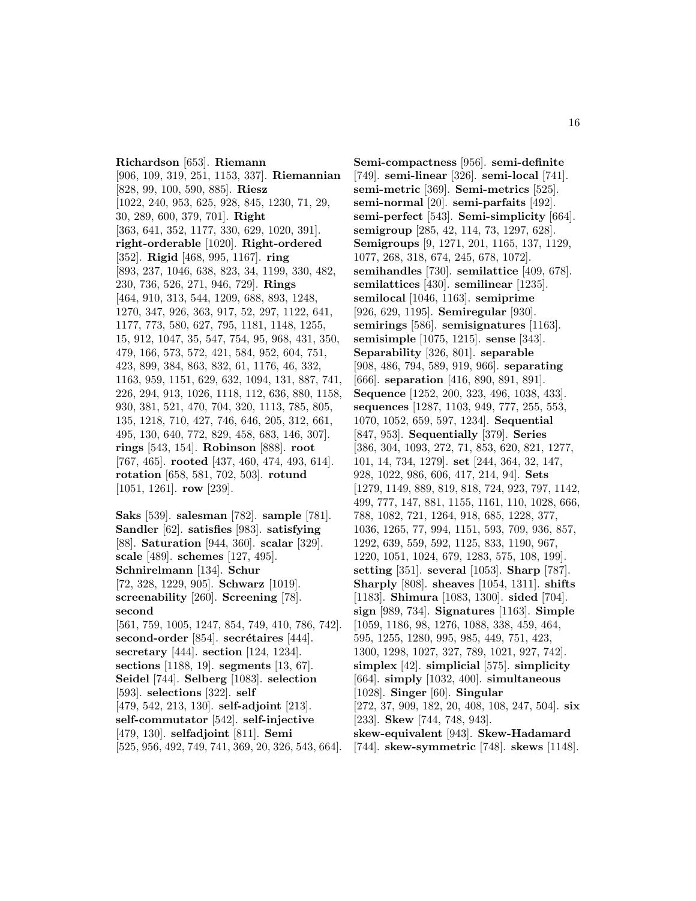**Richardson** [653]. **Riemann** [906, 109, 319, 251, 1153, 337]. **Riemannian** [828, 99, 100, 590, 885]. **Riesz** [1022, 240, 953, 625, 928, 845, 1230, 71, 29, 30, 289, 600, 379, 701]. **Right** [363, 641, 352, 1177, 330, 629, 1020, 391]. **right-orderable** [1020]. **Right-ordered** [352]. **Rigid** [468, 995, 1167]. **ring** [893, 237, 1046, 638, 823, 34, 1199, 330, 482, 230, 736, 526, 271, 946, 729]. **Rings** [464, 910, 313, 544, 1209, 688, 893, 1248, 1270, 347, 926, 363, 917, 52, 297, 1122, 641, 1177, 773, 580, 627, 795, 1181, 1148, 1255, 15, 912, 1047, 35, 547, 754, 95, 968, 431, 350, 479, 166, 573, 572, 421, 584, 952, 604, 751, 423, 899, 384, 863, 832, 61, 1176, 46, 332, 1163, 959, 1151, 629, 632, 1094, 131, 887, 741, 226, 294, 913, 1026, 1118, 112, 636, 880, 1158, 930, 381, 521, 470, 704, 320, 1113, 785, 805, 135, 1218, 710, 427, 746, 646, 205, 312, 661, 495, 130, 640, 772, 829, 458, 683, 146, 307]. **rings** [543, 154]. **Robinson** [888]. **root** [767, 465]. **rooted** [437, 460, 474, 493, 614]. **rotation** [658, 581, 702, 503]. **rotund** [1051, 1261]. **row** [239].

**Saks** [539]. **salesman** [782]. **sample** [781]. **Sandler** [62]. **satisfies** [983]. **satisfying** [88]. **Saturation** [944, 360]. **scalar** [329]. **scale** [489]. **schemes** [127, 495]. **Schnirelmann** [134]. **Schur** [72, 328, 1229, 905]. **Schwarz** [1019]. **screenability** [260]. **Screening** [78]. **second** [561, 759, 1005, 1247, 854, 749, 410, 786, 742]. **second-order** [854]. **secrétaires** [444]. **secretary** [444]. **section** [124, 1234]. **sections** [1188, 19]. **segments** [13, 67]. **Seidel** [744]. **Selberg** [1083]. **selection** [593]. **selections** [322]. **self** [479, 542, 213, 130]. **self-adjoint** [213]. **self-commutator** [542]. **self-injective** [479, 130]. **selfadjoint** [811]. **Semi** [525, 956, 492, 749, 741, 369, 20, 326, 543, 664].

**Semi-compactness** [956]. **semi-definite** [749]. **semi-linear** [326]. **semi-local** [741]. **semi-metric** [369]. **Semi-metrics** [525]. **semi-normal** [20]. **semi-parfaits** [492]. **semi-perfect** [543]. **Semi-simplicity** [664]. **semigroup** [285, 42, 114, 73, 1297, 628]. **Semigroups** [9, 1271, 201, 1165, 137, 1129, 1077, 268, 318, 674, 245, 678, 1072]. **semihandles** [730]. **semilattice** [409, 678]. **semilattices** [430]. **semilinear** [1235]. **semilocal** [1046, 1163]. **semiprime** [926, 629, 1195]. **Semiregular** [930]. **semirings** [586]. **semisignatures** [1163]. **semisimple** [1075, 1215]. **sense** [343]. **Separability** [326, 801]. **separable** [908, 486, 794, 589, 919, 966]. **separating** [666]. **separation** [416, 890, 891, 891]. **Sequence** [1252, 200, 323, 496, 1038, 433]. **sequences** [1287, 1103, 949, 777, 255, 553, 1070, 1052, 659, 597, 1234]. **Sequential** [847, 953]. **Sequentially** [379]. **Series** [386, 304, 1093, 272, 71, 853, 620, 821, 1277, 101, 14, 734, 1279]. **set** [244, 364, 32, 147, 928, 1022, 986, 606, 417, 214, 94]. **Sets** [1279, 1149, 889, 819, 818, 724, 923, 797, 1142, 499, 777, 147, 881, 1155, 1161, 110, 1028, 666, 788, 1082, 721, 1264, 918, 685, 1228, 377, 1036, 1265, 77, 994, 1151, 593, 709, 936, 857, 1292, 639, 559, 592, 1125, 833, 1190, 967, 1220, 1051, 1024, 679, 1283, 575, 108, 199]. **setting** [351]. **several** [1053]. **Sharp** [787]. **Sharply** [808]. **sheaves** [1054, 1311]. **shifts** [1183]. **Shimura** [1083, 1300]. **sided** [704]. **sign** [989, 734]. **Signatures** [1163]. **Simple** [1059, 1186, 98, 1276, 1088, 338, 459, 464, 595, 1255, 1280, 995, 985, 449, 751, 423, 1300, 1298, 1027, 327, 789, 1021, 927, 742]. **simplex** [42]. **simplicial** [575]. **simplicity** [664]. **simply** [1032, 400]. **simultaneous** [1028]. **Singer** [60]. **Singular** [272, 37, 909, 182, 20, 408, 108, 247, 504]. **six** [233]. **Skew** [744, 748, 943]. **skew-equivalent** [943]. **Skew-Hadamard** [744]. **skew-symmetric** [748]. **skews** [1148].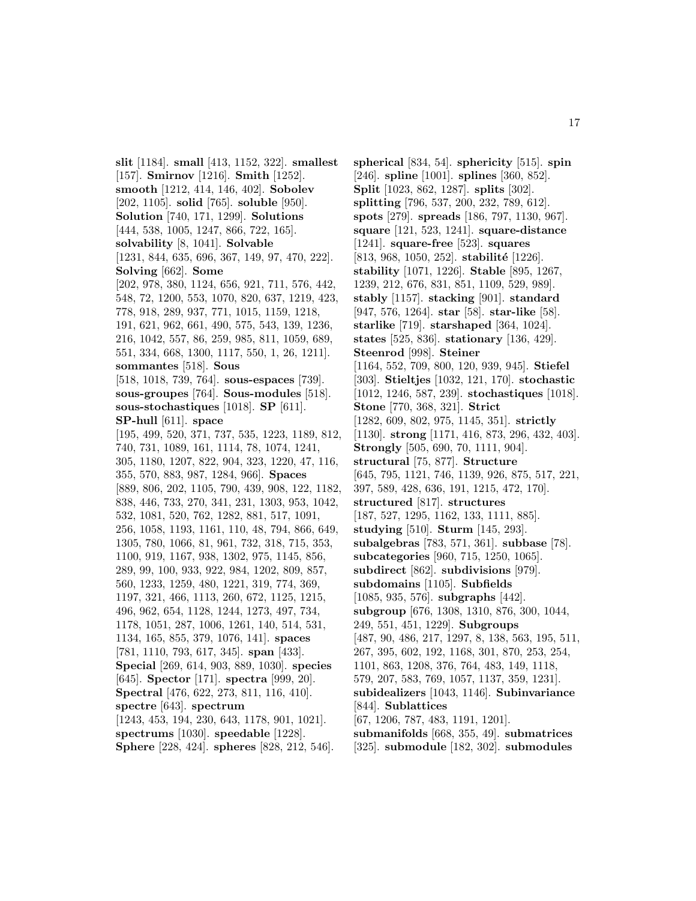**slit** [1184]. **small** [413, 1152, 322]. **smallest** [157]. **Smirnov** [1216]. **Smith** [1252]. **smooth** [1212, 414, 146, 402]. **Sobolev** [202, 1105]. **solid** [765]. **soluble** [950]. **Solution** [740, 171, 1299]. **Solutions** [444, 538, 1005, 1247, 866, 722, 165]. **solvability** [8, 1041]. **Solvable** [1231, 844, 635, 696, 367, 149, 97, 470, 222]. **Solving** [662]. **Some** [202, 978, 380, 1124, 656, 921, 711, 576, 442, 548, 72, 1200, 553, 1070, 820, 637, 1219, 423, 778, 918, 289, 937, 771, 1015, 1159, 1218, 191, 621, 962, 661, 490, 575, 543, 139, 1236, 216, 1042, 557, 86, 259, 985, 811, 1059, 689, 551, 334, 668, 1300, 1117, 550, 1, 26, 1211]. **sommantes** [518]. **Sous** [518, 1018, 739, 764]. **sous-espaces** [739]. **sous-groupes** [764]. **Sous-modules** [518]. **sous-stochastiques** [1018]. **SP** [611]. **SP-hull** [611]. **space** [195, 499, 520, 371, 737, 535, 1223, 1189, 812, 740, 731, 1089, 161, 1114, 78, 1074, 1241, 305, 1180, 1207, 822, 904, 323, 1220, 47, 116, 355, 570, 883, 987, 1284, 966]. **Spaces** [889, 806, 202, 1105, 790, 439, 908, 122, 1182, 838, 446, 733, 270, 341, 231, 1303, 953, 1042, 532, 1081, 520, 762, 1282, 881, 517, 1091, 256, 1058, 1193, 1161, 110, 48, 794, 866, 649, 1305, 780, 1066, 81, 961, 732, 318, 715, 353, 1100, 919, 1167, 938, 1302, 975, 1145, 856, 289, 99, 100, 933, 922, 984, 1202, 809, 857, 560, 1233, 1259, 480, 1221, 319, 774, 369, 1197, 321, 466, 1113, 260, 672, 1125, 1215, 496, 962, 654, 1128, 1244, 1273, 497, 734, 1178, 1051, 287, 1006, 1261, 140, 514, 531, 1134, 165, 855, 379, 1076, 141]. **spaces** [781, 1110, 793, 617, 345]. **span** [433]. **Special** [269, 614, 903, 889, 1030]. **species** [645]. **Spector** [171]. **spectra** [999, 20]. **Spectral** [476, 622, 273, 811, 116, 410]. **spectre** [643]. **spectrum** [1243, 453, 194, 230, 643, 1178, 901, 1021]. **spectrums** [1030]. **speedable** [1228]. **Sphere** [228, 424]. **spheres** [828, 212, 546].

**spherical** [834, 54]. **sphericity** [515]. **spin** [246]. **spline** [1001]. **splines** [360, 852]. **Split** [1023, 862, 1287]. **splits** [302]. **splitting** [796, 537, 200, 232, 789, 612]. **spots** [279]. **spreads** [186, 797, 1130, 967]. **square** [121, 523, 1241]. **square-distance** [1241]. **square-free** [523]. **squares** [813, 968, 1050, 252]. **stabilité** [1226]. **stability** [1071, 1226]. **Stable** [895, 1267, 1239, 212, 676, 831, 851, 1109, 529, 989]. **stably** [1157]. **stacking** [901]. **standard** [947, 576, 1264]. **star** [58]. **star-like** [58]. **starlike** [719]. **starshaped** [364, 1024]. **states** [525, 836]. **stationary** [136, 429]. **Steenrod** [998]. **Steiner** [1164, 552, 709, 800, 120, 939, 945]. **Stiefel** [303]. **Stieltjes** [1032, 121, 170]. **stochastic** [1012, 1246, 587, 239]. **stochastiques** [1018]. **Stone** [770, 368, 321]. **Strict** [1282, 609, 802, 975, 1145, 351]. **strictly** [1130]. **strong** [1171, 416, 873, 296, 432, 403]. **Strongly** [505, 690, 70, 1111, 904]. **structural** [75, 877]. **Structure** [645, 795, 1121, 746, 1139, 926, 875, 517, 221, 397, 589, 428, 636, 191, 1215, 472, 170]. **structured** [817]. **structures** [187, 527, 1295, 1162, 133, 1111, 885]. **studying** [510]. **Sturm** [145, 293]. **subalgebras** [783, 571, 361]. **subbase** [78]. **subcategories** [960, 715, 1250, 1065]. **subdirect** [862]. **subdivisions** [979]. **subdomains** [1105]. **Subfields** [1085, 935, 576]. **subgraphs** [442]. **subgroup** [676, 1308, 1310, 876, 300, 1044, 249, 551, 451, 1229]. **Subgroups** [487, 90, 486, 217, 1297, 8, 138, 563, 195, 511, 267, 395, 602, 192, 1168, 301, 870, 253, 254, 1101, 863, 1208, 376, 764, 483, 149, 1118, 579, 207, 583, 769, 1057, 1137, 359, 1231]. **subidealizers** [1043, 1146]. **Subinvariance** [844]. **Sublattices** [67, 1206, 787, 483, 1191, 1201]. **submanifolds** [668, 355, 49]. **submatrices** [325]. **submodule** [182, 302]. **submodules**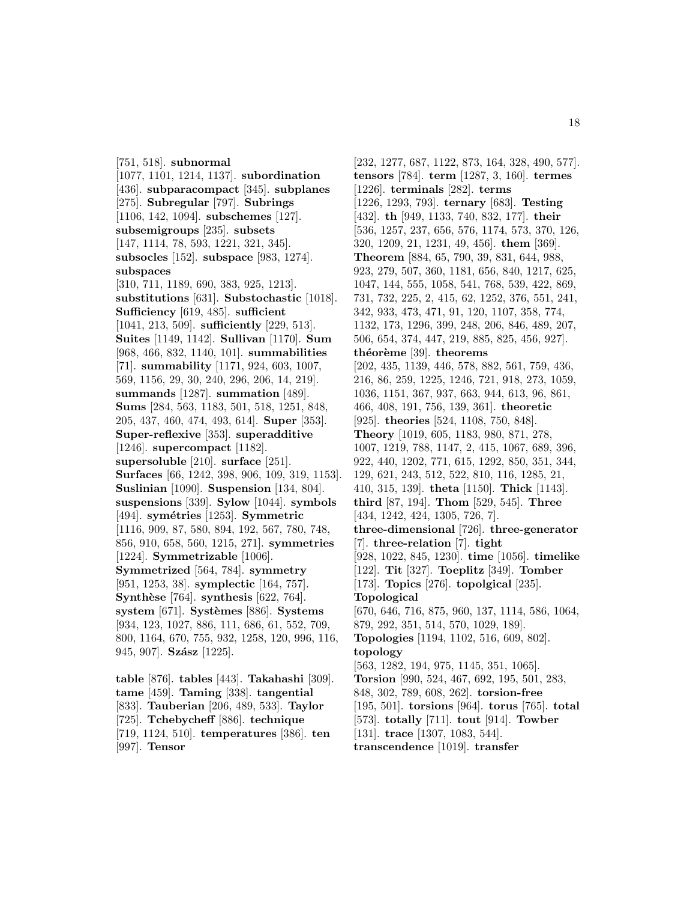[751, 518]. **subnormal** [1077, 1101, 1214, 1137]. **subordination** [436]. **subparacompact** [345]. **subplanes** [275]. **Subregular** [797]. **Subrings** [1106, 142, 1094]. **subschemes** [127]. **subsemigroups** [235]. **subsets** [147, 1114, 78, 593, 1221, 321, 345]. **subsocles** [152]. **subspace** [983, 1274]. **subspaces** [310, 711, 1189, 690, 383, 925, 1213]. **substitutions** [631]. **Substochastic** [1018]. **Sufficiency** [619, 485]. **sufficient** [1041, 213, 509]. **sufficiently** [229, 513]. **Suites** [1149, 1142]. **Sullivan** [1170]. **Sum** [968, 466, 832, 1140, 101]. **summabilities** [71]. **summability** [1171, 924, 603, 1007, 569, 1156, 29, 30, 240, 296, 206, 14, 219]. **summands** [1287]. **summation** [489]. **Sums** [284, 563, 1183, 501, 518, 1251, 848, 205, 437, 460, 474, 493, 614]. **Super** [353]. **Super-reflexive** [353]. **superadditive** [1246]. **supercompact** [1182]. **supersoluble** [210]. **surface** [251]. **Surfaces** [66, 1242, 398, 906, 109, 319, 1153]. **Suslinian** [1090]. **Suspension** [134, 804]. **suspensions** [339]. **Sylow** [1044]. **symbols** [494]. **sym´etries** [1253]. **Symmetric** [1116, 909, 87, 580, 894, 192, 567, 780, 748, 856, 910, 658, 560, 1215, 271]. **symmetries** [1224]. **Symmetrizable** [1006]. **Symmetrized** [564, 784]. **symmetry** [951, 1253, 38]. **symplectic** [164, 757]. **Synthèse** [764]. **synthesis** [622, 764]. system [671]. **Systèmes** [886]. **Systems** [934, 123, 1027, 886, 111, 686, 61, 552, 709, 800, 1164, 670, 755, 932, 1258, 120, 996, 116, 945, 907]. **Szász** [1225].

**table** [876]. **tables** [443]. **Takahashi** [309]. **tame** [459]. **Taming** [338]. **tangential** [833]. **Tauberian** [206, 489, 533]. **Taylor** [725]. **Tchebycheff** [886]. **technique** [719, 1124, 510]. **temperatures** [386]. **ten** [997]. **Tensor**

[232, 1277, 687, 1122, 873, 164, 328, 490, 577]. **tensors** [784]. **term** [1287, 3, 160]. **termes** [1226]. **terminals** [282]. **terms** [1226, 1293, 793]. **ternary** [683]. **Testing** [432]. **th** [949, 1133, 740, 832, 177]. **their** [536, 1257, 237, 656, 576, 1174, 573, 370, 126, 320, 1209, 21, 1231, 49, 456]. **them** [369]. **Theorem** [884, 65, 790, 39, 831, 644, 988, 923, 279, 507, 360, 1181, 656, 840, 1217, 625, 1047, 144, 555, 1058, 541, 768, 539, 422, 869, 731, 732, 225, 2, 415, 62, 1252, 376, 551, 241, 342, 933, 473, 471, 91, 120, 1107, 358, 774, 1132, 173, 1296, 399, 248, 206, 846, 489, 207, 506, 654, 374, 447, 219, 885, 825, 456, 927]. **th´eor`eme** [39]. **theorems** [202, 435, 1139, 446, 578, 882, 561, 759, 436, 216, 86, 259, 1225, 1246, 721, 918, 273, 1059, 1036, 1151, 367, 937, 663, 944, 613, 96, 861, 466, 408, 191, 756, 139, 361]. **theoretic** [925]. **theories** [524, 1108, 750, 848]. **Theory** [1019, 605, 1183, 980, 871, 278, 1007, 1219, 788, 1147, 2, 415, 1067, 689, 396, 922, 440, 1202, 771, 615, 1292, 850, 351, 344, 129, 621, 243, 512, 522, 810, 116, 1285, 21, 410, 315, 139]. **theta** [1150]. **Thick** [1143]. **third** [87, 194]. **Thom** [529, 545]. **Three** [434, 1242, 424, 1305, 726, 7]. **three-dimensional** [726]. **three-generator** [7]. **three-relation** [7]. **tight** [928, 1022, 845, 1230]. **time** [1056]. **timelike** [122]. **Tit** [327]. **Toeplitz** [349]. **Tomber** [173]. **Topics** [276]. **topolgical** [235]. **Topological** [670, 646, 716, 875, 960, 137, 1114, 586, 1064, 879, 292, 351, 514, 570, 1029, 189]. **Topologies** [1194, 1102, 516, 609, 802]. **topology** [563, 1282, 194, 975, 1145, 351, 1065]. **Torsion** [990, 524, 467, 692, 195, 501, 283, 848, 302, 789, 608, 262]. **torsion-free** [195, 501]. **torsions** [964]. **torus** [765]. **total** [573]. **totally** [711]. **tout** [914]. **Towber** [131]. **trace** [1307, 1083, 544]. **transcendence** [1019]. **transfer**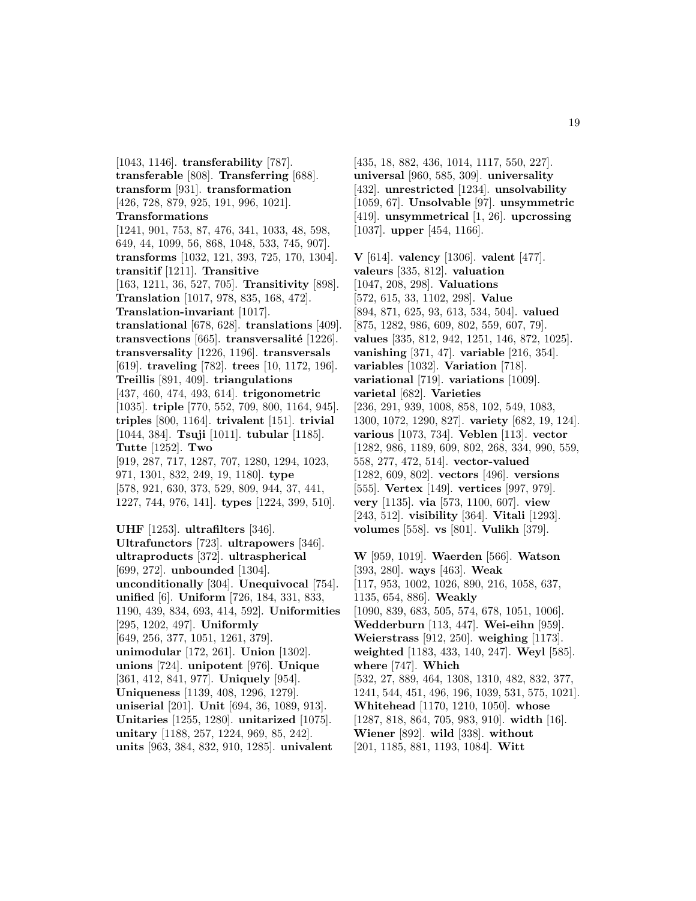[1043, 1146]. **transferability** [787]. **transferable** [808]. **Transferring** [688]. **transform** [931]. **transformation** [426, 728, 879, 925, 191, 996, 1021]. **Transformations** [1241, 901, 753, 87, 476, 341, 1033, 48, 598, 649, 44, 1099, 56, 868, 1048, 533, 745, 907]. **transforms** [1032, 121, 393, 725, 170, 1304]. **transitif** [1211]. **Transitive** [163, 1211, 36, 527, 705]. **Transitivity** [898]. **Translation** [1017, 978, 835, 168, 472]. **Translation-invariant** [1017]. **translational** [678, 628]. **translations** [409]. **transvections** [665]. **transversalité** [1226]. **transversality** [1226, 1196]. **transversals** [619]. **traveling** [782]. **trees** [10, 1172, 196]. **Treillis** [891, 409]. **triangulations** [437, 460, 474, 493, 614]. **trigonometric** [1035]. **triple** [770, 552, 709, 800, 1164, 945]. **triples** [800, 1164]. **trivalent** [151]. **trivial** [1044, 384]. **Tsuji** [1011]. **tubular** [1185]. **Tutte** [1252]. **Two** [919, 287, 717, 1287, 707, 1280, 1294, 1023, 971, 1301, 832, 249, 19, 1180]. **type** [578, 921, 630, 373, 529, 809, 944, 37, 441, 1227, 744, 976, 141]. **types** [1224, 399, 510]. **UHF** [1253]. **ultrafilters** [346]. **Ultrafunctors** [723]. **ultrapowers** [346]. **ultraproducts** [372]. **ultraspherical** [699, 272]. **unbounded** [1304]. **unconditionally** [304]. **Unequivocal** [754]. **unified** [6]. **Uniform** [726, 184, 331, 833, 1190, 439, 834, 693, 414, 592]. **Uniformities** [295, 1202, 497]. **Uniformly** [649, 256, 377, 1051, 1261, 379]. **unimodular** [172, 261]. **Union** [1302]. **unions** [724]. **unipotent** [976]. **Unique** [361, 412, 841, 977]. **Uniquely** [954]. **Uniqueness** [1139, 408, 1296, 1279]. **uniserial** [201]. **Unit** [694, 36, 1089, 913]. **Unitaries** [1255, 1280]. **unitarized** [1075]. **unitary** [1188, 257, 1224, 969, 85, 242].

**units** [963, 384, 832, 910, 1285]. **univalent**

[435, 18, 882, 436, 1014, 1117, 550, 227]. **universal** [960, 585, 309]. **universality** [432]. **unrestricted** [1234]. **unsolvability** [1059, 67]. **Unsolvable** [97]. **unsymmetric** [419]. **unsymmetrical** [1, 26]. **upcrossing** [1037]. **upper** [454, 1166].

**V** [614]. **valency** [1306]. **valent** [477]. **valeurs** [335, 812]. **valuation** [1047, 208, 298]. **Valuations** [572, 615, 33, 1102, 298]. **Value** [894, 871, 625, 93, 613, 534, 504]. **valued** [875, 1282, 986, 609, 802, 559, 607, 79]. **values** [335, 812, 942, 1251, 146, 872, 1025]. **vanishing** [371, 47]. **variable** [216, 354]. **variables** [1032]. **Variation** [718]. **variational** [719]. **variations** [1009]. **varietal** [682]. **Varieties** [236, 291, 939, 1008, 858, 102, 549, 1083, 1300, 1072, 1290, 827]. **variety** [682, 19, 124]. **various** [1073, 734]. **Veblen** [113]. **vector** [1282, 986, 1189, 609, 802, 268, 334, 990, 559, 558, 277, 472, 514]. **vector-valued** [1282, 609, 802]. **vectors** [496]. **versions** [555]. **Vertex** [149]. **vertices** [997, 979]. **very** [1135]. **via** [573, 1100, 607]. **view** [243, 512]. **visibility** [364]. **Vitali** [1293]. **volumes** [558]. **vs** [801]. **Vulikh** [379].

**W** [959, 1019]. **Waerden** [566]. **Watson** [393, 280]. **ways** [463]. **Weak** [117, 953, 1002, 1026, 890, 216, 1058, 637, 1135, 654, 886]. **Weakly** [1090, 839, 683, 505, 574, 678, 1051, 1006]. **Wedderburn** [113, 447]. **Wei-eihn** [959]. **Weierstrass** [912, 250]. **weighing** [1173]. **weighted** [1183, 433, 140, 247]. **Weyl** [585]. **where** [747]. **Which** [532, 27, 889, 464, 1308, 1310, 482, 832, 377, 1241, 544, 451, 496, 196, 1039, 531, 575, 1021]. **Whitehead** [1170, 1210, 1050]. **whose** [1287, 818, 864, 705, 983, 910]. **width** [16]. **Wiener** [892]. **wild** [338]. **without** [201, 1185, 881, 1193, 1084]. **Witt**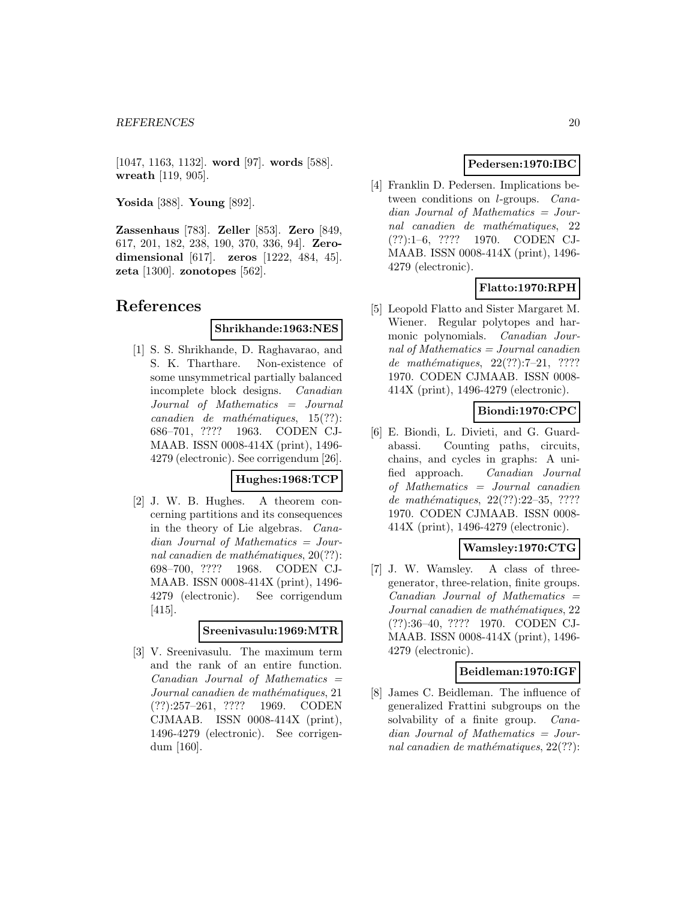[1047, 1163, 1132]. **word** [97]. **words** [588]. **wreath** [119, 905].

**Yosida** [388]. **Young** [892].

**Zassenhaus** [783]. **Zeller** [853]. **Zero** [849, 617, 201, 182, 238, 190, 370, 336, 94]. **Zerodimensional** [617]. **zeros** [1222, 484, 45]. **zeta** [1300]. **zonotopes** [562].

# **References**

### **Shrikhande:1963:NES**

[1] S. S. Shrikhande, D. Raghavarao, and S. K. Tharthare. Non-existence of some unsymmetrical partially balanced incomplete block designs. Canadian Journal of Mathematics = Journal  $cana dien de mathématiques, 15(??):$ 686–701, ???? 1963. CODEN CJ-MAAB. ISSN 0008-414X (print), 1496- 4279 (electronic). See corrigendum [26].

### **Hughes:1968:TCP**

[2] J. W. B. Hughes. A theorem concerning partitions and its consequences in the theory of Lie algebras. Canadian Journal of Mathematics = Journal canadien de mathématiques,  $20(??)$ : 698–700, ???? 1968. CODEN CJ-MAAB. ISSN 0008-414X (print), 1496- 4279 (electronic). See corrigendum [415].

### **Sreenivasulu:1969:MTR**

[3] V. Sreenivasulu. The maximum term and the rank of an entire function. Canadian Journal of Mathematics = Journal canadien de mathématiques, 21 (??):257–261, ???? 1969. CODEN CJMAAB. ISSN 0008-414X (print), 1496-4279 (electronic). See corrigendum [160].

# **Pedersen:1970:IBC**

[4] Franklin D. Pedersen. Implications between conditions on l-groups. Cana $dian$  Journal of Mathematics = Journal canadien de mathématiques, 22 (??):1–6, ???? 1970. CODEN CJ-MAAB. ISSN 0008-414X (print), 1496- 4279 (electronic).

# **Flatto:1970:RPH**

[5] Leopold Flatto and Sister Margaret M. Wiener. Regular polytopes and harmonic polynomials. Canadian Journal of Mathematics = Journal canadien de mathématiques,  $22(??):7-21$ , ???? 1970. CODEN CJMAAB. ISSN 0008- 414X (print), 1496-4279 (electronic).

# **Biondi:1970:CPC**

[6] E. Biondi, L. Divieti, and G. Guardabassi. Counting paths, circuits, chains, and cycles in graphs: A unified approach. Canadian Journal of Mathematics = Journal canadien de mathématiques,  $22(??):22-35, ????$ 1970. CODEN CJMAAB. ISSN 0008- 414X (print), 1496-4279 (electronic).

# **Wamsley:1970:CTG**

[7] J. W. Wamsley. A class of threegenerator, three-relation, finite groups.  $Canadian$  Journal of Mathematics  $=$ Journal canadien de mathématiques, 22 (??):36–40, ???? 1970. CODEN CJ-MAAB. ISSN 0008-414X (print), 1496- 4279 (electronic).

### **Beidleman:1970:IGF**

[8] James C. Beidleman. The influence of generalized Frattini subgroups on the solvability of a finite group. *Cana*dian Journal of Mathematics = Journal canadien de mathématiques,  $22(??)$ :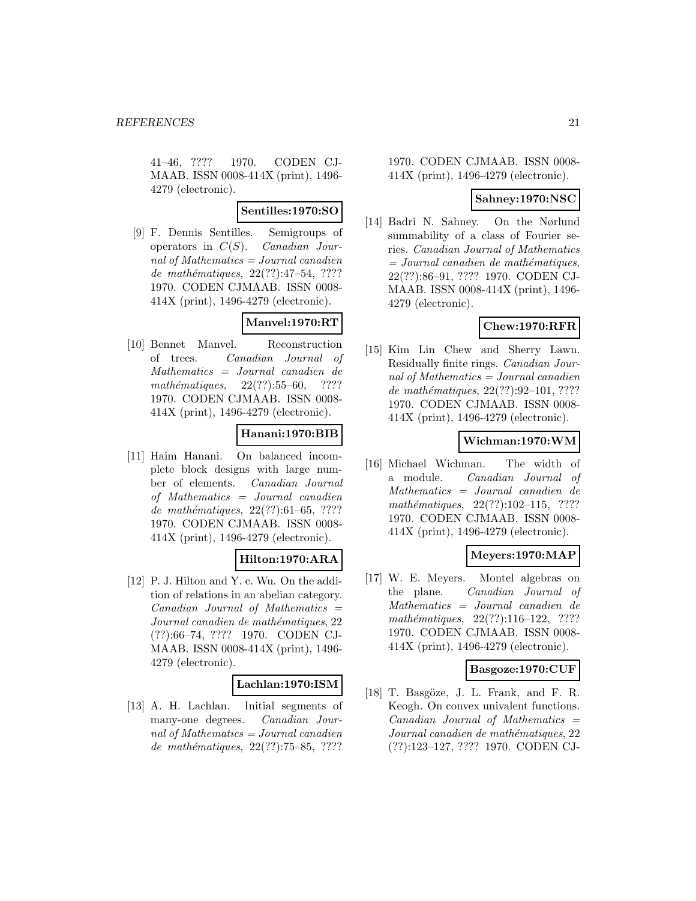41–46, ???? 1970. CODEN CJ-MAAB. ISSN 0008-414X (print), 1496- 4279 (electronic).

# **Sentilles:1970:SO**

[9] F. Dennis Sentilles. Semigroups of operators in  $C(S)$ . Canadian Journal of Mathematics = Journal canadien de mathématiques,  $22(??):47-54$ , ???? 1970. CODEN CJMAAB. ISSN 0008- 414X (print), 1496-4279 (electronic).

# **Manvel:1970:RT**

[10] Bennet Manvel. Reconstruction of trees. Canadian Journal of Mathematics = Journal canadien de  $mathématiques, 22(??):55–60, ????$ 1970. CODEN CJMAAB. ISSN 0008- 414X (print), 1496-4279 (electronic).

# **Hanani:1970:BIB**

[11] Haim Hanani. On balanced incomplete block designs with large number of elements. Canadian Journal of Mathematics = Journal canadien de mathématiques,  $22(??):61–65, ????$ 1970. CODEN CJMAAB. ISSN 0008- 414X (print), 1496-4279 (electronic).

# **Hilton:1970:ARA**

[12] P. J. Hilton and Y. c. Wu. On the addition of relations in an abelian category.  $Canadian$  Journal of Mathematics  $=$ Journal canadien de mathématiques, 22 (??):66–74, ???? 1970. CODEN CJ-MAAB. ISSN 0008-414X (print), 1496- 4279 (electronic).

### **Lachlan:1970:ISM**

[13] A. H. Lachlan. Initial segments of many-one degrees. Canadian Journal of Mathematics = Journal canadien de mathématiques,  $22(??):75–85, ????$ 

1970. CODEN CJMAAB. ISSN 0008- 414X (print), 1496-4279 (electronic).

# **Sahney:1970:NSC**

[14] Badri N. Sahney. On the Nørlund summability of a class of Fourier series. Canadian Journal of Mathematics  $= Journal\; can a dien\; de\; mathématiques,$ 22(??):86–91, ???? 1970. CODEN CJ-MAAB. ISSN 0008-414X (print), 1496- 4279 (electronic).

# **Chew:1970:RFR**

[15] Kim Lin Chew and Sherry Lawn. Residually finite rings. Canadian Journal of Mathematics  $=$  Journal canadien de mathématiques,  $22(??):92-101, ????$ 1970. CODEN CJMAAB. ISSN 0008- 414X (print), 1496-4279 (electronic).

# **Wichman:1970:WM**

[16] Michael Wichman. The width of a module. Canadian Journal of Mathematics = Journal canadien de mathématiques,  $22(??):102-115$ , ???? 1970. CODEN CJMAAB. ISSN 0008- 414X (print), 1496-4279 (electronic).

# **Meyers:1970:MAP**

[17] W. E. Meyers. Montel algebras on the plane. Canadian Journal of Mathematics = Journal canadien de  $mathématiques, 22(??):116–122, ????$ 1970. CODEN CJMAAB. ISSN 0008- 414X (print), 1496-4279 (electronic).

# **Basgoze:1970:CUF**

[18] T. Basgöze, J. L. Frank, and F. R. Keogh. On convex univalent functions. Canadian Journal of Mathematics = Journal canadien de mathématiques, 22 (??):123–127, ???? 1970. CODEN CJ-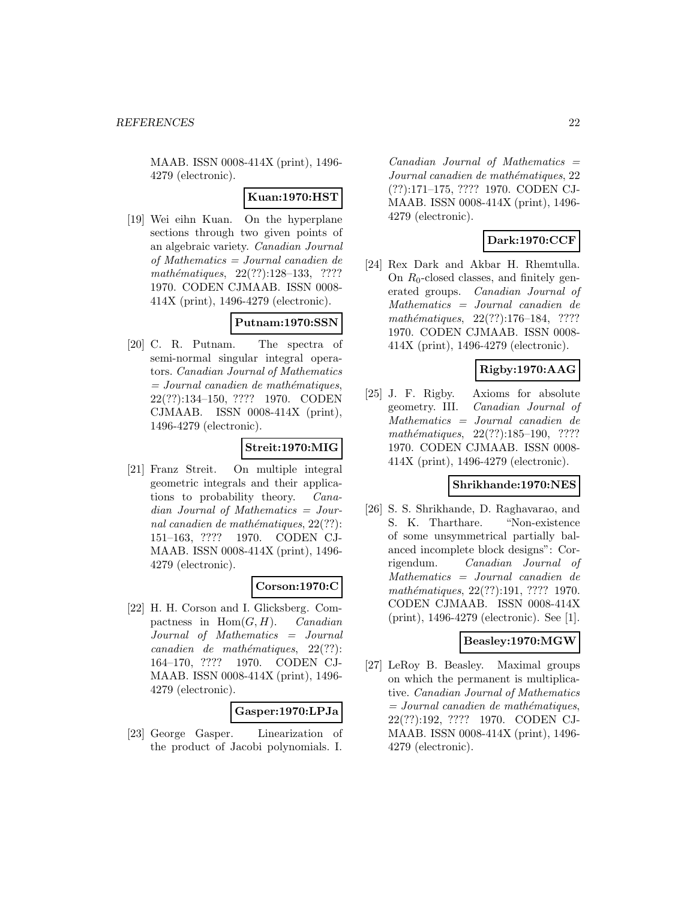MAAB. ISSN 0008-414X (print), 1496- 4279 (electronic).

### **Kuan:1970:HST**

[19] Wei eihn Kuan. On the hyperplane sections through two given points of an algebraic variety. Canadian Journal of Mathematics = Journal canadien de mathématiques,  $22(??):128-133$ , ???? 1970. CODEN CJMAAB. ISSN 0008- 414X (print), 1496-4279 (electronic).

### **Putnam:1970:SSN**

[20] C. R. Putnam. The spectra of semi-normal singular integral operators. Canadian Journal of Mathematics  $=$  Journal canadien de mathématiques, 22(??):134–150, ???? 1970. CODEN CJMAAB. ISSN 0008-414X (print), 1496-4279 (electronic).

# **Streit:1970:MIG**

[21] Franz Streit. On multiple integral geometric integrals and their applications to probability theory. Canadian Journal of Mathematics = Journal canadien de mathématiques,  $22(??)$ : 151–163, ???? 1970. CODEN CJ-MAAB. ISSN 0008-414X (print), 1496- 4279 (electronic).

### **Corson:1970:C**

[22] H. H. Corson and I. Glicksberg. Compactness in  $Hom(G, H)$ . *Canadian* Journal of Mathematics = Journal  $cana dien de mathématiques, 22(??):$ 164–170, ???? 1970. CODEN CJ-MAAB. ISSN 0008-414X (print), 1496- 4279 (electronic).

### **Gasper:1970:LPJa**

[23] George Gasper. Linearization of the product of Jacobi polynomials. I.

 $Canadian$  Journal of Mathematics  $=$ Journal canadien de mathématiques, 22 (??):171–175, ???? 1970. CODEN CJ-MAAB. ISSN 0008-414X (print), 1496- 4279 (electronic).

# **Dark:1970:CCF**

[24] Rex Dark and Akbar H. Rhemtulla. On  $R_0$ -closed classes, and finitely generated groups. Canadian Journal of Mathematics = Journal canadien de  $mathématiques, 22(??):176–184, ????$ 1970. CODEN CJMAAB. ISSN 0008- 414X (print), 1496-4279 (electronic).

# **Rigby:1970:AAG**

[25] J. F. Rigby. Axioms for absolute geometry. III. Canadian Journal of Mathematics = Journal canadien de mathématiques,  $22(??):185-190$ , ???? 1970. CODEN CJMAAB. ISSN 0008- 414X (print), 1496-4279 (electronic).

### **Shrikhande:1970:NES**

[26] S. S. Shrikhande, D. Raghavarao, and S. K. Tharthare. "Non-existence of some unsymmetrical partially balanced incomplete block designs": Corrigendum. Canadian Journal of Mathematics = Journal canadien de mathématiques, 22(??):191, ???? 1970. CODEN CJMAAB. ISSN 0008-414X (print), 1496-4279 (electronic). See [1].

### **Beasley:1970:MGW**

[27] LeRoy B. Beasley. Maximal groups on which the permanent is multiplicative. Canadian Journal of Mathematics  $=$  Journal canadien de mathématiques, 22(??):192, ???? 1970. CODEN CJ-MAAB. ISSN 0008-414X (print), 1496- 4279 (electronic).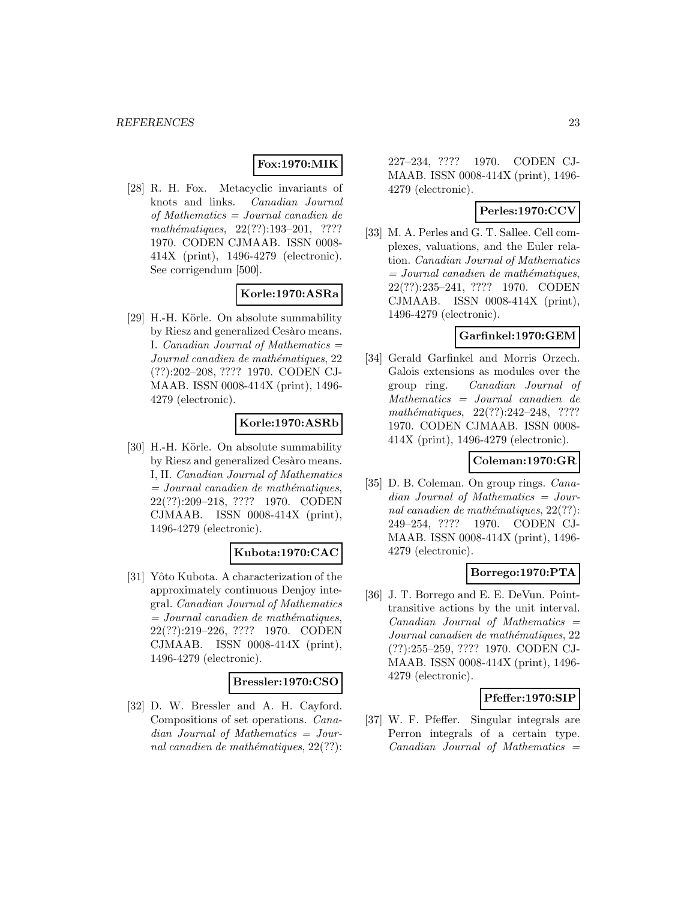# **Fox:1970:MIK**

[28] R. H. Fox. Metacyclic invariants of knots and links. Canadian Journal of Mathematics = Journal canadien de mathématiques,  $22(??):193-201$ , ???? 1970. CODEN CJMAAB. ISSN 0008- 414X (print), 1496-4279 (electronic). See corrigendum [500].

# **Korle:1970:ASRa**

[29] H.-H. Körle. On absolute summability by Riesz and generalized Cesàro means. I. Canadian Journal of Mathematics  $=$ Journal canadien de mathématiques, 22 (??):202–208, ???? 1970. CODEN CJ-MAAB. ISSN 0008-414X (print), 1496- 4279 (electronic).

### **Korle:1970:ASRb**

[30] H.-H. Körle. On absolute summability by Riesz and generalized Cesàro means. I, II. Canadian Journal of Mathematics  $=$  Journal canadien de mathématiques, 22(??):209–218, ???? 1970. CODEN CJMAAB. ISSN 0008-414X (print), 1496-4279 (electronic).

### **Kubota:1970:CAC**

[31] Yôto Kubota. A characterization of the approximately continuous Denjoy integral. Canadian Journal of Mathematics  $=$  Journal canadien de mathématiques, 22(??):219–226, ???? 1970. CODEN CJMAAB. ISSN 0008-414X (print), 1496-4279 (electronic).

### **Bressler:1970:CSO**

[32] D. W. Bressler and A. H. Cayford. Compositions of set operations. Canadian Journal of Mathematics = Journal canadien de mathématiques,  $22(??)$ :

227–234, ???? 1970. CODEN CJ-MAAB. ISSN 0008-414X (print), 1496- 4279 (electronic).

# **Perles:1970:CCV**

[33] M. A. Perles and G. T. Sallee. Cell complexes, valuations, and the Euler relation. Canadian Journal of Mathematics  $=$  Journal canadien de mathématiques, 22(??):235–241, ???? 1970. CODEN CJMAAB. ISSN 0008-414X (print), 1496-4279 (electronic).

#### **Garfinkel:1970:GEM**

[34] Gerald Garfinkel and Morris Orzech. Galois extensions as modules over the group ring. Canadian Journal of Mathematics = Journal canadien de  $mathématiques, 22(??):242-248, ????$ 1970. CODEN CJMAAB. ISSN 0008- 414X (print), 1496-4279 (electronic).

# **Coleman:1970:GR**

[35] D. B. Coleman. On group rings. *Cana*dian Journal of Mathematics = Journal canadien de mathématiques,  $22(??)$ : 249–254, ???? 1970. CODEN CJ-MAAB. ISSN 0008-414X (print), 1496- 4279 (electronic).

# **Borrego:1970:PTA**

[36] J. T. Borrego and E. E. DeVun. Pointtransitive actions by the unit interval.  $Canadian$  Journal of Mathematics  $=$ Journal canadien de mathématiques, 22 (??):255–259, ???? 1970. CODEN CJ-MAAB. ISSN 0008-414X (print), 1496- 4279 (electronic).

### **Pfeffer:1970:SIP**

[37] W. F. Pfeffer. Singular integrals are Perron integrals of a certain type.  $Canadian$  Journal of Mathematics  $=$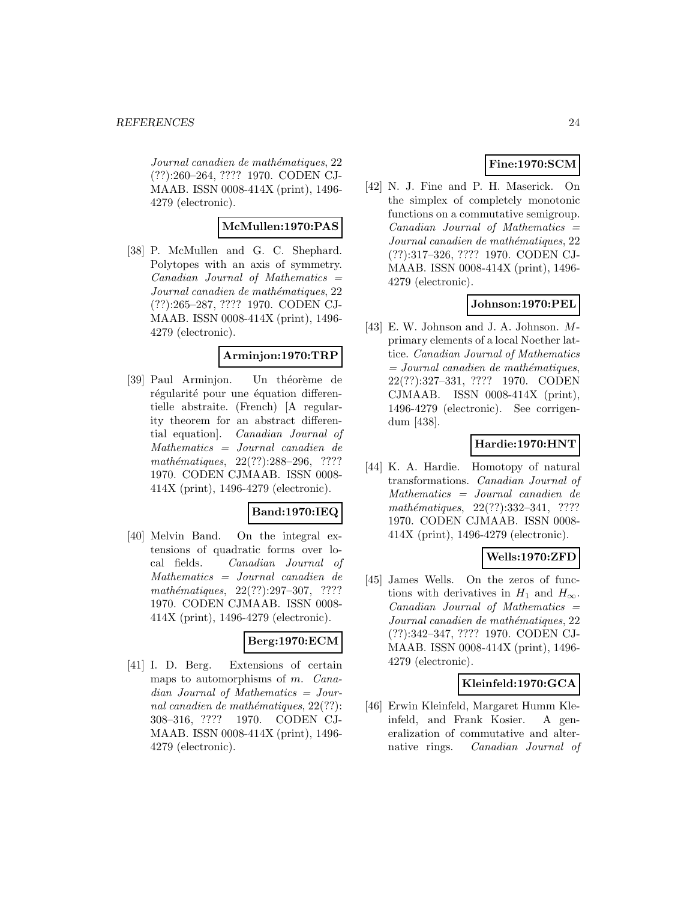Journal canadien de mathématiques, 22 (??):260–264, ???? 1970. CODEN CJ-MAAB. ISSN 0008-414X (print), 1496- 4279 (electronic).

# **McMullen:1970:PAS**

[38] P. McMullen and G. C. Shephard. Polytopes with an axis of symmetry.  $Canadian$  Journal of Mathematics  $=$ Journal canadien de mathématiques, 22 (??):265–287, ???? 1970. CODEN CJ-MAAB. ISSN 0008-414X (print), 1496- 4279 (electronic).

# **Arminjon:1970:TRP**

[39] Paul Arminjon. Un théorème de régularité pour une équation differentielle abstraite. (French) [A regularity theorem for an abstract differential equation]. Canadian Journal of Mathematics = Journal canadien de mathématiques, 22(??):288-296, ???? 1970. CODEN CJMAAB. ISSN 0008- 414X (print), 1496-4279 (electronic).

# **Band:1970:IEQ**

[40] Melvin Band. On the integral extensions of quadratic forms over local fields. Canadian Journal of Mathematics = Journal canadien de  $mathématiques, 22(??):297-307, ????$ 1970. CODEN CJMAAB. ISSN 0008- 414X (print), 1496-4279 (electronic).

### **Berg:1970:ECM**

[41] I. D. Berg. Extensions of certain maps to automorphisms of m. Canadian Journal of Mathematics = Journal canadien de mathématiques,  $22(??)$ : 308–316, ???? 1970. CODEN CJ-MAAB. ISSN 0008-414X (print), 1496- 4279 (electronic).

# **Fine:1970:SCM**

[42] N. J. Fine and P. H. Maserick. On the simplex of completely monotonic functions on a commutative semigroup.  $Canadian$  Journal of Mathematics  $=$ Journal canadien de mathématiques, 22 (??):317–326, ???? 1970. CODEN CJ-MAAB. ISSN 0008-414X (print), 1496- 4279 (electronic).

# **Johnson:1970:PEL**

[43] E. W. Johnson and J. A. Johnson. Mprimary elements of a local Noether lattice. Canadian Journal of Mathematics  $=$  Journal canadien de mathématiques, 22(??):327–331, ???? 1970. CODEN CJMAAB. ISSN 0008-414X (print), 1496-4279 (electronic). See corrigendum [438].

# **Hardie:1970:HNT**

[44] K. A. Hardie. Homotopy of natural transformations. Canadian Journal of Mathematics = Journal canadien de mathématiques, 22(??):332–341, ???? 1970. CODEN CJMAAB. ISSN 0008- 414X (print), 1496-4279 (electronic).

# **Wells:1970:ZFD**

[45] James Wells. On the zeros of functions with derivatives in  $H_1$  and  $H_{\infty}$ . Canadian Journal of Mathematics = Journal canadien de mathématiques, 22 (??):342–347, ???? 1970. CODEN CJ-MAAB. ISSN 0008-414X (print), 1496- 4279 (electronic).

### **Kleinfeld:1970:GCA**

[46] Erwin Kleinfeld, Margaret Humm Kleinfeld, and Frank Kosier. A generalization of commutative and alternative rings. Canadian Journal of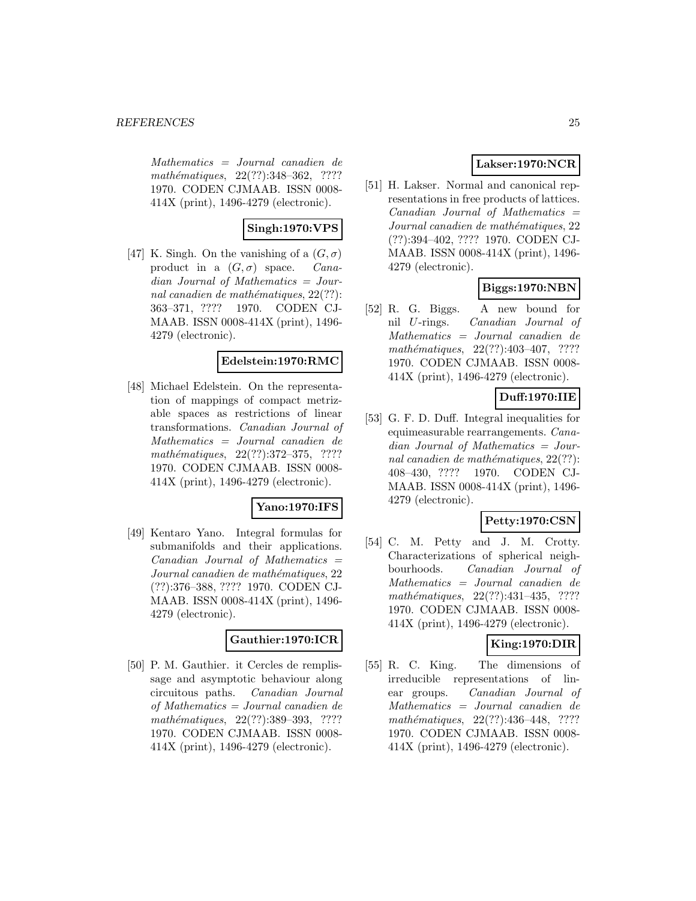Mathematics = Journal canadien de mathématiques, 22(??):348-362, ???? 1970. CODEN CJMAAB. ISSN 0008- 414X (print), 1496-4279 (electronic).

# **Singh:1970:VPS**

[47] K. Singh. On the vanishing of a  $(G, \sigma)$ product in a  $(G, \sigma)$  space. Canadian Journal of Mathematics = Journal canadien de mathématiques,  $22(??)$ : 363–371, ???? 1970. CODEN CJ-MAAB. ISSN 0008-414X (print), 1496- 4279 (electronic).

### **Edelstein:1970:RMC**

[48] Michael Edelstein. On the representation of mappings of compact metrizable spaces as restrictions of linear transformations. Canadian Journal of Mathematics = Journal canadien de  $mathématiques, 22(??):372-375, ????$ 1970. CODEN CJMAAB. ISSN 0008- 414X (print), 1496-4279 (electronic).

# **Yano:1970:IFS**

[49] Kentaro Yano. Integral formulas for submanifolds and their applications. Canadian Journal of Mathematics = Journal canadien de mathématiques, 22 (??):376–388, ???? 1970. CODEN CJ-MAAB. ISSN 0008-414X (print), 1496- 4279 (electronic).

### **Gauthier:1970:ICR**

[50] P. M. Gauthier. it Cercles de remplissage and asymptotic behaviour along circuitous paths. Canadian Journal of Mathematics = Journal canadien de mathématiques, 22(??):389-393, ???? 1970. CODEN CJMAAB. ISSN 0008- 414X (print), 1496-4279 (electronic).

# **Lakser:1970:NCR**

[51] H. Lakser. Normal and canonical representations in free products of lattices.  $Canadian$  Journal of Mathematics  $=$ Journal canadien de mathématiques, 22 (??):394–402, ???? 1970. CODEN CJ-MAAB. ISSN 0008-414X (print), 1496- 4279 (electronic).

# **Biggs:1970:NBN**

[52] R. G. Biggs. A new bound for nil U-rings. Canadian Journal of Mathematics = Journal canadien de mathématiques,  $22(??):403-407$ , ???? 1970. CODEN CJMAAB. ISSN 0008- 414X (print), 1496-4279 (electronic).

# **Duff:1970:IIE**

[53] G. F. D. Duff. Integral inequalities for equimeasurable rearrangements. Canadian Journal of Mathematics = Journal canadien de mathématiques,  $22(??)$ : 408–430, ???? 1970. CODEN CJ-MAAB. ISSN 0008-414X (print), 1496- 4279 (electronic).

# **Petty:1970:CSN**

[54] C. M. Petty and J. M. Crotty. Characterizations of spherical neighbourhoods. Canadian Journal of Mathematics = Journal canadien de mathématiques,  $22(??):431-435$ , ???? 1970. CODEN CJMAAB. ISSN 0008- 414X (print), 1496-4279 (electronic).

# **King:1970:DIR**

[55] R. C. King. The dimensions of irreducible representations of linear groups. Canadian Journal of Mathematics = Journal canadien de  $mathématiques, 22(??): 436-448, ????$ 1970. CODEN CJMAAB. ISSN 0008- 414X (print), 1496-4279 (electronic).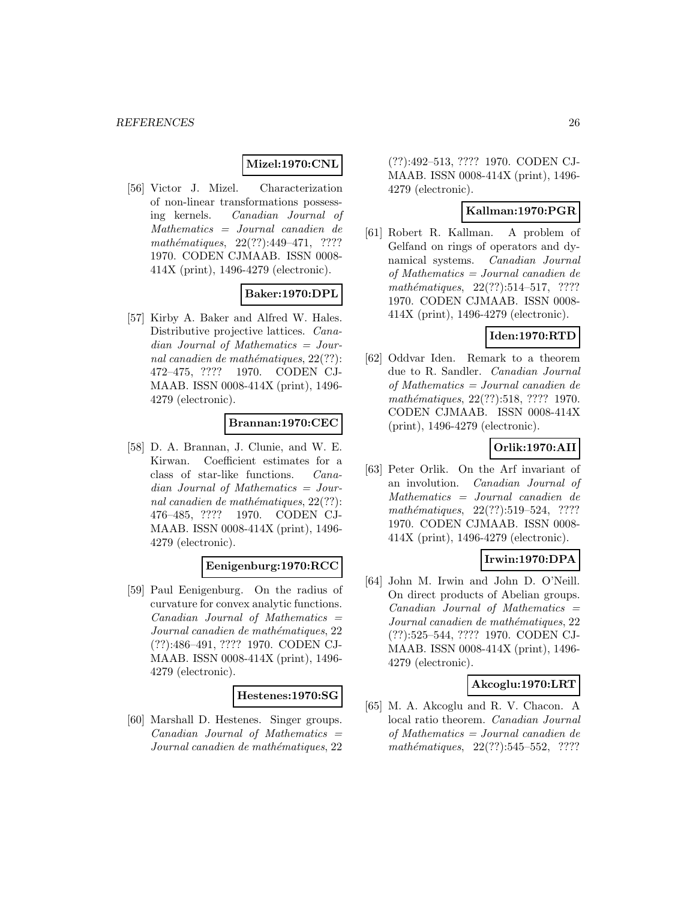# **Mizel:1970:CNL**

[56] Victor J. Mizel. Characterization of non-linear transformations possessing kernels. Canadian Journal of Mathematics = Journal canadien de mathématiques,  $22(??):449-471$ , ???? 1970. CODEN CJMAAB. ISSN 0008- 414X (print), 1496-4279 (electronic).

# **Baker:1970:DPL**

[57] Kirby A. Baker and Alfred W. Hales. Distributive projective lattices. Canadian Journal of Mathematics = Journal canadien de mathématiques,  $22(??)$ : 472–475, ???? 1970. CODEN CJ-MAAB. ISSN 0008-414X (print), 1496- 4279 (electronic).

# **Brannan:1970:CEC**

[58] D. A. Brannan, J. Clunie, and W. E. Kirwan. Coefficient estimates for a class of star-like functions. Canadian Journal of Mathematics = Journal canadien de mathématiques,  $22(??)$ : 476–485, ???? 1970. CODEN CJ-MAAB. ISSN 0008-414X (print), 1496- 4279 (electronic).

# **Eenigenburg:1970:RCC**

[59] Paul Eenigenburg. On the radius of curvature for convex analytic functions.  $Canadian$  Journal of Mathematics  $=$ Journal canadien de mathématiques, 22 (??):486–491, ???? 1970. CODEN CJ-MAAB. ISSN 0008-414X (print), 1496- 4279 (electronic).

### **Hestenes:1970:SG**

[60] Marshall D. Hestenes. Singer groups.  $Canadian Journal of Mathematics =$ Journal canadien de mathématiques, 22

(??):492–513, ???? 1970. CODEN CJ-MAAB. ISSN 0008-414X (print), 1496- 4279 (electronic).

### **Kallman:1970:PGR**

[61] Robert R. Kallman. A problem of Gelfand on rings of operators and dynamical systems. Canadian Journal of Mathematics = Journal canadien de mathématiques,  $22(??):514-517$ , ???? 1970. CODEN CJMAAB. ISSN 0008- 414X (print), 1496-4279 (electronic).

# **Iden:1970:RTD**

[62] Oddvar Iden. Remark to a theorem due to R. Sandler. Canadian Journal of Mathematics = Journal canadien de mathématiques, 22(??):518, ???? 1970. CODEN CJMAAB. ISSN 0008-414X (print), 1496-4279 (electronic).

# **Orlik:1970:AII**

[63] Peter Orlik. On the Arf invariant of an involution. Canadian Journal of Mathematics = Journal canadien de mathématiques, 22(??):519–524, ???? 1970. CODEN CJMAAB. ISSN 0008- 414X (print), 1496-4279 (electronic).

# **Irwin:1970:DPA**

[64] John M. Irwin and John D. O'Neill. On direct products of Abelian groups.  $Canadian$  Journal of Mathematics  $=$ Journal canadien de mathématiques, 22 (??):525–544, ???? 1970. CODEN CJ-MAAB. ISSN 0008-414X (print), 1496- 4279 (electronic).

# **Akcoglu:1970:LRT**

[65] M. A. Akcoglu and R. V. Chacon. A local ratio theorem. Canadian Journal of Mathematics = Journal canadien de mathématiques,  $22(??):545-552$ , ????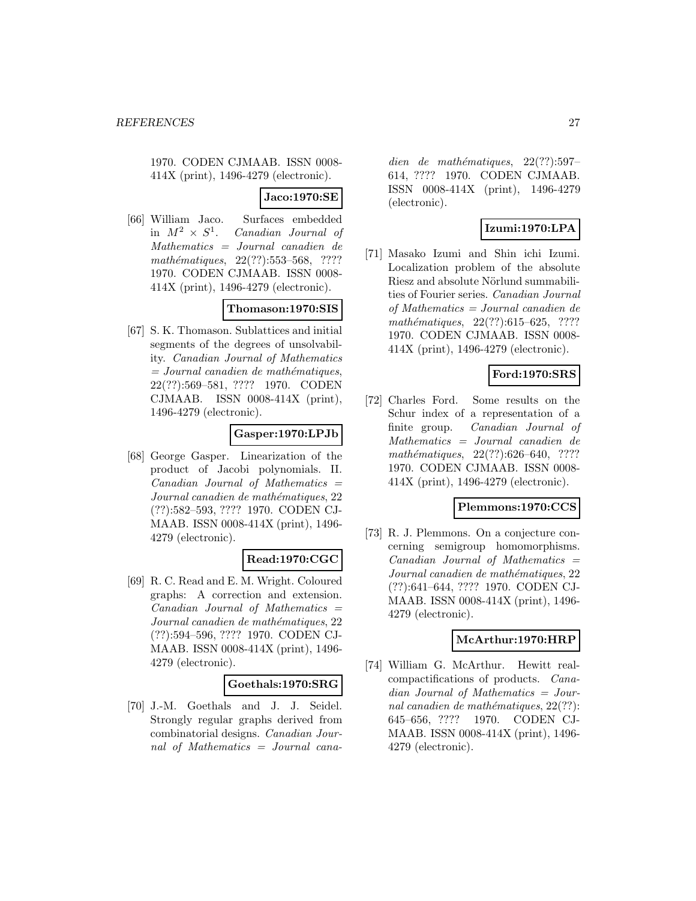1970. CODEN CJMAAB. ISSN 0008- 414X (print), 1496-4279 (electronic).

### **Jaco:1970:SE**

[66] William Jaco. Surfaces embedded<br>in  $M^2 \times S^1$ . Canadian Journal of Canadian Journal of Mathematics = Journal canadien de  $mathématiques, 22(??): 553–568, ????$ 1970. CODEN CJMAAB. ISSN 0008- 414X (print), 1496-4279 (electronic).

### **Thomason:1970:SIS**

[67] S. K. Thomason. Sublattices and initial segments of the degrees of unsolvability. Canadian Journal of Mathematics  $= Journal\; can a dien\; de\; mathématiques,$ 22(??):569–581, ???? 1970. CODEN CJMAAB. ISSN 0008-414X (print), 1496-4279 (electronic).

### **Gasper:1970:LPJb**

[68] George Gasper. Linearization of the product of Jacobi polynomials. II.  $Canadian$  Journal of Mathematics  $=$ Journal canadien de mathématiques, 22 (??):582–593, ???? 1970. CODEN CJ-MAAB. ISSN 0008-414X (print), 1496- 4279 (electronic).

# **Read:1970:CGC**

[69] R. C. Read and E. M. Wright. Coloured graphs: A correction and extension.  $Canadian$  Journal of Mathematics  $=$ Journal canadien de mathématiques, 22 (??):594–596, ???? 1970. CODEN CJ-MAAB. ISSN 0008-414X (print), 1496- 4279 (electronic).

### **Goethals:1970:SRG**

[70] J.-M. Goethals and J. J. Seidel. Strongly regular graphs derived from combinatorial designs. Canadian Journal of Mathematics = Journal cana-

dien de mathématiques,  $22(??):597-$ 614, ???? 1970. CODEN CJMAAB. ISSN 0008-414X (print), 1496-4279 (electronic).

# **Izumi:1970:LPA**

[71] Masako Izumi and Shin ichi Izumi. Localization problem of the absolute Riesz and absolute Nörlund summabilities of Fourier series. Canadian Journal of Mathematics = Journal canadien de mathématiques,  $22(??):615-625$ , ???? 1970. CODEN CJMAAB. ISSN 0008- 414X (print), 1496-4279 (electronic).

# **Ford:1970:SRS**

[72] Charles Ford. Some results on the Schur index of a representation of a finite group. Canadian Journal of Mathematics = Journal canadien de mathématiques,  $22(??):626-640$ , ???? 1970. CODEN CJMAAB. ISSN 0008- 414X (print), 1496-4279 (electronic).

# **Plemmons:1970:CCS**

[73] R. J. Plemmons. On a conjecture concerning semigroup homomorphisms.  $Canadian$  Journal of Mathematics  $=$ Journal canadien de mathématiques, 22 (??):641–644, ???? 1970. CODEN CJ-MAAB. ISSN 0008-414X (print), 1496- 4279 (electronic).

# **McArthur:1970:HRP**

[74] William G. McArthur. Hewitt realcompactifications of products. Canadian Journal of Mathematics = Journal canadien de mathématiques,  $22(??)$ : 645–656, ???? 1970. CODEN CJ-MAAB. ISSN 0008-414X (print), 1496- 4279 (electronic).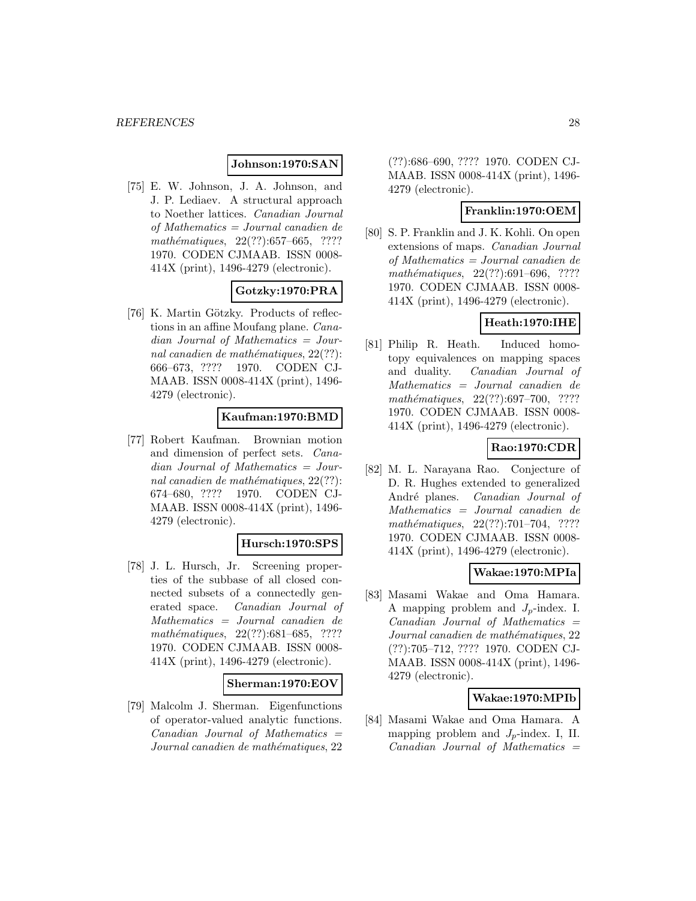### **Johnson:1970:SAN**

[75] E. W. Johnson, J. A. Johnson, and J. P. Lediaev. A structural approach to Noether lattices. Canadian Journal of Mathematics = Journal canadien de mathématiques,  $22(??):657–665$ , ???? 1970. CODEN CJMAAB. ISSN 0008- 414X (print), 1496-4279 (electronic).

# **Gotzky:1970:PRA**

[76] K. Martin Götzky. Products of reflections in an affine Moufang plane. Canadian Journal of Mathematics = Journal canadien de mathématiques,  $22(??)$ : 666–673, ???? 1970. CODEN CJ-MAAB. ISSN 0008-414X (print), 1496- 4279 (electronic).

### **Kaufman:1970:BMD**

[77] Robert Kaufman. Brownian motion and dimension of perfect sets. Canadian Journal of Mathematics = Journal canadien de mathématiques,  $22(??)$ : 674–680, ???? 1970. CODEN CJ-MAAB. ISSN 0008-414X (print), 1496- 4279 (electronic).

# **Hursch:1970:SPS**

[78] J. L. Hursch, Jr. Screening properties of the subbase of all closed connected subsets of a connectedly generated space. Canadian Journal of Mathematics = Journal canadien de mathématiques,  $22(??):681–685$ , ???? 1970. CODEN CJMAAB. ISSN 0008- 414X (print), 1496-4279 (electronic).

#### **Sherman:1970:EOV**

[79] Malcolm J. Sherman. Eigenfunctions of operator-valued analytic functions.  $Canadian$  Journal of Mathematics  $=$ Journal canadien de mathématiques, 22

(??):686–690, ???? 1970. CODEN CJ-MAAB. ISSN 0008-414X (print), 1496- 4279 (electronic).

#### **Franklin:1970:OEM**

[80] S. P. Franklin and J. K. Kohli. On open extensions of maps. Canadian Journal of Mathematics = Journal canadien de mathématiques,  $22(??):691–696$ , ???? 1970. CODEN CJMAAB. ISSN 0008- 414X (print), 1496-4279 (electronic).

# **Heath:1970:IHE**

[81] Philip R. Heath. Induced homotopy equivalences on mapping spaces and duality. Canadian Journal of Mathematics = Journal canadien de mathématiques,  $22(??):697-700$ , ???? 1970. CODEN CJMAAB. ISSN 0008- 414X (print), 1496-4279 (electronic).

# **Rao:1970:CDR**

[82] M. L. Narayana Rao. Conjecture of D. R. Hughes extended to generalized André planes. Canadian Journal of Mathematics = Journal canadien de mathématiques, 22(??):701–704, ???? 1970. CODEN CJMAAB. ISSN 0008- 414X (print), 1496-4279 (electronic).

# **Wakae:1970:MPIa**

[83] Masami Wakae and Oma Hamara. A mapping problem and  $J_p$ -index. I.  $Canadian$  Journal of Mathematics  $=$ Journal canadien de mathématiques, 22 (??):705–712, ???? 1970. CODEN CJ-MAAB. ISSN 0008-414X (print), 1496- 4279 (electronic).

### **Wakae:1970:MPIb**

[84] Masami Wakae and Oma Hamara. A mapping problem and  $J_p$ -index. I, II.  $Canadian$  Journal of Mathematics  $=$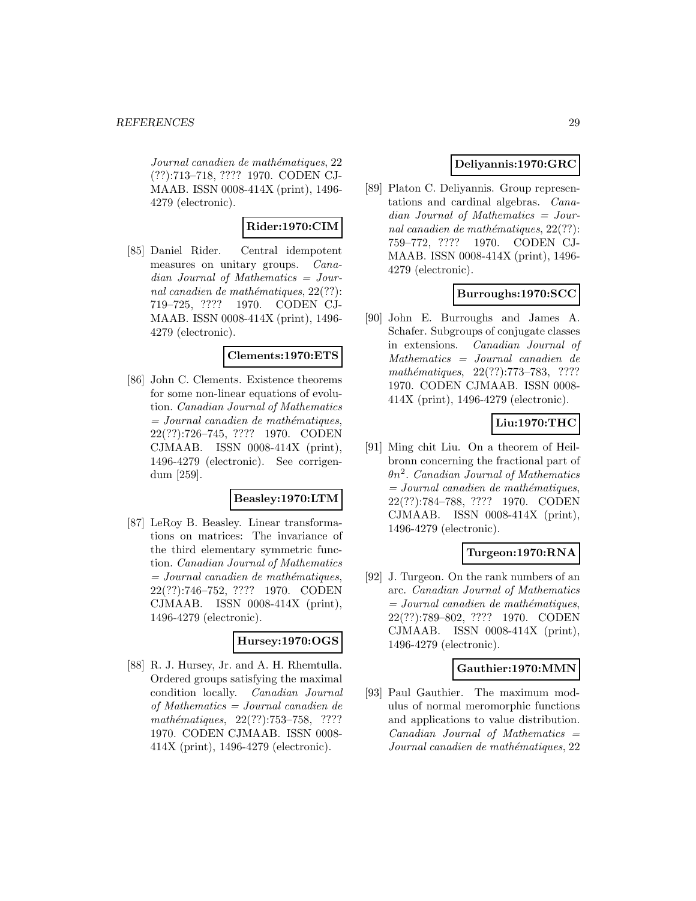Journal canadien de mathématiques, 22 (??):713–718, ???? 1970. CODEN CJ-MAAB. ISSN 0008-414X (print), 1496- 4279 (electronic).

# **Rider:1970:CIM**

[85] Daniel Rider. Central idempotent measures on unitary groups. Canadian Journal of Mathematics = Journal canadien de mathématiques,  $22(??)$ : 719–725, ???? 1970. CODEN CJ-MAAB. ISSN 0008-414X (print), 1496- 4279 (electronic).

# **Clements:1970:ETS**

[86] John C. Clements. Existence theorems for some non-linear equations of evolution. Canadian Journal of Mathematics  $=$  Journal canadien de mathématiques, 22(??):726–745, ???? 1970. CODEN CJMAAB. ISSN 0008-414X (print), 1496-4279 (electronic). See corrigendum [259].

### **Beasley:1970:LTM**

[87] LeRoy B. Beasley. Linear transformations on matrices: The invariance of the third elementary symmetric function. Canadian Journal of Mathematics  $=$  Journal canadien de mathématiques, 22(??):746–752, ???? 1970. CODEN CJMAAB. ISSN 0008-414X (print), 1496-4279 (electronic).

### **Hursey:1970:OGS**

[88] R. J. Hursey, Jr. and A. H. Rhemtulla. Ordered groups satisfying the maximal condition locally. Canadian Journal of Mathematics = Journal canadien de mathématiques, 22(??):753-758, ???? 1970. CODEN CJMAAB. ISSN 0008- 414X (print), 1496-4279 (electronic).

# **Deliyannis:1970:GRC**

[89] Platon C. Deliyannis. Group representations and cardinal algebras. Canadian Journal of Mathematics = Journal canadien de mathématiques,  $22(??)$ : 759–772, ???? 1970. CODEN CJ-MAAB. ISSN 0008-414X (print), 1496- 4279 (electronic).

# **Burroughs:1970:SCC**

[90] John E. Burroughs and James A. Schafer. Subgroups of conjugate classes in extensions. Canadian Journal of Mathematics = Journal canadien de mathématiques,  $22(??)$ :773–783, ???? 1970. CODEN CJMAAB. ISSN 0008- 414X (print), 1496-4279 (electronic).

# **Liu:1970:THC**

[91] Ming chit Liu. On a theorem of Heilbronn concerning the fractional part of  $\theta n^2$ . Canadian Journal of Mathematics  $= Journal\; can a dien\; de\; mathématiques,$ 22(??):784–788, ???? 1970. CODEN CJMAAB. ISSN 0008-414X (print), 1496-4279 (electronic).

### **Turgeon:1970:RNA**

[92] J. Turgeon. On the rank numbers of an arc. Canadian Journal of Mathematics  $= Journal\; can a dien\; de\; mathématiques,$ 22(??):789–802, ???? 1970. CODEN CJMAAB. ISSN 0008-414X (print), 1496-4279 (electronic).

# **Gauthier:1970:MMN**

[93] Paul Gauthier. The maximum modulus of normal meromorphic functions and applications to value distribution.  $Canadian$  Journal of Mathematics  $=$ Journal canadien de mathématiques, 22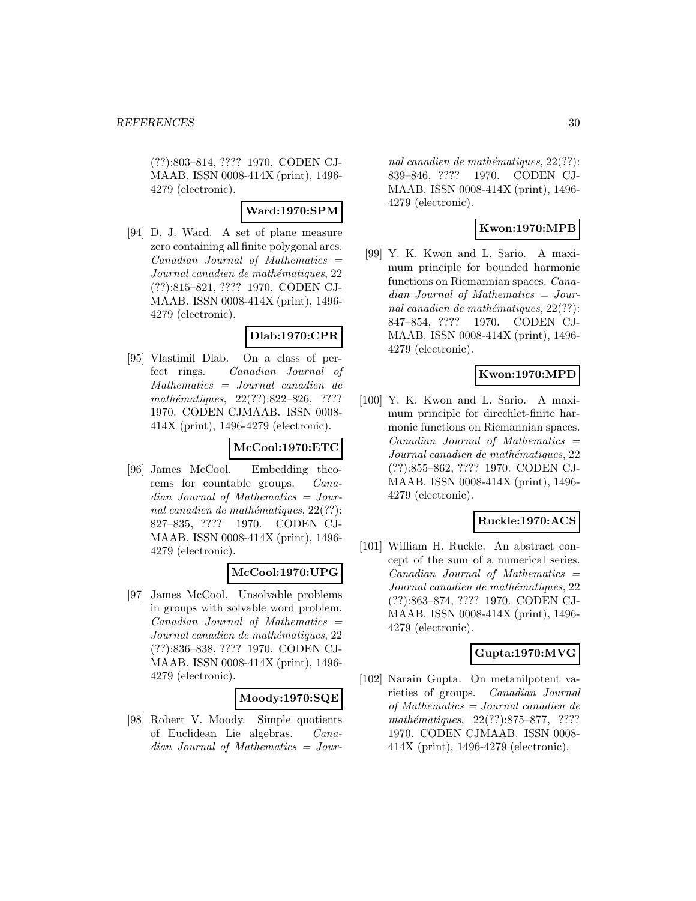(??):803–814, ???? 1970. CODEN CJ-MAAB. ISSN 0008-414X (print), 1496- 4279 (electronic).

# **Ward:1970:SPM**

[94] D. J. Ward. A set of plane measure zero containing all finite polygonal arcs.  $Canadian$  Journal of Mathematics  $=$ Journal canadien de mathématiques, 22 (??):815–821, ???? 1970. CODEN CJ-MAAB. ISSN 0008-414X (print), 1496- 4279 (electronic).

# **Dlab:1970:CPR**

[95] Vlastimil Dlab. On a class of perfect rings. Canadian Journal of Mathematics = Journal canadien de mathématiques,  $22(??):822-826$ , ???? 1970. CODEN CJMAAB. ISSN 0008- 414X (print), 1496-4279 (electronic).

# **McCool:1970:ETC**

[96] James McCool. Embedding theorems for countable groups. Canadian Journal of Mathematics = Journal canadien de mathématiques,  $22(??)$ : 827–835, ???? 1970. CODEN CJ-MAAB. ISSN 0008-414X (print), 1496- 4279 (electronic).

# **McCool:1970:UPG**

[97] James McCool. Unsolvable problems in groups with solvable word problem.  $Canadian$  Journal of Mathematics  $=$ Journal canadien de mathématiques, 22 (??):836–838, ???? 1970. CODEN CJ-MAAB. ISSN 0008-414X (print), 1496- 4279 (electronic).

# **Moody:1970:SQE**

[98] Robert V. Moody. Simple quotients of Euclidean Lie algebras. Canadian Journal of Mathematics = Jour-

nal canadien de mathématiques,  $22(??)$ : 839–846, ???? 1970. CODEN CJ-MAAB. ISSN 0008-414X (print), 1496- 4279 (electronic).

# **Kwon:1970:MPB**

[99] Y. K. Kwon and L. Sario. A maximum principle for bounded harmonic functions on Riemannian spaces. Canadian Journal of Mathematics = Journal canadien de mathématiques,  $22(??)$ : 847–854, ???? 1970. CODEN CJ-MAAB. ISSN 0008-414X (print), 1496- 4279 (electronic).

# **Kwon:1970:MPD**

[100] Y. K. Kwon and L. Sario. A maximum principle for direchlet-finite harmonic functions on Riemannian spaces.  $Canadian$  Journal of Mathematics  $=$ Journal canadien de mathématiques, 22 (??):855–862, ???? 1970. CODEN CJ-MAAB. ISSN 0008-414X (print), 1496- 4279 (electronic).

# **Ruckle:1970:ACS**

[101] William H. Ruckle. An abstract concept of the sum of a numerical series.  $Canadian$  Journal of Mathematics  $=$ Journal canadien de mathématiques, 22 (??):863–874, ???? 1970. CODEN CJ-MAAB. ISSN 0008-414X (print), 1496- 4279 (electronic).

# **Gupta:1970:MVG**

[102] Narain Gupta. On metanilpotent varieties of groups. Canadian Journal of Mathematics = Journal canadien de  $mathématiques, 22(??):875–877, ????$ 1970. CODEN CJMAAB. ISSN 0008- 414X (print), 1496-4279 (electronic).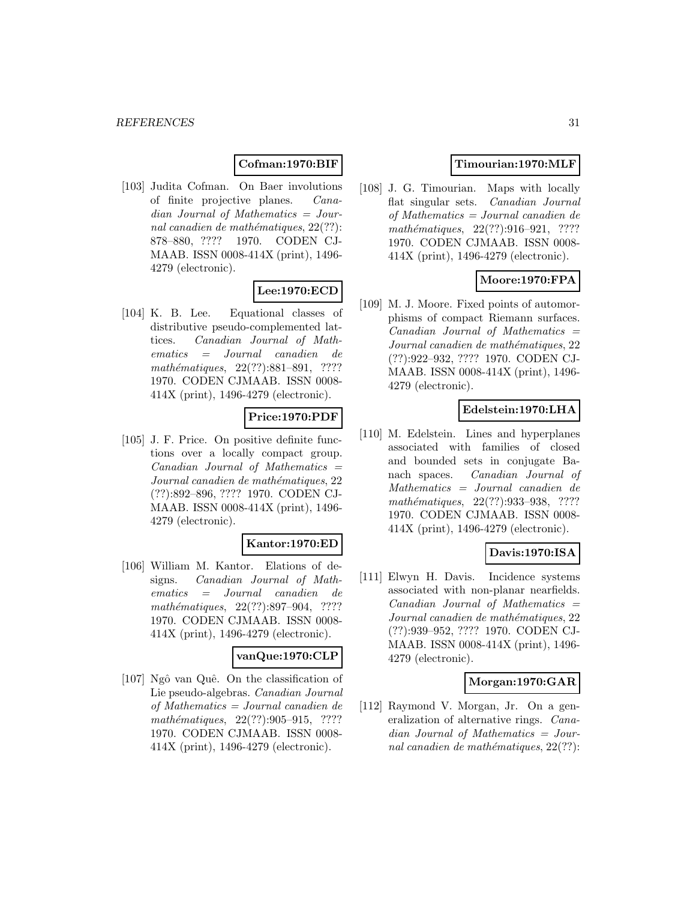# **Cofman:1970:BIF**

[103] Judita Cofman. On Baer involutions of finite projective planes. Canadian Journal of Mathematics = Journal canadien de mathématiques,  $22(??)$ : 878–880, ???? 1970. CODEN CJ-MAAB. ISSN 0008-414X (print), 1496- 4279 (electronic).

# **Lee:1970:ECD**

[104] K. B. Lee. Equational classes of distributive pseudo-complemented lattices. Canadian Journal of Mathematics = Journal canadien de mathématiques, 22(??):881-891, ???? 1970. CODEN CJMAAB. ISSN 0008- 414X (print), 1496-4279 (electronic).

# **Price:1970:PDF**

[105] J. F. Price. On positive definite functions over a locally compact group.  $Canadian$  Journal of Mathematics  $=$ Journal canadien de mathématiques, 22 (??):892–896, ???? 1970. CODEN CJ-MAAB. ISSN 0008-414X (print), 1496- 4279 (electronic).

# **Kantor:1970:ED**

[106] William M. Kantor. Elations of designs. Canadian Journal of Mathematics = Journal canadien de mathématiques, 22(??):897-904, ???? 1970. CODEN CJMAAB. ISSN 0008- 414X (print), 1496-4279 (electronic).

### **vanQue:1970:CLP**

[107] Ngˆo van Quˆe. On the classification of Lie pseudo-algebras. Canadian Journal of Mathematics = Journal canadien de  $mathématiques, 22(??): 905-915, ????$ 1970. CODEN CJMAAB. ISSN 0008- 414X (print), 1496-4279 (electronic).

# **Timourian:1970:MLF**

[108] J. G. Timourian. Maps with locally flat singular sets. Canadian Journal of Mathematics = Journal canadien de mathématiques,  $22(??):916-921$ , ???? 1970. CODEN CJMAAB. ISSN 0008- 414X (print), 1496-4279 (electronic).

# **Moore:1970:FPA**

[109] M. J. Moore. Fixed points of automorphisms of compact Riemann surfaces. Canadian Journal of Mathematics = Journal canadien de mathématiques, 22 (??):922–932, ???? 1970. CODEN CJ-MAAB. ISSN 0008-414X (print), 1496- 4279 (electronic).

### **Edelstein:1970:LHA**

[110] M. Edelstein. Lines and hyperplanes associated with families of closed and bounded sets in conjugate Banach spaces. Canadian Journal of Mathematics = Journal canadien de mathématiques, 22(??):933–938, ???? 1970. CODEN CJMAAB. ISSN 0008- 414X (print), 1496-4279 (electronic).

# **Davis:1970:ISA**

[111] Elwyn H. Davis. Incidence systems associated with non-planar nearfields.  $Canadian$  Journal of Mathematics  $=$ Journal canadien de mathématiques, 22 (??):939–952, ???? 1970. CODEN CJ-MAAB. ISSN 0008-414X (print), 1496- 4279 (electronic).

# **Morgan:1970:GAR**

[112] Raymond V. Morgan, Jr. On a generalization of alternative rings. Canadian Journal of Mathematics = Journal canadien de mathématiques,  $22(??)$ :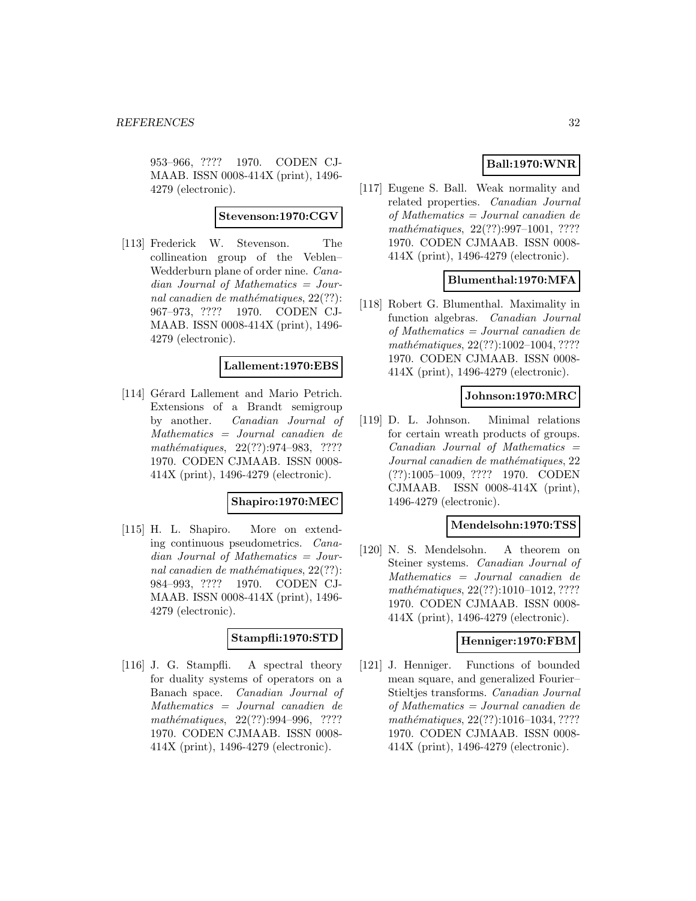953–966, ???? 1970. CODEN CJ-MAAB. ISSN 0008-414X (print), 1496- 4279 (electronic).

### **Stevenson:1970:CGV**

[113] Frederick W. Stevenson. The collineation group of the Veblen– Wedderburn plane of order nine. Canadian Journal of Mathematics = Journal canadien de mathématiques,  $22(??)$ : 967–973, ???? 1970. CODEN CJ-MAAB. ISSN 0008-414X (print), 1496- 4279 (electronic).

### **Lallement:1970:EBS**

[114] Gérard Lallement and Mario Petrich. Extensions of a Brandt semigroup by another. Canadian Journal of Mathematics = Journal canadien de mathématiques, 22(??):974–983, ???? 1970. CODEN CJMAAB. ISSN 0008- 414X (print), 1496-4279 (electronic).

### **Shapiro:1970:MEC**

[115] H. L. Shapiro. More on extending continuous pseudometrics. Canadian Journal of Mathematics = Journal canadien de mathématiques,  $22(??)$ : 984–993, ???? 1970. CODEN CJ-MAAB. ISSN 0008-414X (print), 1496- 4279 (electronic).

### **Stampfli:1970:STD**

[116] J. G. Stampfli. A spectral theory for duality systems of operators on a Banach space. Canadian Journal of Mathematics = Journal canadien de mathématiques, 22(??):994-996, ???? 1970. CODEN CJMAAB. ISSN 0008- 414X (print), 1496-4279 (electronic).

# **Ball:1970:WNR**

[117] Eugene S. Ball. Weak normality and related properties. Canadian Journal of Mathematics = Journal canadien de mathématiques,  $22(??):997-1001$ , ???? 1970. CODEN CJMAAB. ISSN 0008- 414X (print), 1496-4279 (electronic).

# **Blumenthal:1970:MFA**

[118] Robert G. Blumenthal. Maximality in function algebras. Canadian Journal of Mathematics = Journal canadien de mathématiques,  $22(??):1002-1004, ????$ 1970. CODEN CJMAAB. ISSN 0008- 414X (print), 1496-4279 (electronic).

#### **Johnson:1970:MRC**

[119] D. L. Johnson. Minimal relations for certain wreath products of groups.  $Canadian$  Journal of Mathematics  $=$ Journal canadien de mathématiques, 22 (??):1005–1009, ???? 1970. CODEN CJMAAB. ISSN 0008-414X (print), 1496-4279 (electronic).

### **Mendelsohn:1970:TSS**

[120] N. S. Mendelsohn. A theorem on Steiner systems. Canadian Journal of Mathematics = Journal canadien de mathématiques,  $22(??):1010-1012, ????$ 1970. CODEN CJMAAB. ISSN 0008- 414X (print), 1496-4279 (electronic).

# **Henniger:1970:FBM**

[121] J. Henniger. Functions of bounded mean square, and generalized Fourier– Stieltjes transforms. Canadian Journal of Mathematics = Journal canadien de  $mathématiques, 22(??): 1016–1034, ????$ 1970. CODEN CJMAAB. ISSN 0008- 414X (print), 1496-4279 (electronic).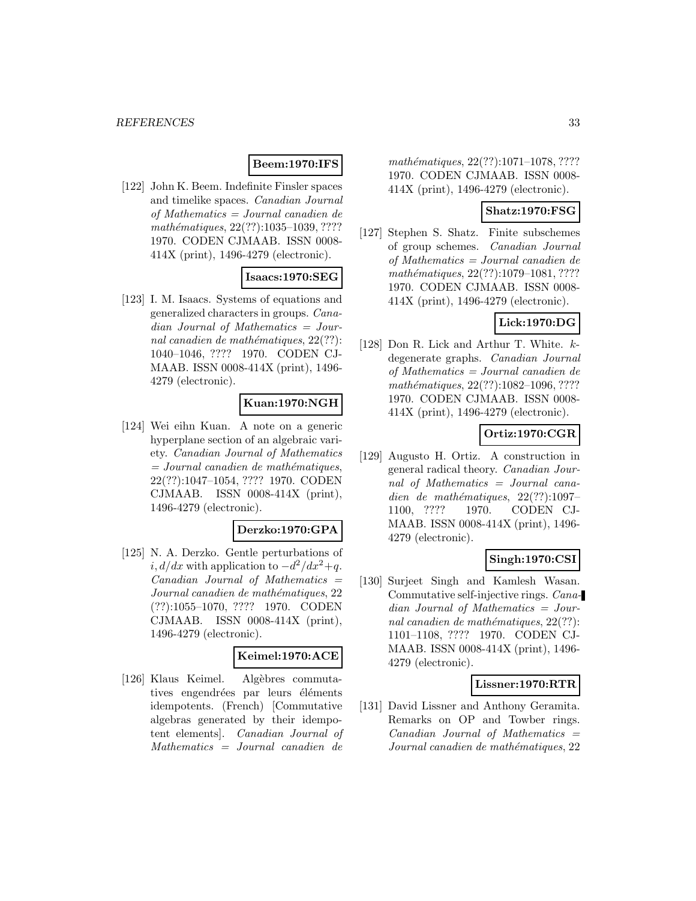# **Beem:1970:IFS**

[122] John K. Beem. Indefinite Finsler spaces and timelike spaces. Canadian Journal of Mathematics = Journal canadien de mathématiques, 22(??):1035-1039, ???? 1970. CODEN CJMAAB. ISSN 0008- 414X (print), 1496-4279 (electronic).

# **Isaacs:1970:SEG**

[123] I. M. Isaacs. Systems of equations and generalized characters in groups. Canadian Journal of Mathematics = Journal canadien de mathématiques,  $22(??)$ : 1040–1046, ???? 1970. CODEN CJ-MAAB. ISSN 0008-414X (print), 1496- 4279 (electronic).

### **Kuan:1970:NGH**

[124] Wei eihn Kuan. A note on a generic hyperplane section of an algebraic variety. Canadian Journal of Mathematics  $=$  Journal canadien de mathématiques, 22(??):1047–1054, ???? 1970. CODEN CJMAAB. ISSN 0008-414X (print), 1496-4279 (electronic).

# **Derzko:1970:GPA**

[125] N. A. Derzko. Gentle perturbations of  $i, d/dx$  with application to  $-d^2/dx^2+q$ .  $Canadian Journal of Mathematics =$ Journal canadien de mathématiques, 22 (??):1055–1070, ???? 1970. CODEN CJMAAB. ISSN 0008-414X (print), 1496-4279 (electronic).

### **Keimel:1970:ACE**

[126] Klaus Keimel. Algèbres commutatives engendrées par leurs éléments idempotents. (French) [Commutative algebras generated by their idempotent elements]. Canadian Journal of Mathematics = Journal canadien de

 $mathématiques, 22(??): 1071-1078, ????$ 1970. CODEN CJMAAB. ISSN 0008- 414X (print), 1496-4279 (electronic).

### **Shatz:1970:FSG**

[127] Stephen S. Shatz. Finite subschemes of group schemes. Canadian Journal of Mathematics = Journal canadien de mathématiques, 22(??):1079-1081, ???? 1970. CODEN CJMAAB. ISSN 0008- 414X (print), 1496-4279 (electronic).

# **Lick:1970:DG**

[128] Don R. Lick and Arthur T. White. kdegenerate graphs. Canadian Journal of Mathematics = Journal canadien de mathématiques, 22(??):1082-1096, ???? 1970. CODEN CJMAAB. ISSN 0008- 414X (print), 1496-4279 (electronic).

### **Ortiz:1970:CGR**

[129] Augusto H. Ortiz. A construction in general radical theory. Canadian Journal of Mathematics = Journal canadien de mathématiques,  $22(??):1097-$ 1100, ???? 1970. CODEN CJ-MAAB. ISSN 0008-414X (print), 1496- 4279 (electronic).

# **Singh:1970:CSI**

[130] Surjeet Singh and Kamlesh Wasan. Commutative self-injective rings. Canadian Journal of Mathematics = Journal canadien de mathématiques,  $22(??)$ : 1101–1108, ???? 1970. CODEN CJ-MAAB. ISSN 0008-414X (print), 1496- 4279 (electronic).

### **Lissner:1970:RTR**

[131] David Lissner and Anthony Geramita. Remarks on OP and Towber rings.  $Canadian$  Journal of Mathematics  $=$ Journal canadien de mathématiques, 22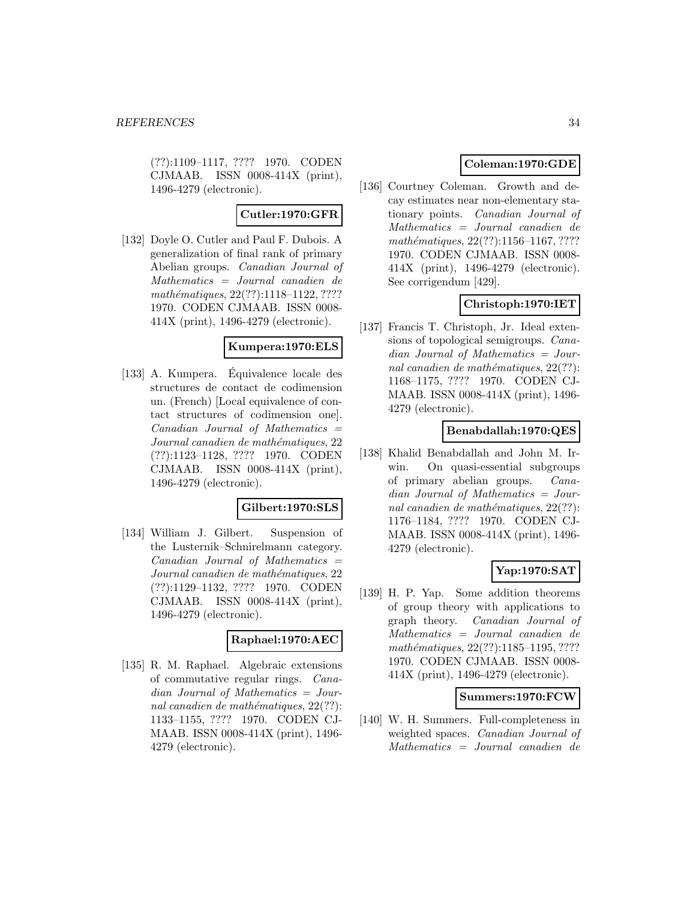(??):1109–1117, ???? 1970. CODEN CJMAAB. ISSN 0008-414X (print), 1496-4279 (electronic).

### **Cutler:1970:GFR**

[132] Doyle O. Cutler and Paul F. Dubois. A generalization of final rank of primary Abelian groups. Canadian Journal of Mathematics = Journal canadien de mathématiques, 22(??):1118–1122, ???? 1970. CODEN CJMAAB. ISSN 0008- 414X (print), 1496-4279 (electronic).

### **Kumpera:1970:ELS**

[133] A. Kumpera. Equivalence locale des ´ structures de contact de codimension un. (French) [Local equivalence of contact structures of codimension one].  $Canadian$  Journal of Mathematics  $=$ Journal canadien de mathématiques, 22 (??):1123–1128, ???? 1970. CODEN CJMAAB. ISSN 0008-414X (print), 1496-4279 (electronic).

### **Gilbert:1970:SLS**

[134] William J. Gilbert. Suspension of the Lusternik–Schnirelmann category.  $Canadian$  Journal of Mathematics  $=$ Journal canadien de mathématiques, 22 (??):1129–1132, ???? 1970. CODEN CJMAAB. ISSN 0008-414X (print), 1496-4279 (electronic).

#### **Raphael:1970:AEC**

[135] R. M. Raphael. Algebraic extensions of commutative regular rings. Canadian Journal of Mathematics = Journal canadien de mathématiques,  $22(??)$ : 1133–1155, ???? 1970. CODEN CJ-MAAB. ISSN 0008-414X (print), 1496- 4279 (electronic).

# **Coleman:1970:GDE**

[136] Courtney Coleman. Growth and decay estimates near non-elementary stationary points. Canadian Journal of Mathematics = Journal canadien de mathématiques, 22(??):1156–1167, ???? 1970. CODEN CJMAAB. ISSN 0008- 414X (print), 1496-4279 (electronic). See corrigendum [429].

# **Christoph:1970:IET**

[137] Francis T. Christoph, Jr. Ideal extensions of topological semigroups. Canadian Journal of Mathematics = Journal canadien de mathématiques,  $22(??)$ : 1168–1175, ???? 1970. CODEN CJ-MAAB. ISSN 0008-414X (print), 1496- 4279 (electronic).

# **Benabdallah:1970:QES**

[138] Khalid Benabdallah and John M. Irwin. On quasi-essential subgroups of primary abelian groups. Cana $dian$  Journal of Mathematics = Journal canadien de mathématiques,  $22(??)$ : 1176–1184, ???? 1970. CODEN CJ-MAAB. ISSN 0008-414X (print), 1496- 4279 (electronic).

# **Yap:1970:SAT**

[139] H. P. Yap. Some addition theorems of group theory with applications to graph theory. Canadian Journal of Mathematics = Journal canadien de mathématiques,  $22(??):1185-1195, ????$ 1970. CODEN CJMAAB. ISSN 0008- 414X (print), 1496-4279 (electronic).

### **Summers:1970:FCW**

[140] W. H. Summers. Full-completeness in weighted spaces. Canadian Journal of Mathematics = Journal canadien de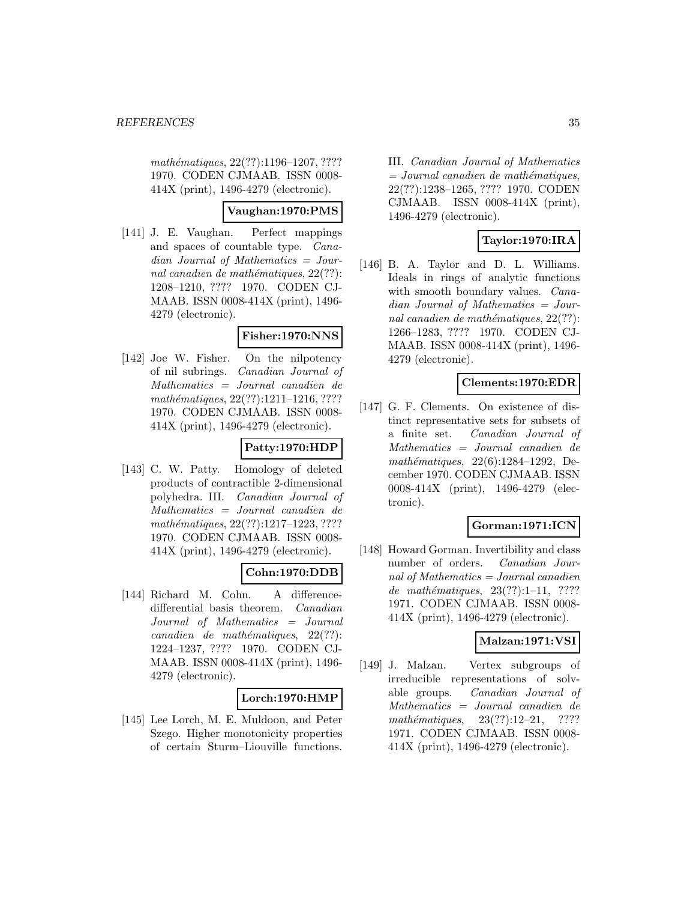mathématiques, 22(??):1196–1207, ???? 1970. CODEN CJMAAB. ISSN 0008- 414X (print), 1496-4279 (electronic).

# **Vaughan:1970:PMS**

[141] J. E. Vaughan. Perfect mappings and spaces of countable type. Canadian Journal of Mathematics = Journal canadien de mathématiques,  $22(??)$ : 1208–1210, ???? 1970. CODEN CJ-MAAB. ISSN 0008-414X (print), 1496- 4279 (electronic).

### **Fisher:1970:NNS**

[142] Joe W. Fisher. On the nilpotency of nil subrings. Canadian Journal of Mathematics = Journal canadien de  $mathématiques, 22(??):1211-1216, ????$ 1970. CODEN CJMAAB. ISSN 0008- 414X (print), 1496-4279 (electronic).

# **Patty:1970:HDP**

[143] C. W. Patty. Homology of deleted products of contractible 2-dimensional polyhedra. III. Canadian Journal of Mathematics = Journal canadien de mathématiques, 22(??):1217-1223, ???? 1970. CODEN CJMAAB. ISSN 0008- 414X (print), 1496-4279 (electronic).

# **Cohn:1970:DDB**

[144] Richard M. Cohn. A differencedifferential basis theorem. Canadian Journal of Mathematics = Journal  $cana dien de mathématiques, 22(??):$ 1224–1237, ???? 1970. CODEN CJ-MAAB. ISSN 0008-414X (print), 1496- 4279 (electronic).

### **Lorch:1970:HMP**

[145] Lee Lorch, M. E. Muldoon, and Peter Szego. Higher monotonicity properties of certain Sturm–Liouville functions.

III. Canadian Journal of Mathematics  $= Journal\; can a dien\; de\; mathématiques,$ 22(??):1238–1265, ???? 1970. CODEN CJMAAB. ISSN 0008-414X (print), 1496-4279 (electronic).

# **Taylor:1970:IRA**

[146] B. A. Taylor and D. L. Williams. Ideals in rings of analytic functions with smooth boundary values. *Cana*dian Journal of Mathematics = Journal canadien de mathématiques,  $22(??)$ : 1266–1283, ???? 1970. CODEN CJ-MAAB. ISSN 0008-414X (print), 1496- 4279 (electronic).

### **Clements:1970:EDR**

[147] G. F. Clements. On existence of distinct representative sets for subsets of a finite set. Canadian Journal of Mathematics = Journal canadien de mathématiques,  $22(6):1284-1292$ , December 1970. CODEN CJMAAB. ISSN 0008-414X (print), 1496-4279 (electronic).

# **Gorman:1971:ICN**

[148] Howard Gorman. Invertibility and class number of orders. Canadian Journal of Mathematics = Journal canadien de mathématiques,  $23(??):1-11$ , ???? 1971. CODEN CJMAAB. ISSN 0008- 414X (print), 1496-4279 (electronic).

### **Malzan:1971:VSI**

[149] J. Malzan. Vertex subgroups of irreducible representations of solvable groups. Canadian Journal of Mathematics = Journal canadien de mathématiques,  $23(??):12-21$ , ???? 1971. CODEN CJMAAB. ISSN 0008- 414X (print), 1496-4279 (electronic).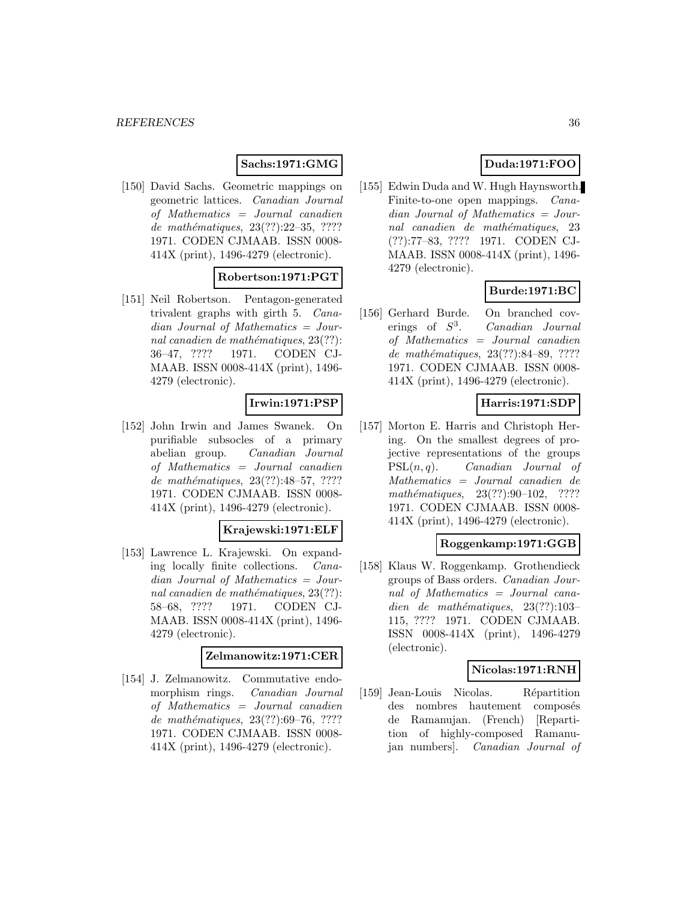### **Sachs:1971:GMG**

[150] David Sachs. Geometric mappings on geometric lattices. Canadian Journal of Mathematics = Journal canadien de mathématiques,  $23(??):22-35, ????$ 1971. CODEN CJMAAB. ISSN 0008- 414X (print), 1496-4279 (electronic).

# **Robertson:1971:PGT**

[151] Neil Robertson. Pentagon-generated trivalent graphs with girth 5. Canadian Journal of Mathematics = Journal canadien de mathématiques,  $23(??)$ : 36–47, ???? 1971. CODEN CJ-MAAB. ISSN 0008-414X (print), 1496- 4279 (electronic).

### **Irwin:1971:PSP**

[152] John Irwin and James Swanek. On purifiable subsocles of a primary abelian group. Canadian Journal of Mathematics = Journal canadien de mathématiques, 23(??):48–57, ???? 1971. CODEN CJMAAB. ISSN 0008- 414X (print), 1496-4279 (electronic).

### **Krajewski:1971:ELF**

[153] Lawrence L. Krajewski. On expanding locally finite collections. Canadian Journal of Mathematics = Journal canadien de mathématiques,  $23(??)$ : 58–68, ???? 1971. CODEN CJ-MAAB. ISSN 0008-414X (print), 1496- 4279 (electronic).

### **Zelmanowitz:1971:CER**

[154] J. Zelmanowitz. Commutative endomorphism rings. Canadian Journal of Mathematics = Journal canadien de mathématiques, 23(??):69–76, ???? 1971. CODEN CJMAAB. ISSN 0008- 414X (print), 1496-4279 (electronic).

# **Duda:1971:FOO**

[155] Edwin Duda and W. Hugh Haynsworth. Finite-to-one open mappings. Canadian Journal of Mathematics = Journal canadien de mathématiques, 23 (??):77–83, ???? 1971. CODEN CJ-MAAB. ISSN 0008-414X (print), 1496- 4279 (electronic).

# **Burde:1971:BC**

[156] Gerhard Burde. On branched coverings of  $S^3$ . Canadian Journal of Mathematics = Journal canadien de mathématiques, 23(??):84–89, ???? 1971. CODEN CJMAAB. ISSN 0008- 414X (print), 1496-4279 (electronic).

### **Harris:1971:SDP**

[157] Morton E. Harris and Christoph Hering. On the smallest degrees of projective representations of the groups  $PSL(n, q)$ . *Canadian Journal of* Mathematics = Journal canadien de mathématiques,  $23(??):90-102$ , ???? 1971. CODEN CJMAAB. ISSN 0008- 414X (print), 1496-4279 (electronic).

### **Roggenkamp:1971:GGB**

[158] Klaus W. Roggenkamp. Grothendieck groups of Bass orders. Canadian Journal of Mathematics = Journal canadien de mathématiques,  $23(??):103-$ 115, ???? 1971. CODEN CJMAAB. ISSN 0008-414X (print), 1496-4279 (electronic).

# **Nicolas:1971:RNH**

[159] Jean-Louis Nicolas. Répartition des nombres hautement composés de Ramanujan. (French) [Repartition of highly-composed Ramanujan numbers]. Canadian Journal of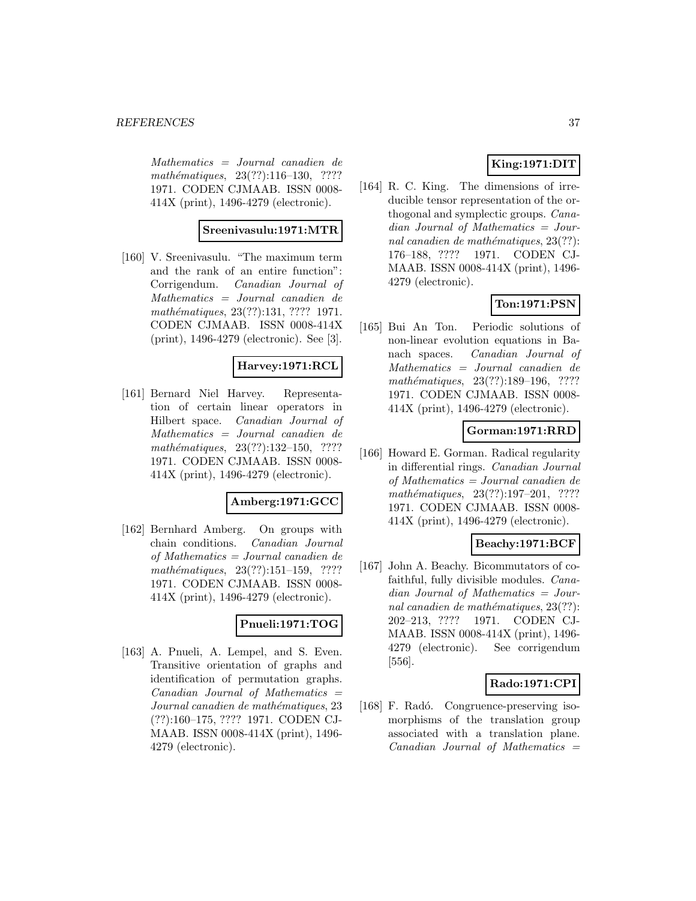Mathematics = Journal canadien de mathématiques, 23(??):116-130, ???? 1971. CODEN CJMAAB. ISSN 0008- 414X (print), 1496-4279 (electronic).

## **Sreenivasulu:1971:MTR**

[160] V. Sreenivasulu. "The maximum term and the rank of an entire function": Corrigendum. Canadian Journal of Mathematics = Journal canadien de mathématiques, 23(??):131, ???? 1971. CODEN CJMAAB. ISSN 0008-414X (print), 1496-4279 (electronic). See [3].

#### **Harvey:1971:RCL**

[161] Bernard Niel Harvey. Representation of certain linear operators in Hilbert space. Canadian Journal of Mathematics = Journal canadien de mathématiques,  $23(??):132-150$ , ???? 1971. CODEN CJMAAB. ISSN 0008- 414X (print), 1496-4279 (electronic).

#### **Amberg:1971:GCC**

[162] Bernhard Amberg. On groups with chain conditions. Canadian Journal of Mathematics = Journal canadien de  $mathématiques, 23(??):151–159, ????$ 1971. CODEN CJMAAB. ISSN 0008- 414X (print), 1496-4279 (electronic).

## **Pnueli:1971:TOG**

[163] A. Pnueli, A. Lempel, and S. Even. Transitive orientation of graphs and identification of permutation graphs.  $Canadian$  Journal of Mathematics  $=$ Journal canadien de mathématiques, 23 (??):160–175, ???? 1971. CODEN CJ-MAAB. ISSN 0008-414X (print), 1496- 4279 (electronic).

## **King:1971:DIT**

[164] R. C. King. The dimensions of irreducible tensor representation of the orthogonal and symplectic groups. Canadian Journal of Mathematics = Journal canadien de mathématiques,  $23(??)$ : 176–188, ???? 1971. CODEN CJ-MAAB. ISSN 0008-414X (print), 1496- 4279 (electronic).

## **Ton:1971:PSN**

[165] Bui An Ton. Periodic solutions of non-linear evolution equations in Banach spaces. Canadian Journal of Mathematics = Journal canadien de mathématiques, 23(??):189–196, ???? 1971. CODEN CJMAAB. ISSN 0008- 414X (print), 1496-4279 (electronic).

### **Gorman:1971:RRD**

[166] Howard E. Gorman. Radical regularity in differential rings. Canadian Journal of Mathematics = Journal canadien de  $mathématiques, 23(??):197-201, ????$ 1971. CODEN CJMAAB. ISSN 0008- 414X (print), 1496-4279 (electronic).

## **Beachy:1971:BCF**

[167] John A. Beachy. Bicommutators of cofaithful, fully divisible modules. Canadian Journal of Mathematics = Journal canadien de mathématiques,  $23(??)$ : 202–213, ???? 1971. CODEN CJ-MAAB. ISSN 0008-414X (print), 1496- 4279 (electronic). See corrigendum [556].

#### **Rado:1971:CPI**

[168] F. Radó. Congruence-preserving isomorphisms of the translation group associated with a translation plane.  $Canadian$  Journal of Mathematics  $=$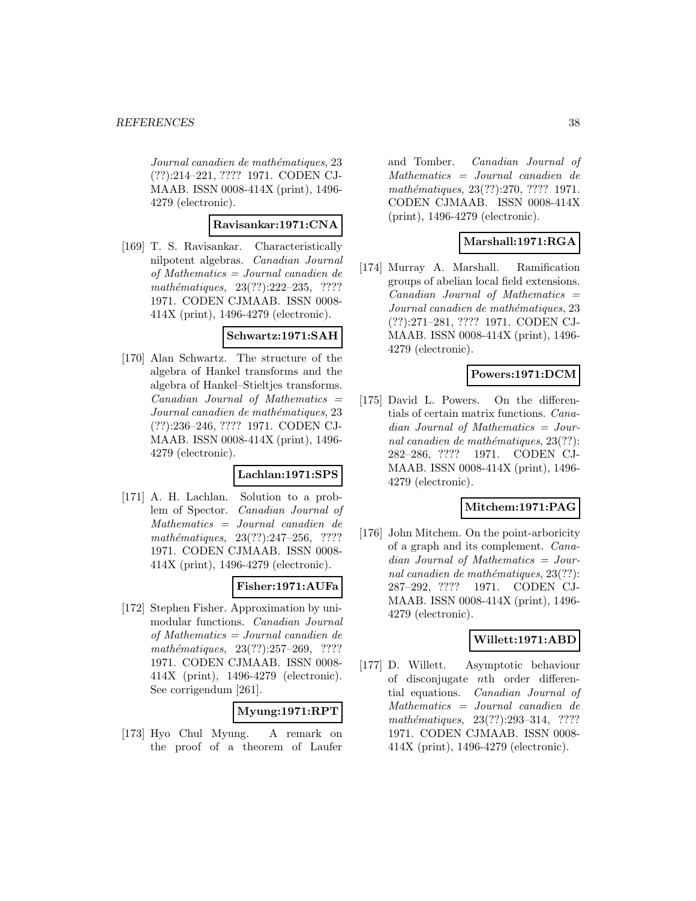Journal canadien de mathématiques, 23 (??):214–221, ???? 1971. CODEN CJ-MAAB. ISSN 0008-414X (print), 1496- 4279 (electronic).

### **Ravisankar:1971:CNA**

[169] T. S. Ravisankar. Characteristically nilpotent algebras. Canadian Journal of Mathematics = Journal canadien de  $mathématiques, 23(??):222-235, ????$ 1971. CODEN CJMAAB. ISSN 0008- 414X (print), 1496-4279 (electronic).

#### **Schwartz:1971:SAH**

[170] Alan Schwartz. The structure of the algebra of Hankel transforms and the algebra of Hankel–Stieltjes transforms.  $Canadian$  Journal of Mathematics  $=$ Journal canadien de mathématiques, 23 (??):236–246, ???? 1971. CODEN CJ-MAAB. ISSN 0008-414X (print), 1496- 4279 (electronic).

#### **Lachlan:1971:SPS**

[171] A. H. Lachlan. Solution to a problem of Spector. Canadian Journal of Mathematics = Journal canadien de mathématiques, 23(??):247–256, ???? 1971. CODEN CJMAAB. ISSN 0008- 414X (print), 1496-4279 (electronic).

## **Fisher:1971:AUFa**

[172] Stephen Fisher. Approximation by unimodular functions. Canadian Journal of Mathematics = Journal canadien de mathématiques, 23(??):257-269, ???? 1971. CODEN CJMAAB. ISSN 0008- 414X (print), 1496-4279 (electronic). See corrigendum [261].

# **Myung:1971:RPT**

[173] Hyo Chul Myung. A remark on the proof of a theorem of Laufer

and Tomber. Canadian Journal of Mathematics = Journal canadien de mathématiques, 23(??):270, ???? 1971. CODEN CJMAAB. ISSN 0008-414X (print), 1496-4279 (electronic).

## **Marshall:1971:RGA**

[174] Murray A. Marshall. Ramification groups of abelian local field extensions.  $Canadian$  Journal of Mathematics  $=$ Journal canadien de mathématiques, 23 (??):271–281, ???? 1971. CODEN CJ-MAAB. ISSN 0008-414X (print), 1496- 4279 (electronic).

## **Powers:1971:DCM**

[175] David L. Powers. On the differentials of certain matrix functions. Canadian Journal of Mathematics = Journal canadien de mathématiques,  $23(??)$ : 282–286, ???? 1971. CODEN CJ-MAAB. ISSN 0008-414X (print), 1496- 4279 (electronic).

## **Mitchem:1971:PAG**

[176] John Mitchem. On the point-arboricity of a graph and its complement. Canadian Journal of Mathematics = Journal canadien de mathématiques,  $23(??)$ : 287–292, ???? 1971. CODEN CJ-MAAB. ISSN 0008-414X (print), 1496- 4279 (electronic).

## **Willett:1971:ABD**

[177] D. Willett. Asymptotic behaviour of disconjugate nth order differential equations. Canadian Journal of Mathematics = Journal canadien de mathématiques, 23(??):293-314, ???? 1971. CODEN CJMAAB. ISSN 0008- 414X (print), 1496-4279 (electronic).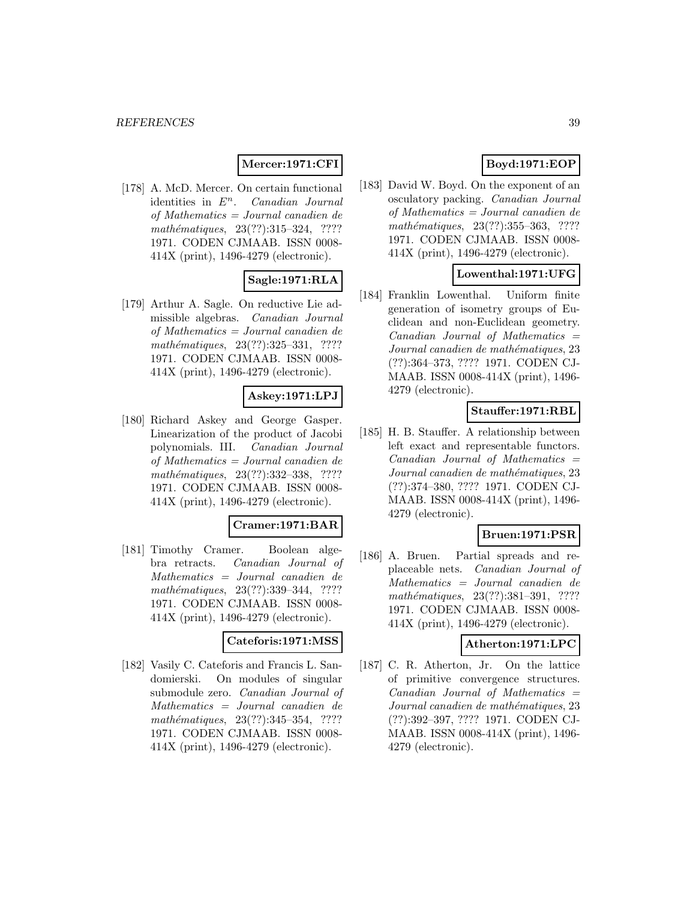### **Mercer:1971:CFI**

[178] A. McD. Mercer. On certain functional identities in  $E<sup>n</sup>$ . Canadian Journal of Mathematics = Journal canadien de mathématiques,  $23(??):315-324$ , ???? 1971. CODEN CJMAAB. ISSN 0008- 414X (print), 1496-4279 (electronic).

## **Sagle:1971:RLA**

[179] Arthur A. Sagle. On reductive Lie admissible algebras. Canadian Journal of Mathematics = Journal canadien de mathématiques,  $23(??):325-331$ , ???? 1971. CODEN CJMAAB. ISSN 0008- 414X (print), 1496-4279 (electronic).

### **Askey:1971:LPJ**

[180] Richard Askey and George Gasper. Linearization of the product of Jacobi polynomials. III. Canadian Journal of Mathematics = Journal canadien de mathématiques, 23(??):332–338, ???? 1971. CODEN CJMAAB. ISSN 0008- 414X (print), 1496-4279 (electronic).

#### **Cramer:1971:BAR**

[181] Timothy Cramer. Boolean algebra retracts. Canadian Journal of Mathematics = Journal canadien de mathématiques, 23(??):339–344, ???? 1971. CODEN CJMAAB. ISSN 0008- 414X (print), 1496-4279 (electronic).

#### **Cateforis:1971:MSS**

[182] Vasily C. Cateforis and Francis L. Sandomierski. On modules of singular submodule zero. Canadian Journal of Mathematics = Journal canadien de mathématiques, 23(??):345-354, ???? 1971. CODEN CJMAAB. ISSN 0008- 414X (print), 1496-4279 (electronic).

# **Boyd:1971:EOP**

[183] David W. Boyd. On the exponent of an osculatory packing. Canadian Journal of Mathematics = Journal canadien de mathématiques, 23(??):355–363, ???? 1971. CODEN CJMAAB. ISSN 0008- 414X (print), 1496-4279 (electronic).

### **Lowenthal:1971:UFG**

[184] Franklin Lowenthal. Uniform finite generation of isometry groups of Euclidean and non-Euclidean geometry.  $Canadian$  Journal of Mathematics  $=$ Journal canadien de mathématiques, 23 (??):364–373, ???? 1971. CODEN CJ-MAAB. ISSN 0008-414X (print), 1496- 4279 (electronic).

## **Stauffer:1971:RBL**

[185] H. B. Stauffer. A relationship between left exact and representable functors.  $Canadian$  Journal of Mathematics  $=$ Journal canadien de mathématiques, 23 (??):374–380, ???? 1971. CODEN CJ-MAAB. ISSN 0008-414X (print), 1496- 4279 (electronic).

#### **Bruen:1971:PSR**

[186] A. Bruen. Partial spreads and replaceable nets. Canadian Journal of Mathematics = Journal canadien de mathématiques, 23(??):381–391, ???? 1971. CODEN CJMAAB. ISSN 0008- 414X (print), 1496-4279 (electronic).

#### **Atherton:1971:LPC**

[187] C. R. Atherton, Jr. On the lattice of primitive convergence structures.  $Canadian$  Journal of Mathematics  $=$ Journal canadien de mathématiques, 23 (??):392–397, ???? 1971. CODEN CJ-MAAB. ISSN 0008-414X (print), 1496- 4279 (electronic).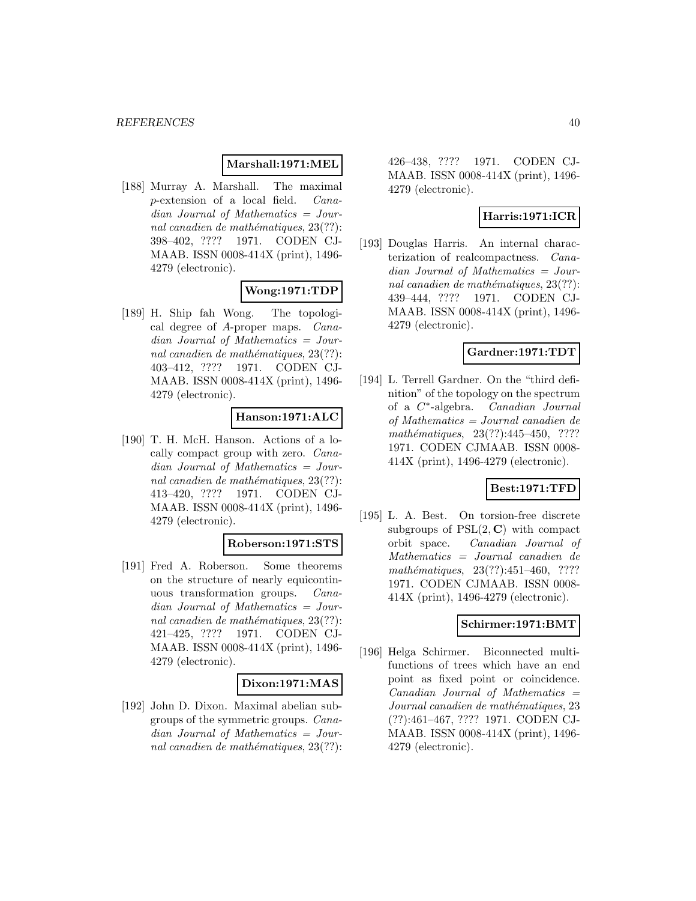### **Marshall:1971:MEL**

[188] Murray A. Marshall. The maximal p-extension of a local field. Canadian Journal of Mathematics = Journal canadien de mathématiques,  $23(??)$ : 398–402, ???? 1971. CODEN CJ-MAAB. ISSN 0008-414X (print), 1496- 4279 (electronic).

## **Wong:1971:TDP**

[189] H. Ship fah Wong. The topological degree of A-proper maps. Canadian Journal of Mathematics = Journal canadien de mathématiques,  $23(??)$ : 403–412, ???? 1971. CODEN CJ-MAAB. ISSN 0008-414X (print), 1496- 4279 (electronic).

## **Hanson:1971:ALC**

[190] T. H. McH. Hanson. Actions of a locally compact group with zero. Canadian Journal of Mathematics = Journal canadien de mathématiques,  $23(??)$ : 413–420, ???? 1971. CODEN CJ-MAAB. ISSN 0008-414X (print), 1496- 4279 (electronic).

## **Roberson:1971:STS**

[191] Fred A. Roberson. Some theorems on the structure of nearly equicontinuous transformation groups. Canadian Journal of Mathematics = Journal canadien de mathématiques,  $23(??)$ : 421–425, ???? 1971. CODEN CJ-MAAB. ISSN 0008-414X (print), 1496- 4279 (electronic).

#### **Dixon:1971:MAS**

[192] John D. Dixon. Maximal abelian subgroups of the symmetric groups. Canadian Journal of Mathematics = Journal canadien de mathématiques,  $23(??)$ :

426–438, ???? 1971. CODEN CJ-MAAB. ISSN 0008-414X (print), 1496- 4279 (electronic).

## **Harris:1971:ICR**

[193] Douglas Harris. An internal characterization of realcompactness. Canadian Journal of Mathematics = Journal canadien de mathématiques,  $23(??)$ : 439–444, ???? 1971. CODEN CJ-MAAB. ISSN 0008-414X (print), 1496- 4279 (electronic).

### **Gardner:1971:TDT**

[194] L. Terrell Gardner. On the "third definition" of the topology on the spectrum of a C∗-algebra. Canadian Journal of Mathematics = Journal canadien de mathématiques,  $23(??):445-450$ , ???? 1971. CODEN CJMAAB. ISSN 0008- 414X (print), 1496-4279 (electronic).

## **Best:1971:TFD**

[195] L. A. Best. On torsion-free discrete subgroups of  $PSL(2, \mathbb{C})$  with compact orbit space. Canadian Journal of Mathematics = Journal canadien de mathématiques, 23(??):451-460, ???? 1971. CODEN CJMAAB. ISSN 0008- 414X (print), 1496-4279 (electronic).

### **Schirmer:1971:BMT**

[196] Helga Schirmer. Biconnected multifunctions of trees which have an end point as fixed point or coincidence.  $Canadian$  Journal of Mathematics  $=$ Journal canadien de mathématiques, 23 (??):461–467, ???? 1971. CODEN CJ-MAAB. ISSN 0008-414X (print), 1496- 4279 (electronic).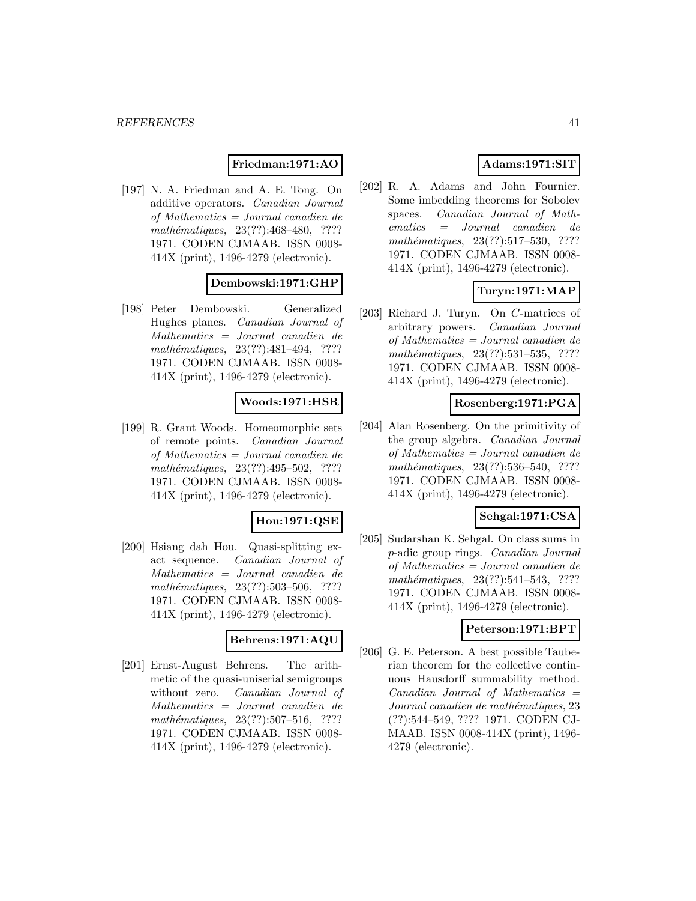### **Friedman:1971:AO**

[197] N. A. Friedman and A. E. Tong. On additive operators. Canadian Journal of Mathematics = Journal canadien de mathématiques, 23(??):468-480, ???? 1971. CODEN CJMAAB. ISSN 0008- 414X (print), 1496-4279 (electronic).

### **Dembowski:1971:GHP**

[198] Peter Dembowski. Generalized Hughes planes. Canadian Journal of Mathematics = Journal canadien de mathématiques, 23(??):481-494, ???? 1971. CODEN CJMAAB. ISSN 0008- 414X (print), 1496-4279 (electronic).

## **Woods:1971:HSR**

[199] R. Grant Woods. Homeomorphic sets of remote points. Canadian Journal of Mathematics = Journal canadien de mathématiques,  $23(??):495-502$ , ???? 1971. CODEN CJMAAB. ISSN 0008- 414X (print), 1496-4279 (electronic).

## **Hou:1971:QSE**

[200] Hsiang dah Hou. Quasi-splitting exact sequence. Canadian Journal of Mathematics = Journal canadien de  $mathématiques, 23(??):503–506, ????$ 1971. CODEN CJMAAB. ISSN 0008- 414X (print), 1496-4279 (electronic).

### **Behrens:1971:AQU**

[201] Ernst-August Behrens. The arithmetic of the quasi-uniserial semigroups without zero. Canadian Journal of Mathematics = Journal canadien de  $mathématiques, 23(??): 507–516, ????$ 1971. CODEN CJMAAB. ISSN 0008- 414X (print), 1496-4279 (electronic).

## **Adams:1971:SIT**

[202] R. A. Adams and John Fournier. Some imbedding theorems for Sobolev spaces. Canadian Journal of Mathematics = Journal canadien de  $mathématiques, 23(??):517-530, ????$ 1971. CODEN CJMAAB. ISSN 0008- 414X (print), 1496-4279 (electronic).

## **Turyn:1971:MAP**

[203] Richard J. Turyn. On C-matrices of arbitrary powers. Canadian Journal of Mathematics = Journal canadien de mathématiques, 23(??):531–535, ???? 1971. CODEN CJMAAB. ISSN 0008- 414X (print), 1496-4279 (electronic).

#### **Rosenberg:1971:PGA**

[204] Alan Rosenberg. On the primitivity of the group algebra. Canadian Journal of Mathematics = Journal canadien de mathématiques,  $23(??):536-540$ , ???? 1971. CODEN CJMAAB. ISSN 0008- 414X (print), 1496-4279 (electronic).

## **Sehgal:1971:CSA**

[205] Sudarshan K. Sehgal. On class sums in p-adic group rings. Canadian Journal of Mathematics = Journal canadien de mathématiques,  $23(??):541-543$ , ???? 1971. CODEN CJMAAB. ISSN 0008- 414X (print), 1496-4279 (electronic).

### **Peterson:1971:BPT**

[206] G. E. Peterson. A best possible Tauberian theorem for the collective continuous Hausdorff summability method.  $Canadian$  Journal of Mathematics  $=$ Journal canadien de mathématiques, 23 (??):544–549, ???? 1971. CODEN CJ-MAAB. ISSN 0008-414X (print), 1496- 4279 (electronic).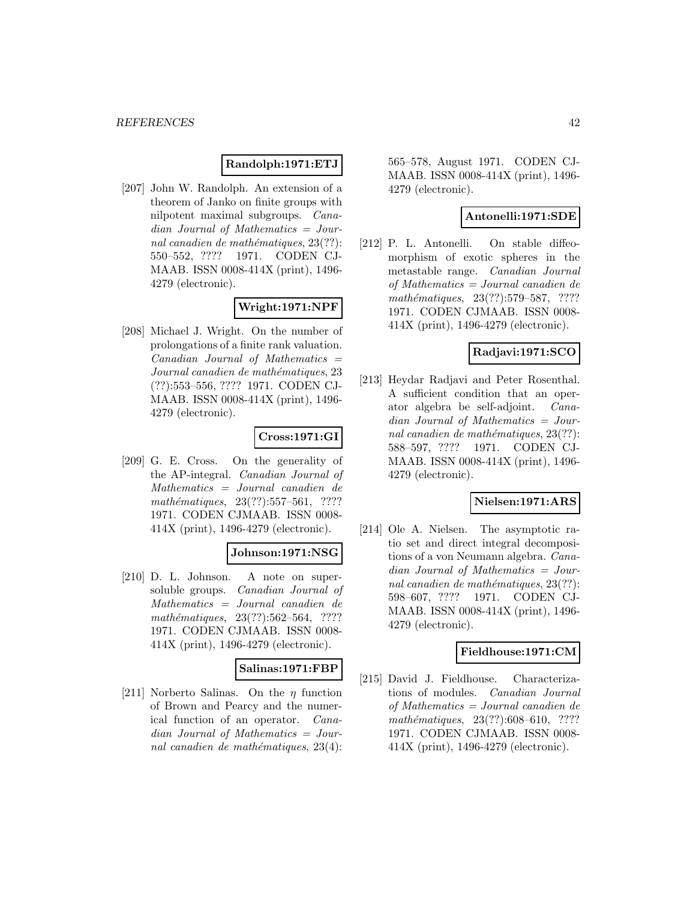#### **Randolph:1971:ETJ**

[207] John W. Randolph. An extension of a theorem of Janko on finite groups with nilpotent maximal subgroups. Canadian Journal of Mathematics = Journal canadien de mathématiques,  $23(??)$ : 550–552, ???? 1971. CODEN CJ-MAAB. ISSN 0008-414X (print), 1496- 4279 (electronic).

## **Wright:1971:NPF**

[208] Michael J. Wright. On the number of prolongations of a finite rank valuation.  $Canadian$  Journal of Mathematics  $=$ Journal canadien de mathématiques, 23 (??):553–556, ???? 1971. CODEN CJ-MAAB. ISSN 0008-414X (print), 1496- 4279 (electronic).

## **Cross:1971:GI**

[209] G. E. Cross. On the generality of the AP-integral. Canadian Journal of Mathematics = Journal canadien de  $mathématiques, 23(??): 557–561, ????$ 1971. CODEN CJMAAB. ISSN 0008- 414X (print), 1496-4279 (electronic).

#### **Johnson:1971:NSG**

[210] D. L. Johnson. A note on supersoluble groups. Canadian Journal of Mathematics = Journal canadien de mathématiques, 23(??):562-564, ???? 1971. CODEN CJMAAB. ISSN 0008- 414X (print), 1496-4279 (electronic).

#### **Salinas:1971:FBP**

[211] Norberto Salinas. On the  $\eta$  function of Brown and Pearcy and the numerical function of an operator. Canadian Journal of Mathematics = Journal canadien de mathématiques,  $23(4)$ :

565–578, August 1971. CODEN CJ-MAAB. ISSN 0008-414X (print), 1496- 4279 (electronic).

### **Antonelli:1971:SDE**

[212] P. L. Antonelli. On stable diffeomorphism of exotic spheres in the metastable range. Canadian Journal of Mathematics = Journal canadien de mathématiques, 23(??):579–587, ???? 1971. CODEN CJMAAB. ISSN 0008- 414X (print), 1496-4279 (electronic).

## **Radjavi:1971:SCO**

[213] Heydar Radjavi and Peter Rosenthal. A sufficient condition that an operator algebra be self-adjoint. Canadian Journal of Mathematics = Journal canadien de mathématiques,  $23(??)$ : 588–597, ???? 1971. CODEN CJ-MAAB. ISSN 0008-414X (print), 1496- 4279 (electronic).

#### **Nielsen:1971:ARS**

[214] Ole A. Nielsen. The asymptotic ratio set and direct integral decompositions of a von Neumann algebra. Canadian Journal of Mathematics = Journal canadien de mathématiques,  $23(??)$ : 598–607, ???? 1971. CODEN CJ-MAAB. ISSN 0008-414X (print), 1496- 4279 (electronic).

#### **Fieldhouse:1971:CM**

[215] David J. Fieldhouse. Characterizations of modules. Canadian Journal of Mathematics = Journal canadien de  $mathématiques, 23(??):608–610, ????$ 1971. CODEN CJMAAB. ISSN 0008- 414X (print), 1496-4279 (electronic).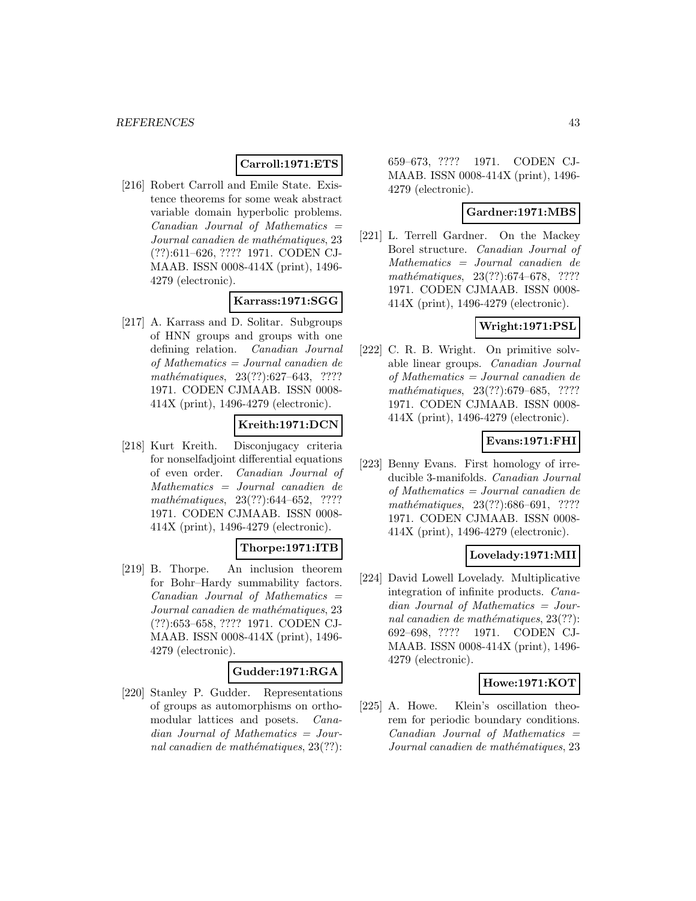## **Carroll:1971:ETS**

[216] Robert Carroll and Emile State. Existence theorems for some weak abstract variable domain hyperbolic problems.  $Canadian$  Journal of Mathematics  $=$ Journal canadien de mathématiques, 23 (??):611–626, ???? 1971. CODEN CJ-MAAB. ISSN 0008-414X (print), 1496- 4279 (electronic).

### **Karrass:1971:SGG**

[217] A. Karrass and D. Solitar. Subgroups of HNN groups and groups with one defining relation. Canadian Journal of Mathematics = Journal canadien de mathématiques, 23(??):627–643, ???? 1971. CODEN CJMAAB. ISSN 0008- 414X (print), 1496-4279 (electronic).

## **Kreith:1971:DCN**

[218] Kurt Kreith. Disconjugacy criteria for nonselfadjoint differential equations of even order. Canadian Journal of Mathematics = Journal canadien de mathématiques, 23(??):644–652, ???? 1971. CODEN CJMAAB. ISSN 0008- 414X (print), 1496-4279 (electronic).

## **Thorpe:1971:ITB**

[219] B. Thorpe. An inclusion theorem for Bohr–Hardy summability factors.  $Canadian$  Journal of Mathematics  $=$ Journal canadien de mathématiques, 23 (??):653–658, ???? 1971. CODEN CJ-MAAB. ISSN 0008-414X (print), 1496- 4279 (electronic).

#### **Gudder:1971:RGA**

[220] Stanley P. Gudder. Representations of groups as automorphisms on orthomodular lattices and posets. Canadian Journal of Mathematics = Journal canadien de mathématiques,  $23(??)$ : 659–673, ???? 1971. CODEN CJ-MAAB. ISSN 0008-414X (print), 1496- 4279 (electronic).

#### **Gardner:1971:MBS**

[221] L. Terrell Gardner. On the Mackey Borel structure. Canadian Journal of Mathematics = Journal canadien de mathématiques, 23(??):674–678, ???? 1971. CODEN CJMAAB. ISSN 0008- 414X (print), 1496-4279 (electronic).

### **Wright:1971:PSL**

[222] C. R. B. Wright. On primitive solvable linear groups. Canadian Journal of Mathematics = Journal canadien de mathématiques, 23(??):679–685, ???? 1971. CODEN CJMAAB. ISSN 0008- 414X (print), 1496-4279 (electronic).

## **Evans:1971:FHI**

[223] Benny Evans. First homology of irreducible 3-manifolds. Canadian Journal of Mathematics = Journal canadien de mathématiques, 23(??):686–691, ???? 1971. CODEN CJMAAB. ISSN 0008- 414X (print), 1496-4279 (electronic).

## **Lovelady:1971:MII**

[224] David Lowell Lovelady. Multiplicative integration of infinite products. Canadian Journal of Mathematics = Journal canadien de mathématiques,  $23(??)$ : 692–698, ???? 1971. CODEN CJ-MAAB. ISSN 0008-414X (print), 1496- 4279 (electronic).

### **Howe:1971:KOT**

[225] A. Howe. Klein's oscillation theorem for periodic boundary conditions.  $Canadian$  Journal of Mathematics  $=$ Journal canadien de mathématiques, 23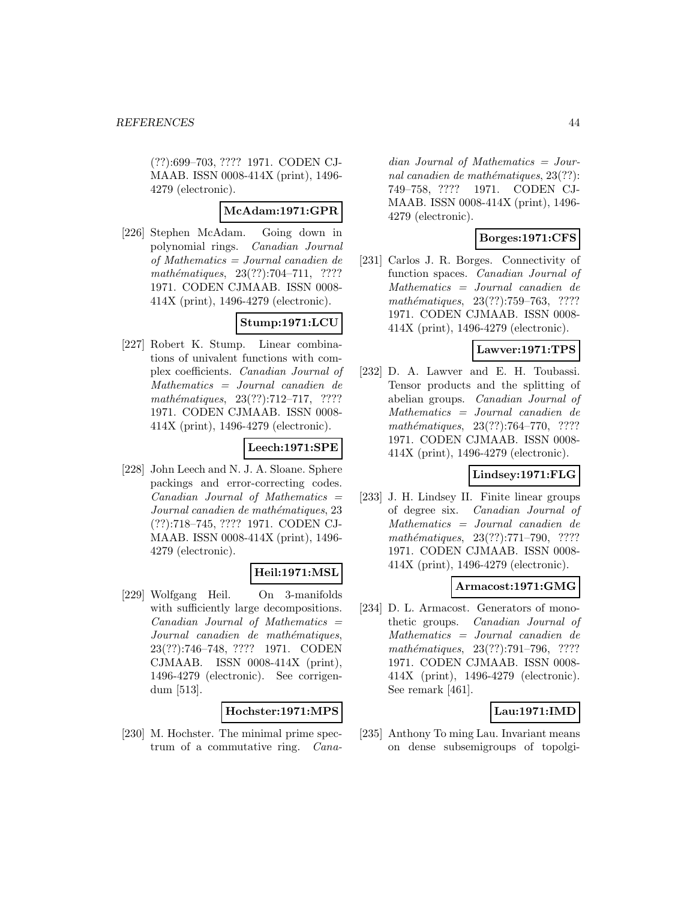(??):699–703, ???? 1971. CODEN CJ-MAAB. ISSN 0008-414X (print), 1496- 4279 (electronic).

## **McAdam:1971:GPR**

[226] Stephen McAdam. Going down in polynomial rings. Canadian Journal of Mathematics = Journal canadien de mathématiques,  $23(??):704-711$ , ???? 1971. CODEN CJMAAB. ISSN 0008- 414X (print), 1496-4279 (electronic).

## **Stump:1971:LCU**

[227] Robert K. Stump. Linear combinations of univalent functions with complex coefficients. Canadian Journal of Mathematics = Journal canadien de mathématiques,  $23(??):712-717$ , ???? 1971. CODEN CJMAAB. ISSN 0008- 414X (print), 1496-4279 (electronic).

## **Leech:1971:SPE**

[228] John Leech and N. J. A. Sloane. Sphere packings and error-correcting codes.  $Canadian$  Journal of Mathematics  $=$ Journal canadien de mathématiques, 23 (??):718–745, ???? 1971. CODEN CJ-MAAB. ISSN 0008-414X (print), 1496- 4279 (electronic).

## **Heil:1971:MSL**

[229] Wolfgang Heil. On 3-manifolds with sufficiently large decompositions.  $Canadian$  Journal of Mathematics  $=$ Journal canadien de mathématiques, 23(??):746–748, ???? 1971. CODEN CJMAAB. ISSN 0008-414X (print), 1496-4279 (electronic). See corrigendum [513].

## **Hochster:1971:MPS**

[230] M. Hochster. The minimal prime spectrum of a commutative ring. Cana-

dian Journal of Mathematics = Journal canadien de mathématiques,  $23(??)$ : 749–758, ???? 1971. CODEN CJ-MAAB. ISSN 0008-414X (print), 1496- 4279 (electronic).

## **Borges:1971:CFS**

[231] Carlos J. R. Borges. Connectivity of function spaces. Canadian Journal of Mathematics = Journal canadien de mathématiques, 23(??):759–763, ???? 1971. CODEN CJMAAB. ISSN 0008- 414X (print), 1496-4279 (electronic).

## **Lawver:1971:TPS**

[232] D. A. Lawver and E. H. Toubassi. Tensor products and the splitting of abelian groups. Canadian Journal of Mathematics = Journal canadien de mathématiques, 23(??):764-770, ???? 1971. CODEN CJMAAB. ISSN 0008- 414X (print), 1496-4279 (electronic).

## **Lindsey:1971:FLG**

[233] J. H. Lindsey II. Finite linear groups of degree six. Canadian Journal of Mathematics = Journal canadien de mathématiques, 23(??):771–790, ???? 1971. CODEN CJMAAB. ISSN 0008- 414X (print), 1496-4279 (electronic).

#### **Armacost:1971:GMG**

[234] D. L. Armacost. Generators of monothetic groups. Canadian Journal of Mathematics = Journal canadien de mathématiques, 23(??):791–796, ???? 1971. CODEN CJMAAB. ISSN 0008- 414X (print), 1496-4279 (electronic). See remark [461].

## **Lau:1971:IMD**

[235] Anthony To ming Lau. Invariant means on dense subsemigroups of topolgi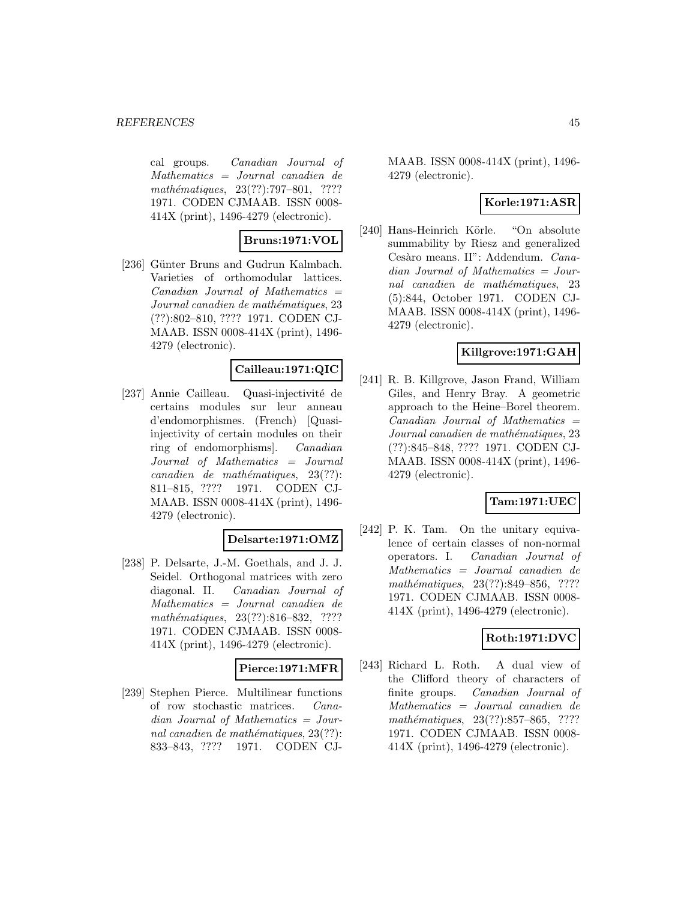cal groups. Canadian Journal of Mathematics = Journal canadien de mathématiques, 23(??):797–801, ???? 1971. CODEN CJMAAB. ISSN 0008- 414X (print), 1496-4279 (electronic).

**Bruns:1971:VOL**

[236] Günter Bruns and Gudrun Kalmbach. Varieties of orthomodular lattices.  $Canadian$  Journal of Mathematics  $=$ Journal canadien de mathématiques, 23 (??):802–810, ???? 1971. CODEN CJ-MAAB. ISSN 0008-414X (print), 1496- 4279 (electronic).

### **Cailleau:1971:QIC**

[237] Annie Cailleau. Quasi-injectivité de certains modules sur leur anneau d'endomorphismes. (French) [Quasiinjectivity of certain modules on their ring of endomorphisms]. Canadian Journal of Mathematics = Journal  $cana dien de mathématiques, 23(??):$ 811–815, ???? 1971. CODEN CJ-MAAB. ISSN 0008-414X (print), 1496- 4279 (electronic).

## **Delsarte:1971:OMZ**

[238] P. Delsarte, J.-M. Goethals, and J. J. Seidel. Orthogonal matrices with zero diagonal. II. Canadian Journal of Mathematics = Journal canadien de mathématiques, 23(??):816-832, ???? 1971. CODEN CJMAAB. ISSN 0008- 414X (print), 1496-4279 (electronic).

#### **Pierce:1971:MFR**

[239] Stephen Pierce. Multilinear functions of row stochastic matrices. Canadian Journal of Mathematics = Journal canadien de mathématiques,  $23(??)$ : 833–843, ???? 1971. CODEN CJ-

MAAB. ISSN 0008-414X (print), 1496- 4279 (electronic).

## **Korle:1971:ASR**

[240] Hans-Heinrich Körle. "On absolute summability by Riesz and generalized Cesàro means. II": Addendum. Canadian Journal of Mathematics = Journal canadien de mathématiques, 23 (5):844, October 1971. CODEN CJ-MAAB. ISSN 0008-414X (print), 1496- 4279 (electronic).

## **Killgrove:1971:GAH**

[241] R. B. Killgrove, Jason Frand, William Giles, and Henry Bray. A geometric approach to the Heine–Borel theorem.  $Canadian$  Journal of Mathematics  $=$ Journal canadien de mathématiques, 23 (??):845–848, ???? 1971. CODEN CJ-MAAB. ISSN 0008-414X (print), 1496- 4279 (electronic).

#### **Tam:1971:UEC**

[242] P. K. Tam. On the unitary equivalence of certain classes of non-normal operators. I. Canadian Journal of Mathematics = Journal canadien de mathématiques, 23(??):849–856, ???? 1971. CODEN CJMAAB. ISSN 0008- 414X (print), 1496-4279 (electronic).

## **Roth:1971:DVC**

[243] Richard L. Roth. A dual view of the Clifford theory of characters of finite groups. Canadian Journal of Mathematics = Journal canadien de mathématiques, 23(??):857–865, ???? 1971. CODEN CJMAAB. ISSN 0008- 414X (print), 1496-4279 (electronic).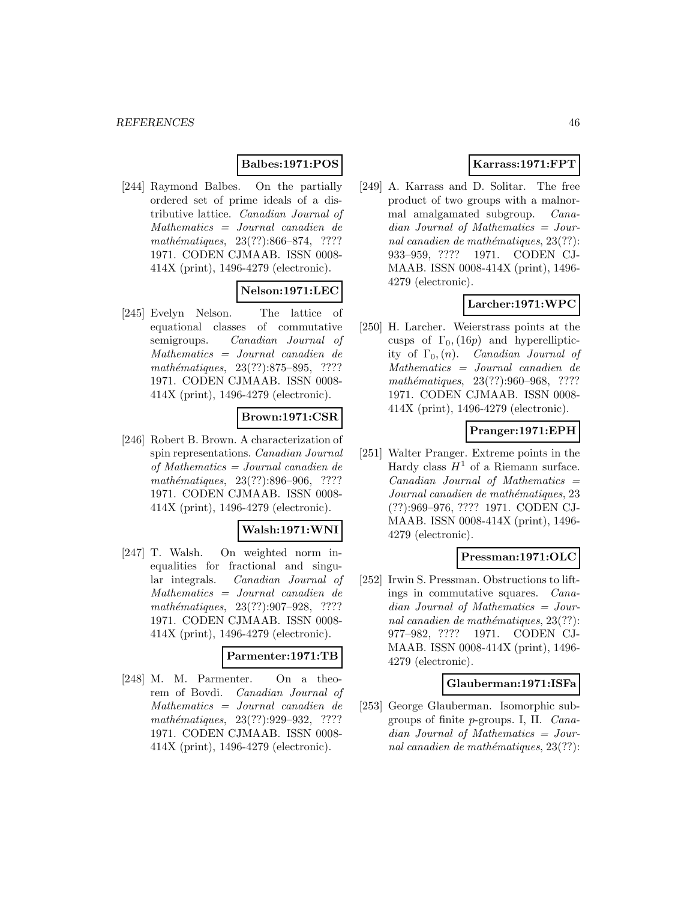## **Balbes:1971:POS**

[244] Raymond Balbes. On the partially ordered set of prime ideals of a distributive lattice. Canadian Journal of Mathematics = Journal canadien de mathématiques, 23(??):866–874, ???? 1971. CODEN CJMAAB. ISSN 0008- 414X (print), 1496-4279 (electronic).

## **Nelson:1971:LEC**

[245] Evelyn Nelson. The lattice of equational classes of commutative semigroups. Canadian Journal of Mathematics = Journal canadien de mathématiques, 23(??):875–895, ???? 1971. CODEN CJMAAB. ISSN 0008- 414X (print), 1496-4279 (electronic).

## **Brown:1971:CSR**

[246] Robert B. Brown. A characterization of spin representations. Canadian Journal of Mathematics = Journal canadien de mathématiques, 23(??):896-906, ???? 1971. CODEN CJMAAB. ISSN 0008- 414X (print), 1496-4279 (electronic).

#### **Walsh:1971:WNI**

[247] T. Walsh. On weighted norm inequalities for fractional and singular integrals. Canadian Journal of Mathematics = Journal canadien de mathématiques, 23(??):907-928, ???? 1971. CODEN CJMAAB. ISSN 0008- 414X (print), 1496-4279 (electronic).

## **Parmenter:1971:TB**

[248] M. M. Parmenter. On a theorem of Bovdi. Canadian Journal of Mathematics = Journal canadien de mathématiques, 23(??):929-932, ???? 1971. CODEN CJMAAB. ISSN 0008- 414X (print), 1496-4279 (electronic).

## **Karrass:1971:FPT**

[249] A. Karrass and D. Solitar. The free product of two groups with a malnormal amalgamated subgroup. Canadian Journal of Mathematics = Journal canadien de mathématiques,  $23(??)$ : 933–959, ???? 1971. CODEN CJ-MAAB. ISSN 0008-414X (print), 1496- 4279 (electronic).

## **Larcher:1971:WPC**

[250] H. Larcher. Weierstrass points at the cusps of  $\Gamma_0$ , (16*p*) and hyperellipticity of  $\Gamma_0$ , (n). *Canadian Journal of* Mathematics = Journal canadien de mathématiques, 23(??):960–968, ???? 1971. CODEN CJMAAB. ISSN 0008- 414X (print), 1496-4279 (electronic).

## **Pranger:1971:EPH**

[251] Walter Pranger. Extreme points in the Hardy class  $H^1$  of a Riemann surface.  $Canadian$  Journal of Mathematics  $=$ Journal canadien de mathématiques, 23 (??):969–976, ???? 1971. CODEN CJ-MAAB. ISSN 0008-414X (print), 1496- 4279 (electronic).

## **Pressman:1971:OLC**

[252] Irwin S. Pressman. Obstructions to liftings in commutative squares. Canadian Journal of Mathematics = Journal canadien de mathématiques,  $23(??)$ : 977–982, ???? 1971. CODEN CJ-MAAB. ISSN 0008-414X (print), 1496- 4279 (electronic).

#### **Glauberman:1971:ISFa**

[253] George Glauberman. Isomorphic subgroups of finite p-groups. I, II. Canadian Journal of Mathematics = Journal canadien de mathématiques,  $23(??)$ :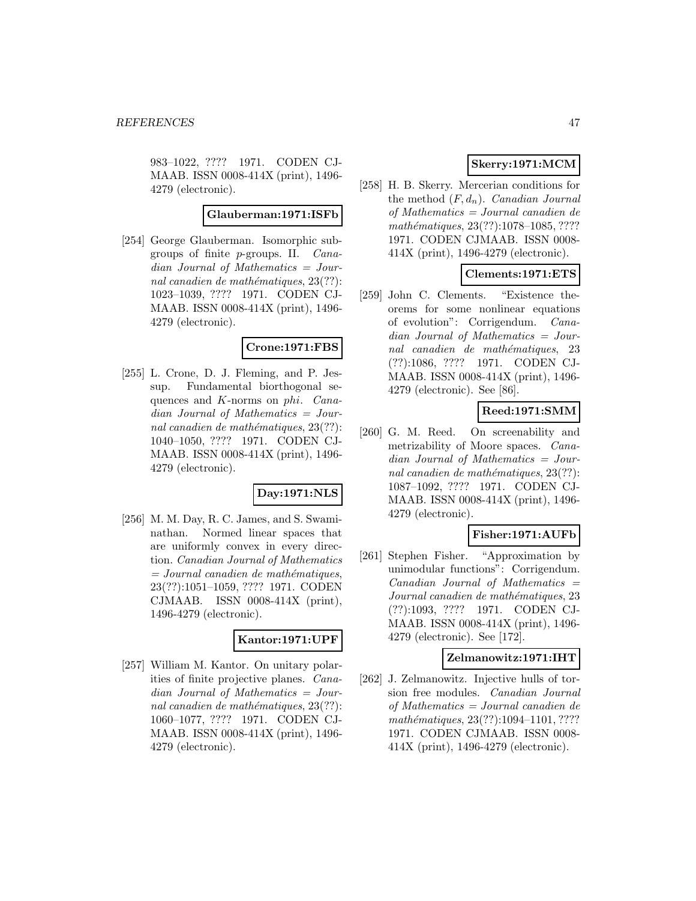983–1022, ???? 1971. CODEN CJ-MAAB. ISSN 0008-414X (print), 1496- 4279 (electronic).

#### **Glauberman:1971:ISFb**

[254] George Glauberman. Isomorphic subgroups of finite p-groups. II. Canadian Journal of Mathematics = Journal canadien de mathématiques,  $23(??)$ : 1023–1039, ???? 1971. CODEN CJ-MAAB. ISSN 0008-414X (print), 1496- 4279 (electronic).

#### **Crone:1971:FBS**

[255] L. Crone, D. J. Fleming, and P. Jessup. Fundamental biorthogonal sequences and K-norms on phi. Canadian Journal of Mathematics = Journal canadien de mathématiques,  $23(??)$ : 1040–1050, ???? 1971. CODEN CJ-MAAB. ISSN 0008-414X (print), 1496- 4279 (electronic).

## **Day:1971:NLS**

[256] M. M. Day, R. C. James, and S. Swaminathan. Normed linear spaces that are uniformly convex in every direction. Canadian Journal of Mathematics  $=$  Journal canadien de mathématiques, 23(??):1051–1059, ???? 1971. CODEN CJMAAB. ISSN 0008-414X (print), 1496-4279 (electronic).

#### **Kantor:1971:UPF**

[257] William M. Kantor. On unitary polarities of finite projective planes. Canadian Journal of Mathematics = Journal canadien de mathématiques,  $23(??)$ : 1060–1077, ???? 1971. CODEN CJ-MAAB. ISSN 0008-414X (print), 1496- 4279 (electronic).

# **Skerry:1971:MCM**

[258] H. B. Skerry. Mercerian conditions for the method  $(F, d_n)$ . Canadian Journal of Mathematics = Journal canadien de mathématiques, 23(??):1078-1085, ???? 1971. CODEN CJMAAB. ISSN 0008- 414X (print), 1496-4279 (electronic).

### **Clements:1971:ETS**

[259] John C. Clements. "Existence theorems for some nonlinear equations of evolution": Corrigendum. Canadian Journal of Mathematics = Journal canadien de mathématiques, 23 (??):1086, ???? 1971. CODEN CJ-MAAB. ISSN 0008-414X (print), 1496- 4279 (electronic). See [86].

# **Reed:1971:SMM**

[260] G. M. Reed. On screenability and metrizability of Moore spaces. Canadian Journal of Mathematics = Journal canadien de mathématiques,  $23(??)$ : 1087–1092, ???? 1971. CODEN CJ-MAAB. ISSN 0008-414X (print), 1496- 4279 (electronic).

## **Fisher:1971:AUFb**

[261] Stephen Fisher. "Approximation by unimodular functions": Corrigendum.  $Canadian$  Journal of Mathematics  $=$ Journal canadien de mathématiques, 23 (??):1093, ???? 1971. CODEN CJ-MAAB. ISSN 0008-414X (print), 1496- 4279 (electronic). See [172].

#### **Zelmanowitz:1971:IHT**

[262] J. Zelmanowitz. Injective hulls of torsion free modules. Canadian Journal of Mathematics = Journal canadien de mathématiques, 23(??):1094-1101, ???? 1971. CODEN CJMAAB. ISSN 0008- 414X (print), 1496-4279 (electronic).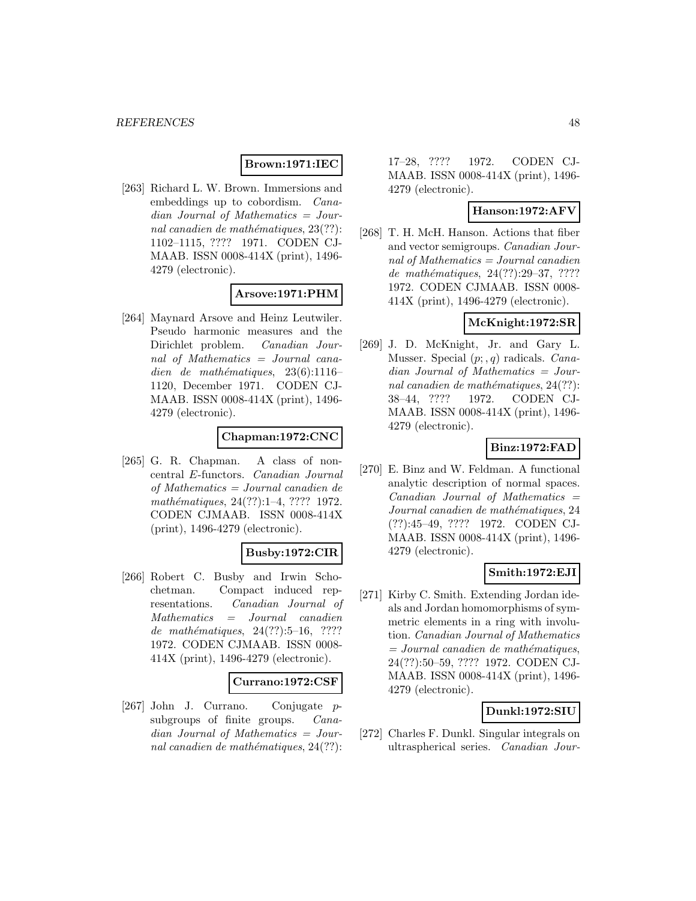## **Brown:1971:IEC**

[263] Richard L. W. Brown. Immersions and embeddings up to cobordism. Canadian Journal of Mathematics = Journal canadien de mathématiques,  $23(??)$ : 1102–1115, ???? 1971. CODEN CJ-MAAB. ISSN 0008-414X (print), 1496- 4279 (electronic).

## **Arsove:1971:PHM**

[264] Maynard Arsove and Heinz Leutwiler. Pseudo harmonic measures and the Dirichlet problem. Canadian Journal of Mathematics = Journal canadien de mathématiques,  $23(6):1116-$ 1120, December 1971. CODEN CJ-MAAB. ISSN 0008-414X (print), 1496- 4279 (electronic).

### **Chapman:1972:CNC**

[265] G. R. Chapman. A class of noncentral E-functors. Canadian Journal of Mathematics = Journal canadien de mathématiques, 24(??):1–4, ???? 1972. CODEN CJMAAB. ISSN 0008-414X (print), 1496-4279 (electronic).

#### **Busby:1972:CIR**

[266] Robert C. Busby and Irwin Schochetman. Compact induced representations. Canadian Journal of Mathematics = Journal canadien de mathématiques,  $24(??):5-16$ , ???? 1972. CODEN CJMAAB. ISSN 0008- 414X (print), 1496-4279 (electronic).

#### **Currano:1972:CSF**

[267] John J. Currano. Conjugate psubgroups of finite groups. *Cana*dian Journal of Mathematics = Journal canadien de mathématiques,  $24(??)$ :

17–28, ???? 1972. CODEN CJ-MAAB. ISSN 0008-414X (print), 1496- 4279 (electronic).

### **Hanson:1972:AFV**

[268] T. H. McH. Hanson. Actions that fiber and vector semigroups. Canadian Journal of Mathematics = Journal canadien de mathématiques,  $24(??):29-37, ????$ 1972. CODEN CJMAAB. ISSN 0008- 414X (print), 1496-4279 (electronic).

## **McKnight:1972:SR**

[269] J. D. McKnight, Jr. and Gary L. Musser. Special  $(p; q)$  radicals. *Cana*dian Journal of Mathematics = Journal canadien de mathématiques,  $24(??)$ : 38–44, ???? 1972. CODEN CJ-MAAB. ISSN 0008-414X (print), 1496- 4279 (electronic).

## **Binz:1972:FAD**

[270] E. Binz and W. Feldman. A functional analytic description of normal spaces.  $Canadian$  Journal of Mathematics  $=$ Journal canadien de mathématiques, 24 (??):45–49, ???? 1972. CODEN CJ-MAAB. ISSN 0008-414X (print), 1496- 4279 (electronic).

## **Smith:1972:EJI**

[271] Kirby C. Smith. Extending Jordan ideals and Jordan homomorphisms of symmetric elements in a ring with involution. Canadian Journal of Mathematics  $=$  Journal canadien de mathématiques, 24(??):50–59, ???? 1972. CODEN CJ-MAAB. ISSN 0008-414X (print), 1496- 4279 (electronic).

## **Dunkl:1972:SIU**

[272] Charles F. Dunkl. Singular integrals on ultraspherical series. Canadian Jour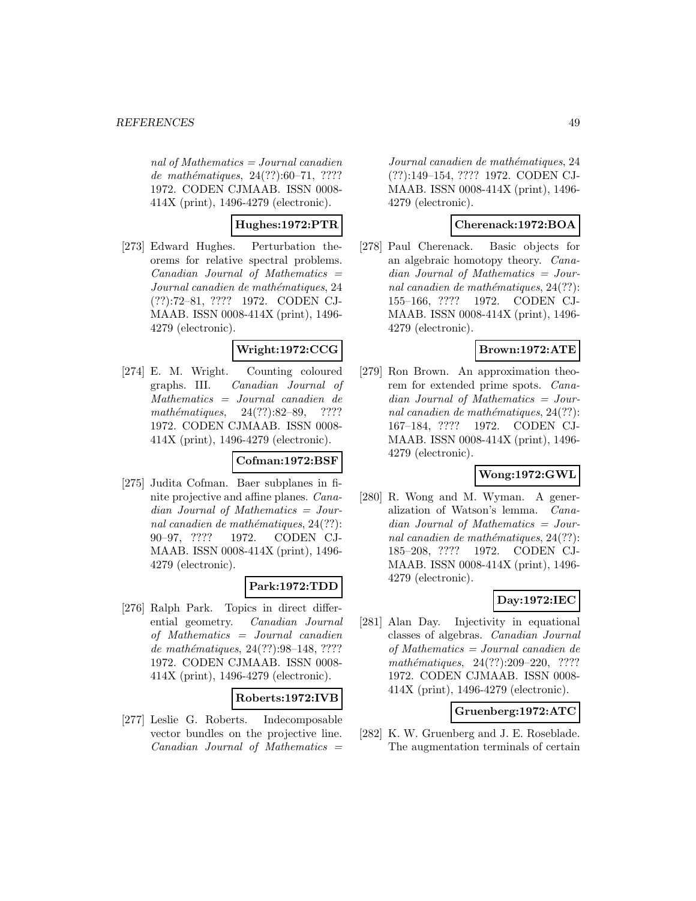nal of Mathematics  $=$  Journal canadien de mathématiques,  $24(??):60–71, ????$ 1972. CODEN CJMAAB. ISSN 0008- 414X (print), 1496-4279 (electronic).

## **Hughes:1972:PTR**

[273] Edward Hughes. Perturbation theorems for relative spectral problems.  $Canadian Journal of Mathematics =$ Journal canadien de mathématiques, 24 (??):72–81, ???? 1972. CODEN CJ-MAAB. ISSN 0008-414X (print), 1496- 4279 (electronic).

### **Wright:1972:CCG**

[274] E. M. Wright. Counting coloured graphs. III. Canadian Journal of Mathematics = Journal canadien de  $mathématiques, 24(??):82–89, ????$ 1972. CODEN CJMAAB. ISSN 0008- 414X (print), 1496-4279 (electronic).

## **Cofman:1972:BSF**

[275] Judita Cofman. Baer subplanes in finite projective and affine planes. Canadian Journal of Mathematics = Journal canadien de mathématiques,  $24(??)$ : 90–97, ???? 1972. CODEN CJ-MAAB. ISSN 0008-414X (print), 1496- 4279 (electronic).

## **Park:1972:TDD**

[276] Ralph Park. Topics in direct differential geometry. Canadian Journal of Mathematics = Journal canadien de mathématiques, 24(??):98-148, ???? 1972. CODEN CJMAAB. ISSN 0008- 414X (print), 1496-4279 (electronic).

## **Roberts:1972:IVB**

[277] Leslie G. Roberts. Indecomposable vector bundles on the projective line.  $Canadian$  Journal of Mathematics  $=$ 

Journal canadien de mathématiques, 24 (??):149–154, ???? 1972. CODEN CJ-MAAB. ISSN 0008-414X (print), 1496- 4279 (electronic).

### **Cherenack:1972:BOA**

[278] Paul Cherenack. Basic objects for an algebraic homotopy theory. Canadian Journal of Mathematics = Journal canadien de mathématiques,  $24(??)$ : 155–166, ???? 1972. CODEN CJ-MAAB. ISSN 0008-414X (print), 1496- 4279 (electronic).

## **Brown:1972:ATE**

[279] Ron Brown. An approximation theorem for extended prime spots. Canadian Journal of Mathematics = Journal canadien de mathématiques,  $24(??)$ : 167–184, ???? 1972. CODEN CJ-MAAB. ISSN 0008-414X (print), 1496- 4279 (electronic).

## **Wong:1972:GWL**

[280] R. Wong and M. Wyman. A generalization of Watson's lemma. Canadian Journal of Mathematics = Journal canadien de mathématiques,  $24(??)$ : 185–208, ???? 1972. CODEN CJ-MAAB. ISSN 0008-414X (print), 1496- 4279 (electronic).

## **Day:1972:IEC**

[281] Alan Day. Injectivity in equational classes of algebras. Canadian Journal of Mathematics = Journal canadien de mathématiques,  $24(??):209-220$ , ???? 1972. CODEN CJMAAB. ISSN 0008- 414X (print), 1496-4279 (electronic).

## **Gruenberg:1972:ATC**

[282] K. W. Gruenberg and J. E. Roseblade. The augmentation terminals of certain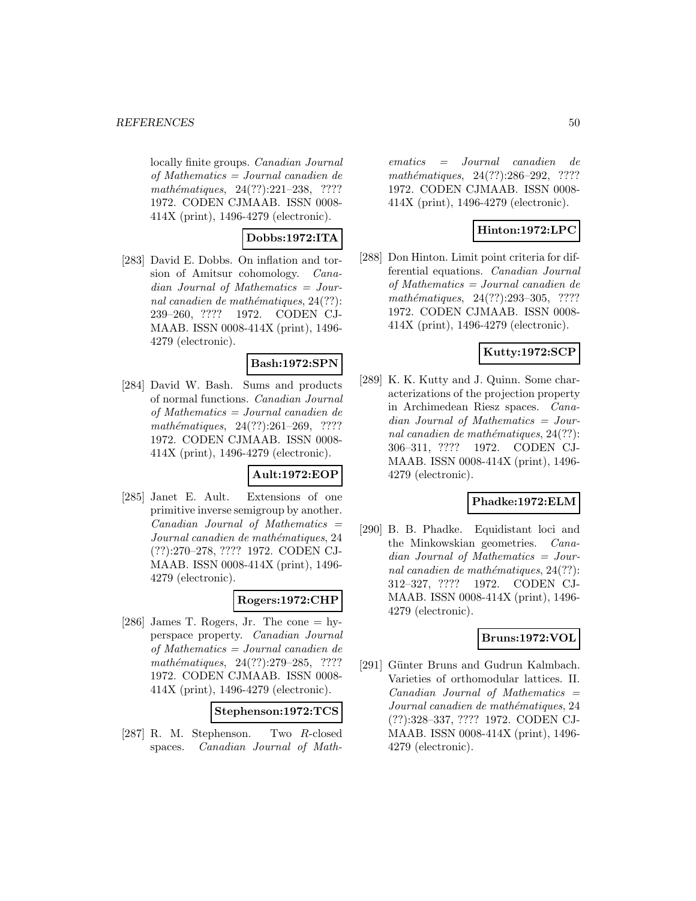locally finite groups. Canadian Journal of Mathematics = Journal canadien de mathématiques,  $24(??):221-238$ , ???? 1972. CODEN CJMAAB. ISSN 0008- 414X (print), 1496-4279 (electronic).

## **Dobbs:1972:ITA**

[283] David E. Dobbs. On inflation and torsion of Amitsur cohomology. Canadian Journal of Mathematics = Journal canadien de mathématiques,  $24(??)$ : 239–260, ???? 1972. CODEN CJ-MAAB. ISSN 0008-414X (print), 1496- 4279 (electronic).

## **Bash:1972:SPN**

[284] David W. Bash. Sums and products of normal functions. Canadian Journal of Mathematics = Journal canadien de  $mathématiques, 24(??):261-269, ????$ 1972. CODEN CJMAAB. ISSN 0008- 414X (print), 1496-4279 (electronic).

#### **Ault:1972:EOP**

[285] Janet E. Ault. Extensions of one primitive inverse semigroup by another.  $Canadian$  Journal of Mathematics  $=$ Journal canadien de mathématiques, 24 (??):270–278, ???? 1972. CODEN CJ-MAAB. ISSN 0008-414X (print), 1496- 4279 (electronic).

## **Rogers:1972:CHP**

[286] James T. Rogers, Jr. The cone  $=$  hyperspace property. Canadian Journal of Mathematics = Journal canadien de mathématiques, 24(??):279–285, ???? 1972. CODEN CJMAAB. ISSN 0008- 414X (print), 1496-4279 (electronic).

| Stephenson:1972:TCS |
|---------------------|
|---------------------|

[287] R. M. Stephenson. Two R-closed spaces. Canadian Journal of Math-

ematics = Journal canadien de mathématiques, 24(??):286-292, ???? 1972. CODEN CJMAAB. ISSN 0008- 414X (print), 1496-4279 (electronic).

## **Hinton:1972:LPC**

[288] Don Hinton. Limit point criteria for differential equations. Canadian Journal of Mathematics = Journal canadien de mathématiques, 24(??):293-305, ???? 1972. CODEN CJMAAB. ISSN 0008- 414X (print), 1496-4279 (electronic).

## **Kutty:1972:SCP**

[289] K. K. Kutty and J. Quinn. Some characterizations of the projection property in Archimedean Riesz spaces. Canadian Journal of Mathematics = Journal canadien de mathématiques,  $24(??)$ : 306–311, ???? 1972. CODEN CJ-MAAB. ISSN 0008-414X (print), 1496- 4279 (electronic).

#### **Phadke:1972:ELM**

[290] B. B. Phadke. Equidistant loci and the Minkowskian geometries. Canadian Journal of Mathematics = Journal canadien de mathématiques,  $24(??)$ : 312–327, ???? 1972. CODEN CJ-MAAB. ISSN 0008-414X (print), 1496- 4279 (electronic).

## **Bruns:1972:VOL**

[291] Günter Bruns and Gudrun Kalmbach. Varieties of orthomodular lattices. II.  $Canadian$  Journal of Mathematics  $=$ Journal canadien de mathématiques, 24 (??):328–337, ???? 1972. CODEN CJ-MAAB. ISSN 0008-414X (print), 1496- 4279 (electronic).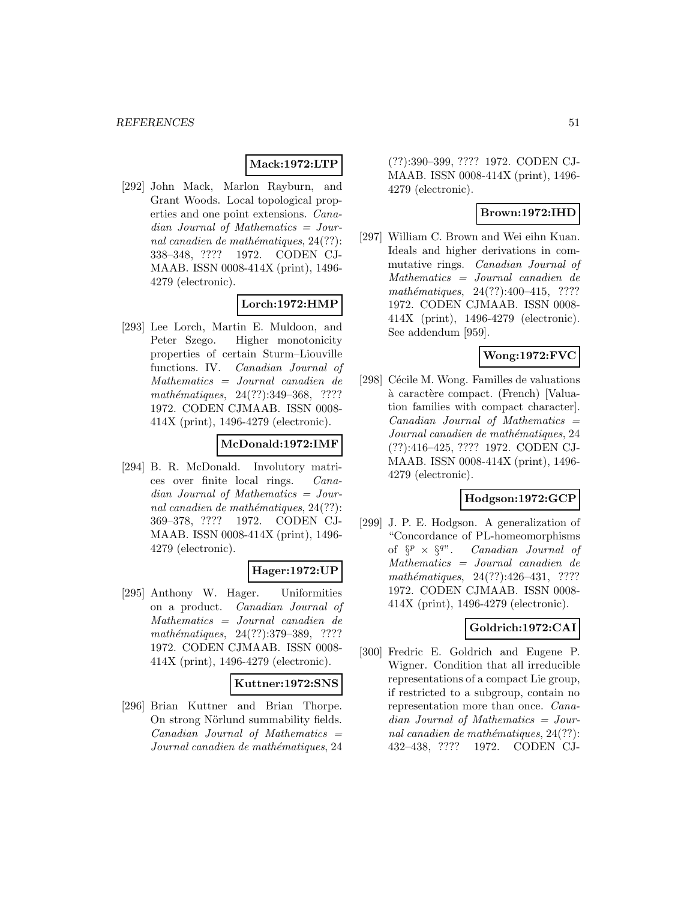#### **Mack:1972:LTP**

[292] John Mack, Marlon Rayburn, and Grant Woods. Local topological properties and one point extensions. Canadian Journal of Mathematics = Journal canadien de mathématiques,  $24(??)$ : 338–348, ???? 1972. CODEN CJ-MAAB. ISSN 0008-414X (print), 1496- 4279 (electronic).

## **Lorch:1972:HMP**

[293] Lee Lorch, Martin E. Muldoon, and Peter Szego. Higher monotonicity properties of certain Sturm–Liouville functions. IV. Canadian Journal of Mathematics = Journal canadien de mathématiques, 24(??):349-368, ???? 1972. CODEN CJMAAB. ISSN 0008- 414X (print), 1496-4279 (electronic).

## **McDonald:1972:IMF**

[294] B. R. McDonald. Involutory matrices over finite local rings. Canadian Journal of Mathematics = Journal canadien de mathématiques,  $24(??)$ : 369–378, ???? 1972. CODEN CJ-MAAB. ISSN 0008-414X (print), 1496- 4279 (electronic).

## **Hager:1972:UP**

[295] Anthony W. Hager. Uniformities on a product. Canadian Journal of Mathematics = Journal canadien de mathématiques, 24(??):379–389, ???? 1972. CODEN CJMAAB. ISSN 0008- 414X (print), 1496-4279 (electronic).

#### **Kuttner:1972:SNS**

[296] Brian Kuttner and Brian Thorpe. On strong Nörlund summability fields.  $Canadian$  Journal of Mathematics  $=$ Journal canadien de mathématiques, 24

(??):390–399, ???? 1972. CODEN CJ-MAAB. ISSN 0008-414X (print), 1496- 4279 (electronic).

## **Brown:1972:IHD**

[297] William C. Brown and Wei eihn Kuan. Ideals and higher derivations in commutative rings. Canadian Journal of Mathematics = Journal canadien de mathématiques,  $24(??):400-415$ , ???? 1972. CODEN CJMAAB. ISSN 0008- 414X (print), 1496-4279 (electronic). See addendum [959].

# **Wong:1972:FVC**

[298] Cécile M. Wong. Familles de valuations à caractère compact. (French) [Valuation families with compact character].  $Canadian$  Journal of Mathematics  $=$ Journal canadien de mathématiques, 24 (??):416–425, ???? 1972. CODEN CJ-MAAB. ISSN 0008-414X (print), 1496- 4279 (electronic).

#### **Hodgson:1972:GCP**

[299] J. P. E. Hodgson. A generalization of "Concordance of PL-homeomorphisms of  $\S^p \times \S^{q}$ . Canadian Journal of Mathematics = Journal canadien de mathématiques,  $24(??):426-431$ , ???? 1972. CODEN CJMAAB. ISSN 0008- 414X (print), 1496-4279 (electronic).

## **Goldrich:1972:CAI**

[300] Fredric E. Goldrich and Eugene P. Wigner. Condition that all irreducible representations of a compact Lie group, if restricted to a subgroup, contain no representation more than once. Canadian Journal of Mathematics = Journal canadien de mathématiques,  $24(??)$ : 432–438, ???? 1972. CODEN CJ-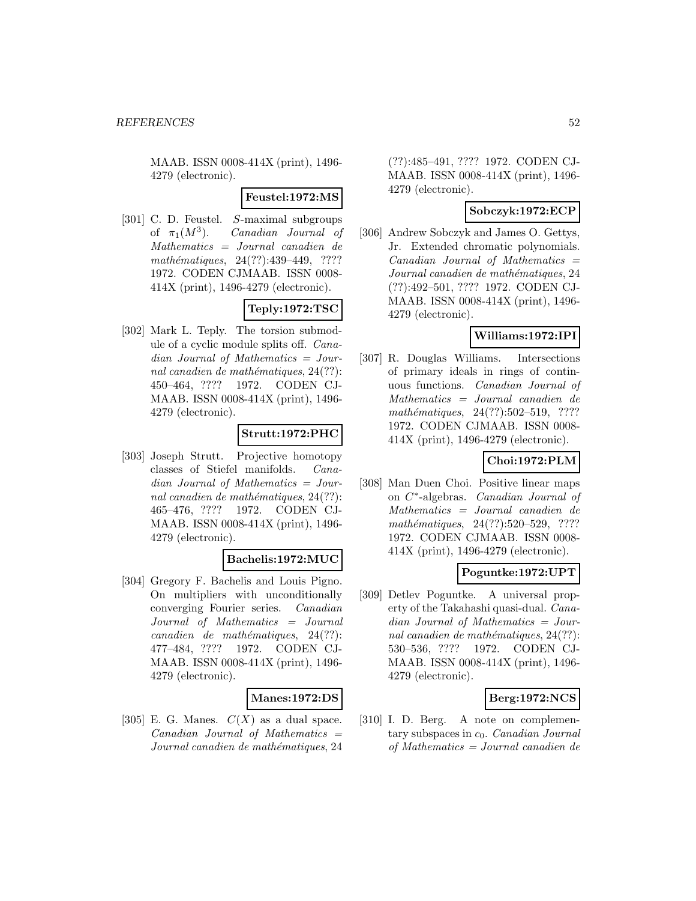MAAB. ISSN 0008-414X (print), 1496- 4279 (electronic).

**Feustel:1972:MS**

[301] C. D. Feustel. S-maximal subgroups of  $\pi_1(M^3)$ . Canadian Journal of Mathematics = Journal canadien de mathématiques,  $24(??):439-449$ , ???? 1972. CODEN CJMAAB. ISSN 0008- 414X (print), 1496-4279 (electronic).

## **Teply:1972:TSC**

[302] Mark L. Teply. The torsion submodule of a cyclic module splits off. Canadian Journal of Mathematics = Journal canadien de mathématiques,  $24(??)$ : 450–464, ???? 1972. CODEN CJ-MAAB. ISSN 0008-414X (print), 1496- 4279 (electronic).

## **Strutt:1972:PHC**

[303] Joseph Strutt. Projective homotopy classes of Stiefel manifolds. Canadian Journal of Mathematics = Journal canadien de mathématiques,  $24(??)$ : 465–476, ???? 1972. CODEN CJ-MAAB. ISSN 0008-414X (print), 1496- 4279 (electronic).

## **Bachelis:1972:MUC**

[304] Gregory F. Bachelis and Louis Pigno. On multipliers with unconditionally converging Fourier series. Canadian Journal of Mathematics = Journal  $cana dien de mathématiques, 24(??):$ 477–484, ???? 1972. CODEN CJ-MAAB. ISSN 0008-414X (print), 1496- 4279 (electronic).

## **Manes:1972:DS**

[305] E. G. Manes.  $C(X)$  as a dual space.  $Canadian$  Journal of Mathematics  $=$ Journal canadien de mathématiques, 24

(??):485–491, ???? 1972. CODEN CJ-MAAB. ISSN 0008-414X (print), 1496- 4279 (electronic).

### **Sobczyk:1972:ECP**

[306] Andrew Sobczyk and James O. Gettys, Jr. Extended chromatic polynomials.  $Canadian$  Journal of Mathematics  $=$ Journal canadien de mathématiques, 24 (??):492–501, ???? 1972. CODEN CJ-MAAB. ISSN 0008-414X (print), 1496- 4279 (electronic).

## **Williams:1972:IPI**

[307] R. Douglas Williams. Intersections of primary ideals in rings of continuous functions. Canadian Journal of Mathematics = Journal canadien de  $mathématiques, 24(??):502-519, ????$ 1972. CODEN CJMAAB. ISSN 0008- 414X (print), 1496-4279 (electronic).

## **Choi:1972:PLM**

[308] Man Duen Choi. Positive linear maps on C∗-algebras. Canadian Journal of Mathematics = Journal canadien de mathématiques, 24(??):520–529, ???? 1972. CODEN CJMAAB. ISSN 0008- 414X (print), 1496-4279 (electronic).

## **Poguntke:1972:UPT**

[309] Detlev Poguntke. A universal property of the Takahashi quasi-dual. Canadian Journal of Mathematics = Journal canadien de mathématiques,  $24(??)$ : 530–536, ???? 1972. CODEN CJ-MAAB. ISSN 0008-414X (print), 1496- 4279 (electronic).

## **Berg:1972:NCS**

[310] I. D. Berg. A note on complementary subspaces in  $c_0$ . Canadian Journal of Mathematics = Journal canadien de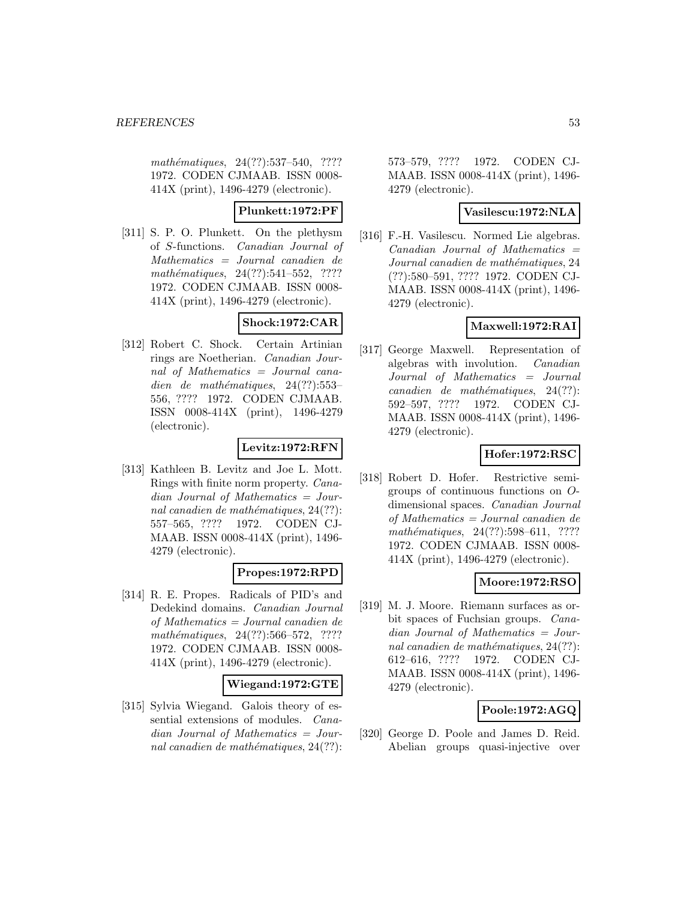mathématiques, 24(??):537–540, ???? 1972. CODEN CJMAAB. ISSN 0008- 414X (print), 1496-4279 (electronic).

### **Plunkett:1972:PF**

[311] S. P. O. Plunkett. On the plethysm of S-functions. Canadian Journal of Mathematics = Journal canadien de  $mathématiques, 24(??):541–552, ????$ 1972. CODEN CJMAAB. ISSN 0008- 414X (print), 1496-4279 (electronic).

## **Shock:1972:CAR**

[312] Robert C. Shock. Certain Artinian rings are Noetherian. Canadian Journal of Mathematics = Journal canadien de mathématiques,  $24(??):553-$ 556, ???? 1972. CODEN CJMAAB. ISSN 0008-414X (print), 1496-4279 (electronic).

## **Levitz:1972:RFN**

[313] Kathleen B. Levitz and Joe L. Mott. Rings with finite norm property. Canadian Journal of Mathematics = Journal canadien de mathématiques,  $24(??)$ : 557–565, ???? 1972. CODEN CJ-MAAB. ISSN 0008-414X (print), 1496- 4279 (electronic).

## **Propes:1972:RPD**

[314] R. E. Propes. Radicals of PID's and Dedekind domains. Canadian Journal of Mathematics = Journal canadien de  $mathématiques, 24(??): 566–572, ????$ 1972. CODEN CJMAAB. ISSN 0008- 414X (print), 1496-4279 (electronic).

#### **Wiegand:1972:GTE**

[315] Sylvia Wiegand. Galois theory of essential extensions of modules. Canadian Journal of Mathematics = Journal canadien de mathématiques,  $24(??)$ :

573–579, ???? 1972. CODEN CJ-MAAB. ISSN 0008-414X (print), 1496- 4279 (electronic).

#### **Vasilescu:1972:NLA**

[316] F.-H. Vasilescu. Normed Lie algebras.  $Canadian$  Journal of Mathematics  $=$ Journal canadien de mathématiques, 24 (??):580–591, ???? 1972. CODEN CJ-MAAB. ISSN 0008-414X (print), 1496- 4279 (electronic).

## **Maxwell:1972:RAI**

[317] George Maxwell. Representation of algebras with involution. Canadian Journal of Mathematics = Journal  $cana dien de mathématiques, 24(??):$ 592–597, ???? 1972. CODEN CJ-MAAB. ISSN 0008-414X (print), 1496- 4279 (electronic).

## **Hofer:1972:RSC**

[318] Robert D. Hofer. Restrictive semigroups of continuous functions on Odimensional spaces. Canadian Journal of Mathematics = Journal canadien de mathématiques,  $24(??):598–611$ , ???? 1972. CODEN CJMAAB. ISSN 0008- 414X (print), 1496-4279 (electronic).

## **Moore:1972:RSO**

[319] M. J. Moore. Riemann surfaces as orbit spaces of Fuchsian groups. Canadian Journal of Mathematics = Journal canadien de mathématiques,  $24(??)$ : 612–616, ???? 1972. CODEN CJ-MAAB. ISSN 0008-414X (print), 1496- 4279 (electronic).

## **Poole:1972:AGQ**

[320] George D. Poole and James D. Reid. Abelian groups quasi-injective over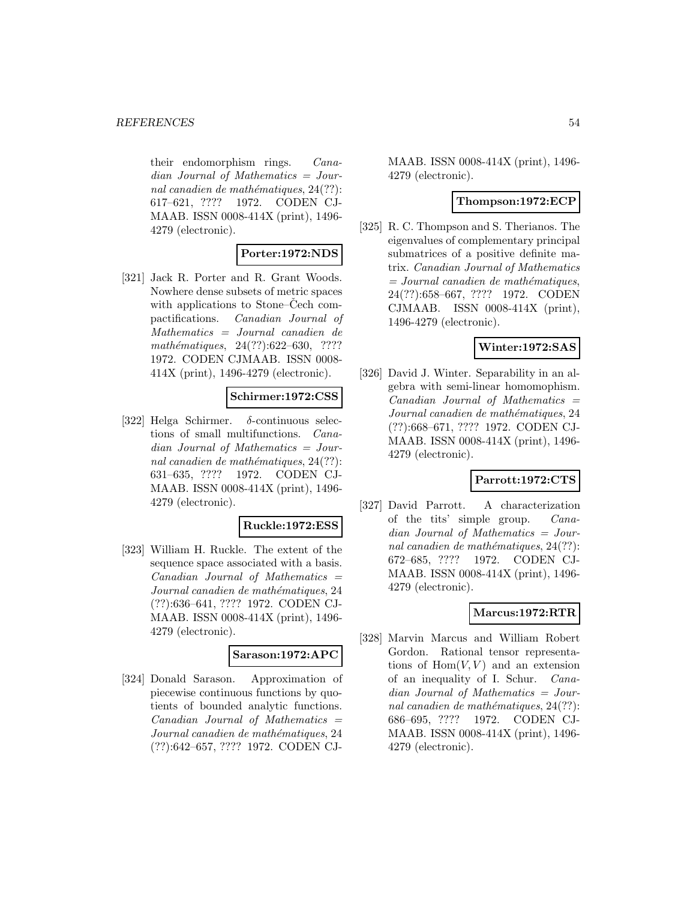their endomorphism rings. Canadian Journal of Mathematics = Journal canadien de mathématiques,  $24(??)$ : 617–621, ???? 1972. CODEN CJ-MAAB. ISSN 0008-414X (print), 1496- 4279 (electronic).

## **Porter:1972:NDS**

[321] Jack R. Porter and R. Grant Woods. Nowhere dense subsets of metric spaces with applications to Stone–Cech compactifications. Canadian Journal of Mathematics = Journal canadien de mathématiques,  $24(??):622-630$ , ???? 1972. CODEN CJMAAB. ISSN 0008- 414X (print), 1496-4279 (electronic).

### **Schirmer:1972:CSS**

[322] Helga Schirmer. δ-continuous selections of small multifunctions. Canadian Journal of Mathematics = Journal canadien de mathématiques,  $24(??)$ : 631–635, ???? 1972. CODEN CJ-MAAB. ISSN 0008-414X (print), 1496- 4279 (electronic).

### **Ruckle:1972:ESS**

[323] William H. Ruckle. The extent of the sequence space associated with a basis.  $Canadian$  Journal of Mathematics  $=$ Journal canadien de mathématiques, 24 (??):636–641, ???? 1972. CODEN CJ-MAAB. ISSN 0008-414X (print), 1496- 4279 (electronic).

#### **Sarason:1972:APC**

[324] Donald Sarason. Approximation of piecewise continuous functions by quotients of bounded analytic functions.  $Canadian$  Journal of Mathematics  $=$ Journal canadien de mathématiques, 24 (??):642–657, ???? 1972. CODEN CJ-

MAAB. ISSN 0008-414X (print), 1496- 4279 (electronic).

### **Thompson:1972:ECP**

[325] R. C. Thompson and S. Therianos. The eigenvalues of complementary principal submatrices of a positive definite matrix. Canadian Journal of Mathematics  $= Journal\; candidate\; the\; mathématiques,$ 24(??):658–667, ???? 1972. CODEN CJMAAB. ISSN 0008-414X (print), 1496-4279 (electronic).

### **Winter:1972:SAS**

[326] David J. Winter. Separability in an algebra with semi-linear homomophism.  $Canadian$  Journal of Mathematics  $=$ Journal canadien de mathématiques, 24 (??):668–671, ???? 1972. CODEN CJ-MAAB. ISSN 0008-414X (print), 1496- 4279 (electronic).

## **Parrott:1972:CTS**

[327] David Parrott. A characterization of the tits' simple group. Canadian Journal of Mathematics = Journal canadien de mathématiques,  $24(??)$ : 672–685, ???? 1972. CODEN CJ-MAAB. ISSN 0008-414X (print), 1496- 4279 (electronic).

## **Marcus:1972:RTR**

[328] Marvin Marcus and William Robert Gordon. Rational tensor representations of  $Hom(V, V)$  and an extension of an inequality of I. Schur. Canadian Journal of Mathematics = Journal canadien de mathématiques,  $24(??)$ : 686–695, ???? 1972. CODEN CJ-MAAB. ISSN 0008-414X (print), 1496- 4279 (electronic).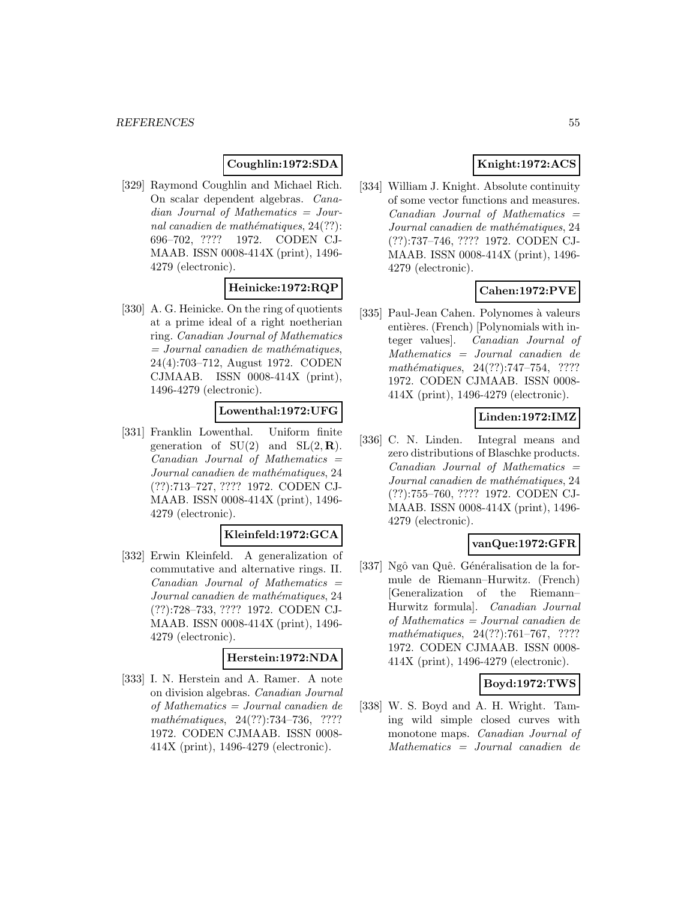## **Coughlin:1972:SDA**

[329] Raymond Coughlin and Michael Rich. On scalar dependent algebras. Canadian Journal of Mathematics = Journal canadien de mathématiques,  $24(??)$ : 696–702, ???? 1972. CODEN CJ-MAAB. ISSN 0008-414X (print), 1496- 4279 (electronic).

## **Heinicke:1972:RQP**

[330] A. G. Heinicke. On the ring of quotients at a prime ideal of a right noetherian ring. Canadian Journal of Mathematics  $=$  Journal canadien de mathématiques, 24(4):703–712, August 1972. CODEN CJMAAB. ISSN 0008-414X (print), 1496-4279 (electronic).

### **Lowenthal:1972:UFG**

[331] Franklin Lowenthal. Uniform finite generation of  $SU(2)$  and  $SL(2, \mathbf{R})$ .  $Canadian$  Journal of Mathematics  $=$ Journal canadien de mathématiques, 24 (??):713–727, ???? 1972. CODEN CJ-MAAB. ISSN 0008-414X (print), 1496- 4279 (electronic).

#### **Kleinfeld:1972:GCA**

[332] Erwin Kleinfeld. A generalization of commutative and alternative rings. II.  $Canadian$  Journal of Mathematics  $=$ Journal canadien de mathématiques, 24 (??):728–733, ???? 1972. CODEN CJ-MAAB. ISSN 0008-414X (print), 1496- 4279 (electronic).

## **Herstein:1972:NDA**

[333] I. N. Herstein and A. Ramer. A note on division algebras. Canadian Journal of Mathematics = Journal canadien de mathématiques, 24(??):734-736, ???? 1972. CODEN CJMAAB. ISSN 0008- 414X (print), 1496-4279 (electronic).

## **Knight:1972:ACS**

[334] William J. Knight. Absolute continuity of some vector functions and measures.  $Canadian$  Journal of Mathematics  $=$ Journal canadien de mathématiques, 24 (??):737–746, ???? 1972. CODEN CJ-MAAB. ISSN 0008-414X (print), 1496- 4279 (electronic).

## **Cahen:1972:PVE**

[335] Paul-Jean Cahen. Polynomes à valeurs entières. (French) [Polynomials with integer values]. Canadian Journal of Mathematics = Journal canadien de mathématiques, 24(??):747-754, ???? 1972. CODEN CJMAAB. ISSN 0008- 414X (print), 1496-4279 (electronic).

### **Linden:1972:IMZ**

[336] C. N. Linden. Integral means and zero distributions of Blaschke products.  $Canadian$  Journal of Mathematics  $=$ Journal canadien de mathématiques, 24 (??):755–760, ???? 1972. CODEN CJ-MAAB. ISSN 0008-414X (print), 1496- 4279 (electronic).

### **vanQue:1972:GFR**

[337] Ngô van Quê. Généralisation de la formule de Riemann–Hurwitz. (French) [Generalization of the Riemann– Hurwitz formula]. Canadian Journal of Mathematics = Journal canadien de mathématiques,  $24(??):761–767$ , ???? 1972. CODEN CJMAAB. ISSN 0008- 414X (print), 1496-4279 (electronic).

#### **Boyd:1972:TWS**

[338] W. S. Boyd and A. H. Wright. Taming wild simple closed curves with monotone maps. Canadian Journal of Mathematics = Journal canadien de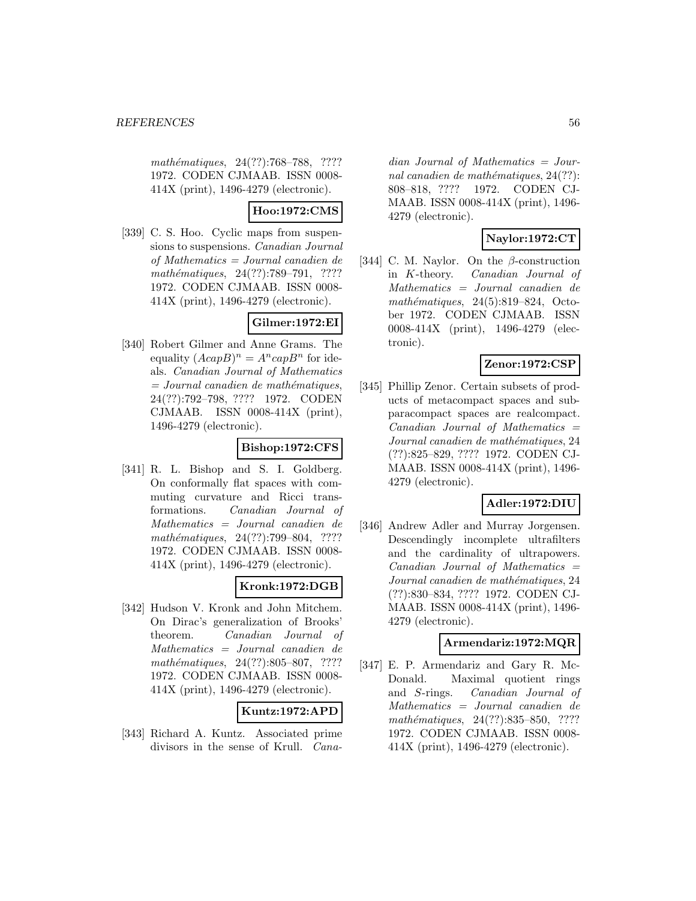mathématiques, 24(??):768–788, ???? 1972. CODEN CJMAAB. ISSN 0008- 414X (print), 1496-4279 (electronic).

## **Hoo:1972:CMS**

[339] C. S. Hoo. Cyclic maps from suspensions to suspensions. Canadian Journal of Mathematics = Journal canadien de mathématiques, 24(??):789–791, ???? 1972. CODEN CJMAAB. ISSN 0008- 414X (print), 1496-4279 (electronic).

## **Gilmer:1972:EI**

[340] Robert Gilmer and Anne Grams. The equality  $(AcapB)^n = A^ncapB^n$  for ideals. Canadian Journal of Mathematics  $=$  Journal canadien de mathématiques, 24(??):792–798, ???? 1972. CODEN CJMAAB. ISSN 0008-414X (print), 1496-4279 (electronic).

## **Bishop:1972:CFS**

[341] R. L. Bishop and S. I. Goldberg. On conformally flat spaces with commuting curvature and Ricci transformations. Canadian Journal of Mathematics = Journal canadien de mathématiques, 24(??):799–804, ???? 1972. CODEN CJMAAB. ISSN 0008- 414X (print), 1496-4279 (electronic).

## **Kronk:1972:DGB**

[342] Hudson V. Kronk and John Mitchem. On Dirac's generalization of Brooks' theorem. Canadian Journal of Mathematics = Journal canadien de mathématiques,  $24(??):805-807$ , ???? 1972. CODEN CJMAAB. ISSN 0008- 414X (print), 1496-4279 (electronic).

## **Kuntz:1972:APD**

[343] Richard A. Kuntz. Associated prime divisors in the sense of Krull. Cana-

dian Journal of Mathematics = Journal canadien de mathématiques,  $24(??)$ : 808–818, ???? 1972. CODEN CJ-MAAB. ISSN 0008-414X (print), 1496- 4279 (electronic).

## **Naylor:1972:CT**

[344] C. M. Naylor. On the  $\beta$ -construction in K-theory. Canadian Journal of Mathematics = Journal canadien de mathématiques,  $24(5):819-824$ , October 1972. CODEN CJMAAB. ISSN 0008-414X (print), 1496-4279 (electronic).

## **Zenor:1972:CSP**

[345] Phillip Zenor. Certain subsets of products of metacompact spaces and subparacompact spaces are realcompact.  $Canadian$  Journal of Mathematics  $=$ Journal canadien de mathématiques, 24 (??):825–829, ???? 1972. CODEN CJ-MAAB. ISSN 0008-414X (print), 1496- 4279 (electronic).

## **Adler:1972:DIU**

[346] Andrew Adler and Murray Jorgensen. Descendingly incomplete ultrafilters and the cardinality of ultrapowers.  $Canadian$  Journal of Mathematics  $=$ Journal canadien de mathématiques, 24 (??):830–834, ???? 1972. CODEN CJ-MAAB. ISSN 0008-414X (print), 1496- 4279 (electronic).

## **Armendariz:1972:MQR**

[347] E. P. Armendariz and Gary R. Mc-Donald. Maximal quotient rings and S-rings. Canadian Journal of Mathematics = Journal canadien de mathématiques, 24(??):835-850, ???? 1972. CODEN CJMAAB. ISSN 0008- 414X (print), 1496-4279 (electronic).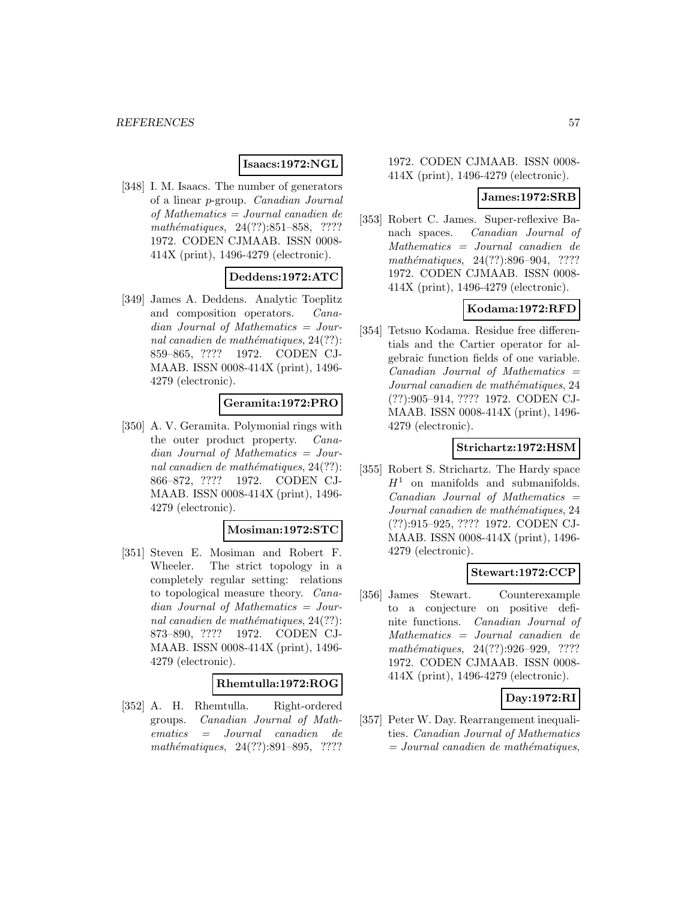## **Isaacs:1972:NGL**

[348] I. M. Isaacs. The number of generators of a linear p-group. Canadian Journal of Mathematics = Journal canadien de mathématiques, 24(??):851–858, ???? 1972. CODEN CJMAAB. ISSN 0008- 414X (print), 1496-4279 (electronic).

### **Deddens:1972:ATC**

[349] James A. Deddens. Analytic Toeplitz and composition operators. Canadian Journal of Mathematics = Journal canadien de mathématiques,  $24(??)$ : 859–865, ???? 1972. CODEN CJ-MAAB. ISSN 0008-414X (print), 1496- 4279 (electronic).

#### **Geramita:1972:PRO**

[350] A. V. Geramita. Polymonial rings with the outer product property. Canadian Journal of Mathematics = Journal canadien de mathématiques,  $24(??)$ : 866–872, ???? 1972. CODEN CJ-MAAB. ISSN 0008-414X (print), 1496- 4279 (electronic).

#### **Mosiman:1972:STC**

[351] Steven E. Mosiman and Robert F. Wheeler. The strict topology in a completely regular setting: relations to topological measure theory. Canadian Journal of Mathematics = Journal canadien de mathématiques,  $24(??)$ : 873–890, ???? 1972. CODEN CJ-MAAB. ISSN 0008-414X (print), 1496- 4279 (electronic).

#### **Rhemtulla:1972:ROG**

[352] A. H. Rhemtulla. Right-ordered groups. Canadian Journal of Mathematics = Journal canadien de mathématiques,  $24(??):891-895$ , ????

#### 1972. CODEN CJMAAB. ISSN 0008- 414X (print), 1496-4279 (electronic).

### **James:1972:SRB**

[353] Robert C. James. Super-reflexive Banach spaces. Canadian Journal of Mathematics = Journal canadien de mathématiques,  $24(??):896-904$ , ???? 1972. CODEN CJMAAB. ISSN 0008- 414X (print), 1496-4279 (electronic).

### **Kodama:1972:RFD**

[354] Tetsuo Kodama. Residue free differentials and the Cartier operator for algebraic function fields of one variable.  $Canadian$  Journal of Mathematics  $=$ Journal canadien de mathématiques, 24 (??):905–914, ???? 1972. CODEN CJ-MAAB. ISSN 0008-414X (print), 1496- 4279 (electronic).

## **Strichartz:1972:HSM**

[355] Robert S. Strichartz. The Hardy space  $H<sup>1</sup>$  on manifolds and submanifolds.  $Canadian$  Journal of Mathematics  $=$ Journal canadien de mathématiques, 24 (??):915–925, ???? 1972. CODEN CJ-MAAB. ISSN 0008-414X (print), 1496- 4279 (electronic).

#### **Stewart:1972:CCP**

[356] James Stewart. Counterexample to a conjecture on positive definite functions. Canadian Journal of Mathematics = Journal canadien de mathématiques, 24(??):926-929, ???? 1972. CODEN CJMAAB. ISSN 0008- 414X (print), 1496-4279 (electronic).

## **Day:1972:RI**

[357] Peter W. Day. Rearrangement inequalities. Canadian Journal of Mathematics  $= Journal\; can a dien\; de\; mathématiques,$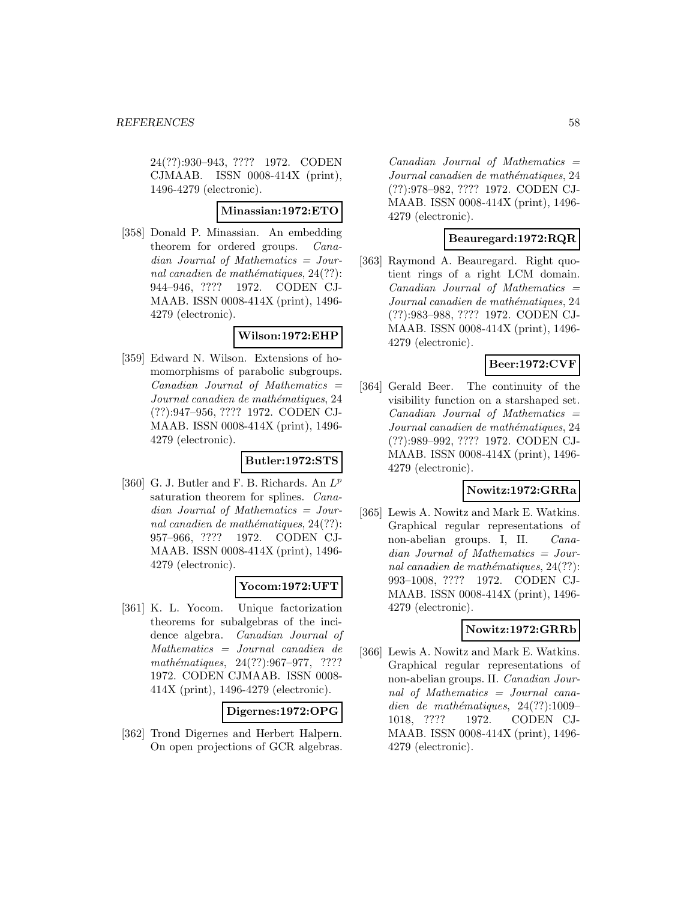24(??):930–943, ???? 1972. CODEN CJMAAB. ISSN 0008-414X (print), 1496-4279 (electronic).

#### **Minassian:1972:ETO**

[358] Donald P. Minassian. An embedding theorem for ordered groups. Canadian Journal of Mathematics = Journal canadien de mathématiques,  $24(??)$ : 944–946, ???? 1972. CODEN CJ-MAAB. ISSN 0008-414X (print), 1496- 4279 (electronic).

### **Wilson:1972:EHP**

[359] Edward N. Wilson. Extensions of homomorphisms of parabolic subgroups.  $Canadian$  Journal of Mathematics  $=$ Journal canadien de mathématiques, 24 (??):947–956, ???? 1972. CODEN CJ-MAAB. ISSN 0008-414X (print), 1496- 4279 (electronic).

#### **Butler:1972:STS**

[360] G. J. Butler and F. B. Richards. An  $L^p$ saturation theorem for splines. Canadian Journal of Mathematics = Journal canadien de mathématiques,  $24(??)$ : 957–966, ???? 1972. CODEN CJ-MAAB. ISSN 0008-414X (print), 1496- 4279 (electronic).

## **Yocom:1972:UFT**

[361] K. L. Yocom. Unique factorization theorems for subalgebras of the incidence algebra. Canadian Journal of Mathematics = Journal canadien de mathématiques, 24(??):967-977, ???? 1972. CODEN CJMAAB. ISSN 0008- 414X (print), 1496-4279 (electronic).

**Digernes:1972:OPG**

[362] Trond Digernes and Herbert Halpern. On open projections of GCR algebras.

 $Canadian$  Journal of Mathematics  $=$ Journal canadien de mathématiques, 24 (??):978–982, ???? 1972. CODEN CJ-MAAB. ISSN 0008-414X (print), 1496- 4279 (electronic).

## **Beauregard:1972:RQR**

[363] Raymond A. Beauregard. Right quotient rings of a right LCM domain.  $Canadian$  Journal of Mathematics  $=$ Journal canadien de mathématiques, 24 (??):983–988, ???? 1972. CODEN CJ-MAAB. ISSN 0008-414X (print), 1496- 4279 (electronic).

## **Beer:1972:CVF**

[364] Gerald Beer. The continuity of the visibility function on a starshaped set.  $Canadian$  Journal of Mathematics  $=$ Journal canadien de mathématiques, 24 (??):989–992, ???? 1972. CODEN CJ-MAAB. ISSN 0008-414X (print), 1496- 4279 (electronic).

#### **Nowitz:1972:GRRa**

[365] Lewis A. Nowitz and Mark E. Watkins. Graphical regular representations of non-abelian groups. I, II. Canadian Journal of Mathematics = Journal canadien de mathématiques,  $24(??)$ : 993–1008, ???? 1972. CODEN CJ-MAAB. ISSN 0008-414X (print), 1496- 4279 (electronic).

## **Nowitz:1972:GRRb**

[366] Lewis A. Nowitz and Mark E. Watkins. Graphical regular representations of non-abelian groups. II. Canadian Journal of Mathematics = Journal canadien de mathématiques,  $24(??):1009-$ 1018, ???? 1972. CODEN CJ-MAAB. ISSN 0008-414X (print), 1496- 4279 (electronic).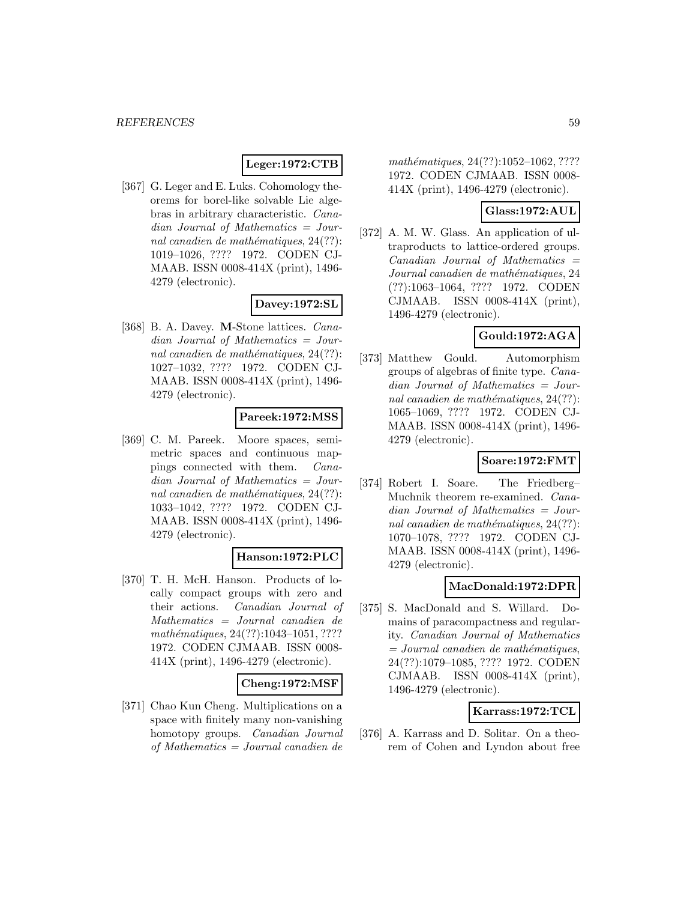## **Leger:1972:CTB**

[367] G. Leger and E. Luks. Cohomology theorems for borel-like solvable Lie algebras in arbitrary characteristic. Canadian Journal of Mathematics = Journal canadien de mathématiques,  $24(??)$ : 1019–1026, ???? 1972. CODEN CJ-MAAB. ISSN 0008-414X (print), 1496- 4279 (electronic).

### **Davey:1972:SL**

[368] B. A. Davey. **M**-Stone lattices. Canadian Journal of Mathematics = Journal canadien de mathématiques,  $24(??)$ : 1027–1032, ???? 1972. CODEN CJ-MAAB. ISSN 0008-414X (print), 1496- 4279 (electronic).

#### **Pareek:1972:MSS**

[369] C. M. Pareek. Moore spaces, semimetric spaces and continuous mappings connected with them. Canadian Journal of Mathematics = Journal canadien de mathématiques,  $24(??)$ : 1033–1042, ???? 1972. CODEN CJ-MAAB. ISSN 0008-414X (print), 1496- 4279 (electronic).

## **Hanson:1972:PLC**

[370] T. H. McH. Hanson. Products of locally compact groups with zero and their actions. Canadian Journal of Mathematics = Journal canadien de mathématiques,  $24(??):1043-1051, ????$ 1972. CODEN CJMAAB. ISSN 0008- 414X (print), 1496-4279 (electronic).

#### **Cheng:1972:MSF**

[371] Chao Kun Cheng. Multiplications on a space with finitely many non-vanishing homotopy groups. Canadian Journal of Mathematics = Journal canadien de

mathématiques, 24(??):1052-1062, ???? 1972. CODEN CJMAAB. ISSN 0008- 414X (print), 1496-4279 (electronic).

### **Glass:1972:AUL**

[372] A. M. W. Glass. An application of ultraproducts to lattice-ordered groups.  $Canadian$  Journal of Mathematics  $=$ Journal canadien de mathématiques, 24 (??):1063–1064, ???? 1972. CODEN CJMAAB. ISSN 0008-414X (print), 1496-4279 (electronic).

### **Gould:1972:AGA**

[373] Matthew Gould. Automorphism groups of algebras of finite type. Canadian Journal of Mathematics = Journal canadien de mathématiques,  $24(??)$ : 1065–1069, ???? 1972. CODEN CJ-MAAB. ISSN 0008-414X (print), 1496- 4279 (electronic).

## **Soare:1972:FMT**

[374] Robert I. Soare. The Friedberg– Muchnik theorem re-examined. Canadian Journal of Mathematics = Journal canadien de mathématiques,  $24(??)$ : 1070–1078, ???? 1972. CODEN CJ-MAAB. ISSN 0008-414X (print), 1496- 4279 (electronic).

#### **MacDonald:1972:DPR**

[375] S. MacDonald and S. Willard. Domains of paracompactness and regularity. Canadian Journal of Mathematics  $=$  Journal canadien de mathématiques, 24(??):1079–1085, ???? 1972. CODEN CJMAAB. ISSN 0008-414X (print), 1496-4279 (electronic).

## **Karrass:1972:TCL**

[376] A. Karrass and D. Solitar. On a theorem of Cohen and Lyndon about free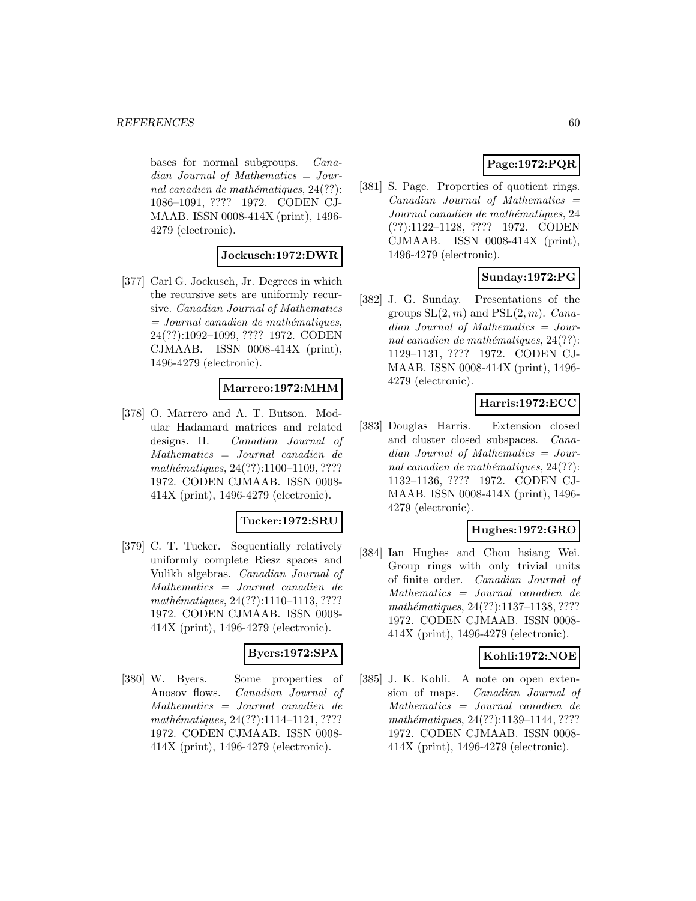bases for normal subgroups. Canadian Journal of Mathematics = Journal canadien de mathématiques,  $24(??)$ : 1086–1091, ???? 1972. CODEN CJ-MAAB. ISSN 0008-414X (print), 1496- 4279 (electronic).

### **Jockusch:1972:DWR**

[377] Carl G. Jockusch, Jr. Degrees in which the recursive sets are uniformly recursive. Canadian Journal of Mathematics  $=$  Journal canadien de mathématiques, 24(??):1092–1099, ???? 1972. CODEN CJMAAB. ISSN 0008-414X (print), 1496-4279 (electronic).

## **Marrero:1972:MHM**

[378] O. Marrero and A. T. Butson. Modular Hadamard matrices and related designs. II. Canadian Journal of Mathematics = Journal canadien de mathématiques, 24(??):1100–1109, ???? 1972. CODEN CJMAAB. ISSN 0008- 414X (print), 1496-4279 (electronic).

#### **Tucker:1972:SRU**

[379] C. T. Tucker. Sequentially relatively uniformly complete Riesz spaces and Vulikh algebras. Canadian Journal of Mathematics = Journal canadien de mathématiques, 24(??):1110-1113, ???? 1972. CODEN CJMAAB. ISSN 0008- 414X (print), 1496-4279 (electronic).

#### **Byers:1972:SPA**

[380] W. Byers. Some properties of Anosov flows. Canadian Journal of Mathematics = Journal canadien de mathématiques, 24(??):1114-1121, ???? 1972. CODEN CJMAAB. ISSN 0008- 414X (print), 1496-4279 (electronic).

## **Page:1972:PQR**

[381] S. Page. Properties of quotient rings.  $Canadian$  Journal of Mathematics  $=$ Journal canadien de mathématiques, 24 (??):1122–1128, ???? 1972. CODEN CJMAAB. ISSN 0008-414X (print), 1496-4279 (electronic).

## **Sunday:1972:PG**

[382] J. G. Sunday. Presentations of the groups  $SL(2, m)$  and  $PSL(2, m)$ . *Cana*dian Journal of Mathematics = Journal canadien de mathématiques,  $24(??)$ : 1129–1131, ???? 1972. CODEN CJ-MAAB. ISSN 0008-414X (print), 1496- 4279 (electronic).

## **Harris:1972:ECC**

[383] Douglas Harris. Extension closed and cluster closed subspaces. Canadian Journal of Mathematics = Journal canadien de mathématiques,  $24(??)$ : 1132–1136, ???? 1972. CODEN CJ-MAAB. ISSN 0008-414X (print), 1496- 4279 (electronic).

## **Hughes:1972:GRO**

[384] Ian Hughes and Chou hsiang Wei. Group rings with only trivial units of finite order. Canadian Journal of Mathematics = Journal canadien de mathématiques, 24(??):1137-1138, ???? 1972. CODEN CJMAAB. ISSN 0008- 414X (print), 1496-4279 (electronic).

## **Kohli:1972:NOE**

[385] J. K. Kohli. A note on open extension of maps. Canadian Journal of Mathematics = Journal canadien de mathématiques, 24(??):1139-1144, ???? 1972. CODEN CJMAAB. ISSN 0008- 414X (print), 1496-4279 (electronic).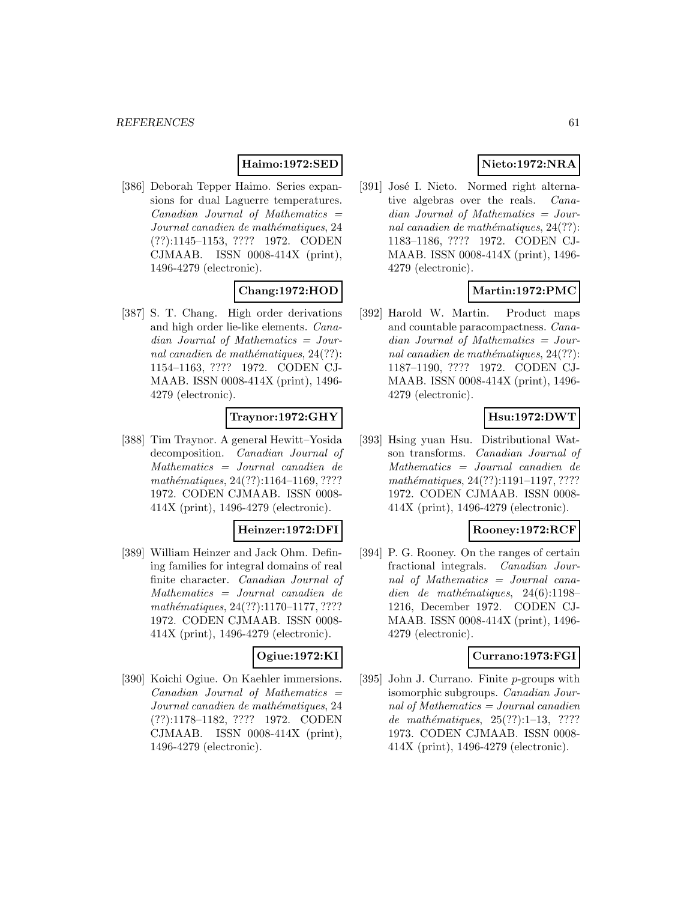## **Haimo:1972:SED**

[386] Deborah Tepper Haimo. Series expansions for dual Laguerre temperatures.  $Canadian$  Journal of Mathematics  $=$ Journal canadien de mathématiques, 24 (??):1145–1153, ???? 1972. CODEN CJMAAB. ISSN 0008-414X (print), 1496-4279 (electronic).

## **Chang:1972:HOD**

[387] S. T. Chang. High order derivations and high order lie-like elements. Canadian Journal of Mathematics = Journal canadien de mathématiques,  $24(??)$ : 1154–1163, ???? 1972. CODEN CJ-MAAB. ISSN 0008-414X (print), 1496- 4279 (electronic).

## **Traynor:1972:GHY**

[388] Tim Traynor. A general Hewitt–Yosida decomposition. Canadian Journal of Mathematics = Journal canadien de mathématiques, 24(??):1164-1169, ???? 1972. CODEN CJMAAB. ISSN 0008- 414X (print), 1496-4279 (electronic).

## **Heinzer:1972:DFI**

[389] William Heinzer and Jack Ohm. Defining families for integral domains of real finite character. Canadian Journal of Mathematics = Journal canadien de  $mathématiques, 24(??):1170–1177, ????$ 1972. CODEN CJMAAB. ISSN 0008- 414X (print), 1496-4279 (electronic).

## **Ogiue:1972:KI**

[390] Koichi Ogiue. On Kaehler immersions.  $Canadian$  Journal of Mathematics  $=$ Journal canadien de mathématiques, 24 (??):1178–1182, ???? 1972. CODEN CJMAAB. ISSN 0008-414X (print), 1496-4279 (electronic).

# **Nieto:1972:NRA**

[391] José I. Nieto. Normed right alternative algebras over the reals. Canadian Journal of Mathematics = Journal canadien de mathématiques,  $24(??)$ : 1183–1186, ???? 1972. CODEN CJ-MAAB. ISSN 0008-414X (print), 1496- 4279 (electronic).

## **Martin:1972:PMC**

[392] Harold W. Martin. Product maps and countable paracompactness. Canadian Journal of Mathematics = Journal canadien de mathématiques,  $24(??)$ : 1187–1190, ???? 1972. CODEN CJ-MAAB. ISSN 0008-414X (print), 1496- 4279 (electronic).

## **Hsu:1972:DWT**

[393] Hsing yuan Hsu. Distributional Watson transforms. Canadian Journal of Mathematics = Journal canadien de mathématiques, 24(??):1191-1197, ???? 1972. CODEN CJMAAB. ISSN 0008- 414X (print), 1496-4279 (electronic).

## **Rooney:1972:RCF**

[394] P. G. Rooney. On the ranges of certain fractional integrals. Canadian Journal of Mathematics = Journal canadien de mathématiques,  $24(6):1198-$ 1216, December 1972. CODEN CJ-MAAB. ISSN 0008-414X (print), 1496- 4279 (electronic).

#### **Currano:1973:FGI**

[395] John J. Currano. Finite p-groups with isomorphic subgroups. Canadian Journal of Mathematics = Journal canadien de mathématiques,  $25(??):1-13$ , ???? 1973. CODEN CJMAAB. ISSN 0008- 414X (print), 1496-4279 (electronic).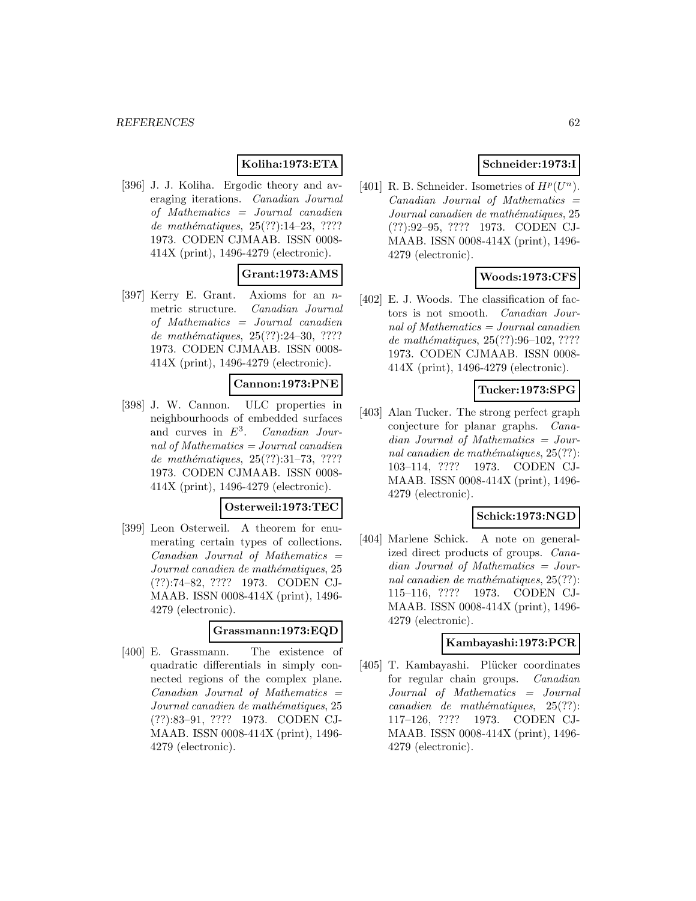## **Koliha:1973:ETA**

[396] J. J. Koliha. Ergodic theory and averaging iterations. Canadian Journal of Mathematics = Journal canadien de mathématiques,  $25(??):14-23, ????$ 1973. CODEN CJMAAB. ISSN 0008- 414X (print), 1496-4279 (electronic).

## **Grant:1973:AMS**

[397] Kerry E. Grant. Axioms for an nmetric structure. Canadian Journal of Mathematics = Journal canadien de mathématiques,  $25(??):24-30, ????$ 1973. CODEN CJMAAB. ISSN 0008- 414X (print), 1496-4279 (electronic).

#### **Cannon:1973:PNE**

[398] J. W. Cannon. ULC properties in neighbourhoods of embedded surfaces and curves in  $E^3$ . Canadian Journal of Mathematics = Journal canadien de mathématiques,  $25(??):31-73, ????$ 1973. CODEN CJMAAB. ISSN 0008- 414X (print), 1496-4279 (electronic).

## **Osterweil:1973:TEC**

[399] Leon Osterweil. A theorem for enumerating certain types of collections.  $Canadian$  Journal of Mathematics  $=$ Journal canadien de mathématiques, 25 (??):74–82, ???? 1973. CODEN CJ-MAAB. ISSN 0008-414X (print), 1496- 4279 (electronic).

#### **Grassmann:1973:EQD**

[400] E. Grassmann. The existence of quadratic differentials in simply connected regions of the complex plane.  $Canadian$  Journal of Mathematics  $=$ Journal canadien de mathématiques, 25 (??):83–91, ???? 1973. CODEN CJ-MAAB. ISSN 0008-414X (print), 1496- 4279 (electronic).

## **Schneider:1973:I**

[401] R. B. Schneider. Isometries of  $H^p(U^n)$ .  $Canadian$  Journal of Mathematics  $=$ Journal canadien de mathématiques, 25 (??):92–95, ???? 1973. CODEN CJ-MAAB. ISSN 0008-414X (print), 1496- 4279 (electronic).

## **Woods:1973:CFS**

[402] E. J. Woods. The classification of factors is not smooth. Canadian Journal of Mathematics  $=$  Journal canadien de mathématiques,  $25(??):96-102, ????$ 1973. CODEN CJMAAB. ISSN 0008- 414X (print), 1496-4279 (electronic).

### **Tucker:1973:SPG**

[403] Alan Tucker. The strong perfect graph conjecture for planar graphs. Canadian Journal of Mathematics = Journal canadien de mathématiques,  $25(??)$ : 103–114, ???? 1973. CODEN CJ-MAAB. ISSN 0008-414X (print), 1496- 4279 (electronic).

## **Schick:1973:NGD**

[404] Marlene Schick. A note on generalized direct products of groups. Canadian Journal of Mathematics = Journal canadien de mathématiques,  $25(??)$ : 115–116, ???? 1973. CODEN CJ-MAAB. ISSN 0008-414X (print), 1496- 4279 (electronic).

#### **Kambayashi:1973:PCR**

[405] T. Kambayashi. Plücker coordinates for regular chain groups. Canadian Journal of Mathematics = Journal  $cana dien de mathématiques, 25(??):$ 117–126, ???? 1973. CODEN CJ-MAAB. ISSN 0008-414X (print), 1496- 4279 (electronic).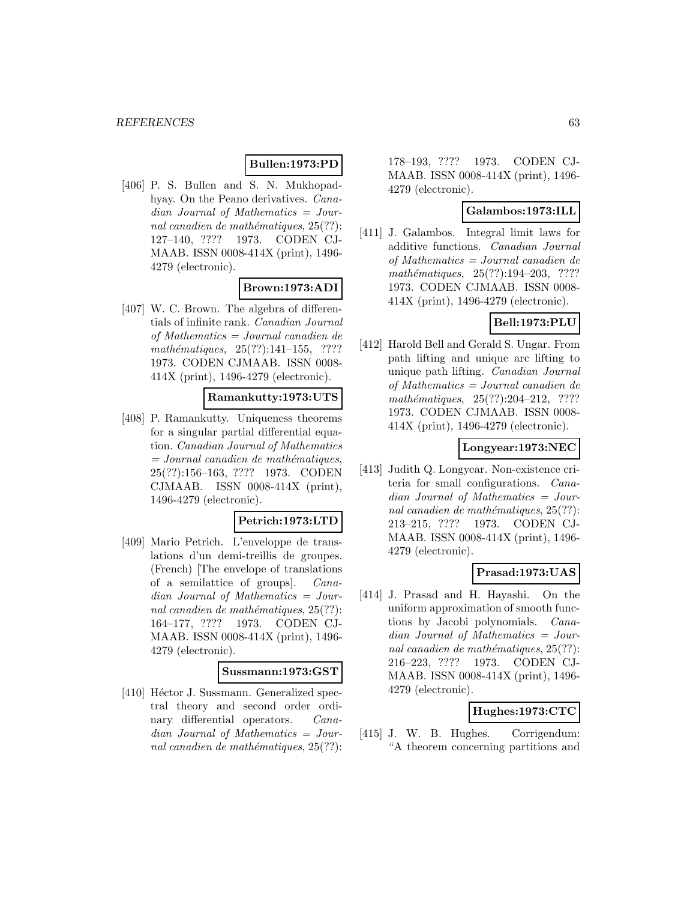## **Bullen:1973:PD**

[406] P. S. Bullen and S. N. Mukhopadhyay. On the Peano derivatives. Canadian Journal of Mathematics = Journal canadien de mathématiques,  $25(??)$ : 127–140, ???? 1973. CODEN CJ-MAAB. ISSN 0008-414X (print), 1496- 4279 (electronic).

## **Brown:1973:ADI**

[407] W. C. Brown. The algebra of differentials of infinite rank. Canadian Journal of Mathematics = Journal canadien de  $mathématiques, 25(??):141–155, ????$ 1973. CODEN CJMAAB. ISSN 0008- 414X (print), 1496-4279 (electronic).

## **Ramankutty:1973:UTS**

[408] P. Ramankutty. Uniqueness theorems for a singular partial differential equation. Canadian Journal of Mathematics  $= Journal\; can a dien\; de\; mathématiques,$ 25(??):156–163, ???? 1973. CODEN CJMAAB. ISSN 0008-414X (print), 1496-4279 (electronic).

## **Petrich:1973:LTD**

[409] Mario Petrich. L'enveloppe de translations d'un demi-treillis de groupes. (French) [The envelope of translations of a semilattice of groups]. Canadian Journal of Mathematics = Journal canadien de mathématiques,  $25(??)$ : 164–177, ???? 1973. CODEN CJ-MAAB. ISSN 0008-414X (print), 1496- 4279 (electronic).

#### **Sussmann:1973:GST**

[410] Héctor J. Sussmann. Generalized spectral theory and second order ordinary differential operators. Canadian Journal of Mathematics = Journal canadien de mathématiques,  $25(??)$ :

178–193, ???? 1973. CODEN CJ-MAAB. ISSN 0008-414X (print), 1496- 4279 (electronic).

#### **Galambos:1973:ILL**

[411] J. Galambos. Integral limit laws for additive functions. Canadian Journal of Mathematics = Journal canadien de mathématiques,  $25(??):194-203$ , ???? 1973. CODEN CJMAAB. ISSN 0008- 414X (print), 1496-4279 (electronic).

## **Bell:1973:PLU**

[412] Harold Bell and Gerald S. Ungar. From path lifting and unique arc lifting to unique path lifting. Canadian Journal of Mathematics = Journal canadien de mathématiques,  $25(??):204-212$ , ???? 1973. CODEN CJMAAB. ISSN 0008- 414X (print), 1496-4279 (electronic).

### **Longyear:1973:NEC**

[413] Judith Q. Longyear. Non-existence criteria for small configurations. Canadian Journal of Mathematics = Journal canadien de mathématiques,  $25(??)$ : 213–215, ???? 1973. CODEN CJ-MAAB. ISSN 0008-414X (print), 1496- 4279 (electronic).

## **Prasad:1973:UAS**

[414] J. Prasad and H. Hayashi. On the uniform approximation of smooth functions by Jacobi polynomials. Canadian Journal of Mathematics = Journal canadien de mathématiques,  $25(??)$ : 216–223, ???? 1973. CODEN CJ-MAAB. ISSN 0008-414X (print), 1496- 4279 (electronic).

## **Hughes:1973:CTC**

[415] J. W. B. Hughes. Corrigendum: "A theorem concerning partitions and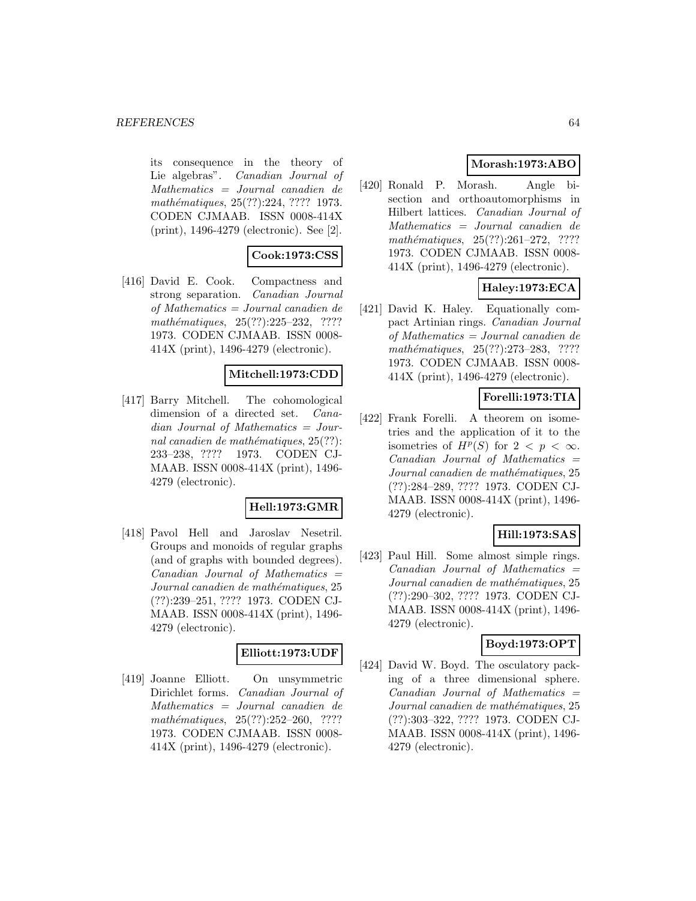its consequence in the theory of Lie algebras". Canadian Journal of Mathematics = Journal canadien de mathématiques, 25(??):224, ???? 1973. CODEN CJMAAB. ISSN 0008-414X (print), 1496-4279 (electronic). See [2].

# **Cook:1973:CSS**

[416] David E. Cook. Compactness and strong separation. Canadian Journal of Mathematics = Journal canadien de mathématiques,  $25(??):225-232$ , ???? 1973. CODEN CJMAAB. ISSN 0008- 414X (print), 1496-4279 (electronic).

## **Mitchell:1973:CDD**

[417] Barry Mitchell. The cohomological dimension of a directed set. Canadian Journal of Mathematics = Journal canadien de mathématiques,  $25(??)$ : 233–238, ???? 1973. CODEN CJ-MAAB. ISSN 0008-414X (print), 1496- 4279 (electronic).

## **Hell:1973:GMR**

[418] Pavol Hell and Jaroslav Nesetril. Groups and monoids of regular graphs (and of graphs with bounded degrees).  $Canadian$  Journal of Mathematics  $=$ Journal canadien de mathématiques, 25 (??):239–251, ???? 1973. CODEN CJ-MAAB. ISSN 0008-414X (print), 1496- 4279 (electronic).

#### **Elliott:1973:UDF**

[419] Joanne Elliott. On unsymmetric Dirichlet forms. Canadian Journal of Mathematics = Journal canadien de  $mathématiques, 25(??):252-260, ????$ 1973. CODEN CJMAAB. ISSN 0008- 414X (print), 1496-4279 (electronic).

# **Morash:1973:ABO**

[420] Ronald P. Morash. Angle bisection and orthoautomorphisms in Hilbert lattices. Canadian Journal of Mathematics = Journal canadien de  $mathématiques, 25(??):261–272, ????$ 1973. CODEN CJMAAB. ISSN 0008- 414X (print), 1496-4279 (electronic).

# **Haley:1973:ECA**

[421] David K. Haley. Equationally compact Artinian rings. Canadian Journal of Mathematics = Journal canadien de  $mathématiques, 25(??):273-283, ????$ 1973. CODEN CJMAAB. ISSN 0008- 414X (print), 1496-4279 (electronic).

## **Forelli:1973:TIA**

[422] Frank Forelli. A theorem on isometries and the application of it to the isometries of  $H^p(S)$  for  $2 < p < \infty$ .  $Canadian$  Journal of Mathematics  $=$ Journal canadien de mathématiques, 25 (??):284–289, ???? 1973. CODEN CJ-MAAB. ISSN 0008-414X (print), 1496- 4279 (electronic).

## **Hill:1973:SAS**

[423] Paul Hill. Some almost simple rings.  $Canadian$  Journal of Mathematics  $=$ Journal canadien de mathématiques, 25 (??):290–302, ???? 1973. CODEN CJ-MAAB. ISSN 0008-414X (print), 1496- 4279 (electronic).

## **Boyd:1973:OPT**

[424] David W. Boyd. The osculatory packing of a three dimensional sphere.  $Canadian$  Journal of Mathematics  $=$ Journal canadien de mathématiques, 25 (??):303–322, ???? 1973. CODEN CJ-MAAB. ISSN 0008-414X (print), 1496- 4279 (electronic).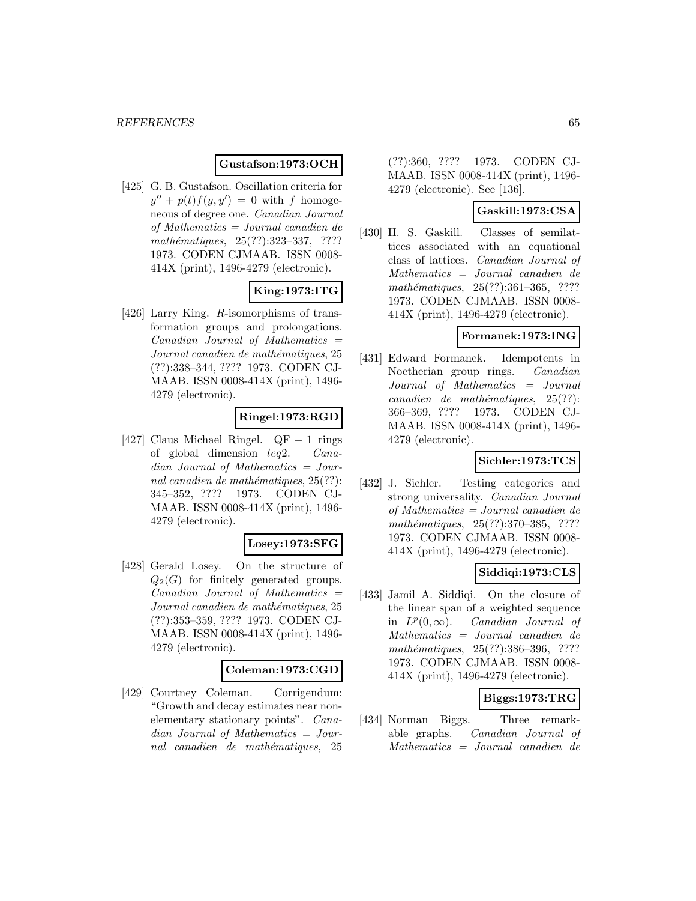### **Gustafson:1973:OCH**

[425] G. B. Gustafson. Oscillation criteria for  $y'' + p(t)f(y, y') = 0$  with f homogeneous of degree one. Canadian Journal of Mathematics = Journal canadien de mathématiques, 25(??):323-337, ???? 1973. CODEN CJMAAB. ISSN 0008- 414X (print), 1496-4279 (electronic).

# **King:1973:ITG**

[426] Larry King. R-isomorphisms of transformation groups and prolongations.  $Canadian$  Journal of Mathematics  $=$ Journal canadien de mathématiques, 25 (??):338–344, ???? 1973. CODEN CJ-MAAB. ISSN 0008-414X (print), 1496- 4279 (electronic).

## **Ringel:1973:RGD**

[427] Claus Michael Ringel.  $QF - 1$  rings<br>of global dimension  $leq 2$ . Canaof global dimension  $leq 2$ . dian Journal of Mathematics = Journal canadien de mathématiques,  $25(??)$ : 345–352, ???? 1973. CODEN CJ-MAAB. ISSN 0008-414X (print), 1496- 4279 (electronic).

### **Losey:1973:SFG**

[428] Gerald Losey. On the structure of  $Q_2(G)$  for finitely generated groups.  $Canadian$  Journal of Mathematics  $=$ Journal canadien de mathématiques, 25 (??):353–359, ???? 1973. CODEN CJ-MAAB. ISSN 0008-414X (print), 1496- 4279 (electronic).

## **Coleman:1973:CGD**

[429] Courtney Coleman. Corrigendum: "Growth and decay estimates near nonelementary stationary points". Canadian Journal of Mathematics = Journal canadien de mathématiques, 25

(??):360, ???? 1973. CODEN CJ-MAAB. ISSN 0008-414X (print), 1496- 4279 (electronic). See [136].

### **Gaskill:1973:CSA**

[430] H. S. Gaskill. Classes of semilattices associated with an equational class of lattices. Canadian Journal of Mathematics = Journal canadien de  $mathématiques, 25(??):361–365, ????$ 1973. CODEN CJMAAB. ISSN 0008- 414X (print), 1496-4279 (electronic).

### **Formanek:1973:ING**

[431] Edward Formanek. Idempotents in Noetherian group rings. Canadian Journal of Mathematics = Journal  $cana dien de mathématiques, 25(??):$ 366–369, ???? 1973. CODEN CJ-MAAB. ISSN 0008-414X (print), 1496- 4279 (electronic).

## **Sichler:1973:TCS**

[432] J. Sichler. Testing categories and strong universality. Canadian Journal of Mathematics = Journal canadien de mathématiques, 25(??):370–385, ???? 1973. CODEN CJMAAB. ISSN 0008- 414X (print), 1496-4279 (electronic).

## **Siddiqi:1973:CLS**

[433] Jamil A. Siddiqi. On the closure of the linear span of a weighted sequence in  $L^p(0,\infty)$ . Canadian Journal of Mathematics = Journal canadien de mathématiques, 25(??):386-396, ???? 1973. CODEN CJMAAB. ISSN 0008- 414X (print), 1496-4279 (electronic).

## **Biggs:1973:TRG**

[434] Norman Biggs. Three remarkable graphs. Canadian Journal of Mathematics = Journal canadien de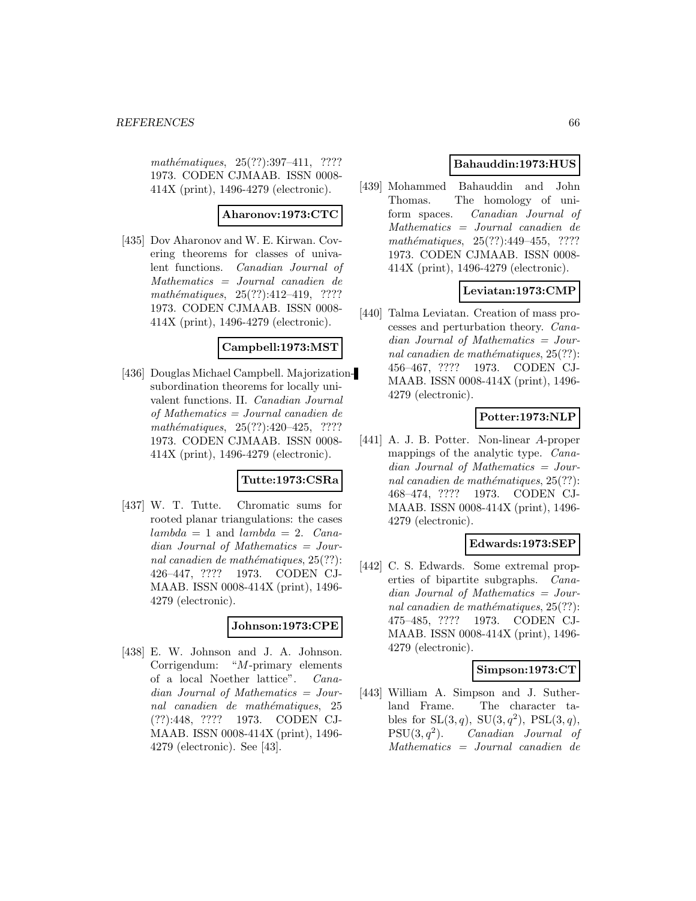mathématiques, 25(??):397-411, ???? 1973. CODEN CJMAAB. ISSN 0008- 414X (print), 1496-4279 (electronic).

#### **Aharonov:1973:CTC**

[435] Dov Aharonov and W. E. Kirwan. Covering theorems for classes of univalent functions. Canadian Journal of Mathematics = Journal canadien de mathématiques, 25(??):412-419, ???? 1973. CODEN CJMAAB. ISSN 0008- 414X (print), 1496-4279 (electronic).

#### **Campbell:1973:MST**

[436] Douglas Michael Campbell. Majorizationsubordination theorems for locally univalent functions. II. Canadian Journal of Mathematics = Journal canadien de  $mathématiques, 25(??):420–425, ????$ 1973. CODEN CJMAAB. ISSN 0008- 414X (print), 1496-4279 (electronic).

## **Tutte:1973:CSRa**

[437] W. T. Tutte. Chromatic sums for rooted planar triangulations: the cases  $lambda = 1$  and  $lambda = 2$ . Canadian Journal of Mathematics = Journal canadien de mathématiques,  $25(??)$ : 426–447, ???? 1973. CODEN CJ-MAAB. ISSN 0008-414X (print), 1496- 4279 (electronic).

## **Johnson:1973:CPE**

[438] E. W. Johnson and J. A. Johnson. Corrigendum: "M-primary elements of a local Noether lattice". Canadian Journal of Mathematics = Journal canadien de mathématiques, 25 (??):448, ???? 1973. CODEN CJ-MAAB. ISSN 0008-414X (print), 1496- 4279 (electronic). See [43].

## **Bahauddin:1973:HUS**

[439] Mohammed Bahauddin and John Thomas. The homology of uniform spaces. Canadian Journal of Mathematics = Journal canadien de mathématiques,  $25(??):449-455$ , ???? 1973. CODEN CJMAAB. ISSN 0008- 414X (print), 1496-4279 (electronic).

## **Leviatan:1973:CMP**

[440] Talma Leviatan. Creation of mass processes and perturbation theory. Canadian Journal of Mathematics = Journal canadien de mathématiques,  $25(??)$ : 456–467, ???? 1973. CODEN CJ-MAAB. ISSN 0008-414X (print), 1496- 4279 (electronic).

## **Potter:1973:NLP**

[441] A. J. B. Potter. Non-linear A-proper mappings of the analytic type. Canadian Journal of Mathematics = Journal canadien de mathématiques,  $25(??)$ : 468–474, ???? 1973. CODEN CJ-MAAB. ISSN 0008-414X (print), 1496- 4279 (electronic).

#### **Edwards:1973:SEP**

[442] C. S. Edwards. Some extremal properties of bipartite subgraphs. Canadian Journal of Mathematics = Journal canadien de mathématiques,  $25(??)$ : 475–485, ???? 1973. CODEN CJ-MAAB. ISSN 0008-414X (print), 1496- 4279 (electronic).

## **Simpson:1973:CT**

[443] William A. Simpson and J. Sutherland Frame. The character tables for  $SL(3, q)$ ,  $SU(3, q^2)$ ,  $PSL(3, q)$ ,  $PSU(3, q^2)$ . Canadian Journal of Mathematics = Journal canadien de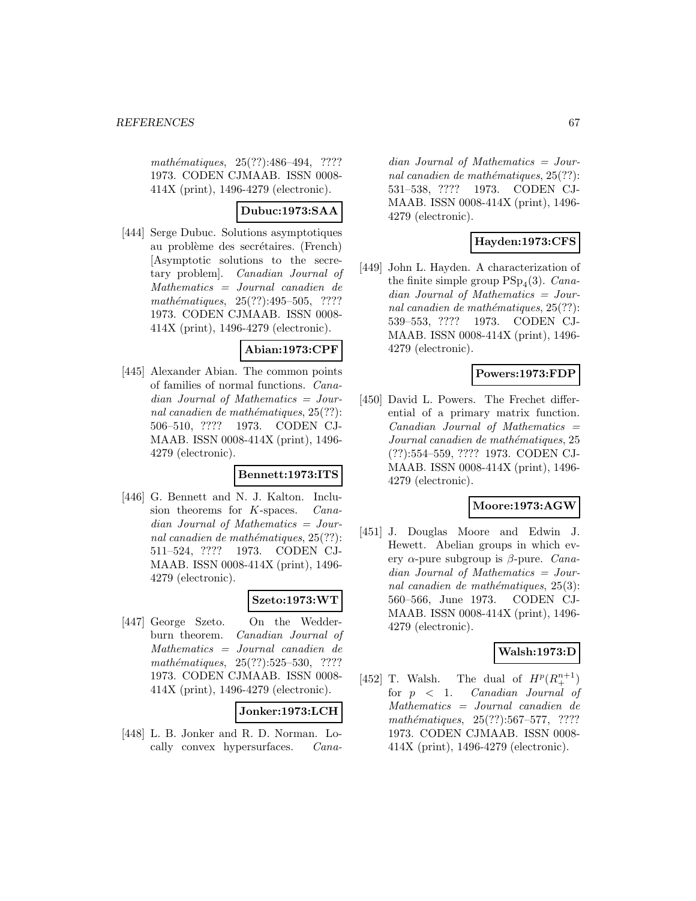mathématiques, 25(??):486-494, ???? 1973. CODEN CJMAAB. ISSN 0008- 414X (print), 1496-4279 (electronic).

## **Dubuc:1973:SAA**

[444] Serge Dubuc. Solutions asymptotiques au problème des secrétaires. (French) [Asymptotic solutions to the secretary problem]. Canadian Journal of Mathematics = Journal canadien de mathématiques, 25(??):495-505, ???? 1973. CODEN CJMAAB. ISSN 0008- 414X (print), 1496-4279 (electronic).

## **Abian:1973:CPF**

[445] Alexander Abian. The common points of families of normal functions. Canadian Journal of Mathematics = Journal canadien de mathématiques,  $25(??)$ : 506–510, ???? 1973. CODEN CJ-MAAB. ISSN 0008-414X (print), 1496- 4279 (electronic).

#### **Bennett:1973:ITS**

[446] G. Bennett and N. J. Kalton. Inclusion theorems for K-spaces. Canadian Journal of Mathematics = Journal canadien de mathématiques,  $25(??)$ : 511–524, ???? 1973. CODEN CJ-MAAB. ISSN 0008-414X (print), 1496- 4279 (electronic).

## **Szeto:1973:WT**

[447] George Szeto. On the Wedderburn theorem. Canadian Journal of Mathematics = Journal canadien de  $mathématiques, 25(??):525–530, ????$ 1973. CODEN CJMAAB. ISSN 0008- 414X (print), 1496-4279 (electronic).

# **Jonker:1973:LCH**

[448] L. B. Jonker and R. D. Norman. Locally convex hypersurfaces. Cana-

dian Journal of Mathematics = Journal canadien de mathématiques,  $25(??)$ : 531–538, ???? 1973. CODEN CJ-MAAB. ISSN 0008-414X (print), 1496- 4279 (electronic).

## **Hayden:1973:CFS**

[449] John L. Hayden. A characterization of the finite simple group  $PSp_4(3)$ . Canadian Journal of Mathematics = Journal canadien de mathématiques,  $25(??)$ : 539–553, ???? 1973. CODEN CJ-MAAB. ISSN 0008-414X (print), 1496- 4279 (electronic).

## **Powers:1973:FDP**

[450] David L. Powers. The Frechet differential of a primary matrix function.  $Canadian$  Journal of Mathematics  $=$ Journal canadien de mathématiques, 25 (??):554–559, ???? 1973. CODEN CJ-MAAB. ISSN 0008-414X (print), 1496- 4279 (electronic).

## **Moore:1973:AGW**

[451] J. Douglas Moore and Edwin J. Hewett. Abelian groups in which every  $\alpha$ -pure subgroup is  $\beta$ -pure. Canadian Journal of Mathematics = Journal canadien de mathématiques,  $25(3)$ : 560–566, June 1973. CODEN CJ-MAAB. ISSN 0008-414X (print), 1496- 4279 (electronic).

### **Walsh:1973:D**

[452] T. Walsh. The dual of  $H^p(R^{n+1}_+)$ for  $p \leq 1$ . Canadian Journal of Mathematics = Journal canadien de  $mathématiques, 25(??): 567–577, ????$ 1973. CODEN CJMAAB. ISSN 0008- 414X (print), 1496-4279 (electronic).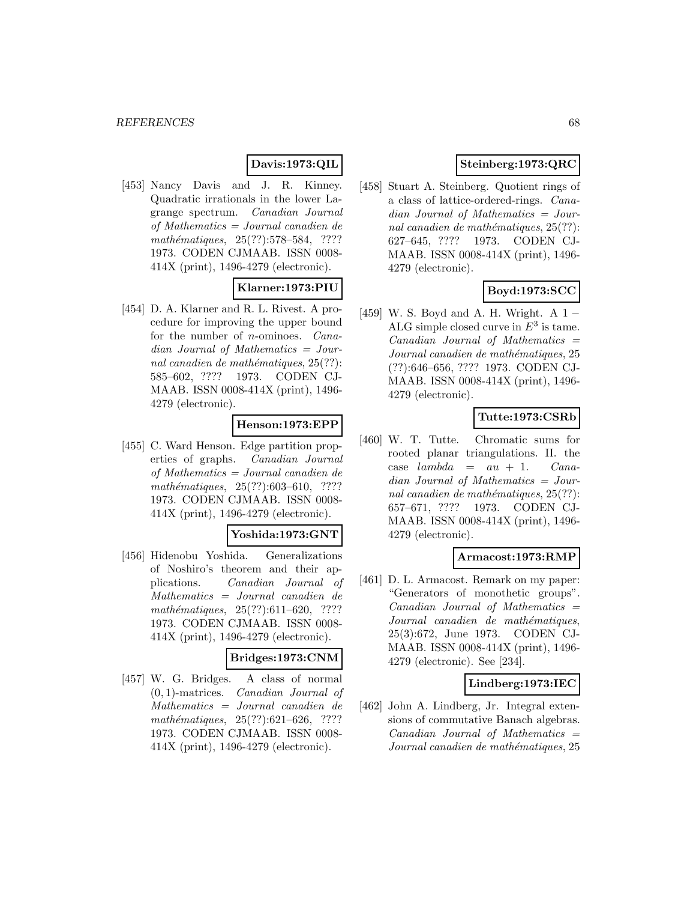# **Davis:1973:QIL**

[453] Nancy Davis and J. R. Kinney. Quadratic irrationals in the lower Lagrange spectrum. Canadian Journal of Mathematics = Journal canadien de mathématiques, 25(??):578–584, ???? 1973. CODEN CJMAAB. ISSN 0008- 414X (print), 1496-4279 (electronic).

## **Klarner:1973:PIU**

[454] D. A. Klarner and R. L. Rivest. A procedure for improving the upper bound for the number of n-ominoes. Canadian Journal of Mathematics = Journal canadien de mathématiques,  $25(??)$ : 585–602, ???? 1973. CODEN CJ-MAAB. ISSN 0008-414X (print), 1496- 4279 (electronic).

## **Henson:1973:EPP**

[455] C. Ward Henson. Edge partition properties of graphs. Canadian Journal of Mathematics = Journal canadien de  $mathématiques, 25(??):603–610, ????$ 1973. CODEN CJMAAB. ISSN 0008- 414X (print), 1496-4279 (electronic).

#### **Yoshida:1973:GNT**

[456] Hidenobu Yoshida. Generalizations of Noshiro's theorem and their applications. Canadian Journal of Mathematics = Journal canadien de mathématiques,  $25(??):611-620$ , ???? 1973. CODEN CJMAAB. ISSN 0008- 414X (print), 1496-4279 (electronic).

### **Bridges:1973:CNM**

[457] W. G. Bridges. A class of normal (0, 1)-matrices. Canadian Journal of Mathematics = Journal canadien de  $mathématiques, 25(??):621–626, ????$ 1973. CODEN CJMAAB. ISSN 0008- 414X (print), 1496-4279 (electronic).

# **Steinberg:1973:QRC**

[458] Stuart A. Steinberg. Quotient rings of a class of lattice-ordered-rings. Canadian Journal of Mathematics = Journal canadien de mathématiques,  $25(??)$ : 627–645, ???? 1973. CODEN CJ-MAAB. ISSN 0008-414X (print), 1496- 4279 (electronic).

## **Boyd:1973:SCC**

[459] W. S. Boyd and A. H. Wright. A 1 − ALG simple closed curve in  $E^3$  is tame.  $Canadian$  Journal of Mathematics  $=$ Journal canadien de mathématiques, 25 (??):646–656, ???? 1973. CODEN CJ-MAAB. ISSN 0008-414X (print), 1496- 4279 (electronic).

## **Tutte:1973:CSRb**

[460] W. T. Tutte. Chromatic sums for rooted planar triangulations. II. the case  $lambda = au + 1$ . Canadian Journal of Mathematics = Journal canadien de mathématiques,  $25(??)$ : 657–671, ???? 1973. CODEN CJ-MAAB. ISSN 0008-414X (print), 1496- 4279 (electronic).

#### **Armacost:1973:RMP**

[461] D. L. Armacost. Remark on my paper: "Generators of monothetic groups". Canadian Journal of Mathematics = Journal canadien de mathématiques, 25(3):672, June 1973. CODEN CJ-MAAB. ISSN 0008-414X (print), 1496- 4279 (electronic). See [234].

#### **Lindberg:1973:IEC**

[462] John A. Lindberg, Jr. Integral extensions of commutative Banach algebras.  $Canadian$  Journal of Mathematics  $=$ Journal canadien de mathématiques, 25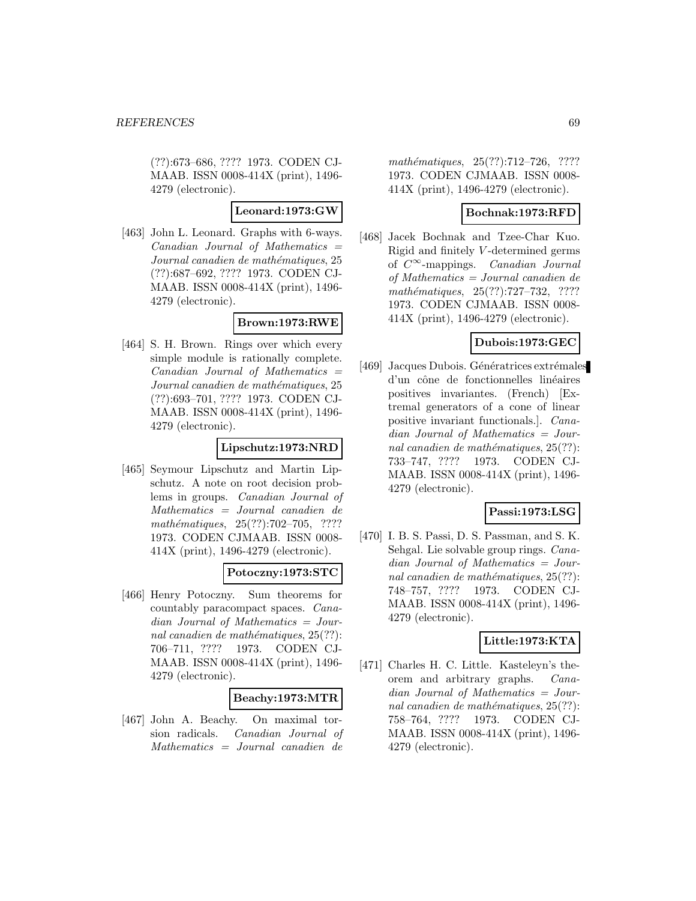(??):673–686, ???? 1973. CODEN CJ-MAAB. ISSN 0008-414X (print), 1496- 4279 (electronic).

#### **Leonard:1973:GW**

[463] John L. Leonard. Graphs with 6-ways. Canadian Journal of Mathematics = Journal canadien de mathématiques, 25 (??):687–692, ???? 1973. CODEN CJ-MAAB. ISSN 0008-414X (print), 1496- 4279 (electronic).

## **Brown:1973:RWE**

[464] S. H. Brown. Rings over which every simple module is rationally complete.  $Canadian$  Journal of Mathematics  $=$ Journal canadien de mathématiques, 25 (??):693–701, ???? 1973. CODEN CJ-MAAB. ISSN 0008-414X (print), 1496- 4279 (electronic).

## **Lipschutz:1973:NRD**

[465] Seymour Lipschutz and Martin Lipschutz. A note on root decision problems in groups. Canadian Journal of Mathematics = Journal canadien de mathématiques, 25(??):702–705, ???? 1973. CODEN CJMAAB. ISSN 0008- 414X (print), 1496-4279 (electronic).

## **Potoczny:1973:STC**

[466] Henry Potoczny. Sum theorems for countably paracompact spaces. Canadian Journal of Mathematics = Journal canadien de mathématiques,  $25(??)$ : 706–711, ???? 1973. CODEN CJ-MAAB. ISSN 0008-414X (print), 1496- 4279 (electronic).

#### **Beachy:1973:MTR**

[467] John A. Beachy. On maximal torsion radicals. Canadian Journal of Mathematics = Journal canadien de

mathématiques, 25(??):712–726, ???? 1973. CODEN CJMAAB. ISSN 0008- 414X (print), 1496-4279 (electronic).

### **Bochnak:1973:RFD**

[468] Jacek Bochnak and Tzee-Char Kuo. Rigid and finitely V -determined germs of  $C^{\infty}$ -mappings. *Canadian Journal* of Mathematics = Journal canadien de mathématiques,  $25(??):727-732$ , ???? 1973. CODEN CJMAAB. ISSN 0008- 414X (print), 1496-4279 (electronic).

## **Dubois:1973:GEC**

[469] Jacques Dubois. Génératrices extrémales d'un cône de fonctionnelles linéaires positives invariantes. (French) [Extremal generators of a cone of linear positive invariant functionals.]. Canadian Journal of Mathematics = Journal canadien de mathématiques,  $25(??)$ : 733–747, ???? 1973. CODEN CJ-MAAB. ISSN 0008-414X (print), 1496- 4279 (electronic).

## **Passi:1973:LSG**

[470] I. B. S. Passi, D. S. Passman, and S. K. Sehgal. Lie solvable group rings. Canadian Journal of Mathematics = Journal canadien de mathématiques,  $25(??)$ : 748–757, ???? 1973. CODEN CJ-MAAB. ISSN 0008-414X (print), 1496- 4279 (electronic).

## **Little:1973:KTA**

[471] Charles H. C. Little. Kasteleyn's theorem and arbitrary graphs. Canadian Journal of Mathematics = Journal canadien de mathématiques,  $25(??)$ : 758–764, ???? 1973. CODEN CJ-MAAB. ISSN 0008-414X (print), 1496- 4279 (electronic).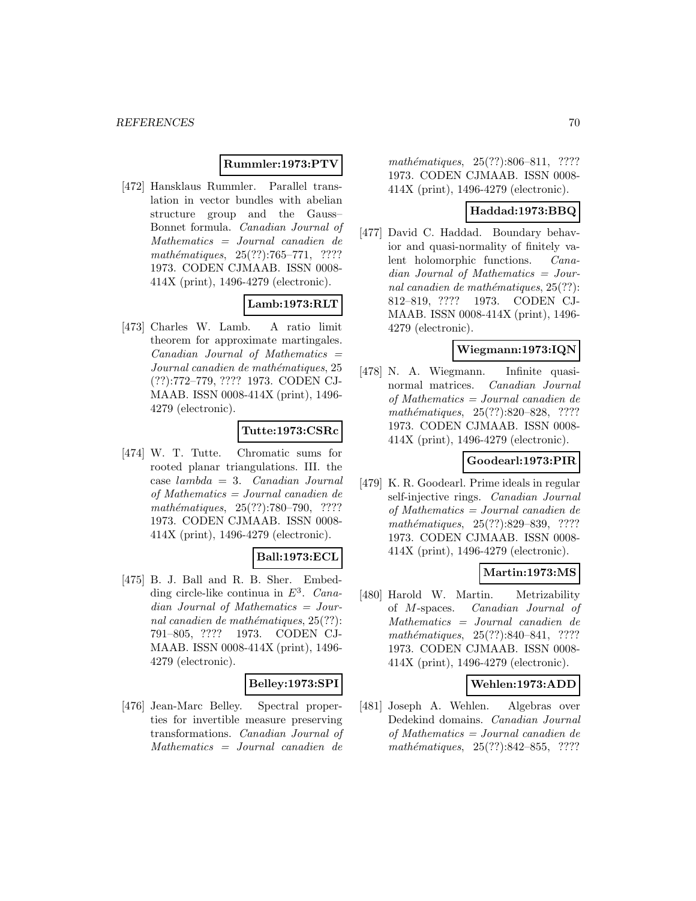### **Rummler:1973:PTV**

[472] Hansklaus Rummler. Parallel translation in vector bundles with abelian structure group and the Gauss– Bonnet formula. Canadian Journal of Mathematics = Journal canadien de mathématiques,  $25(??):765–771, ????$ 1973. CODEN CJMAAB. ISSN 0008- 414X (print), 1496-4279 (electronic).

## **Lamb:1973:RLT**

[473] Charles W. Lamb. A ratio limit theorem for approximate martingales.  $Canadian$  Journal of Mathematics  $=$ Journal canadien de mathématiques, 25 (??):772–779, ???? 1973. CODEN CJ-MAAB. ISSN 0008-414X (print), 1496- 4279 (electronic).

## **Tutte:1973:CSRc**

[474] W. T. Tutte. Chromatic sums for rooted planar triangulations. III. the  $case \; lambda = 3. \; Canadian \; Journal$ of Mathematics = Journal canadien de mathématiques, 25(??):780–790, ???? 1973. CODEN CJMAAB. ISSN 0008- 414X (print), 1496-4279 (electronic).

## **Ball:1973:ECL**

[475] B. J. Ball and R. B. Sher. Embedding circle-like continua in  $E^3$ . Canadian Journal of Mathematics = Journal canadien de mathématiques,  $25(??)$ : 791–805, ???? 1973. CODEN CJ-MAAB. ISSN 0008-414X (print), 1496- 4279 (electronic).

#### **Belley:1973:SPI**

[476] Jean-Marc Belley. Spectral properties for invertible measure preserving transformations. Canadian Journal of Mathematics = Journal canadien de

mathématiques, 25(??):806–811, ???? 1973. CODEN CJMAAB. ISSN 0008- 414X (print), 1496-4279 (electronic).

### **Haddad:1973:BBQ**

[477] David C. Haddad. Boundary behavior and quasi-normality of finitely valent holomorphic functions. Canadian Journal of Mathematics = Journal canadien de mathématiques,  $25(??)$ : 812–819, ???? 1973. CODEN CJ-MAAB. ISSN 0008-414X (print), 1496- 4279 (electronic).

## **Wiegmann:1973:IQN**

[478] N. A. Wiegmann. Infinite quasinormal matrices. Canadian Journal of Mathematics = Journal canadien de mathématiques, 25(??):820-828, ???? 1973. CODEN CJMAAB. ISSN 0008- 414X (print), 1496-4279 (electronic).

#### **Goodearl:1973:PIR**

[479] K. R. Goodearl. Prime ideals in regular self-injective rings. Canadian Journal of Mathematics = Journal canadien de mathématiques, 25(??):829-839, ???? 1973. CODEN CJMAAB. ISSN 0008- 414X (print), 1496-4279 (electronic).

## **Martin:1973:MS**

[480] Harold W. Martin. Metrizability of M-spaces. Canadian Journal of Mathematics = Journal canadien de mathématiques,  $25(??):840-841$ , ???? 1973. CODEN CJMAAB. ISSN 0008- 414X (print), 1496-4279 (electronic).

#### **Wehlen:1973:ADD**

[481] Joseph A. Wehlen. Algebras over Dedekind domains. Canadian Journal of Mathematics = Journal canadien de mathématiques,  $25(??):842-855$ , ????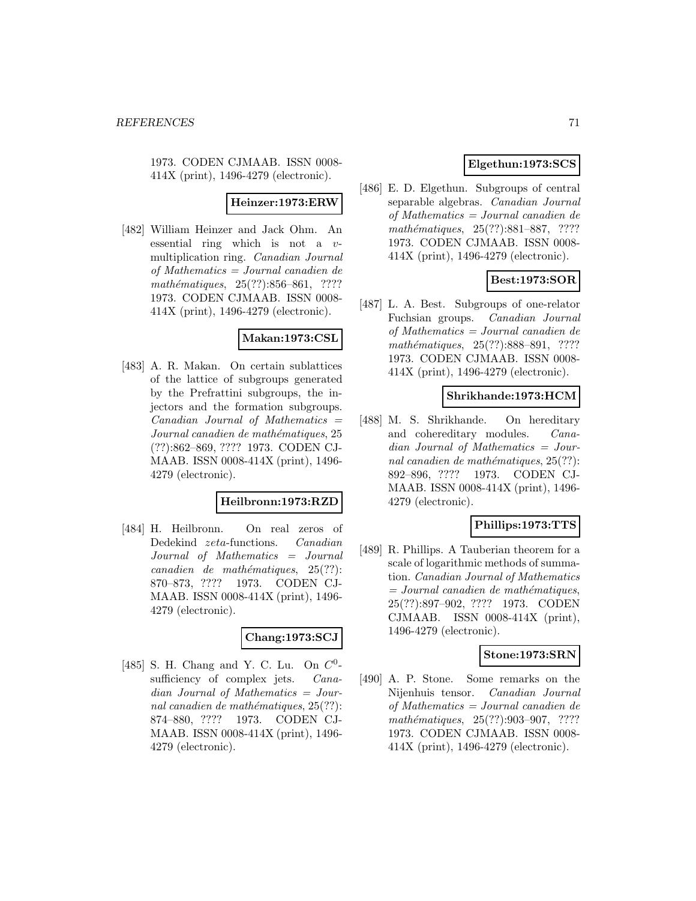1973. CODEN CJMAAB. ISSN 0008- 414X (print), 1496-4279 (electronic).

#### **Heinzer:1973:ERW**

[482] William Heinzer and Jack Ohm. An essential ring which is not a vmultiplication ring. Canadian Journal of Mathematics = Journal canadien de mathématiques,  $25(??):856-861$ , ???? 1973. CODEN CJMAAB. ISSN 0008- 414X (print), 1496-4279 (electronic).

## **Makan:1973:CSL**

[483] A. R. Makan. On certain sublattices of the lattice of subgroups generated by the Prefrattini subgroups, the injectors and the formation subgroups.  $Canadian$  Journal of Mathematics  $=$ Journal canadien de mathématiques, 25 (??):862–869, ???? 1973. CODEN CJ-MAAB. ISSN 0008-414X (print), 1496- 4279 (electronic).

#### **Heilbronn:1973:RZD**

[484] H. Heilbronn. On real zeros of Dedekind zeta-functions. Canadian Journal of Mathematics = Journal  $cana dien de mathématiques, 25(??):$ 870–873, ???? 1973. CODEN CJ-MAAB. ISSN 0008-414X (print), 1496- 4279 (electronic).

## **Chang:1973:SCJ**

[485] S. H. Chang and Y. C. Lu. On  $C^0$ sufficiency of complex jets. *Cana*dian Journal of Mathematics = Journal canadien de mathématiques,  $25(??)$ : 874–880, ???? 1973. CODEN CJ-MAAB. ISSN 0008-414X (print), 1496- 4279 (electronic).

## **Elgethun:1973:SCS**

[486] E. D. Elgethun. Subgroups of central separable algebras. Canadian Journal of Mathematics = Journal canadien de mathématiques, 25(??):881–887, ???? 1973. CODEN CJMAAB. ISSN 0008- 414X (print), 1496-4279 (electronic).

## **Best:1973:SOR**

[487] L. A. Best. Subgroups of one-relator Fuchsian groups. Canadian Journal of Mathematics = Journal canadien de mathématiques, 25(??):888–891, ???? 1973. CODEN CJMAAB. ISSN 0008- 414X (print), 1496-4279 (electronic).

### **Shrikhande:1973:HCM**

[488] M. S. Shrikhande. On hereditary and cohereditary modules. Canadian Journal of Mathematics = Journal canadien de mathématiques,  $25(??)$ : 892–896, ???? 1973. CODEN CJ-MAAB. ISSN 0008-414X (print), 1496- 4279 (electronic).

## **Phillips:1973:TTS**

[489] R. Phillips. A Tauberian theorem for a scale of logarithmic methods of summation. Canadian Journal of Mathematics  $= Journal\; candidates,$ 25(??):897–902, ???? 1973. CODEN CJMAAB. ISSN 0008-414X (print), 1496-4279 (electronic).

## **Stone:1973:SRN**

[490] A. P. Stone. Some remarks on the Nijenhuis tensor. Canadian Journal of Mathematics = Journal canadien de mathématiques, 25(??):903-907, ???? 1973. CODEN CJMAAB. ISSN 0008- 414X (print), 1496-4279 (electronic).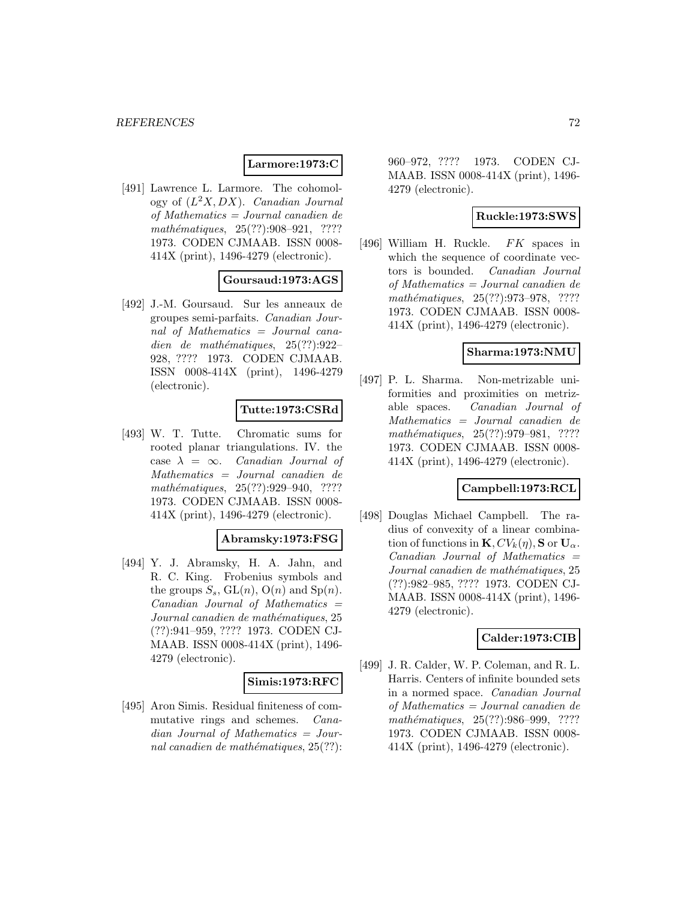#### **Larmore:1973:C**

[491] Lawrence L. Larmore. The cohomology of  $(L^2X,DX)$ . Canadian Journal of Mathematics = Journal canadien de  $mathématiques, 25(??):908-921, ????$ 1973. CODEN CJMAAB. ISSN 0008- 414X (print), 1496-4279 (electronic).

### **Goursaud:1973:AGS**

[492] J.-M. Goursaud. Sur les anneaux de groupes semi-parfaits. Canadian Journal of Mathematics = Journal canadien de mathématiques,  $25(??):922-$ 928, ???? 1973. CODEN CJMAAB. ISSN 0008-414X (print), 1496-4279 (electronic).

## **Tutte:1973:CSRd**

[493] W. T. Tutte. Chromatic sums for rooted planar triangulations. IV. the case  $\lambda = \infty$ . Canadian Journal of Mathematics = Journal canadien de mathématiques, 25(??):929-940, ???? 1973. CODEN CJMAAB. ISSN 0008- 414X (print), 1496-4279 (electronic).

#### **Abramsky:1973:FSG**

[494] Y. J. Abramsky, H. A. Jahn, and R. C. King. Frobenius symbols and the groups  $S_s$ ,  $GL(n)$ ,  $O(n)$  and  $Sp(n)$ .  $Canadian$  Journal of Mathematics  $=$ Journal canadien de mathématiques, 25 (??):941–959, ???? 1973. CODEN CJ-MAAB. ISSN 0008-414X (print), 1496- 4279 (electronic).

#### **Simis:1973:RFC**

[495] Aron Simis. Residual finiteness of commutative rings and schemes. Canadian Journal of Mathematics = Journal canadien de mathématiques,  $25(??)$ : 960–972, ???? 1973. CODEN CJ-MAAB. ISSN 0008-414X (print), 1496- 4279 (electronic).

### **Ruckle:1973:SWS**

[496] William H. Ruckle. FK spaces in which the sequence of coordinate vectors is bounded. Canadian Journal of Mathematics = Journal canadien de mathématiques, 25(??):973-978, ???? 1973. CODEN CJMAAB. ISSN 0008- 414X (print), 1496-4279 (electronic).

#### **Sharma:1973:NMU**

[497] P. L. Sharma. Non-metrizable uniformities and proximities on metrizable spaces. Canadian Journal of Mathematics = Journal canadien de mathématiques, 25(??):979–981, ???? 1973. CODEN CJMAAB. ISSN 0008- 414X (print), 1496-4279 (electronic).

#### **Campbell:1973:RCL**

[498] Douglas Michael Campbell. The radius of convexity of a linear combination of functions in  $\mathbf{K}, CV_k(\eta)$ , **S** or  $\mathbf{U}_\alpha$ . Canadian Journal of Mathematics = Journal canadien de mathématiques, 25 (??):982–985, ???? 1973. CODEN CJ-MAAB. ISSN 0008-414X (print), 1496- 4279 (electronic).

## **Calder:1973:CIB**

[499] J. R. Calder, W. P. Coleman, and R. L. Harris. Centers of infinite bounded sets in a normed space. Canadian Journal of Mathematics = Journal canadien de mathématiques, 25(??):986-999, ???? 1973. CODEN CJMAAB. ISSN 0008- 414X (print), 1496-4279 (electronic).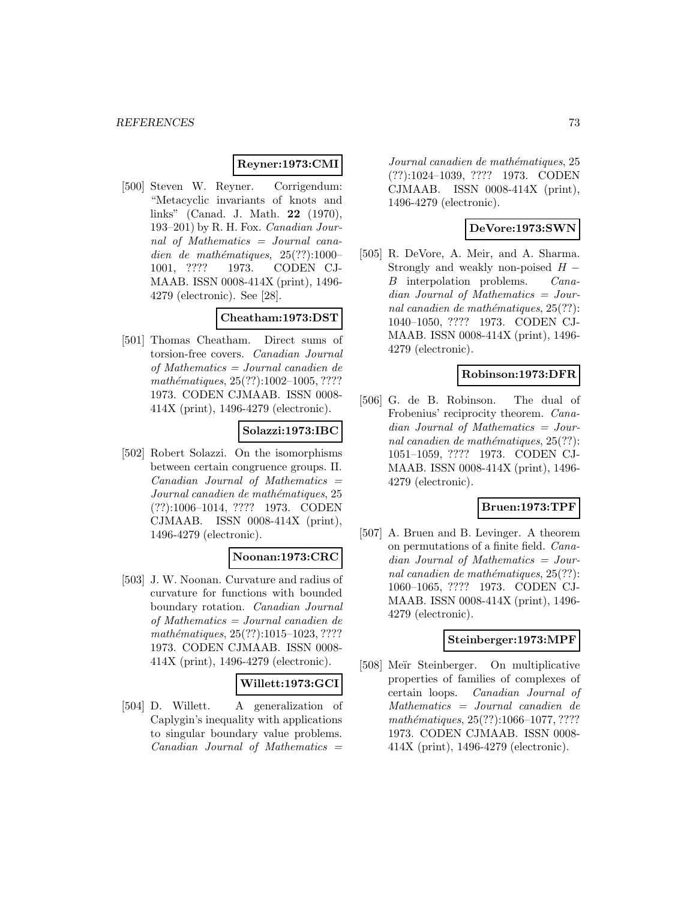### **Reyner:1973:CMI**

[500] Steven W. Reyner. Corrigendum: "Metacyclic invariants of knots and links" (Canad. J. Math. **22** (1970), 193–201) by R. H. Fox. Canadian Journal of Mathematics = Journal canadien de mathématiques,  $25(??):1000-$ 1001, ???? 1973. CODEN CJ-MAAB. ISSN 0008-414X (print), 1496- 4279 (electronic). See [28].

### **Cheatham:1973:DST**

[501] Thomas Cheatham. Direct sums of torsion-free covers. Canadian Journal of Mathematics = Journal canadien de  $mathématiques, 25(??): 1002–1005, ????$ 1973. CODEN CJMAAB. ISSN 0008- 414X (print), 1496-4279 (electronic).

# **Solazzi:1973:IBC**

[502] Robert Solazzi. On the isomorphisms between certain congruence groups. II.  $Canadian$  Journal of Mathematics  $=$ Journal canadien de mathématiques, 25 (??):1006–1014, ???? 1973. CODEN CJMAAB. ISSN 0008-414X (print), 1496-4279 (electronic).

### **Noonan:1973:CRC**

[503] J. W. Noonan. Curvature and radius of curvature for functions with bounded boundary rotation. Canadian Journal of Mathematics = Journal canadien de  $mathématiques, 25(??): 1015–1023, ????$ 1973. CODEN CJMAAB. ISSN 0008- 414X (print), 1496-4279 (electronic).

## **Willett:1973:GCI**

[504] D. Willett. A generalization of Caplygin's inequality with applications to singular boundary value problems.  $Canadian$  Journal of Mathematics  $=$ 

Journal canadien de mathématiques, 25 (??):1024–1039, ???? 1973. CODEN CJMAAB. ISSN 0008-414X (print), 1496-4279 (electronic).

## **DeVore:1973:SWN**

[505] R. DeVore, A. Meir, and A. Sharma. Strongly and weakly non-poised  $H - B$  interpolation problems. *Cana-* $B$  interpolation problems. dian Journal of Mathematics = Journal canadien de mathématiques,  $25(??)$ : 1040–1050, ???? 1973. CODEN CJ-MAAB. ISSN 0008-414X (print), 1496- 4279 (electronic).

### **Robinson:1973:DFR**

[506] G. de B. Robinson. The dual of Frobenius' reciprocity theorem. Canadian Journal of Mathematics = Journal canadien de mathématiques,  $25(??)$ : 1051–1059, ???? 1973. CODEN CJ-MAAB. ISSN 0008-414X (print), 1496- 4279 (electronic).

## **Bruen:1973:TPF**

[507] A. Bruen and B. Levinger. A theorem on permutations of a finite field. Canadian Journal of Mathematics = Journal canadien de mathématiques,  $25(??)$ : 1060–1065, ???? 1973. CODEN CJ-MAAB. ISSN 0008-414X (print), 1496- 4279 (electronic).

### **Steinberger:1973:MPF**

[508] Meïr Steinberger. On multiplicative properties of families of complexes of certain loops. Canadian Journal of Mathematics = Journal canadien de mathématiques, 25(??):1066-1077, ???? 1973. CODEN CJMAAB. ISSN 0008- 414X (print), 1496-4279 (electronic).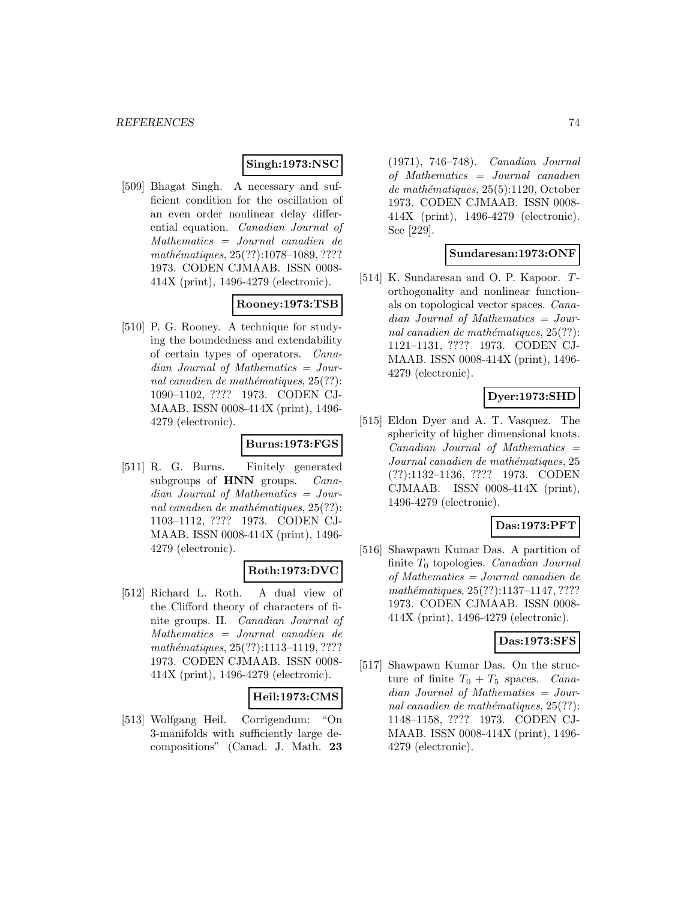### **Singh:1973:NSC**

[509] Bhagat Singh. A necessary and sufficient condition for the oscillation of an even order nonlinear delay differential equation. Canadian Journal of Mathematics = Journal canadien de mathématiques, 25(??):1078-1089, ???? 1973. CODEN CJMAAB. ISSN 0008- 414X (print), 1496-4279 (electronic).

# **Rooney:1973:TSB**

[510] P. G. Rooney. A technique for studying the boundedness and extendability of certain types of operators. Canadian Journal of Mathematics = Journal canadien de mathématiques,  $25(??)$ : 1090–1102, ???? 1973. CODEN CJ-MAAB. ISSN 0008-414X (print), 1496- 4279 (electronic).

## **Burns:1973:FGS**

[511] R. G. Burns. Finitely generated subgroups of **HNN** groups. *Cana*dian Journal of Mathematics = Journal canadien de mathématiques,  $25(??)$ : 1103–1112, ???? 1973. CODEN CJ-MAAB. ISSN 0008-414X (print), 1496- 4279 (electronic).

## **Roth:1973:DVC**

[512] Richard L. Roth. A dual view of the Clifford theory of characters of finite groups. II. Canadian Journal of Mathematics = Journal canadien de mathématiques, 25(??):1113-1119, ???? 1973. CODEN CJMAAB. ISSN 0008- 414X (print), 1496-4279 (electronic).

## **Heil:1973:CMS**

[513] Wolfgang Heil. Corrigendum: "On 3-manifolds with sufficiently large decompositions" (Canad. J. Math. **23**

(1971), 746–748). Canadian Journal of Mathematics = Journal canadien  $de$  mathématiques, 25(5):1120, October 1973. CODEN CJMAAB. ISSN 0008- 414X (print), 1496-4279 (electronic). See [229].

### **Sundaresan:1973:ONF**

[514] K. Sundaresan and O. P. Kapoor.  $T$ orthogonality and nonlinear functionals on topological vector spaces. Canadian Journal of Mathematics = Journal canadien de mathématiques,  $25(??)$ : 1121–1131, ???? 1973. CODEN CJ-MAAB. ISSN 0008-414X (print), 1496- 4279 (electronic).

## **Dyer:1973:SHD**

[515] Eldon Dyer and A. T. Vasquez. The sphericity of higher dimensional knots.  $Canadian$  Journal of Mathematics  $=$ Journal canadien de mathématiques, 25 (??):1132–1136, ???? 1973. CODEN CJMAAB. ISSN 0008-414X (print), 1496-4279 (electronic).

## **Das:1973:PFT**

[516] Shawpawn Kumar Das. A partition of finite  $T_0$  topologies. *Canadian Journal* of Mathematics = Journal canadien de  $mathématiques, 25(??): 1137–1147, ????$ 1973. CODEN CJMAAB. ISSN 0008- 414X (print), 1496-4279 (electronic).

### **Das:1973:SFS**

[517] Shawpawn Kumar Das. On the structure of finite  $T_0 + T_5$  spaces. Canadian Journal of Mathematics = Journal canadien de mathématiques,  $25(??)$ : 1148–1158, ???? 1973. CODEN CJ-MAAB. ISSN 0008-414X (print), 1496- 4279 (electronic).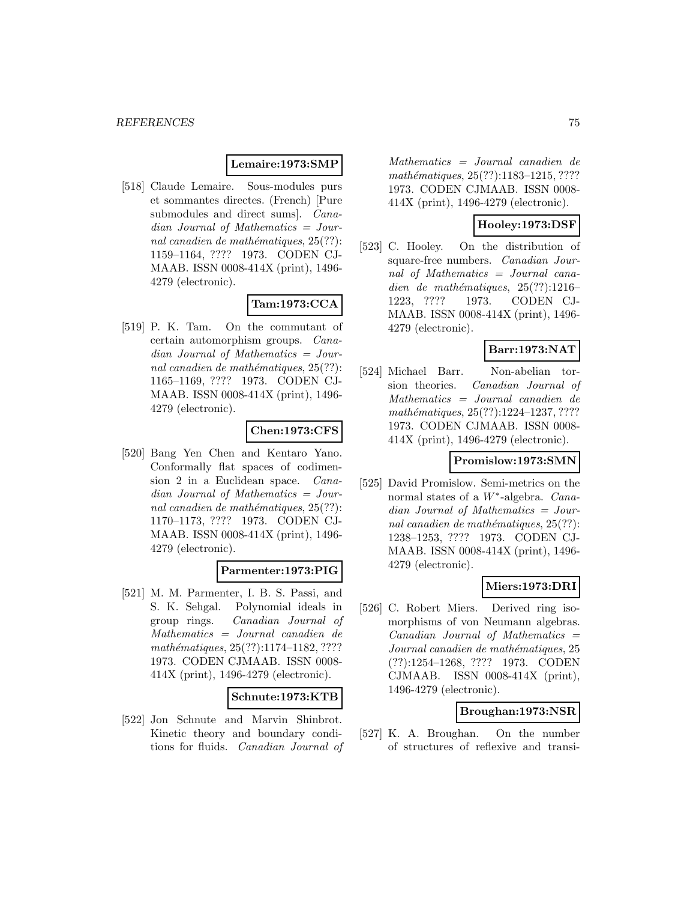#### **Lemaire:1973:SMP**

[518] Claude Lemaire. Sous-modules purs et sommantes directes. (French) [Pure submodules and direct sums]. *Cana*dian Journal of Mathematics = Journal canadien de mathématiques,  $25(??)$ : 1159–1164, ???? 1973. CODEN CJ-MAAB. ISSN 0008-414X (print), 1496- 4279 (electronic).

## **Tam:1973:CCA**

[519] P. K. Tam. On the commutant of certain automorphism groups. Canadian Journal of Mathematics = Journal canadien de mathématiques,  $25(??)$ : 1165–1169, ???? 1973. CODEN CJ-MAAB. ISSN 0008-414X (print), 1496- 4279 (electronic).

## **Chen:1973:CFS**

[520] Bang Yen Chen and Kentaro Yano. Conformally flat spaces of codimension 2 in a Euclidean space. Canadian Journal of Mathematics = Journal canadien de mathématiques,  $25(??)$ : 1170–1173, ???? 1973. CODEN CJ-MAAB. ISSN 0008-414X (print), 1496- 4279 (electronic).

## **Parmenter:1973:PIG**

[521] M. M. Parmenter, I. B. S. Passi, and S. K. Sehgal. Polynomial ideals in group rings. Canadian Journal of Mathematics = Journal canadien de  $mathématiques, 25(??): 1174–1182, ????$ 1973. CODEN CJMAAB. ISSN 0008- 414X (print), 1496-4279 (electronic).

### **Schnute:1973:KTB**

[522] Jon Schnute and Marvin Shinbrot. Kinetic theory and boundary conditions for fluids. Canadian Journal of

Mathematics = Journal canadien de mathématiques, 25(??):1183-1215, ???? 1973. CODEN CJMAAB. ISSN 0008- 414X (print), 1496-4279 (electronic).

## **Hooley:1973:DSF**

[523] C. Hooley. On the distribution of square-free numbers. Canadian Journal of Mathematics = Journal canadien de mathématiques,  $25(??):1216-$ 1223, ???? 1973. CODEN CJ-MAAB. ISSN 0008-414X (print), 1496- 4279 (electronic).

# **Barr:1973:NAT**

[524] Michael Barr. Non-abelian torsion theories. Canadian Journal of Mathematics = Journal canadien de mathématiques, 25(??):1224-1237, ???? 1973. CODEN CJMAAB. ISSN 0008- 414X (print), 1496-4279 (electronic).

### **Promislow:1973:SMN**

[525] David Promislow. Semi-metrics on the normal states of a W∗-algebra. Canadian Journal of Mathematics = Journal canadien de mathématiques,  $25(??)$ : 1238–1253, ???? 1973. CODEN CJ-MAAB. ISSN 0008-414X (print), 1496- 4279 (electronic).

## **Miers:1973:DRI**

[526] C. Robert Miers. Derived ring isomorphisms of von Neumann algebras.  $Canadian$  Journal of Mathematics  $=$ Journal canadien de mathématiques, 25 (??):1254–1268, ???? 1973. CODEN CJMAAB. ISSN 0008-414X (print), 1496-4279 (electronic).

### **Broughan:1973:NSR**

[527] K. A. Broughan. On the number of structures of reflexive and transi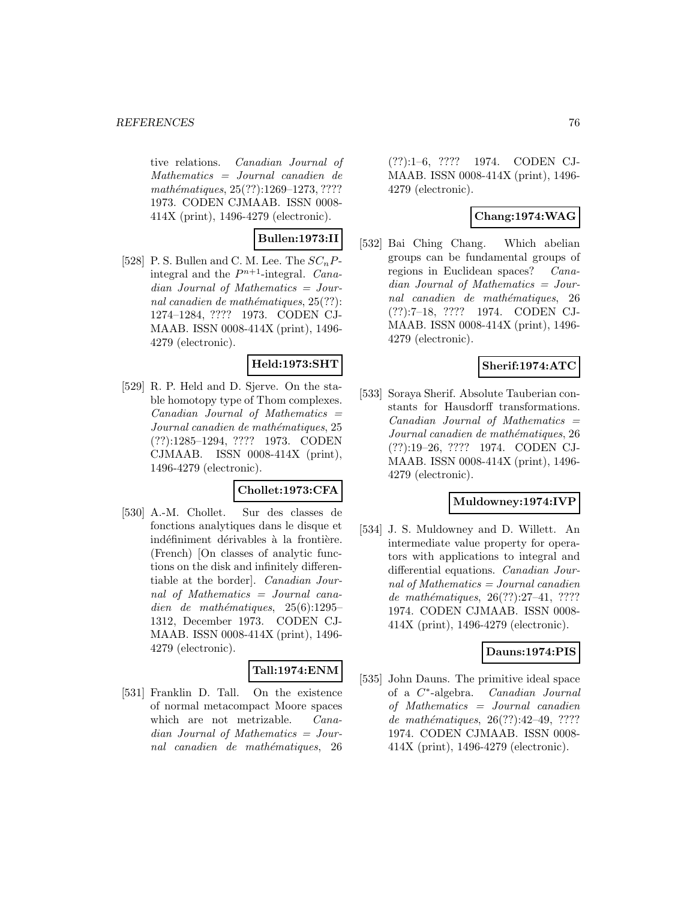tive relations. Canadian Journal of Mathematics = Journal canadien de mathématiques, 25(??):1269–1273, ???? 1973. CODEN CJMAAB. ISSN 0008- 414X (print), 1496-4279 (electronic).

**Bullen:1973:II**

[528] P. S. Bullen and C. M. Lee. The  $SC_nP$ integral and the  $P^{n+1}$ -integral. Canadian Journal of Mathematics = Journal canadien de mathématiques,  $25(??)$ : 1274–1284, ???? 1973. CODEN CJ-MAAB. ISSN 0008-414X (print), 1496- 4279 (electronic).

## **Held:1973:SHT**

[529] R. P. Held and D. Sjerve. On the stable homotopy type of Thom complexes.  $Canadian$  Journal of Mathematics  $=$ Journal canadien de mathématiques, 25 (??):1285–1294, ???? 1973. CODEN CJMAAB. ISSN 0008-414X (print), 1496-4279 (electronic).

### **Chollet:1973:CFA**

[530] A.-M. Chollet. Sur des classes de fonctions analytiques dans le disque et indéfiniment dérivables à la frontière. (French) [On classes of analytic functions on the disk and infinitely differentiable at the border]. Canadian Journal of Mathematics = Journal canadien de mathématiques,  $25(6):1295-$ 1312, December 1973. CODEN CJ-MAAB. ISSN 0008-414X (print), 1496- 4279 (electronic).

## **Tall:1974:ENM**

[531] Franklin D. Tall. On the existence of normal metacompact Moore spaces which are not metrizable. *Cana*dian Journal of Mathematics = Journal canadien de mathématiques, 26

(??):1–6, ???? 1974. CODEN CJ-MAAB. ISSN 0008-414X (print), 1496- 4279 (electronic).

# **Chang:1974:WAG**

[532] Bai Ching Chang. Which abelian groups can be fundamental groups of regions in Euclidean spaces? Canadian Journal of Mathematics = Journal canadien de mathématiques, 26 (??):7–18, ???? 1974. CODEN CJ-MAAB. ISSN 0008-414X (print), 1496- 4279 (electronic).

## **Sherif:1974:ATC**

[533] Soraya Sherif. Absolute Tauberian constants for Hausdorff transformations.  $Canadian$  Journal of Mathematics  $=$ Journal canadien de mathématiques, 26 (??):19–26, ???? 1974. CODEN CJ-MAAB. ISSN 0008-414X (print), 1496- 4279 (electronic).

### **Muldowney:1974:IVP**

[534] J. S. Muldowney and D. Willett. An intermediate value property for operators with applications to integral and differential equations. Canadian Journal of Mathematics = Journal canadien de mathématiques,  $26(??):27-41, ????$ 1974. CODEN CJMAAB. ISSN 0008- 414X (print), 1496-4279 (electronic).

### **Dauns:1974:PIS**

[535] John Dauns. The primitive ideal space of a C∗-algebra. Canadian Journal of Mathematics = Journal canadien de mathématiques, 26(??):42-49, ???? 1974. CODEN CJMAAB. ISSN 0008- 414X (print), 1496-4279 (electronic).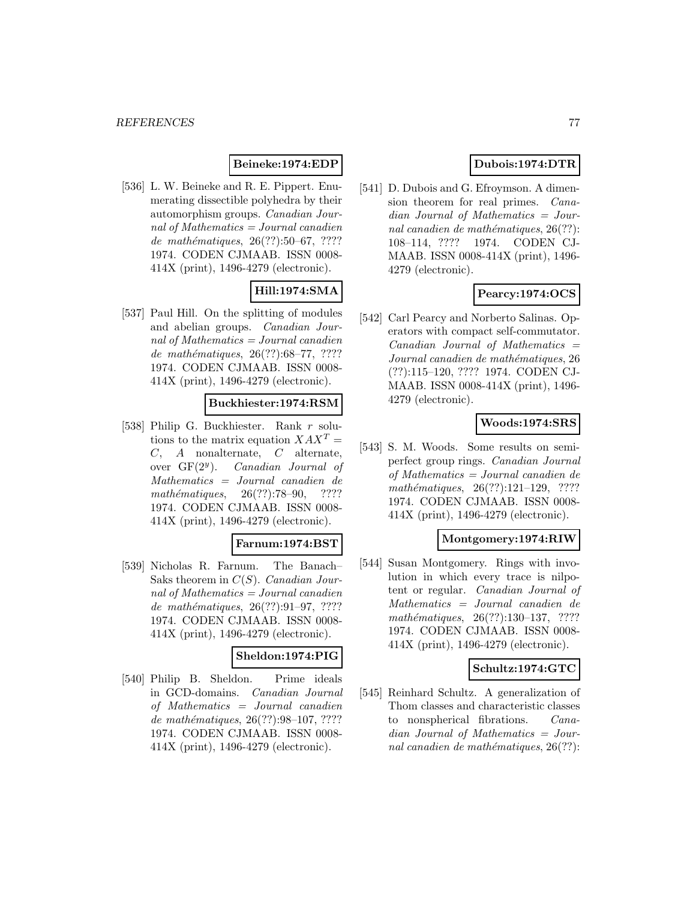### **Beineke:1974:EDP**

[536] L. W. Beineke and R. E. Pippert. Enumerating dissectible polyhedra by their automorphism groups. Canadian Journal of Mathematics  $=$  Journal canadien de mathématiques,  $26(??):50-67, ????$ 1974. CODEN CJMAAB. ISSN 0008- 414X (print), 1496-4279 (electronic).

# **Hill:1974:SMA**

[537] Paul Hill. On the splitting of modules and abelian groups. Canadian Journal of Mathematics  $=$  Journal canadien de mathématiques,  $26(??):68–77, ????$ 1974. CODEN CJMAAB. ISSN 0008- 414X (print), 1496-4279 (electronic).

### **Buckhiester:1974:RSM**

[538] Philip G. Buckhiester. Rank r solutions to the matrix equation  $XAX^{T} =$ C, A nonalternate, C alternate, over  $GF(2^y)$ . *Canadian Journal of* Mathematics = Journal canadien de  $mathématiques, 26(??):78–90, ????$ 1974. CODEN CJMAAB. ISSN 0008- 414X (print), 1496-4279 (electronic).

### **Farnum:1974:BST**

[539] Nicholas R. Farnum. The Banach– Saks theorem in  $C(S)$ . Canadian Journal of Mathematics  $=$  Journal canadien de mathématiques, 26(??):91-97, ???? 1974. CODEN CJMAAB. ISSN 0008- 414X (print), 1496-4279 (electronic).

# **Sheldon:1974:PIG**

[540] Philip B. Sheldon. Prime ideals in GCD-domains. Canadian Journal of Mathematics = Journal canadien de mathématiques,  $26(??):98-107, ????$ 1974. CODEN CJMAAB. ISSN 0008- 414X (print), 1496-4279 (electronic).

# **Dubois:1974:DTR**

[541] D. Dubois and G. Efroymson. A dimension theorem for real primes. Canadian Journal of Mathematics = Journal canadien de mathématiques,  $26(??)$ : 108–114, ???? 1974. CODEN CJ-MAAB. ISSN 0008-414X (print), 1496- 4279 (electronic).

## **Pearcy:1974:OCS**

[542] Carl Pearcy and Norberto Salinas. Operators with compact self-commutator.  $Canadian$  Journal of Mathematics  $=$ Journal canadien de mathématiques, 26 (??):115–120, ???? 1974. CODEN CJ-MAAB. ISSN 0008-414X (print), 1496- 4279 (electronic).

## **Woods:1974:SRS**

[543] S. M. Woods. Some results on semiperfect group rings. Canadian Journal of Mathematics = Journal canadien de  $mathématiques, 26(??):121–129, ????$ 1974. CODEN CJMAAB. ISSN 0008- 414X (print), 1496-4279 (electronic).

### **Montgomery:1974:RIW**

[544] Susan Montgomery. Rings with involution in which every trace is nilpotent or regular. Canadian Journal of Mathematics = Journal canadien de  $mathématiques, 26(??):130–137, ????$ 1974. CODEN CJMAAB. ISSN 0008- 414X (print), 1496-4279 (electronic).

### **Schultz:1974:GTC**

[545] Reinhard Schultz. A generalization of Thom classes and characteristic classes to nonspherical fibrations. Canadian Journal of Mathematics = Journal canadien de mathématiques,  $26(??)$ :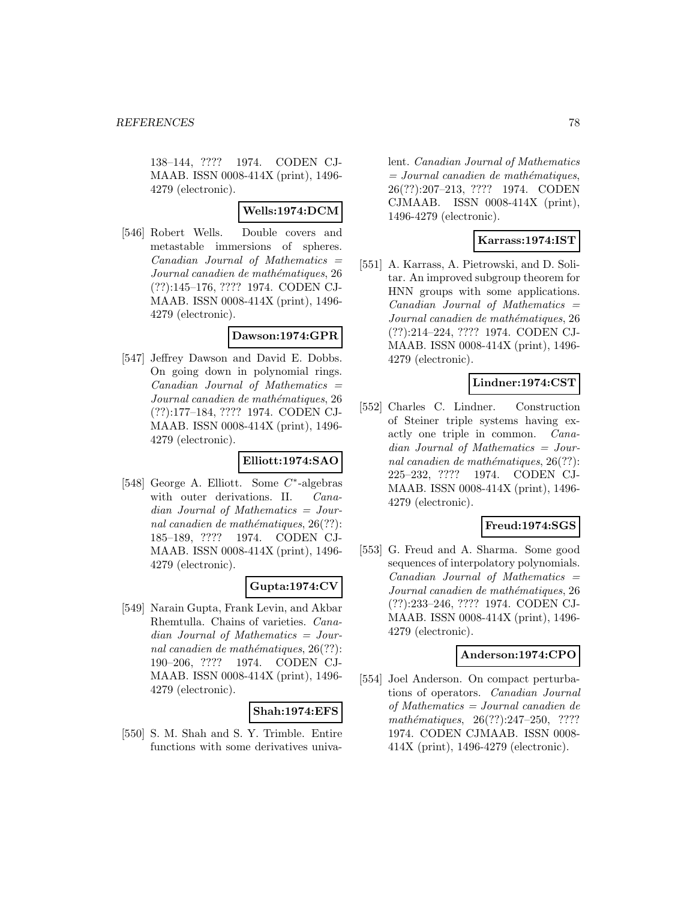138–144, ???? 1974. CODEN CJ-MAAB. ISSN 0008-414X (print), 1496- 4279 (electronic).

## **Wells:1974:DCM**

[546] Robert Wells. Double covers and metastable immersions of spheres.  $Canadian$  Journal of Mathematics  $=$ Journal canadien de mathématiques, 26 (??):145–176, ???? 1974. CODEN CJ-MAAB. ISSN 0008-414X (print), 1496- 4279 (electronic).

### **Dawson:1974:GPR**

[547] Jeffrey Dawson and David E. Dobbs. On going down in polynomial rings.  $Canadian$  Journal of Mathematics  $=$ Journal canadien de mathématiques, 26 (??):177–184, ???? 1974. CODEN CJ-MAAB. ISSN 0008-414X (print), 1496- 4279 (electronic).

## **Elliott:1974:SAO**

[548] George A. Elliott. Some C∗-algebras with outer derivations. II. Canadian Journal of Mathematics = Journal canadien de mathématiques,  $26(??)$ : 185–189, ???? 1974. CODEN CJ-MAAB. ISSN 0008-414X (print), 1496- 4279 (electronic).

## **Gupta:1974:CV**

[549] Narain Gupta, Frank Levin, and Akbar Rhemtulla. Chains of varieties. Canadian Journal of Mathematics = Journal canadien de mathématiques,  $26(??)$ : 190–206, ???? 1974. CODEN CJ-MAAB. ISSN 0008-414X (print), 1496- 4279 (electronic).

## **Shah:1974:EFS**

[550] S. M. Shah and S. Y. Trimble. Entire functions with some derivatives univa-

lent. Canadian Journal of Mathematics  $= Journal\; can a dien\; de\; mathématiques,$ 26(??):207–213, ???? 1974. CODEN CJMAAB. ISSN 0008-414X (print), 1496-4279 (electronic).

## **Karrass:1974:IST**

[551] A. Karrass, A. Pietrowski, and D. Solitar. An improved subgroup theorem for HNN groups with some applications. Canadian Journal of Mathematics = Journal canadien de mathématiques, 26 (??):214–224, ???? 1974. CODEN CJ-MAAB. ISSN 0008-414X (print), 1496- 4279 (electronic).

## **Lindner:1974:CST**

[552] Charles C. Lindner. Construction of Steiner triple systems having exactly one triple in common. Canadian Journal of Mathematics = Journal canadien de mathématiques,  $26(??)$ : 225–232, ???? 1974. CODEN CJ-MAAB. ISSN 0008-414X (print), 1496- 4279 (electronic).

# **Freud:1974:SGS**

[553] G. Freud and A. Sharma. Some good sequences of interpolatory polynomials.  $Canadian$  Journal of Mathematics  $=$ Journal canadien de mathématiques, 26 (??):233–246, ???? 1974. CODEN CJ-MAAB. ISSN 0008-414X (print), 1496- 4279 (electronic).

## **Anderson:1974:CPO**

[554] Joel Anderson. On compact perturbations of operators. Canadian Journal of Mathematics = Journal canadien de  $mathématiques, 26(??):247-250, ????$ 1974. CODEN CJMAAB. ISSN 0008- 414X (print), 1496-4279 (electronic).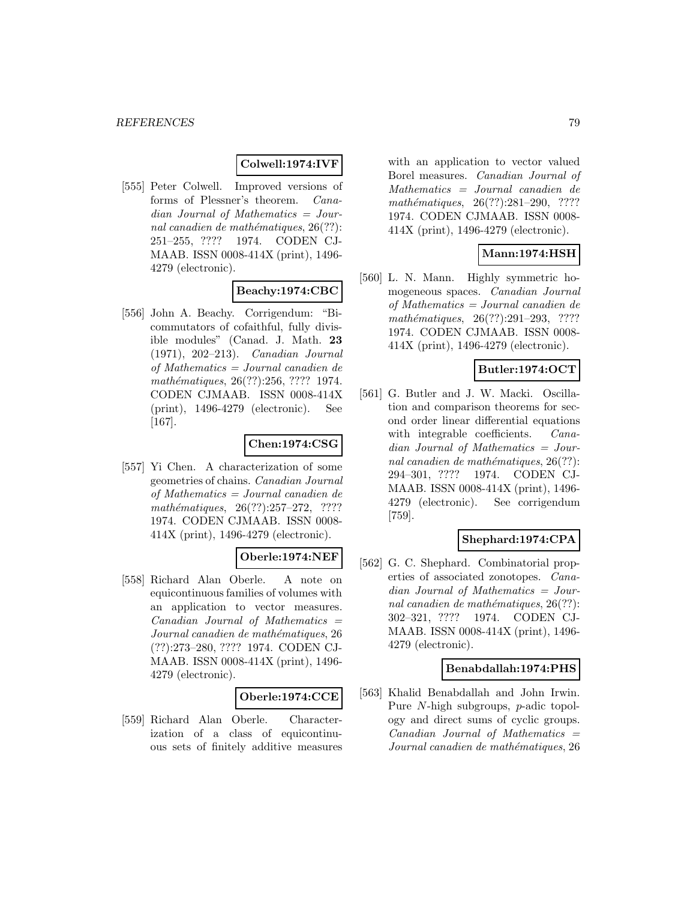### **Colwell:1974:IVF**

[555] Peter Colwell. Improved versions of forms of Plessner's theorem. Canadian Journal of Mathematics = Journal canadien de mathématiques,  $26(??)$ : 251–255, ???? 1974. CODEN CJ-MAAB. ISSN 0008-414X (print), 1496- 4279 (electronic).

# **Beachy:1974:CBC**

[556] John A. Beachy. Corrigendum: "Bicommutators of cofaithful, fully divisible modules" (Canad. J. Math. **23** (1971), 202–213). Canadian Journal of Mathematics = Journal canadien de mathématiques, 26(??):256, ???? 1974. CODEN CJMAAB. ISSN 0008-414X (print), 1496-4279 (electronic). See [167].

### **Chen:1974:CSG**

[557] Yi Chen. A characterization of some geometries of chains. Canadian Journal of Mathematics = Journal canadien de  $mathématiques, 26(??):257-272, ????$ 1974. CODEN CJMAAB. ISSN 0008- 414X (print), 1496-4279 (electronic).

# **Oberle:1974:NEF**

[558] Richard Alan Oberle. A note on equicontinuous families of volumes with an application to vector measures.  $Canadian$  Journal of Mathematics  $=$ Journal canadien de mathématiques, 26 (??):273–280, ???? 1974. CODEN CJ-MAAB. ISSN 0008-414X (print), 1496- 4279 (electronic).

### **Oberle:1974:CCE**

[559] Richard Alan Oberle. Characterization of a class of equicontinuous sets of finitely additive measures

with an application to vector valued Borel measures. Canadian Journal of Mathematics = Journal canadien de mathématiques, 26(??):281–290, ???? 1974. CODEN CJMAAB. ISSN 0008- 414X (print), 1496-4279 (electronic).

## **Mann:1974:HSH**

[560] L. N. Mann. Highly symmetric homogeneous spaces. Canadian Journal of Mathematics = Journal canadien de  $mathématiques, 26(??):291-293, ????$ 1974. CODEN CJMAAB. ISSN 0008- 414X (print), 1496-4279 (electronic).

## **Butler:1974:OCT**

[561] G. Butler and J. W. Macki. Oscillation and comparison theorems for second order linear differential equations with integrable coefficients. *Cana*dian Journal of Mathematics = Journal canadien de mathématiques,  $26(??)$ : 294–301, ???? 1974. CODEN CJ-MAAB. ISSN 0008-414X (print), 1496- 4279 (electronic). See corrigendum [759].

## **Shephard:1974:CPA**

[562] G. C. Shephard. Combinatorial properties of associated zonotopes. Canadian Journal of Mathematics = Journal canadien de mathématiques,  $26(??)$ : 302–321, ???? 1974. CODEN CJ-MAAB. ISSN 0008-414X (print), 1496- 4279 (electronic).

### **Benabdallah:1974:PHS**

[563] Khalid Benabdallah and John Irwin. Pure N-high subgroups, p-adic topology and direct sums of cyclic groups.  $Canadian$  Journal of Mathematics  $=$ Journal canadien de mathématiques, 26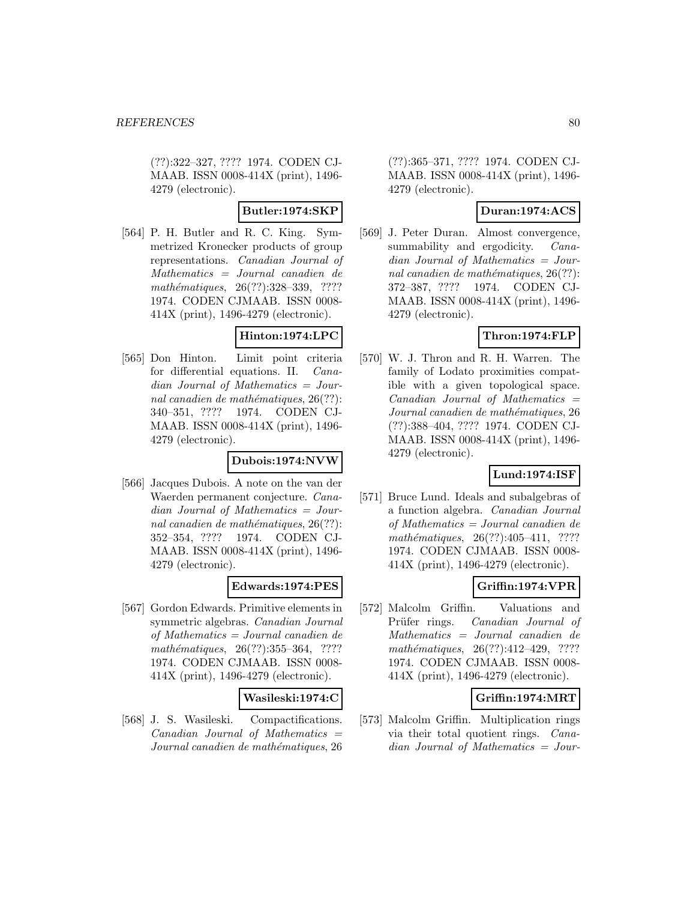(??):322–327, ???? 1974. CODEN CJ-MAAB. ISSN 0008-414X (print), 1496- 4279 (electronic).

**Butler:1974:SKP**

[564] P. H. Butler and R. C. King. Symmetrized Kronecker products of group representations. Canadian Journal of Mathematics = Journal canadien de mathématiques, 26(??):328-339, ???? 1974. CODEN CJMAAB. ISSN 0008- 414X (print), 1496-4279 (electronic).

### **Hinton:1974:LPC**

[565] Don Hinton. Limit point criteria for differential equations. II. Canadian Journal of Mathematics = Journal canadien de mathématiques,  $26(??)$ : 340–351, ???? 1974. CODEN CJ-MAAB. ISSN 0008-414X (print), 1496- 4279 (electronic).

### **Dubois:1974:NVW**

[566] Jacques Dubois. A note on the van der Waerden permanent conjecture. Canadian Journal of Mathematics = Journal canadien de mathématiques,  $26(??)$ : 352–354, ???? 1974. CODEN CJ-MAAB. ISSN 0008-414X (print), 1496- 4279 (electronic).

### **Edwards:1974:PES**

[567] Gordon Edwards. Primitive elements in symmetric algebras. Canadian Journal of Mathematics = Journal canadien de  $mathématiques, 26(??):355-364, ????$ 1974. CODEN CJMAAB. ISSN 0008- 414X (print), 1496-4279 (electronic).

## **Wasileski:1974:C**

[568] J. S. Wasileski. Compactifications.  $Canadian$  Journal of Mathematics  $=$ Journal canadien de mathématiques, 26

(??):365–371, ???? 1974. CODEN CJ-MAAB. ISSN 0008-414X (print), 1496- 4279 (electronic).

### **Duran:1974:ACS**

[569] J. Peter Duran. Almost convergence, summability and ergodicity. *Cana*dian Journal of Mathematics = Journal canadien de mathématiques,  $26(??)$ : 372–387, ???? 1974. CODEN CJ-MAAB. ISSN 0008-414X (print), 1496- 4279 (electronic).

## **Thron:1974:FLP**

[570] W. J. Thron and R. H. Warren. The family of Lodato proximities compatible with a given topological space.  $Canadian$  Journal of Mathematics  $=$ Journal canadien de mathématiques, 26 (??):388–404, ???? 1974. CODEN CJ-MAAB. ISSN 0008-414X (print), 1496- 4279 (electronic).

## **Lund:1974:ISF**

[571] Bruce Lund. Ideals and subalgebras of a function algebra. Canadian Journal of Mathematics = Journal canadien de mathématiques,  $26(??):405-411$ , ???? 1974. CODEN CJMAAB. ISSN 0008- 414X (print), 1496-4279 (electronic).

## **Griffin:1974:VPR**

[572] Malcolm Griffin. Valuations and Prüfer rings. Canadian Journal of Mathematics = Journal canadien de mathématiques,  $26(??):412-429$ , ???? 1974. CODEN CJMAAB. ISSN 0008- 414X (print), 1496-4279 (electronic).

## **Griffin:1974:MRT**

[573] Malcolm Griffin. Multiplication rings via their total quotient rings. Canadian Journal of Mathematics = Jour-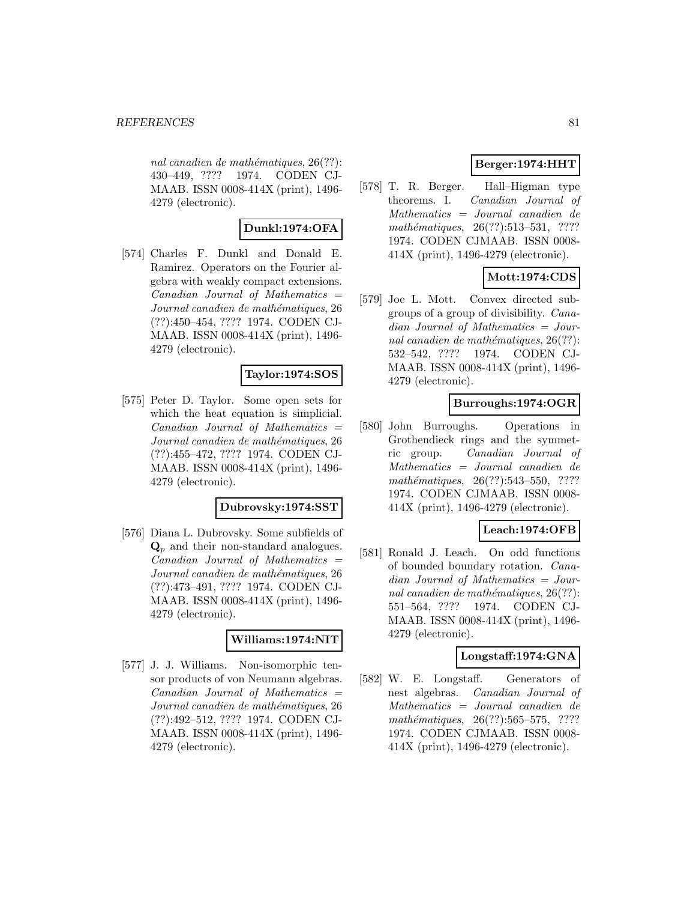nal canadien de mathématiques,  $26(??)$ : 430–449, ???? 1974. CODEN CJ-MAAB. ISSN 0008-414X (print), 1496- 4279 (electronic).

# **Dunkl:1974:OFA**

[574] Charles F. Dunkl and Donald E. Ramirez. Operators on the Fourier algebra with weakly compact extensions.  $Canadian$  Journal of Mathematics  $=$ Journal canadien de mathématiques, 26 (??):450–454, ???? 1974. CODEN CJ-MAAB. ISSN 0008-414X (print), 1496- 4279 (electronic).

## **Taylor:1974:SOS**

[575] Peter D. Taylor. Some open sets for which the heat equation is simplicial.  $Canadian$  Journal of Mathematics  $=$ Journal canadien de mathématiques, 26 (??):455–472, ???? 1974. CODEN CJ-MAAB. ISSN 0008-414X (print), 1496- 4279 (electronic).

### **Dubrovsky:1974:SST**

[576] Diana L. Dubrovsky. Some subfields of **Q**<sup>p</sup> and their non-standard analogues. Canadian Journal of Mathematics = Journal canadien de mathématiques, 26 (??):473–491, ???? 1974. CODEN CJ-MAAB. ISSN 0008-414X (print), 1496- 4279 (electronic).

### **Williams:1974:NIT**

[577] J. J. Williams. Non-isomorphic tensor products of von Neumann algebras.  $Canadian$  Journal of Mathematics  $=$ Journal canadien de mathématiques, 26 (??):492–512, ???? 1974. CODEN CJ-MAAB. ISSN 0008-414X (print), 1496- 4279 (electronic).

# **Berger:1974:HHT**

[578] T. R. Berger. Hall–Higman type theorems. I. Canadian Journal of Mathematics = Journal canadien de mathématiques,  $26(??):513-531$ , ???? 1974. CODEN CJMAAB. ISSN 0008- 414X (print), 1496-4279 (electronic).

# **Mott:1974:CDS**

[579] Joe L. Mott. Convex directed subgroups of a group of divisibility. Canadian Journal of Mathematics = Journal canadien de mathématiques,  $26(??)$ : 532–542, ???? 1974. CODEN CJ-MAAB. ISSN 0008-414X (print), 1496- 4279 (electronic).

## **Burroughs:1974:OGR**

[580] John Burroughs. Operations in Grothendieck rings and the symmetric group. Canadian Journal of Mathematics = Journal canadien de mathématiques, 26(??):543-550, ???? 1974. CODEN CJMAAB. ISSN 0008- 414X (print), 1496-4279 (electronic).

# **Leach:1974:OFB**

[581] Ronald J. Leach. On odd functions of bounded boundary rotation. Canadian Journal of Mathematics = Journal canadien de mathématiques,  $26(??)$ : 551–564, ???? 1974. CODEN CJ-MAAB. ISSN 0008-414X (print), 1496- 4279 (electronic).

# **Longstaff:1974:GNA**

[582] W. E. Longstaff. Generators of nest algebras. Canadian Journal of Mathematics = Journal canadien de mathématiques,  $26(??):565-575$ , ???? 1974. CODEN CJMAAB. ISSN 0008- 414X (print), 1496-4279 (electronic).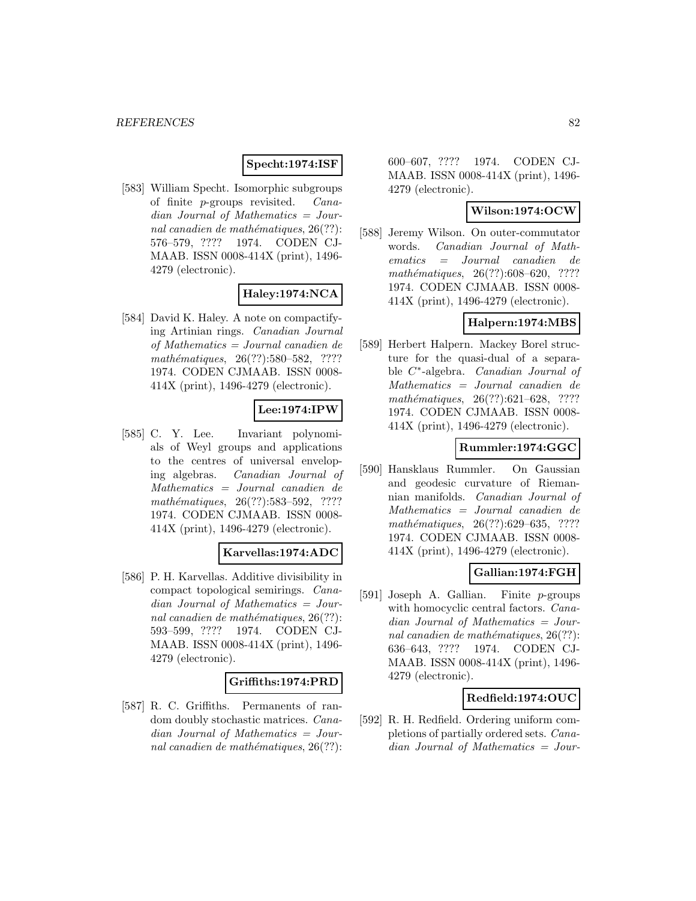## **Specht:1974:ISF**

[583] William Specht. Isomorphic subgroups of finite p-groups revisited. Canadian Journal of Mathematics = Journal canadien de mathématiques,  $26(??)$ : 576–579, ???? 1974. CODEN CJ-MAAB. ISSN 0008-414X (print), 1496- 4279 (electronic).

# **Haley:1974:NCA**

[584] David K. Haley. A note on compactifying Artinian rings. Canadian Journal of Mathematics = Journal canadien de mathématiques, 26(??):580–582, ???? 1974. CODEN CJMAAB. ISSN 0008- 414X (print), 1496-4279 (electronic).

# **Lee:1974:IPW**

[585] C. Y. Lee. Invariant polynomials of Weyl groups and applications to the centres of universal enveloping algebras. Canadian Journal of Mathematics = Journal canadien de mathématiques,  $26(??):583-592$ , ???? 1974. CODEN CJMAAB. ISSN 0008- 414X (print), 1496-4279 (electronic).

## **Karvellas:1974:ADC**

[586] P. H. Karvellas. Additive divisibility in compact topological semirings. Canadian Journal of Mathematics = Journal canadien de mathématiques,  $26(??)$ : 593–599, ???? 1974. CODEN CJ-MAAB. ISSN 0008-414X (print), 1496- 4279 (electronic).

### **Griffiths:1974:PRD**

[587] R. C. Griffiths. Permanents of random doubly stochastic matrices. Canadian Journal of Mathematics = Journal canadien de mathématiques,  $26(??)$ : 600–607, ???? 1974. CODEN CJ-MAAB. ISSN 0008-414X (print), 1496- 4279 (electronic).

## **Wilson:1974:OCW**

[588] Jeremy Wilson. On outer-commutator words. Canadian Journal of Mathematics = Journal canadien de  $mathématiques, 26(??):608–620, ????$ 1974. CODEN CJMAAB. ISSN 0008- 414X (print), 1496-4279 (electronic).

## **Halpern:1974:MBS**

[589] Herbert Halpern. Mackey Borel structure for the quasi-dual of a separable C∗-algebra. Canadian Journal of Mathematics = Journal canadien de mathématiques,  $26(??):621-628$ , ???? 1974. CODEN CJMAAB. ISSN 0008- 414X (print), 1496-4279 (electronic).

## **Rummler:1974:GGC**

[590] Hansklaus Rummler. On Gaussian and geodesic curvature of Riemannian manifolds. Canadian Journal of Mathematics = Journal canadien de mathématiques, 26(??):629–635, ???? 1974. CODEN CJMAAB. ISSN 0008- 414X (print), 1496-4279 (electronic).

## **Gallian:1974:FGH**

[591] Joseph A. Gallian. Finite p-groups with homocyclic central factors. Canadian Journal of Mathematics = Journal canadien de mathématiques,  $26(??)$ : 636–643, ???? 1974. CODEN CJ-MAAB. ISSN 0008-414X (print), 1496- 4279 (electronic).

### **Redfield:1974:OUC**

[592] R. H. Redfield. Ordering uniform completions of partially ordered sets. Canadian Journal of Mathematics = Jour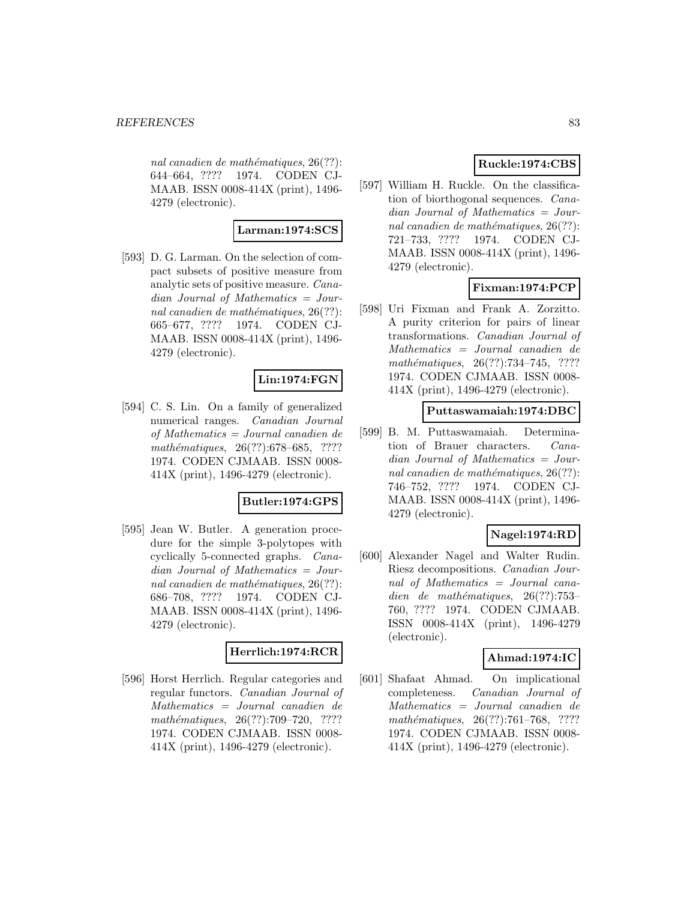nal canadien de mathématiques,  $26(??)$ : 644–664, ???? 1974. CODEN CJ-MAAB. ISSN 0008-414X (print), 1496- 4279 (electronic).

# **Larman:1974:SCS**

[593] D. G. Larman. On the selection of compact subsets of positive measure from analytic sets of positive measure. Canadian Journal of Mathematics = Journal canadien de mathématiques,  $26(??)$ : 665–677, ???? 1974. CODEN CJ-MAAB. ISSN 0008-414X (print), 1496- 4279 (electronic).

# **Lin:1974:FGN**

[594] C. S. Lin. On a family of generalized numerical ranges. Canadian Journal of Mathematics = Journal canadien de mathématiques, 26(??):678–685, ???? 1974. CODEN CJMAAB. ISSN 0008- 414X (print), 1496-4279 (electronic).

## **Butler:1974:GPS**

[595] Jean W. Butler. A generation procedure for the simple 3-polytopes with cyclically 5-connected graphs. Canadian Journal of Mathematics = Journal canadien de mathématiques,  $26(??)$ : 686–708, ???? 1974. CODEN CJ-MAAB. ISSN 0008-414X (print), 1496- 4279 (electronic).

## **Herrlich:1974:RCR**

[596] Horst Herrlich. Regular categories and regular functors. Canadian Journal of Mathematics = Journal canadien de mathématiques, 26(??):709–720, ???? 1974. CODEN CJMAAB. ISSN 0008- 414X (print), 1496-4279 (electronic).

# **Ruckle:1974:CBS**

[597] William H. Ruckle. On the classification of biorthogonal sequences. Canadian Journal of Mathematics = Journal canadien de mathématiques,  $26(??)$ : 721–733, ???? 1974. CODEN CJ-MAAB. ISSN 0008-414X (print), 1496- 4279 (electronic).

# **Fixman:1974:PCP**

[598] Uri Fixman and Frank A. Zorzitto. A purity criterion for pairs of linear transformations. Canadian Journal of Mathematics = Journal canadien de mathématiques,  $26(??):734–745$ , ???? 1974. CODEN CJMAAB. ISSN 0008- 414X (print), 1496-4279 (electronic).

### **Puttaswamaiah:1974:DBC**

[599] B. M. Puttaswamaiah. Determination of Brauer characters. Canadian Journal of Mathematics = Journal canadien de mathématiques,  $26(??)$ : 746–752, ???? 1974. CODEN CJ-MAAB. ISSN 0008-414X (print), 1496- 4279 (electronic).

## **Nagel:1974:RD**

[600] Alexander Nagel and Walter Rudin. Riesz decompositions. Canadian Journal of Mathematics = Journal canadien de mathématiques,  $26(??):753-$ 760, ???? 1974. CODEN CJMAAB. ISSN 0008-414X (print), 1496-4279 (electronic).

## **Ahmad:1974:IC**

[601] Shafaat Ahmad. On implicational completeness. Canadian Journal of Mathematics = Journal canadien de mathématiques,  $26(??):761-768$ , ???? 1974. CODEN CJMAAB. ISSN 0008- 414X (print), 1496-4279 (electronic).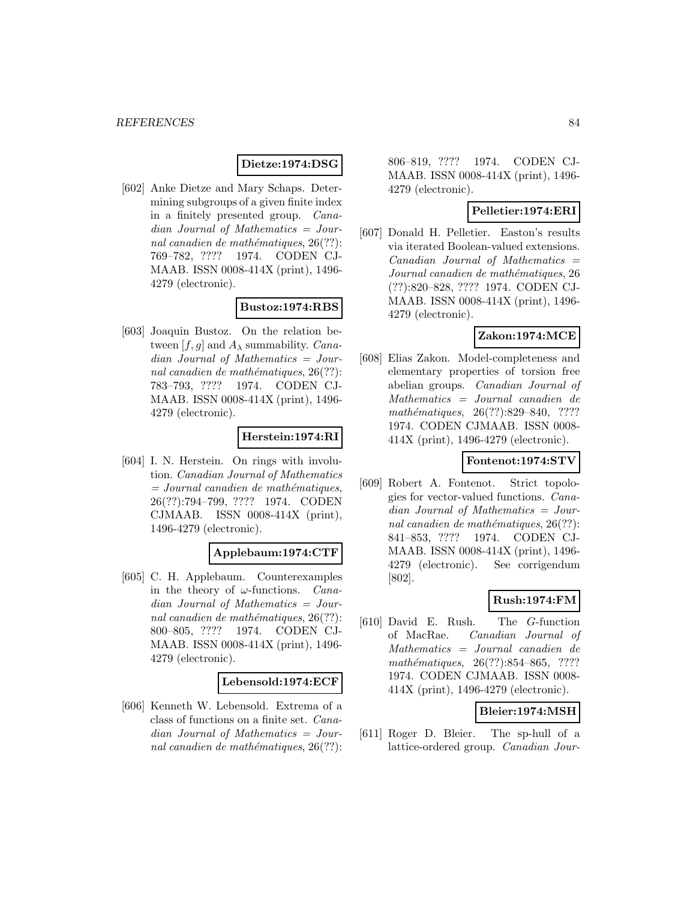### **Dietze:1974:DSG**

[602] Anke Dietze and Mary Schaps. Determining subgroups of a given finite index in a finitely presented group. Canadian Journal of Mathematics = Journal canadien de mathématiques,  $26(??)$ : 769–782, ???? 1974. CODEN CJ-MAAB. ISSN 0008-414X (print), 1496- 4279 (electronic).

### **Bustoz:1974:RBS**

[603] Joaquin Bustoz. On the relation between [f, g] and  $A_\lambda$  summability. Canadian Journal of Mathematics = Journal canadien de mathématiques,  $26(??)$ : 783–793, ???? 1974. CODEN CJ-MAAB. ISSN 0008-414X (print), 1496- 4279 (electronic).

### **Herstein:1974:RI**

[604] I. N. Herstein. On rings with involution. Canadian Journal of Mathematics  $=$  Journal canadien de mathématiques, 26(??):794–799, ???? 1974. CODEN CJMAAB. ISSN 0008-414X (print), 1496-4279 (electronic).

#### **Applebaum:1974:CTF**

[605] C. H. Applebaum. Counterexamples in the theory of  $\omega$ -functions. *Cana*dian Journal of Mathematics = Journal canadien de mathématiques,  $26(??)$ : 800–805, ???? 1974. CODEN CJ-MAAB. ISSN 0008-414X (print), 1496- 4279 (electronic).

### **Lebensold:1974:ECF**

[606] Kenneth W. Lebensold. Extrema of a class of functions on a finite set. Canadian Journal of Mathematics = Journal canadien de mathématiques,  $26(??)$ :

806–819, ???? 1974. CODEN CJ-MAAB. ISSN 0008-414X (print), 1496- 4279 (electronic).

## **Pelletier:1974:ERI**

[607] Donald H. Pelletier. Easton's results via iterated Boolean-valued extensions.  $Canadian$  Journal of Mathematics  $=$ Journal canadien de mathématiques, 26 (??):820–828, ???? 1974. CODEN CJ-MAAB. ISSN 0008-414X (print), 1496- 4279 (electronic).

### **Zakon:1974:MCE**

[608] Elias Zakon. Model-completeness and elementary properties of torsion free abelian groups. Canadian Journal of Mathematics = Journal canadien de mathématiques, 26(??):829-840, ???? 1974. CODEN CJMAAB. ISSN 0008- 414X (print), 1496-4279 (electronic).

### **Fontenot:1974:STV**

[609] Robert A. Fontenot. Strict topologies for vector-valued functions. Canadian Journal of Mathematics = Journal canadien de mathématiques,  $26(??)$ : 841–853, ???? 1974. CODEN CJ-MAAB. ISSN 0008-414X (print), 1496- 4279 (electronic). See corrigendum [802].

## **Rush:1974:FM**

[610] David E. Rush. The G-function of MacRae. Canadian Journal of Mathematics = Journal canadien de mathématiques,  $26(??):854–865$ , ???? 1974. CODEN CJMAAB. ISSN 0008- 414X (print), 1496-4279 (electronic).

### **Bleier:1974:MSH**

[611] Roger D. Bleier. The sp-hull of a lattice-ordered group. Canadian Jour-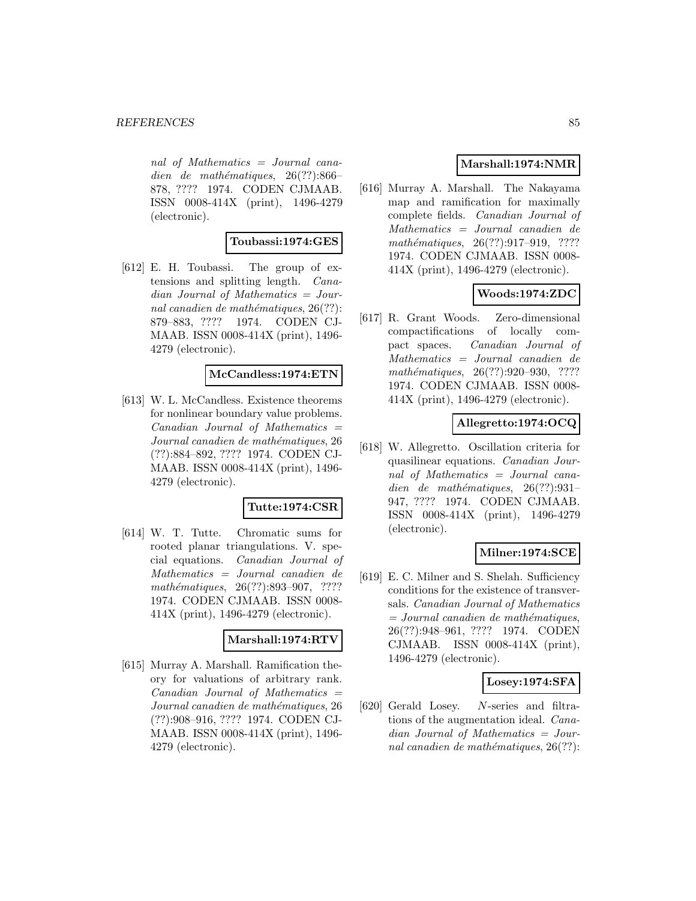nal of Mathematics = Journal canadien de mathématiques,  $26(??):866-$ 878, ???? 1974. CODEN CJMAAB. ISSN 0008-414X (print), 1496-4279 (electronic).

### **Toubassi:1974:GES**

[612] E. H. Toubassi. The group of extensions and splitting length. Canadian Journal of Mathematics = Journal canadien de mathématiques,  $26(??)$ : 879–883, ???? 1974. CODEN CJ-MAAB. ISSN 0008-414X (print), 1496- 4279 (electronic).

## **McCandless:1974:ETN**

[613] W. L. McCandless. Existence theorems for nonlinear boundary value problems.  $Canadian$  Journal of Mathematics  $=$ Journal canadien de mathématiques, 26 (??):884–892, ???? 1974. CODEN CJ-MAAB. ISSN 0008-414X (print), 1496- 4279 (electronic).

### **Tutte:1974:CSR**

[614] W. T. Tutte. Chromatic sums for rooted planar triangulations. V. special equations. Canadian Journal of Mathematics = Journal canadien de mathématiques, 26(??):893-907, ???? 1974. CODEN CJMAAB. ISSN 0008- 414X (print), 1496-4279 (electronic).

### **Marshall:1974:RTV**

[615] Murray A. Marshall. Ramification theory for valuations of arbitrary rank.  $Canadian$  Journal of Mathematics  $=$ Journal canadien de mathématiques, 26 (??):908–916, ???? 1974. CODEN CJ-MAAB. ISSN 0008-414X (print), 1496- 4279 (electronic).

## **Marshall:1974:NMR**

[616] Murray A. Marshall. The Nakayama map and ramification for maximally complete fields. Canadian Journal of Mathematics = Journal canadien de mathématiques,  $26(??):917-919$ , ???? 1974. CODEN CJMAAB. ISSN 0008- 414X (print), 1496-4279 (electronic).

# **Woods:1974:ZDC**

[617] R. Grant Woods. Zero-dimensional compactifications of locally compact spaces. Canadian Journal of Mathematics = Journal canadien de mathématiques,  $26(??):920-930$ , ???? 1974. CODEN CJMAAB. ISSN 0008- 414X (print), 1496-4279 (electronic).

## **Allegretto:1974:OCQ**

[618] W. Allegretto. Oscillation criteria for quasilinear equations. Canadian Journal of Mathematics = Journal canadien de mathématiques,  $26(??):931-$ 947, ???? 1974. CODEN CJMAAB. ISSN 0008-414X (print), 1496-4279 (electronic).

## **Milner:1974:SCE**

[619] E. C. Milner and S. Shelah. Sufficiency conditions for the existence of transversals. Canadian Journal of Mathematics  $=$  Journal canadien de mathématiques, 26(??):948–961, ???? 1974. CODEN CJMAAB. ISSN 0008-414X (print), 1496-4279 (electronic).

### **Losey:1974:SFA**

[620] Gerald Losey. N-series and filtrations of the augmentation ideal. Canadian Journal of Mathematics = Journal canadien de mathématiques,  $26(??)$ :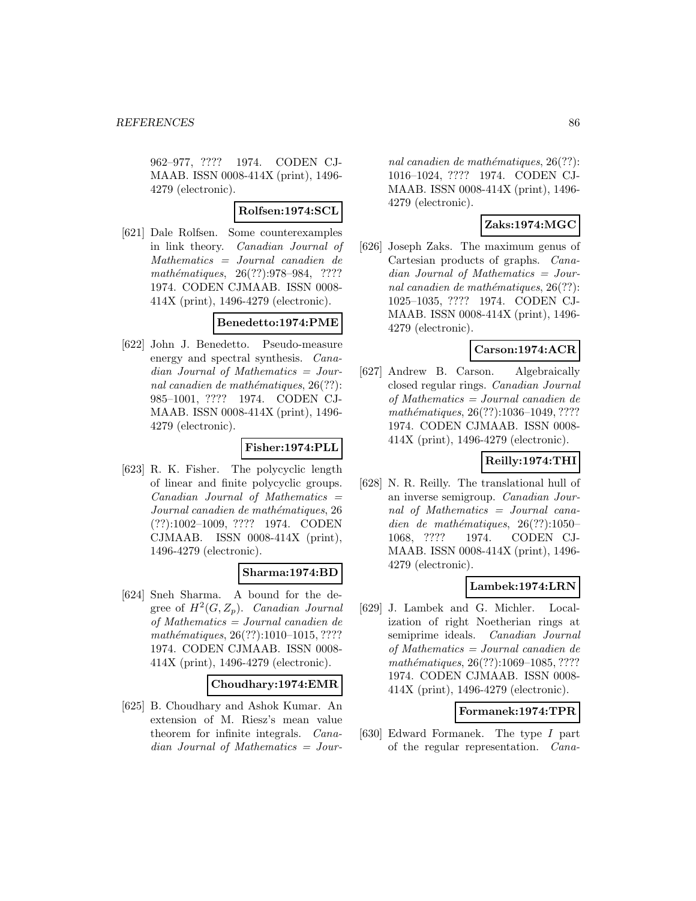962–977, ???? 1974. CODEN CJ-MAAB. ISSN 0008-414X (print), 1496- 4279 (electronic).

## **Rolfsen:1974:SCL**

[621] Dale Rolfsen. Some counterexamples in link theory. Canadian Journal of Mathematics = Journal canadien de mathématiques, 26(??):978–984, ???? 1974. CODEN CJMAAB. ISSN 0008- 414X (print), 1496-4279 (electronic).

## **Benedetto:1974:PME**

[622] John J. Benedetto. Pseudo-measure energy and spectral synthesis. Canadian Journal of Mathematics = Journal canadien de mathématiques,  $26(??)$ : 985–1001, ???? 1974. CODEN CJ-MAAB. ISSN 0008-414X (print), 1496- 4279 (electronic).

# **Fisher:1974:PLL**

[623] R. K. Fisher. The polycyclic length of linear and finite polycyclic groups.  $Canadian$  Journal of Mathematics  $=$ Journal canadien de mathématiques, 26 (??):1002–1009, ???? 1974. CODEN CJMAAB. ISSN 0008-414X (print), 1496-4279 (electronic).

# **Sharma:1974:BD**

[624] Sneh Sharma. A bound for the degree of  $H^2(G, Z_p)$ . Canadian Journal of Mathematics = Journal canadien de mathématiques, 26(??):1010-1015, ???? 1974. CODEN CJMAAB. ISSN 0008- 414X (print), 1496-4279 (electronic).

### **Choudhary:1974:EMR**

[625] B. Choudhary and Ashok Kumar. An extension of M. Riesz's mean value theorem for infinite integrals. Canadian Journal of Mathematics = Jour-

nal canadien de mathématiques,  $26(??)$ : 1016–1024, ???? 1974. CODEN CJ-MAAB. ISSN 0008-414X (print), 1496- 4279 (electronic).

# **Zaks:1974:MGC**

[626] Joseph Zaks. The maximum genus of Cartesian products of graphs. Canadian Journal of Mathematics = Journal canadien de mathématiques,  $26(??)$ : 1025–1035, ???? 1974. CODEN CJ-MAAB. ISSN 0008-414X (print), 1496- 4279 (electronic).

## **Carson:1974:ACR**

[627] Andrew B. Carson. Algebraically closed regular rings. Canadian Journal of Mathematics = Journal canadien de mathématiques, 26(??):1036-1049, ???? 1974. CODEN CJMAAB. ISSN 0008- 414X (print), 1496-4279 (electronic).

# **Reilly:1974:THI**

[628] N. R. Reilly. The translational hull of an inverse semigroup. Canadian Journal of Mathematics = Journal canadien de mathématiques,  $26(??):1050-$ 1068, ???? 1974. CODEN CJ-MAAB. ISSN 0008-414X (print), 1496- 4279 (electronic).

## **Lambek:1974:LRN**

[629] J. Lambek and G. Michler. Localization of right Noetherian rings at semiprime ideals. Canadian Journal of Mathematics = Journal canadien de mathématiques, 26(??):1069-1085, ???? 1974. CODEN CJMAAB. ISSN 0008- 414X (print), 1496-4279 (electronic).

## **Formanek:1974:TPR**

[630] Edward Formanek. The type I part of the regular representation. Cana-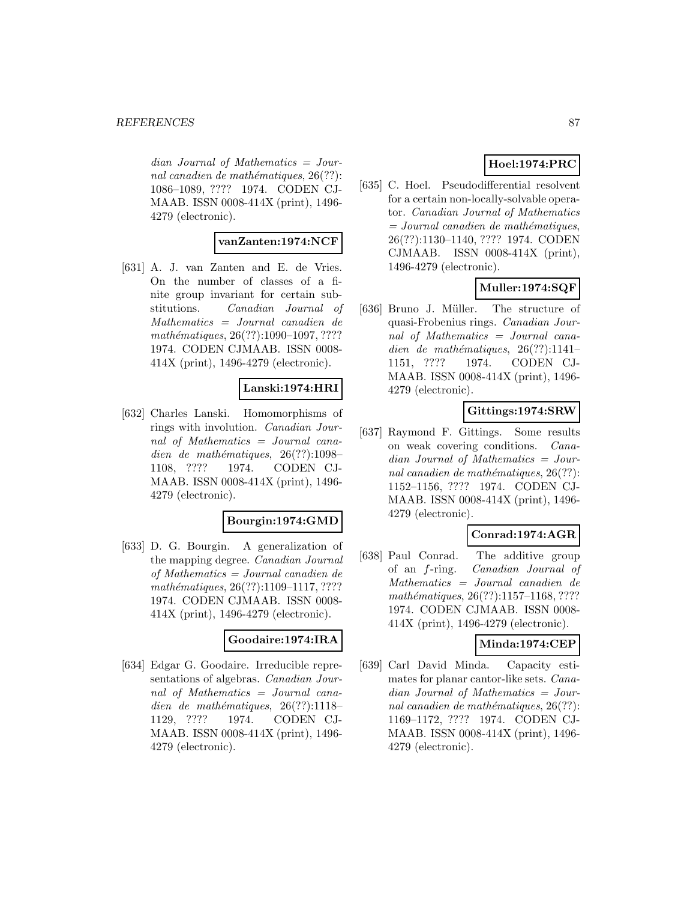$dian$  Journal of Mathematics = Journal canadien de mathématiques,  $26(??)$ : 1086–1089, ???? 1974. CODEN CJ-MAAB. ISSN 0008-414X (print), 1496- 4279 (electronic).

### **vanZanten:1974:NCF**

[631] A. J. van Zanten and E. de Vries. On the number of classes of a finite group invariant for certain substitutions. Canadian Journal of Mathematics = Journal canadien de  $mathématiques, 26(??):1090–1097, ????$ 1974. CODEN CJMAAB. ISSN 0008- 414X (print), 1496-4279 (electronic).

## **Lanski:1974:HRI**

[632] Charles Lanski. Homomorphisms of rings with involution. Canadian Journal of Mathematics = Journal canadien de mathématiques,  $26(??):1098-$ 1108, ???? 1974. CODEN CJ-MAAB. ISSN 0008-414X (print), 1496- 4279 (electronic).

### **Bourgin:1974:GMD**

[633] D. G. Bourgin. A generalization of the mapping degree. Canadian Journal of Mathematics = Journal canadien de mathématiques, 26(??):1109–1117, ???? 1974. CODEN CJMAAB. ISSN 0008- 414X (print), 1496-4279 (electronic).

### **Goodaire:1974:IRA**

[634] Edgar G. Goodaire. Irreducible representations of algebras. Canadian Journal of Mathematics = Journal canadien de mathématiques,  $26(??):1118-$ 1129, ???? 1974. CODEN CJ-MAAB. ISSN 0008-414X (print), 1496- 4279 (electronic).

# **Hoel:1974:PRC**

[635] C. Hoel. Pseudodifferential resolvent for a certain non-locally-solvable operator. Canadian Journal of Mathematics  $=$  Journal canadien de mathématiques, 26(??):1130–1140, ???? 1974. CODEN CJMAAB. ISSN 0008-414X (print), 1496-4279 (electronic).

# **Muller:1974:SQF**

[636] Bruno J. Müller. The structure of quasi-Frobenius rings. Canadian Journal of Mathematics = Journal canadien de mathématiques,  $26(??):1141-$ 1151, ???? 1974. CODEN CJ-MAAB. ISSN 0008-414X (print), 1496- 4279 (electronic).

# **Gittings:1974:SRW**

[637] Raymond F. Gittings. Some results on weak covering conditions. Canadian Journal of Mathematics = Journal canadien de mathématiques,  $26(??)$ : 1152–1156, ???? 1974. CODEN CJ-MAAB. ISSN 0008-414X (print), 1496- 4279 (electronic).

## **Conrad:1974:AGR**

[638] Paul Conrad. The additive group of an f-ring. Canadian Journal of Mathematics = Journal canadien de mathématiques, 26(??):1157-1168, ???? 1974. CODEN CJMAAB. ISSN 0008- 414X (print), 1496-4279 (electronic).

### **Minda:1974:CEP**

[639] Carl David Minda. Capacity estimates for planar cantor-like sets. Canadian Journal of Mathematics = Journal canadien de mathématiques,  $26(??)$ : 1169–1172, ???? 1974. CODEN CJ-MAAB. ISSN 0008-414X (print), 1496- 4279 (electronic).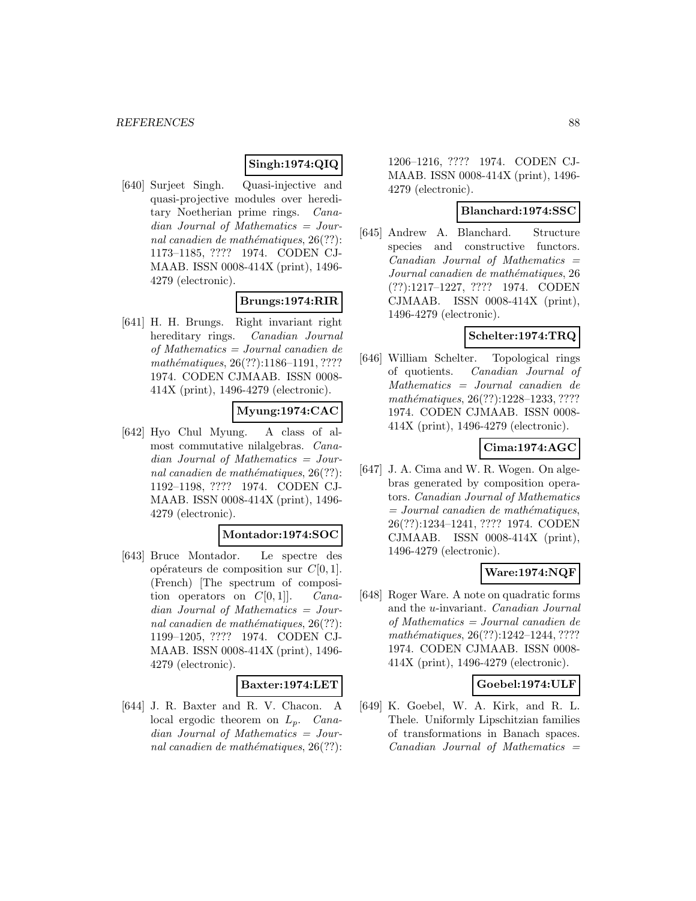## **Singh:1974:QIQ**

[640] Surjeet Singh. Quasi-injective and quasi-projective modules over hereditary Noetherian prime rings. Canadian Journal of Mathematics = Journal canadien de mathématiques,  $26(??)$ : 1173–1185, ???? 1974. CODEN CJ-MAAB. ISSN 0008-414X (print), 1496- 4279 (electronic).

## **Brungs:1974:RIR**

[641] H. H. Brungs. Right invariant right hereditary rings. Canadian Journal of Mathematics = Journal canadien de mathématiques, 26(??):1186-1191, ???? 1974. CODEN CJMAAB. ISSN 0008- 414X (print), 1496-4279 (electronic).

## **Myung:1974:CAC**

[642] Hyo Chul Myung. A class of almost commutative nilalgebras. Canadian Journal of Mathematics = Journal canadien de mathématiques,  $26(??)$ : 1192–1198, ???? 1974. CODEN CJ-MAAB. ISSN 0008-414X (print), 1496- 4279 (electronic).

### **Montador:1974:SOC**

[643] Bruce Montador. Le spectre des opérateurs de composition sur  $C[0, 1]$ . (French) [The spectrum of composition operators on  $C[0, 1]$ . Canadian Journal of Mathematics = Journal canadien de mathématiques,  $26(??)$ : 1199–1205, ???? 1974. CODEN CJ-MAAB. ISSN 0008-414X (print), 1496- 4279 (electronic).

### **Baxter:1974:LET**

[644] J. R. Baxter and R. V. Chacon. A local ergodic theorem on  $L_p$ . Canadian Journal of Mathematics = Journal canadien de mathématiques,  $26(??)$ :

1206–1216, ???? 1974. CODEN CJ-MAAB. ISSN 0008-414X (print), 1496- 4279 (electronic).

### **Blanchard:1974:SSC**

[645] Andrew A. Blanchard. Structure species and constructive functors.  $Canadian$  Journal of Mathematics  $=$ Journal canadien de mathématiques, 26 (??):1217–1227, ???? 1974. CODEN CJMAAB. ISSN 0008-414X (print), 1496-4279 (electronic).

## **Schelter:1974:TRQ**

[646] William Schelter. Topological rings of quotients. Canadian Journal of Mathematics = Journal canadien de mathématiques, 26(??):1228–1233, ???? 1974. CODEN CJMAAB. ISSN 0008- 414X (print), 1496-4279 (electronic).

# **Cima:1974:AGC**

[647] J. A. Cima and W. R. Wogen. On algebras generated by composition operators. Canadian Journal of Mathematics  $= Journal\; can a dien\; de\; mathématiques,$ 26(??):1234–1241, ???? 1974. CODEN CJMAAB. ISSN 0008-414X (print), 1496-4279 (electronic).

## **Ware:1974:NQF**

[648] Roger Ware. A note on quadratic forms and the u-invariant. Canadian Journal of Mathematics = Journal canadien de mathématiques, 26(??):1242–1244, ???? 1974. CODEN CJMAAB. ISSN 0008- 414X (print), 1496-4279 (electronic).

### **Goebel:1974:ULF**

[649] K. Goebel, W. A. Kirk, and R. L. Thele. Uniformly Lipschitzian families of transformations in Banach spaces.  $Canadian$  Journal of Mathematics  $=$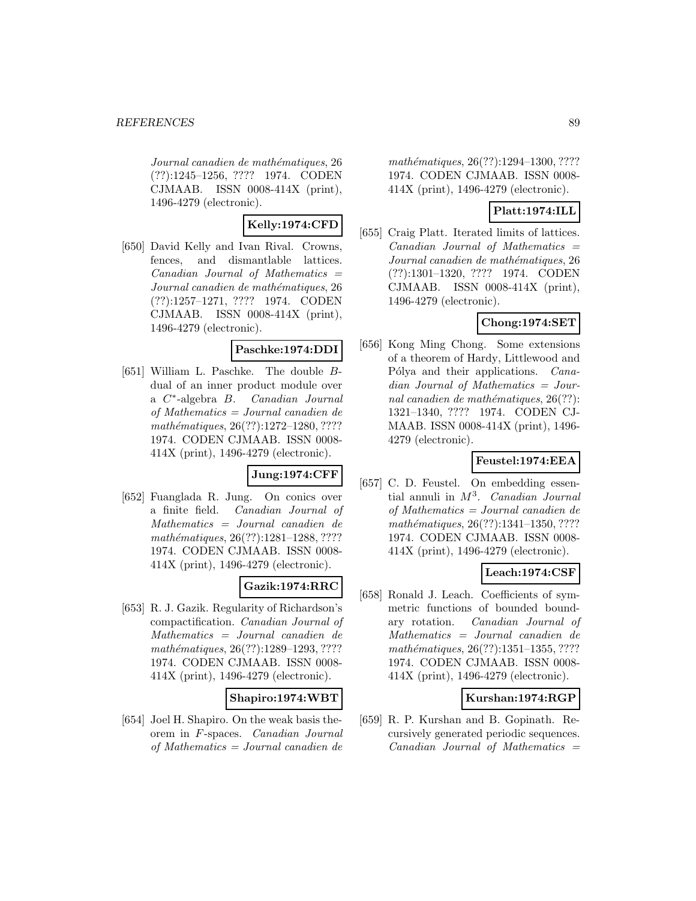Journal canadien de mathématiques, 26 (??):1245–1256, ???? 1974. CODEN CJMAAB. ISSN 0008-414X (print), 1496-4279 (electronic).

## **Kelly:1974:CFD**

[650] David Kelly and Ivan Rival. Crowns, fences, and dismantlable lattices.  $Canadian$  Journal of Mathematics  $=$ Journal canadien de mathématiques, 26 (??):1257–1271, ???? 1974. CODEN CJMAAB. ISSN 0008-414X (print), 1496-4279 (electronic).

### **Paschke:1974:DDI**

[651] William L. Paschke. The double Bdual of an inner product module over a C∗-algebra B. Canadian Journal of Mathematics = Journal canadien de mathématiques,  $26(??):1272-1280, ????$ 1974. CODEN CJMAAB. ISSN 0008- 414X (print), 1496-4279 (electronic).

# **Jung:1974:CFF**

[652] Fuanglada R. Jung. On conics over a finite field. Canadian Journal of Mathematics = Journal canadien de mathématiques, 26(??):1281-1288, ???? 1974. CODEN CJMAAB. ISSN 0008- 414X (print), 1496-4279 (electronic).

# **Gazik:1974:RRC**

[653] R. J. Gazik. Regularity of Richardson's compactification. Canadian Journal of Mathematics = Journal canadien de mathématiques, 26(??):1289-1293, ???? 1974. CODEN CJMAAB. ISSN 0008- 414X (print), 1496-4279 (electronic).

## **Shapiro:1974:WBT**

[654] Joel H. Shapiro. On the weak basis theorem in F-spaces. Canadian Journal of Mathematics = Journal canadien de

mathématiques, 26(??):1294-1300, ???? 1974. CODEN CJMAAB. ISSN 0008- 414X (print), 1496-4279 (electronic).

## **Platt:1974:ILL**

[655] Craig Platt. Iterated limits of lattices.  $Canadian$  Journal of Mathematics  $=$ Journal canadien de mathématiques, 26 (??):1301–1320, ???? 1974. CODEN CJMAAB. ISSN 0008-414X (print), 1496-4279 (electronic).

## **Chong:1974:SET**

[656] Kong Ming Chong. Some extensions of a theorem of Hardy, Littlewood and Pólya and their applications. *Cana*dian Journal of Mathematics = Journal canadien de mathématiques,  $26(??)$ : 1321–1340, ???? 1974. CODEN CJ-MAAB. ISSN 0008-414X (print), 1496- 4279 (electronic).

# **Feustel:1974:EEA**

[657] C. D. Feustel. On embedding essential annuli in  $M^3$ . Canadian Journal of Mathematics = Journal canadien de mathématiques, 26(??):1341-1350, ???? 1974. CODEN CJMAAB. ISSN 0008- 414X (print), 1496-4279 (electronic).

# **Leach:1974:CSF**

[658] Ronald J. Leach. Coefficients of symmetric functions of bounded boundary rotation. Canadian Journal of Mathematics = Journal canadien de mathématiques, 26(??):1351-1355, ???? 1974. CODEN CJMAAB. ISSN 0008- 414X (print), 1496-4279 (electronic).

## **Kurshan:1974:RGP**

[659] R. P. Kurshan and B. Gopinath. Recursively generated periodic sequences.  $Canadian$  Journal of Mathematics  $=$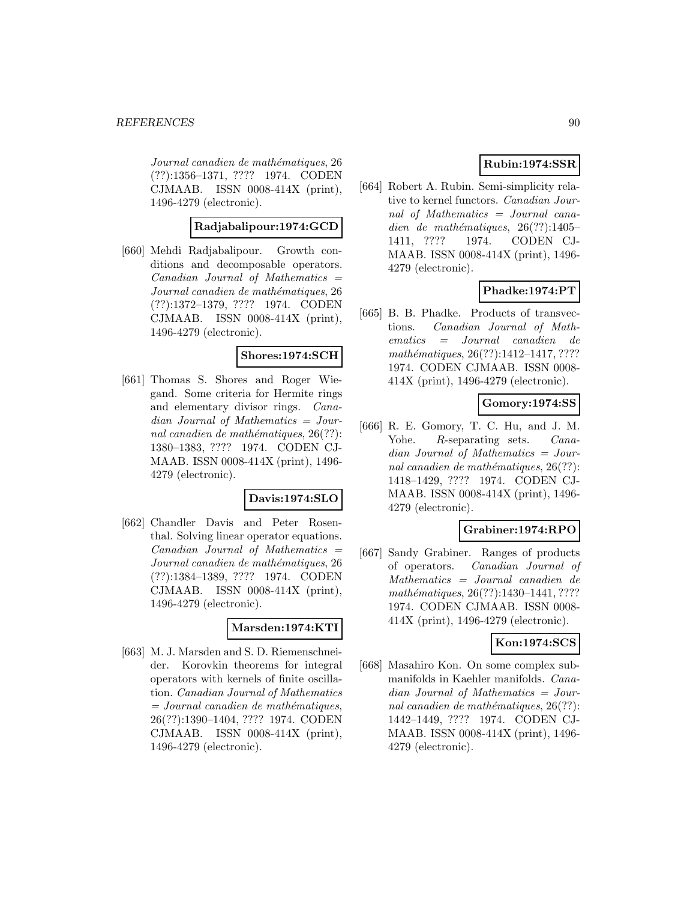Journal canadien de mathématiques, 26 (??):1356–1371, ???? 1974. CODEN CJMAAB. ISSN 0008-414X (print), 1496-4279 (electronic).

### **Radjabalipour:1974:GCD**

[660] Mehdi Radjabalipour. Growth conditions and decomposable operators. Canadian Journal of Mathematics = Journal canadien de mathématiques, 26 (??):1372–1379, ???? 1974. CODEN CJMAAB. ISSN 0008-414X (print), 1496-4279 (electronic).

## **Shores:1974:SCH**

[661] Thomas S. Shores and Roger Wiegand. Some criteria for Hermite rings and elementary divisor rings. Canadian Journal of Mathematics = Journal canadien de mathématiques,  $26(??)$ : 1380–1383, ???? 1974. CODEN CJ-MAAB. ISSN 0008-414X (print), 1496- 4279 (electronic).

### **Davis:1974:SLO**

[662] Chandler Davis and Peter Rosenthal. Solving linear operator equations.  $Canadian$  Journal of Mathematics  $=$ Journal canadien de mathématiques, 26 (??):1384–1389, ???? 1974. CODEN CJMAAB. ISSN 0008-414X (print), 1496-4279 (electronic).

### **Marsden:1974:KTI**

[663] M. J. Marsden and S. D. Riemenschneider. Korovkin theorems for integral operators with kernels of finite oscillation. Canadian Journal of Mathematics  $=$  Journal canadien de mathématiques, 26(??):1390–1404, ???? 1974. CODEN CJMAAB. ISSN 0008-414X (print), 1496-4279 (electronic).

# **Rubin:1974:SSR**

[664] Robert A. Rubin. Semi-simplicity relative to kernel functors. Canadian Journal of Mathematics = Journal canadien de mathématiques,  $26(??):1405-$ 1411, ???? 1974. CODEN CJ-MAAB. ISSN 0008-414X (print), 1496- 4279 (electronic).

## **Phadke:1974:PT**

[665] B. B. Phadke. Products of transvections. Canadian Journal of Mathematics = Journal canadien de  $mathématiques, 26(??): 1412–1417, ????$ 1974. CODEN CJMAAB. ISSN 0008- 414X (print), 1496-4279 (electronic).

### **Gomory:1974:SS**

[666] R. E. Gomory, T. C. Hu, and J. M. Yohe. R-separating sets. *Cana*dian Journal of Mathematics = Journal canadien de mathématiques,  $26(??)$ : 1418–1429, ???? 1974. CODEN CJ-MAAB. ISSN 0008-414X (print), 1496- 4279 (electronic).

### **Grabiner:1974:RPO**

[667] Sandy Grabiner. Ranges of products of operators. Canadian Journal of Mathematics = Journal canadien de mathématiques, 26(??):1430-1441, ???? 1974. CODEN CJMAAB. ISSN 0008- 414X (print), 1496-4279 (electronic).

### **Kon:1974:SCS**

[668] Masahiro Kon. On some complex submanifolds in Kaehler manifolds. Canadian Journal of Mathematics = Journal canadien de mathématiques,  $26(??)$ : 1442–1449, ???? 1974. CODEN CJ-MAAB. ISSN 0008-414X (print), 1496- 4279 (electronic).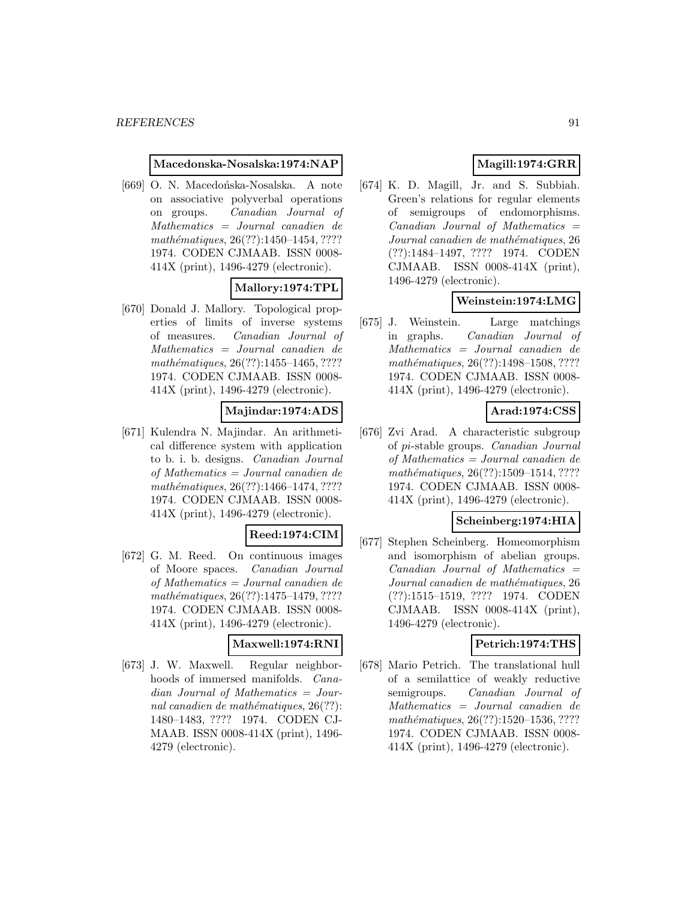#### **Macedonska-Nosalska:1974:NAP**

[669] O. N. Macedońska-Nosalska. A note on associative polyverbal operations on groups. Canadian Journal of Mathematics = Journal canadien de mathématiques, 26(??):1450–1454, ???? 1974. CODEN CJMAAB. ISSN 0008- 414X (print), 1496-4279 (electronic).

### **Mallory:1974:TPL**

[670] Donald J. Mallory. Topological properties of limits of inverse systems of measures. Canadian Journal of Mathematics = Journal canadien de mathématiques,  $26(??):1455-1465, ????$ 1974. CODEN CJMAAB. ISSN 0008- 414X (print), 1496-4279 (electronic).

## **Majindar:1974:ADS**

[671] Kulendra N. Majindar. An arithmetical difference system with application to b. i. b. designs. Canadian Journal of Mathematics = Journal canadien de mathématiques, 26(??):1466-1474, ???? 1974. CODEN CJMAAB. ISSN 0008- 414X (print), 1496-4279 (electronic).

### **Reed:1974:CIM**

[672] G. M. Reed. On continuous images of Moore spaces. Canadian Journal of Mathematics = Journal canadien de mathématiques, 26(??):1475–1479, ???? 1974. CODEN CJMAAB. ISSN 0008- 414X (print), 1496-4279 (electronic).

### **Maxwell:1974:RNI**

[673] J. W. Maxwell. Regular neighborhoods of immersed manifolds. Canadian Journal of Mathematics = Journal canadien de mathématiques,  $26(??)$ : 1480–1483, ???? 1974. CODEN CJ-MAAB. ISSN 0008-414X (print), 1496- 4279 (electronic).

# **Magill:1974:GRR**

[674] K. D. Magill, Jr. and S. Subbiah. Green's relations for regular elements of semigroups of endomorphisms.  $Canadian$  Journal of Mathematics  $=$ Journal canadien de mathématiques, 26 (??):1484–1497, ???? 1974. CODEN CJMAAB. ISSN 0008-414X (print), 1496-4279 (electronic).

# **Weinstein:1974:LMG**

[675] J. Weinstein. Large matchings in graphs. Canadian Journal of Mathematics = Journal canadien de mathématiques, 26(??):1498–1508, ???? 1974. CODEN CJMAAB. ISSN 0008- 414X (print), 1496-4279 (electronic).

# **Arad:1974:CSS**

[676] Zvi Arad. A characteristic subgroup of pi-stable groups. Canadian Journal of Mathematics = Journal canadien de mathématiques, 26(??):1509-1514, ???? 1974. CODEN CJMAAB. ISSN 0008- 414X (print), 1496-4279 (electronic).

### **Scheinberg:1974:HIA**

[677] Stephen Scheinberg. Homeomorphism and isomorphism of abelian groups.  $Canadian$  Journal of Mathematics  $=$ Journal canadien de mathématiques, 26 (??):1515–1519, ???? 1974. CODEN CJMAAB. ISSN 0008-414X (print), 1496-4279 (electronic).

## **Petrich:1974:THS**

[678] Mario Petrich. The translational hull of a semilattice of weakly reductive semigroups. Canadian Journal of Mathematics = Journal canadien de mathématiques, 26(??):1520-1536, ???? 1974. CODEN CJMAAB. ISSN 0008- 414X (print), 1496-4279 (electronic).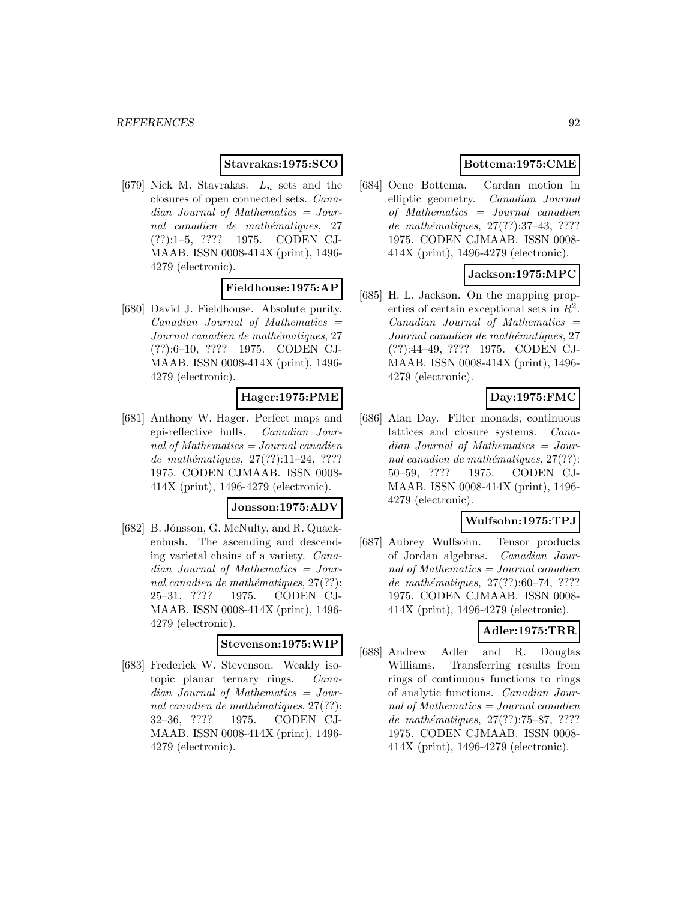## **Stavrakas:1975:SCO**

[679] Nick M. Stavrakas.  $L_n$  sets and the closures of open connected sets. Canadian Journal of Mathematics = Journal canadien de mathématiques, 27 (??):1–5, ???? 1975. CODEN CJ-MAAB. ISSN 0008-414X (print), 1496- 4279 (electronic).

## **Fieldhouse:1975:AP**

[680] David J. Fieldhouse. Absolute purity.  $Canadian$  Journal of Mathematics  $=$ Journal canadien de mathématiques, 27 (??):6–10, ???? 1975. CODEN CJ-MAAB. ISSN 0008-414X (print), 1496- 4279 (electronic).

## **Hager:1975:PME**

[681] Anthony W. Hager. Perfect maps and epi-reflective hulls. Canadian Journal of Mathematics = Journal canadien de mathématiques,  $27(??):11-24$ , ???? 1975. CODEN CJMAAB. ISSN 0008- 414X (print), 1496-4279 (electronic).

### **Jonsson:1975:ADV**

[682] B. Jónsson, G. McNulty, and R. Quackenbush. The ascending and descending varietal chains of a variety. Canadian Journal of Mathematics = Journal canadien de mathématiques,  $27(??)$ : 25–31, ???? 1975. CODEN CJ-MAAB. ISSN 0008-414X (print), 1496- 4279 (electronic).

#### **Stevenson:1975:WIP**

[683] Frederick W. Stevenson. Weakly isotopic planar ternary rings. Canadian Journal of Mathematics = Journal canadien de mathématiques,  $27(??)$ : 32–36, ???? 1975. CODEN CJ-MAAB. ISSN 0008-414X (print), 1496- 4279 (electronic).

## **Bottema:1975:CME**

[684] Oene Bottema. Cardan motion in elliptic geometry. Canadian Journal of Mathematics = Journal canadien de mathématiques, 27(??):37-43, ???? 1975. CODEN CJMAAB. ISSN 0008- 414X (print), 1496-4279 (electronic).

## **Jackson:1975:MPC**

[685] H. L. Jackson. On the mapping properties of certain exceptional sets in  $R^2$ .  $Canadian$  Journal of Mathematics  $=$ Journal canadien de mathématiques, 27 (??):44–49, ???? 1975. CODEN CJ-MAAB. ISSN 0008-414X (print), 1496- 4279 (electronic).

# **Day:1975:FMC**

[686] Alan Day. Filter monads, continuous lattices and closure systems. Canadian Journal of Mathematics = Journal canadien de mathématiques,  $27(??)$ : 50–59, ???? 1975. CODEN CJ-MAAB. ISSN 0008-414X (print), 1496- 4279 (electronic).

### **Wulfsohn:1975:TPJ**

[687] Aubrey Wulfsohn. Tensor products of Jordan algebras. Canadian Journal of Mathematics = Journal canadien de mathématiques,  $27(??):60–74, ????$ 1975. CODEN CJMAAB. ISSN 0008- 414X (print), 1496-4279 (electronic).

## **Adler:1975:TRR**

[688] Andrew Adler and R. Douglas Williams. Transferring results from rings of continuous functions to rings of analytic functions. Canadian Journal of Mathematics = Journal canadien de mathématiques, 27(??):75–87, ???? 1975. CODEN CJMAAB. ISSN 0008- 414X (print), 1496-4279 (electronic).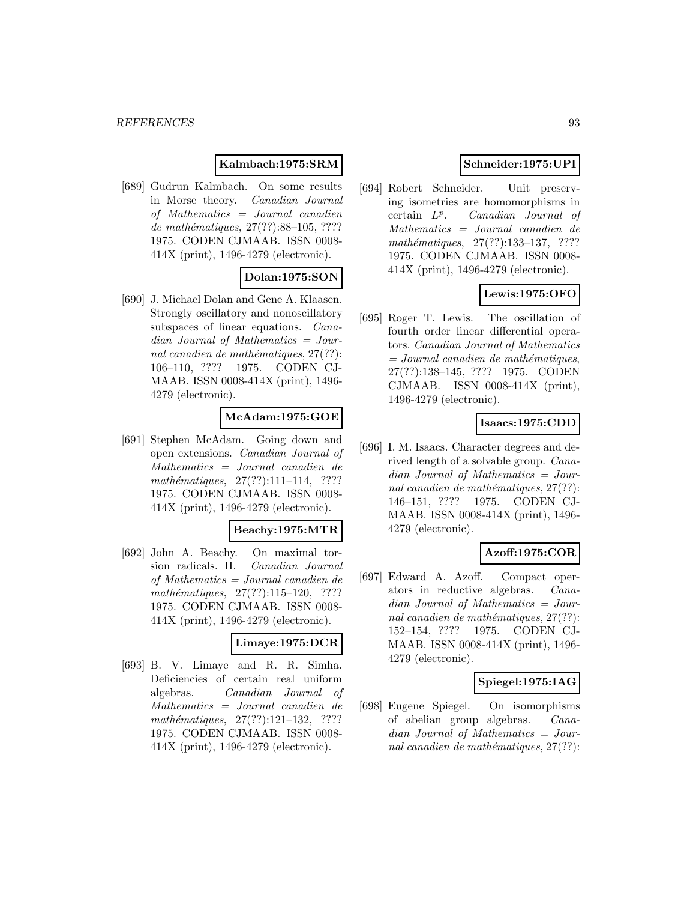### **Kalmbach:1975:SRM**

[689] Gudrun Kalmbach. On some results in Morse theory. Canadian Journal of Mathematics = Journal canadien de mathématiques,  $27(??)$ :88-105, ???? 1975. CODEN CJMAAB. ISSN 0008- 414X (print), 1496-4279 (electronic).

# **Dolan:1975:SON**

[690] J. Michael Dolan and Gene A. Klaasen. Strongly oscillatory and nonoscillatory subspaces of linear equations. Canadian Journal of Mathematics = Journal canadien de mathématiques,  $27(??)$ : 106–110, ???? 1975. CODEN CJ-MAAB. ISSN 0008-414X (print), 1496- 4279 (electronic).

# **McAdam:1975:GOE**

[691] Stephen McAdam. Going down and open extensions. Canadian Journal of Mathematics = Journal canadien de mathématiques, 27(??):111-114, ???? 1975. CODEN CJMAAB. ISSN 0008- 414X (print), 1496-4279 (electronic).

### **Beachy:1975:MTR**

[692] John A. Beachy. On maximal torsion radicals. II. Canadian Journal of Mathematics = Journal canadien de  $mathématiques, 27(??):115–120, ????$ 1975. CODEN CJMAAB. ISSN 0008- 414X (print), 1496-4279 (electronic).

### **Limaye:1975:DCR**

[693] B. V. Limaye and R. R. Simha. Deficiencies of certain real uniform algebras. Canadian Journal of Mathematics = Journal canadien de  $mathématiques, 27(??):121-132, ????$ 1975. CODEN CJMAAB. ISSN 0008- 414X (print), 1496-4279 (electronic).

## **Schneider:1975:UPI**

[694] Robert Schneider. Unit preserving isometries are homomorphisms in certain  $L^p$ . Canadian Journal of Mathematics = Journal canadien de mathématiques,  $27(??):133-137, ????$ 1975. CODEN CJMAAB. ISSN 0008- 414X (print), 1496-4279 (electronic).

## **Lewis:1975:OFO**

[695] Roger T. Lewis. The oscillation of fourth order linear differential operators. Canadian Journal of Mathematics  $= Journal\; can a dien\; de\; mathématiques,$ 27(??):138–145, ???? 1975. CODEN CJMAAB. ISSN 0008-414X (print), 1496-4279 (electronic).

### **Isaacs:1975:CDD**

[696] I. M. Isaacs. Character degrees and derived length of a solvable group. Canadian Journal of Mathematics = Journal canadien de mathématiques,  $27(??)$ : 146–151, ???? 1975. CODEN CJ-MAAB. ISSN 0008-414X (print), 1496- 4279 (electronic).

## **Azoff:1975:COR**

[697] Edward A. Azoff. Compact operators in reductive algebras. Canadian Journal of Mathematics = Journal canadien de mathématiques,  $27(??)$ : 152–154, ???? 1975. CODEN CJ-MAAB. ISSN 0008-414X (print), 1496- 4279 (electronic).

### **Spiegel:1975:IAG**

[698] Eugene Spiegel. On isomorphisms of abelian group algebras. Canadian Journal of Mathematics = Journal canadien de mathématiques,  $27(??)$ :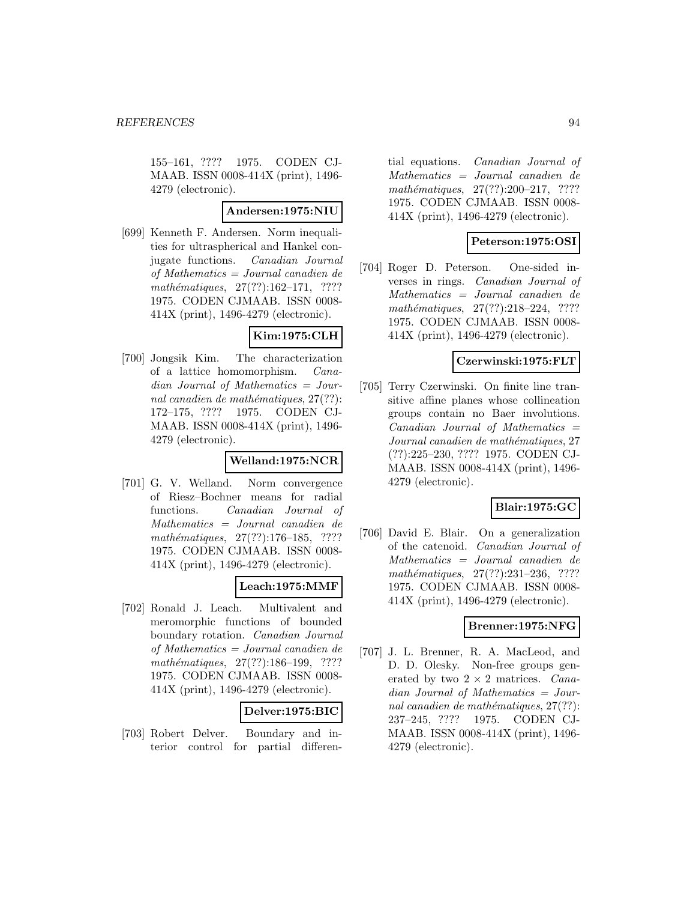155–161, ???? 1975. CODEN CJ-MAAB. ISSN 0008-414X (print), 1496- 4279 (electronic).

## **Andersen:1975:NIU**

[699] Kenneth F. Andersen. Norm inequalities for ultraspherical and Hankel conjugate functions. Canadian Journal of Mathematics = Journal canadien de  $mathématiques, 27(??):162–171, ????$ 1975. CODEN CJMAAB. ISSN 0008- 414X (print), 1496-4279 (electronic).

## **Kim:1975:CLH**

[700] Jongsik Kim. The characterization of a lattice homomorphism. Canadian Journal of Mathematics = Journal canadien de mathématiques,  $27(??)$ : 172–175, ???? 1975. CODEN CJ-MAAB. ISSN 0008-414X (print), 1496- 4279 (electronic).

## **Welland:1975:NCR**

[701] G. V. Welland. Norm convergence of Riesz–Bochner means for radial functions. Canadian Journal of Mathematics = Journal canadien de mathématiques, 27(??):176-185, ???? 1975. CODEN CJMAAB. ISSN 0008- 414X (print), 1496-4279 (electronic).

## **Leach:1975:MMF**

[702] Ronald J. Leach. Multivalent and meromorphic functions of bounded boundary rotation. Canadian Journal of Mathematics = Journal canadien de mathématiques, 27(??):186-199, ???? 1975. CODEN CJMAAB. ISSN 0008- 414X (print), 1496-4279 (electronic).

## **Delver:1975:BIC**

[703] Robert Delver. Boundary and interior control for partial differen-

tial equations. Canadian Journal of Mathematics = Journal canadien de mathématiques,  $27(??):200-217$ , ???? 1975. CODEN CJMAAB. ISSN 0008- 414X (print), 1496-4279 (electronic).

## **Peterson:1975:OSI**

[704] Roger D. Peterson. One-sided inverses in rings. Canadian Journal of Mathematics = Journal canadien de mathématiques,  $27(??):218-224$ , ???? 1975. CODEN CJMAAB. ISSN 0008- 414X (print), 1496-4279 (electronic).

### **Czerwinski:1975:FLT**

[705] Terry Czerwinski. On finite line transitive affine planes whose collineation groups contain no Baer involutions.  $Canadian$  Journal of Mathematics  $=$ Journal canadien de mathématiques, 27 (??):225–230, ???? 1975. CODEN CJ-MAAB. ISSN 0008-414X (print), 1496- 4279 (electronic).

## **Blair:1975:GC**

[706] David E. Blair. On a generalization of the catenoid. Canadian Journal of Mathematics = Journal canadien de mathématiques,  $27(??):231-236$ , ???? 1975. CODEN CJMAAB. ISSN 0008- 414X (print), 1496-4279 (electronic).

# **Brenner:1975:NFG**

[707] J. L. Brenner, R. A. MacLeod, and D. D. Olesky. Non-free groups generated by two  $2 \times 2$  matrices. *Cana*dian Journal of Mathematics = Journal canadien de mathématiques,  $27(??)$ : 237–245, ???? 1975. CODEN CJ-MAAB. ISSN 0008-414X (print), 1496- 4279 (electronic).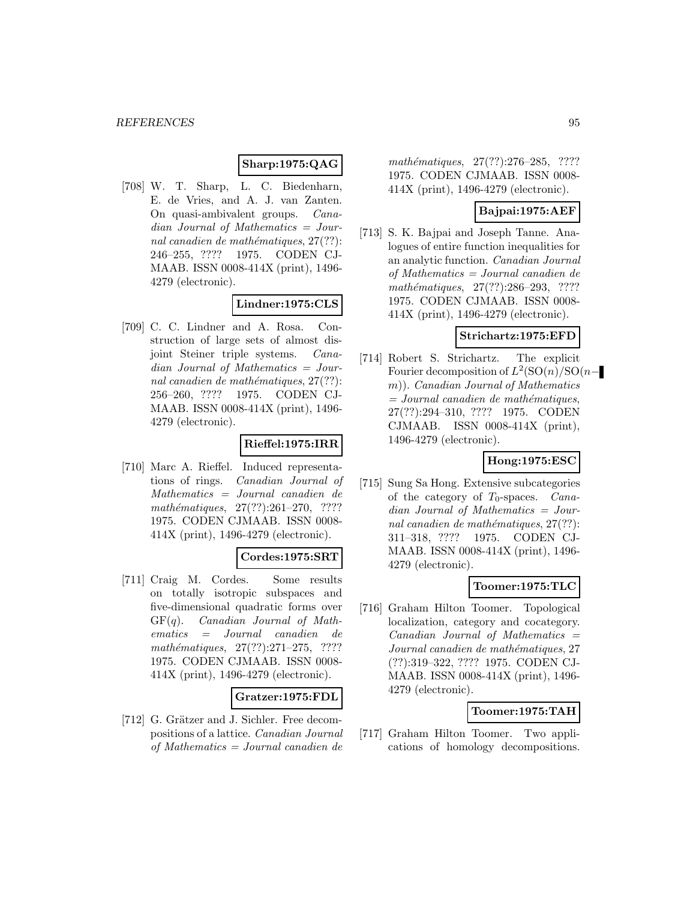# **Sharp:1975:QAG**

[708] W. T. Sharp, L. C. Biedenharn, E. de Vries, and A. J. van Zanten. On quasi-ambivalent groups. Canadian Journal of Mathematics = Journal canadien de mathématiques,  $27(??)$ : 246–255, ???? 1975. CODEN CJ-MAAB. ISSN 0008-414X (print), 1496- 4279 (electronic).

## **Lindner:1975:CLS**

[709] C. C. Lindner and A. Rosa. Construction of large sets of almost disjoint Steiner triple systems. Canadian Journal of Mathematics = Journal canadien de mathématiques,  $27(??)$ : 256–260, ???? 1975. CODEN CJ-MAAB. ISSN 0008-414X (print), 1496- 4279 (electronic).

# **Rieffel:1975:IRR**

[710] Marc A. Rieffel. Induced representations of rings. Canadian Journal of Mathematics = Journal canadien de mathématiques,  $27(??):261-270$ , ???? 1975. CODEN CJMAAB. ISSN 0008- 414X (print), 1496-4279 (electronic).

## **Cordes:1975:SRT**

[711] Craig M. Cordes. Some results on totally isotropic subspaces and five-dimensional quadratic forms over  $GF(q)$ . *Canadian Journal of Math*ematics = Journal canadien de  $mathématiques, 27(??):271-275, ????$ 1975. CODEN CJMAAB. ISSN 0008- 414X (print), 1496-4279 (electronic).

### **Gratzer:1975:FDL**

[712] G. Grätzer and J. Sichler. Free decompositions of a lattice. Canadian Journal of Mathematics = Journal canadien de

mathématiques, 27(??):276–285, ???? 1975. CODEN CJMAAB. ISSN 0008- 414X (print), 1496-4279 (electronic).

### **Bajpai:1975:AEF**

[713] S. K. Bajpai and Joseph Tanne. Analogues of entire function inequalities for an analytic function. Canadian Journal of Mathematics = Journal canadien de  $mathématiques, 27(??):286-293, ????$ 1975. CODEN CJMAAB. ISSN 0008- 414X (print), 1496-4279 (electronic).

### **Strichartz:1975:EFD**

[714] Robert S. Strichartz. The explicit Fourier decomposition of  $L^2(SO(n)/SO(n$ m)). Canadian Journal of Mathematics  $=$  Journal canadien de mathématiques, 27(??):294–310, ???? 1975. CODEN CJMAAB. ISSN 0008-414X (print), 1496-4279 (electronic).

### **Hong:1975:ESC**

[715] Sung Sa Hong. Extensive subcategories of the category of  $T_0$ -spaces. *Cana*dian Journal of Mathematics = Journal canadien de mathématiques,  $27(??)$ : 311–318, ???? 1975. CODEN CJ-MAAB. ISSN 0008-414X (print), 1496- 4279 (electronic).

## **Toomer:1975:TLC**

[716] Graham Hilton Toomer. Topological localization, category and cocategory.  $Canadian$  Journal of Mathematics  $=$ Journal canadien de mathématiques, 27 (??):319–322, ???? 1975. CODEN CJ-MAAB. ISSN 0008-414X (print), 1496- 4279 (electronic).

## **Toomer:1975:TAH**

[717] Graham Hilton Toomer. Two applications of homology decompositions.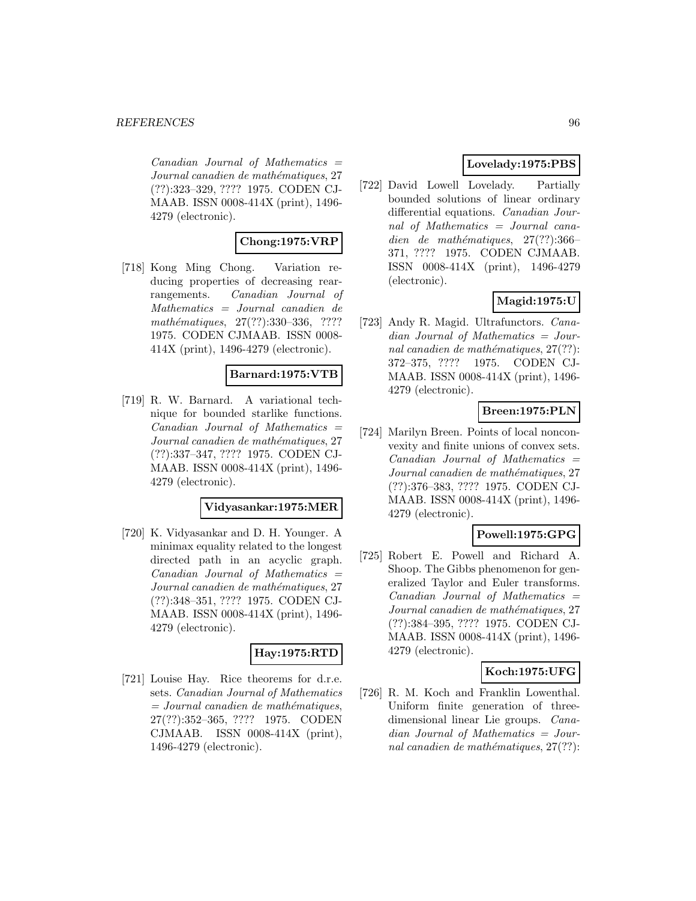$Canadian$  Journal of Mathematics  $=$ Journal canadien de mathématiques, 27 (??):323–329, ???? 1975. CODEN CJ-MAAB. ISSN 0008-414X (print), 1496- 4279 (electronic).

## **Chong:1975:VRP**

[718] Kong Ming Chong. Variation reducing properties of decreasing rearrangements. Canadian Journal of Mathematics = Journal canadien de mathématiques, 27(??):330-336, ???? 1975. CODEN CJMAAB. ISSN 0008- 414X (print), 1496-4279 (electronic).

## **Barnard:1975:VTB**

[719] R. W. Barnard. A variational technique for bounded starlike functions.  $Canadian$  Journal of Mathematics  $=$ Journal canadien de mathématiques, 27 (??):337–347, ???? 1975. CODEN CJ-MAAB. ISSN 0008-414X (print), 1496- 4279 (electronic).

### **Vidyasankar:1975:MER**

[720] K. Vidyasankar and D. H. Younger. A minimax equality related to the longest directed path in an acyclic graph.  $Canadian$  Journal of Mathematics  $=$ Journal canadien de mathématiques, 27 (??):348–351, ???? 1975. CODEN CJ-MAAB. ISSN 0008-414X (print), 1496- 4279 (electronic).

## **Hay:1975:RTD**

[721] Louise Hay. Rice theorems for d.r.e. sets. Canadian Journal of Mathematics  $=$  Journal canadien de mathématiques, 27(??):352–365, ???? 1975. CODEN CJMAAB. ISSN 0008-414X (print), 1496-4279 (electronic).

## **Lovelady:1975:PBS**

[722] David Lowell Lovelady. Partially bounded solutions of linear ordinary differential equations. Canadian Journal of Mathematics = Journal canadien de mathématiques,  $27(??):366-$ 371, ???? 1975. CODEN CJMAAB. ISSN 0008-414X (print), 1496-4279 (electronic).

## **Magid:1975:U**

[723] Andy R. Magid. Ultrafunctors. Canadian Journal of Mathematics = Journal canadien de mathématiques,  $27(??)$ : 372–375, ???? 1975. CODEN CJ-MAAB. ISSN 0008-414X (print), 1496- 4279 (electronic).

# **Breen:1975:PLN**

[724] Marilyn Breen. Points of local nonconvexity and finite unions of convex sets.  $Canadian$  Journal of Mathematics  $=$ Journal canadien de mathématiques, 27 (??):376–383, ???? 1975. CODEN CJ-MAAB. ISSN 0008-414X (print), 1496- 4279 (electronic).

## **Powell:1975:GPG**

[725] Robert E. Powell and Richard A. Shoop. The Gibbs phenomenon for generalized Taylor and Euler transforms.  $Canadian$  Journal of Mathematics  $=$ Journal canadien de mathématiques, 27 (??):384–395, ???? 1975. CODEN CJ-MAAB. ISSN 0008-414X (print), 1496- 4279 (electronic).

## **Koch:1975:UFG**

[726] R. M. Koch and Franklin Lowenthal. Uniform finite generation of threedimensional linear Lie groups. Canadian Journal of Mathematics = Journal canadien de mathématiques,  $27(??)$ :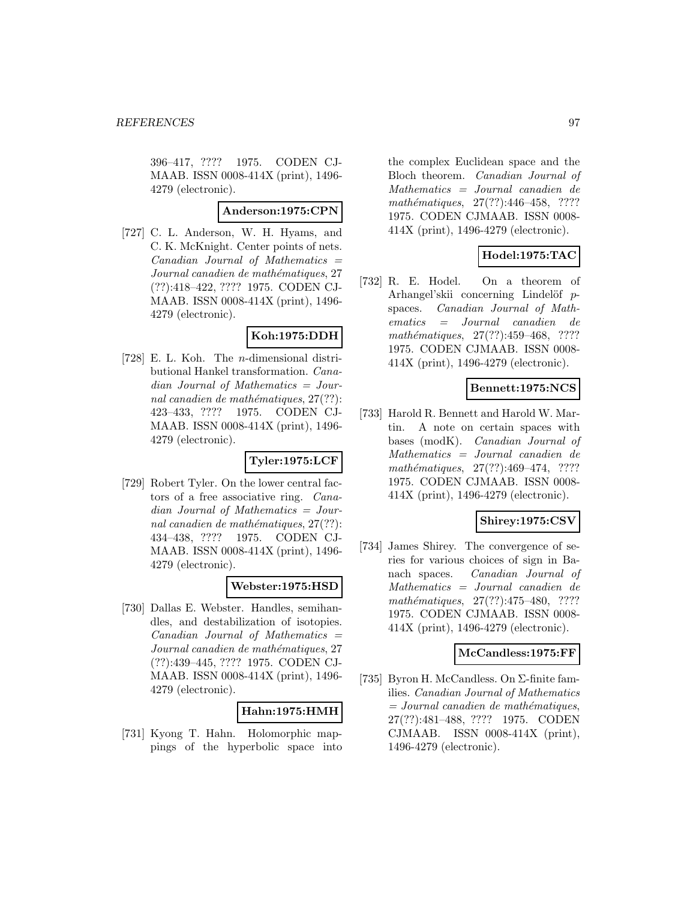396–417, ???? 1975. CODEN CJ-MAAB. ISSN 0008-414X (print), 1496- 4279 (electronic).

### **Anderson:1975:CPN**

[727] C. L. Anderson, W. H. Hyams, and C. K. McKnight. Center points of nets.  $Canadian$  Journal of Mathematics  $=$ Journal canadien de mathématiques, 27 (??):418–422, ???? 1975. CODEN CJ-MAAB. ISSN 0008-414X (print), 1496- 4279 (electronic).

## **Koh:1975:DDH**

[728] E. L. Koh. The n-dimensional distributional Hankel transformation. Canadian Journal of Mathematics = Journal canadien de mathématiques,  $27(??)$ : 423–433, ???? 1975. CODEN CJ-MAAB. ISSN 0008-414X (print), 1496- 4279 (electronic).

### **Tyler:1975:LCF**

[729] Robert Tyler. On the lower central factors of a free associative ring. Canadian Journal of Mathematics = Journal canadien de mathématiques,  $27(??)$ : 434–438, ???? 1975. CODEN CJ-MAAB. ISSN 0008-414X (print), 1496- 4279 (electronic).

## **Webster:1975:HSD**

[730] Dallas E. Webster. Handles, semihandles, and destabilization of isotopies.  $Canadian$  Journal of Mathematics  $=$ Journal canadien de mathématiques, 27 (??):439–445, ???? 1975. CODEN CJ-MAAB. ISSN 0008-414X (print), 1496- 4279 (electronic).

## **Hahn:1975:HMH**

[731] Kyong T. Hahn. Holomorphic mappings of the hyperbolic space into

the complex Euclidean space and the Bloch theorem. Canadian Journal of Mathematics = Journal canadien de mathématiques, 27(??):446-458, ???? 1975. CODEN CJMAAB. ISSN 0008- 414X (print), 1496-4279 (electronic).

## **Hodel:1975:TAC**

[732] R. E. Hodel. On a theorem of Arhangel'skii concerning Lindelöf  $p$ spaces. Canadian Journal of Mathematics = Journal canadien de mathématiques,  $27(??):459-468$ , ???? 1975. CODEN CJMAAB. ISSN 0008- 414X (print), 1496-4279 (electronic).

# **Bennett:1975:NCS**

[733] Harold R. Bennett and Harold W. Martin. A note on certain spaces with bases (modK). Canadian Journal of Mathematics = Journal canadien de  $mathématiques, 27(??):469-474, ????$ 1975. CODEN CJMAAB. ISSN 0008- 414X (print), 1496-4279 (electronic).

## **Shirey:1975:CSV**

[734] James Shirey. The convergence of series for various choices of sign in Banach spaces. Canadian Journal of Mathematics = Journal canadien de mathématiques, 27(??):475–480, ???? 1975. CODEN CJMAAB. ISSN 0008- 414X (print), 1496-4279 (electronic).

### **McCandless:1975:FF**

[735] Byron H. McCandless. On Σ-finite families. Canadian Journal of Mathematics  $=$  Journal canadien de mathématiques, 27(??):481–488, ???? 1975. CODEN CJMAAB. ISSN 0008-414X (print), 1496-4279 (electronic).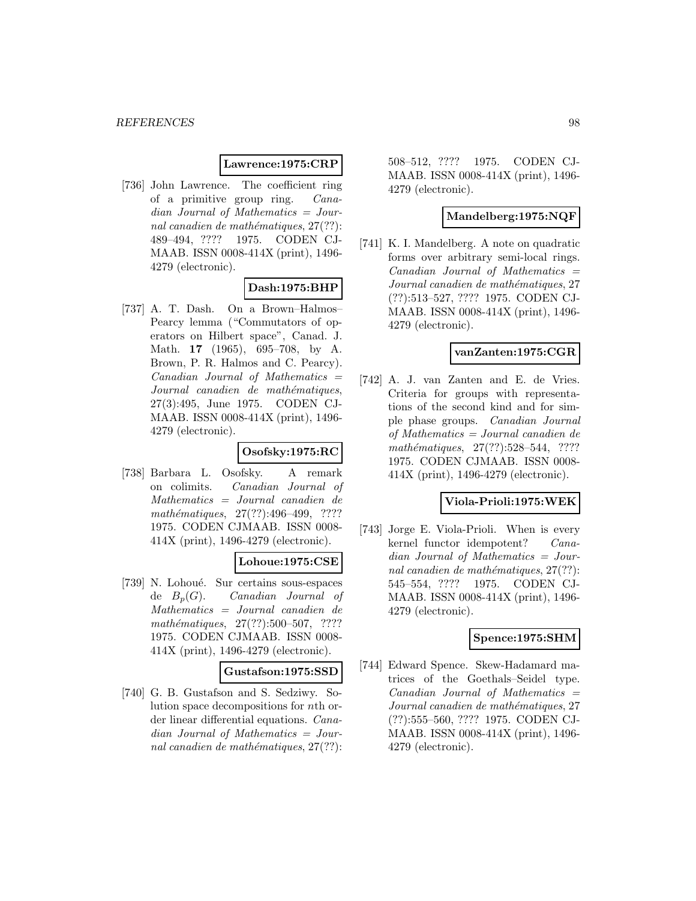### **Lawrence:1975:CRP**

[736] John Lawrence. The coefficient ring of a primitive group ring. Canadian Journal of Mathematics = Journal canadien de mathématiques,  $27(??)$ : 489–494, ???? 1975. CODEN CJ-MAAB. ISSN 0008-414X (print), 1496- 4279 (electronic).

## **Dash:1975:BHP**

[737] A. T. Dash. On a Brown–Halmos– Pearcy lemma ("Commutators of operators on Hilbert space", Canad. J. Math. **17** (1965), 695–708, by A. Brown, P. R. Halmos and C. Pearcy).  $Canadian$  Journal of Mathematics  $=$ Journal canadien de mathématiques, 27(3):495, June 1975. CODEN CJ-MAAB. ISSN 0008-414X (print), 1496- 4279 (electronic).

### **Osofsky:1975:RC**

[738] Barbara L. Osofsky. A remark on colimits. Canadian Journal of Mathematics = Journal canadien de mathématiques, 27(??):496-499, ???? 1975. CODEN CJMAAB. ISSN 0008- 414X (print), 1496-4279 (electronic).

## **Lohoue:1975:CSE**

[739] N. Lohoué. Sur certains sous-espaces de  $B_p(G)$ . Canadian Journal of Mathematics = Journal canadien de  $mathématiques, 27(??):500–507, ????$ 1975. CODEN CJMAAB. ISSN 0008- 414X (print), 1496-4279 (electronic).

### **Gustafson:1975:SSD**

[740] G. B. Gustafson and S. Sedziwy. Solution space decompositions for nth order linear differential equations. Canadian Journal of Mathematics = Journal canadien de mathématiques,  $27(??)$ :

508–512, ???? 1975. CODEN CJ-MAAB. ISSN 0008-414X (print), 1496- 4279 (electronic).

### **Mandelberg:1975:NQF**

[741] K. I. Mandelberg. A note on quadratic forms over arbitrary semi-local rings.  $Canadian$  Journal of Mathematics  $=$ Journal canadien de mathématiques, 27 (??):513–527, ???? 1975. CODEN CJ-MAAB. ISSN 0008-414X (print), 1496- 4279 (electronic).

### **vanZanten:1975:CGR**

[742] A. J. van Zanten and E. de Vries. Criteria for groups with representations of the second kind and for simple phase groups. Canadian Journal of Mathematics = Journal canadien de mathématiques,  $27(??):528-544$ , ???? 1975. CODEN CJMAAB. ISSN 0008- 414X (print), 1496-4279 (electronic).

### **Viola-Prioli:1975:WEK**

[743] Jorge E. Viola-Prioli. When is every kernel functor idempotent? Canadian Journal of Mathematics = Journal canadien de mathématiques,  $27(??)$ : 545–554, ???? 1975. CODEN CJ-MAAB. ISSN 0008-414X (print), 1496- 4279 (electronic).

### **Spence:1975:SHM**

[744] Edward Spence. Skew-Hadamard matrices of the Goethals–Seidel type.  $Canadian$  Journal of Mathematics  $=$ Journal canadien de mathématiques, 27 (??):555–560, ???? 1975. CODEN CJ-MAAB. ISSN 0008-414X (print), 1496- 4279 (electronic).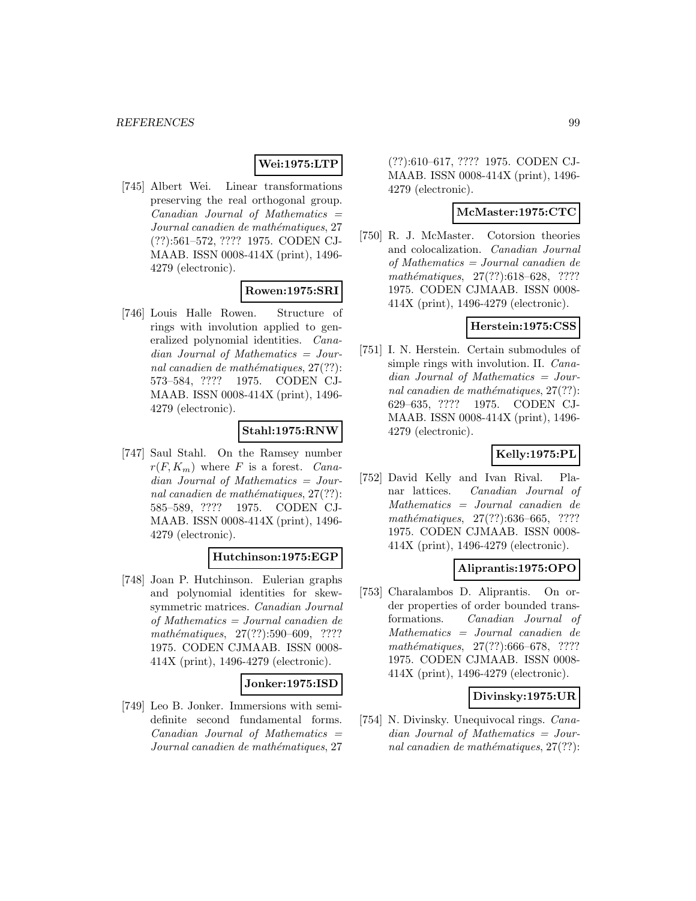## **Wei:1975:LTP**

[745] Albert Wei. Linear transformations preserving the real orthogonal group.  $Canadian$  Journal of Mathematics  $=$ Journal canadien de mathématiques, 27 (??):561–572, ???? 1975. CODEN CJ-MAAB. ISSN 0008-414X (print), 1496- 4279 (electronic).

## **Rowen:1975:SRI**

[746] Louis Halle Rowen. Structure of rings with involution applied to generalized polynomial identities. Canadian Journal of Mathematics = Journal canadien de mathématiques,  $27(??)$ : 573–584, ???? 1975. CODEN CJ-MAAB. ISSN 0008-414X (print), 1496- 4279 (electronic).

# **Stahl:1975:RNW**

[747] Saul Stahl. On the Ramsey number  $r(F, K_m)$  where F is a forest. Canadian Journal of Mathematics = Journal canadien de mathématiques,  $27(??)$ : 585–589, ???? 1975. CODEN CJ-MAAB. ISSN 0008-414X (print), 1496- 4279 (electronic).

## **Hutchinson:1975:EGP**

[748] Joan P. Hutchinson. Eulerian graphs and polynomial identities for skewsymmetric matrices. Canadian Journal of Mathematics = Journal canadien de  $mathématiques, 27(??): 590–609, ????$ 1975. CODEN CJMAAB. ISSN 0008- 414X (print), 1496-4279 (electronic).

### **Jonker:1975:ISD**

[749] Leo B. Jonker. Immersions with semidefinite second fundamental forms.  $Canadian$  Journal of Mathematics  $=$ Journal canadien de mathématiques, 27

(??):610–617, ???? 1975. CODEN CJ-MAAB. ISSN 0008-414X (print), 1496- 4279 (electronic).

### **McMaster:1975:CTC**

[750] R. J. McMaster. Cotorsion theories and colocalization. Canadian Journal of Mathematics = Journal canadien de mathématiques, 27(??):618–628, ???? 1975. CODEN CJMAAB. ISSN 0008- 414X (print), 1496-4279 (electronic).

### **Herstein:1975:CSS**

[751] I. N. Herstein. Certain submodules of simple rings with involution. II. Canadian Journal of Mathematics = Journal canadien de mathématiques,  $27(??)$ : 629–635, ???? 1975. CODEN CJ-MAAB. ISSN 0008-414X (print), 1496- 4279 (electronic).

### **Kelly:1975:PL**

[752] David Kelly and Ivan Rival. Planar lattices. Canadian Journal of Mathematics = Journal canadien de mathématiques,  $27(??):636–665, ????$ 1975. CODEN CJMAAB. ISSN 0008- 414X (print), 1496-4279 (electronic).

### **Aliprantis:1975:OPO**

[753] Charalambos D. Aliprantis. On order properties of order bounded transformations. Canadian Journal of Mathematics = Journal canadien de mathématiques,  $27(??):666-678$ , ???? 1975. CODEN CJMAAB. ISSN 0008- 414X (print), 1496-4279 (electronic).

## **Divinsky:1975:UR**

[754] N. Divinsky. Unequivocal rings. Canadian Journal of Mathematics = Journal canadien de mathématiques,  $27(??)$ :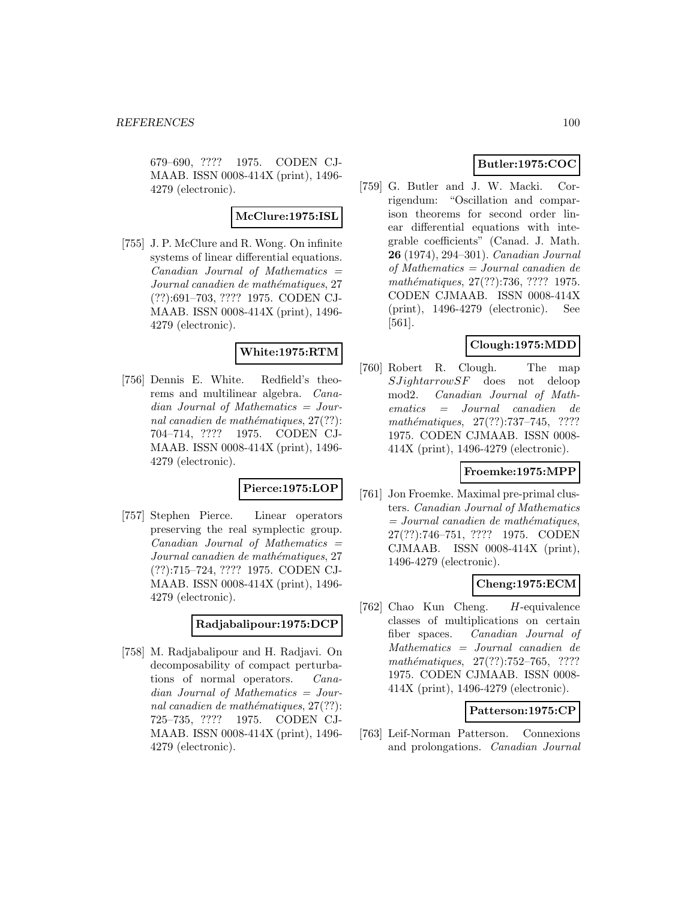679–690, ???? 1975. CODEN CJ-MAAB. ISSN 0008-414X (print), 1496- 4279 (electronic).

### **McClure:1975:ISL**

[755] J. P. McClure and R. Wong. On infinite systems of linear differential equations.  $Canadian$  Journal of Mathematics  $=$ Journal canadien de mathématiques, 27 (??):691–703, ???? 1975. CODEN CJ-MAAB. ISSN 0008-414X (print), 1496- 4279 (electronic).

## **White:1975:RTM**

[756] Dennis E. White. Redfield's theorems and multilinear algebra. Canadian Journal of Mathematics = Journal canadien de mathématiques,  $27(??)$ : 704–714, ???? 1975. CODEN CJ-MAAB. ISSN 0008-414X (print), 1496- 4279 (electronic).

## **Pierce:1975:LOP**

[757] Stephen Pierce. Linear operators preserving the real symplectic group.  $Canadian$  Journal of Mathematics  $=$ Journal canadien de mathématiques, 27 (??):715–724, ???? 1975. CODEN CJ-MAAB. ISSN 0008-414X (print), 1496- 4279 (electronic).

### **Radjabalipour:1975:DCP**

[758] M. Radjabalipour and H. Radjavi. On decomposability of compact perturbations of normal operators. Canadian Journal of Mathematics = Journal canadien de mathématiques,  $27(??)$ : 725–735, ???? 1975. CODEN CJ-MAAB. ISSN 0008-414X (print), 1496- 4279 (electronic).

# **Butler:1975:COC**

[759] G. Butler and J. W. Macki. Corrigendum: "Oscillation and comparison theorems for second order linear differential equations with integrable coefficients" (Canad. J. Math. **26** (1974), 294–301). Canadian Journal of Mathematics = Journal canadien de mathématiques, 27(??):736, ???? 1975. CODEN CJMAAB. ISSN 0008-414X (print), 1496-4279 (electronic). See [561].

## **Clough:1975:MDD**

[760] Robert R. Clough. The map  $SJ\iota qhtarrowS$ F does not deloop mod2. Canadian Journal of Mathematics = Journal canadien de mathématiques,  $27(??):737-745$ , ???? 1975. CODEN CJMAAB. ISSN 0008- 414X (print), 1496-4279 (electronic).

## **Froemke:1975:MPP**

[761] Jon Froemke. Maximal pre-primal clusters. Canadian Journal of Mathematics  $=$  Journal canadien de mathématiques, 27(??):746–751, ???? 1975. CODEN CJMAAB. ISSN 0008-414X (print), 1496-4279 (electronic).

## **Cheng:1975:ECM**

[762] Chao Kun Cheng. H-equivalence classes of multiplications on certain fiber spaces. Canadian Journal of Mathematics = Journal canadien de mathématiques, 27(??):752–765, ???? 1975. CODEN CJMAAB. ISSN 0008- 414X (print), 1496-4279 (electronic).

## **Patterson:1975:CP**

[763] Leif-Norman Patterson. Connexions and prolongations. Canadian Journal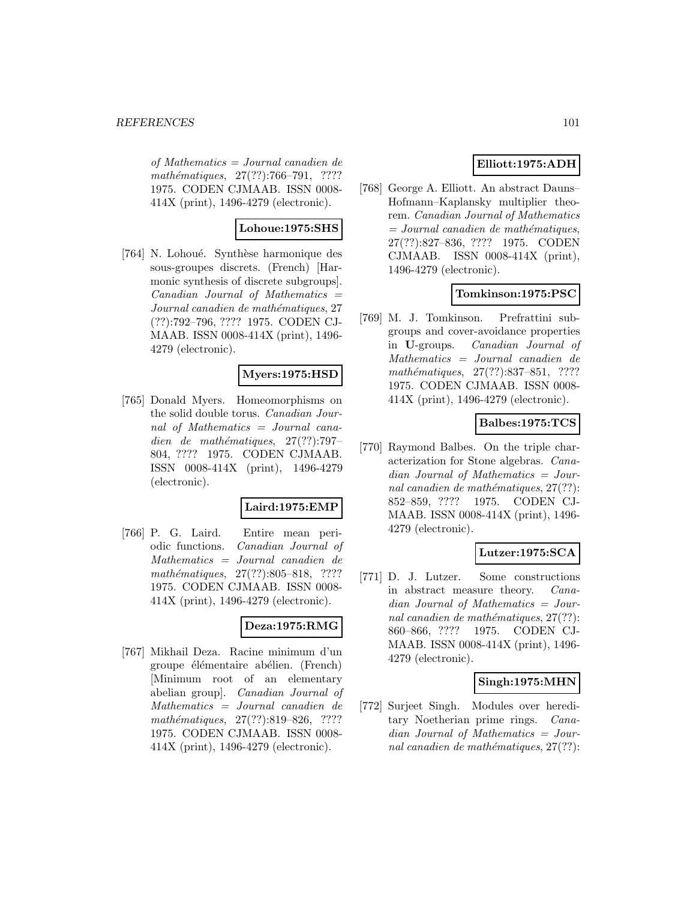of Mathematics = Journal canadien de mathématiques, 27(??):766-791, ???? 1975. CODEN CJMAAB. ISSN 0008- 414X (print), 1496-4279 (electronic).

# **Lohoue:1975:SHS**

[764] N. Lohoué. Synthèse harmonique des sous-groupes discrets. (French) [Harmonic synthesis of discrete subgroups].  $Canadian$  Journal of Mathematics  $=$ Journal canadien de mathématiques, 27 (??):792–796, ???? 1975. CODEN CJ-MAAB. ISSN 0008-414X (print), 1496- 4279 (electronic).

## **Myers:1975:HSD**

[765] Donald Myers. Homeomorphisms on the solid double torus. Canadian Journal of Mathematics = Journal canadien de mathématiques,  $27(??)$ :797– 804, ???? 1975. CODEN CJMAAB. ISSN 0008-414X (print), 1496-4279 (electronic).

## **Laird:1975:EMP**

[766] P. G. Laird. Entire mean periodic functions. Canadian Journal of Mathematics = Journal canadien de mathématiques,  $27(??):805-818$ , ???? 1975. CODEN CJMAAB. ISSN 0008- 414X (print), 1496-4279 (electronic).

# **Deza:1975:RMG**

[767] Mikhail Deza. Racine minimum d'un groupe élémentaire abélien. (French) [Minimum root of an elementary abelian group]. Canadian Journal of Mathematics = Journal canadien de mathématiques, 27(??):819-826, ???? 1975. CODEN CJMAAB. ISSN 0008- 414X (print), 1496-4279 (electronic).

# **Elliott:1975:ADH**

[768] George A. Elliott. An abstract Dauns– Hofmann–Kaplansky multiplier theorem. Canadian Journal of Mathematics  $= Journal\; candidate\; the\; mathématiques,$ 27(??):827–836, ???? 1975. CODEN CJMAAB. ISSN 0008-414X (print), 1496-4279 (electronic).

## **Tomkinson:1975:PSC**

[769] M. J. Tomkinson. Prefrattini subgroups and cover-avoidance properties in **U**-groups. Canadian Journal of Mathematics = Journal canadien de mathématiques,  $27(??):837-851$ , ???? 1975. CODEN CJMAAB. ISSN 0008- 414X (print), 1496-4279 (electronic).

## **Balbes:1975:TCS**

[770] Raymond Balbes. On the triple characterization for Stone algebras. Canadian Journal of Mathematics = Journal canadien de mathématiques,  $27(??)$ : 852–859, ???? 1975. CODEN CJ-MAAB. ISSN 0008-414X (print), 1496- 4279 (electronic).

## **Lutzer:1975:SCA**

[771] D. J. Lutzer. Some constructions in abstract measure theory. Canadian Journal of Mathematics = Journal canadien de mathématiques,  $27(??)$ : 860–866, ???? 1975. CODEN CJ-MAAB. ISSN 0008-414X (print), 1496- 4279 (electronic).

## **Singh:1975:MHN**

[772] Surjeet Singh. Modules over hereditary Noetherian prime rings. Canadian Journal of Mathematics = Journal canadien de mathématiques,  $27(??)$ :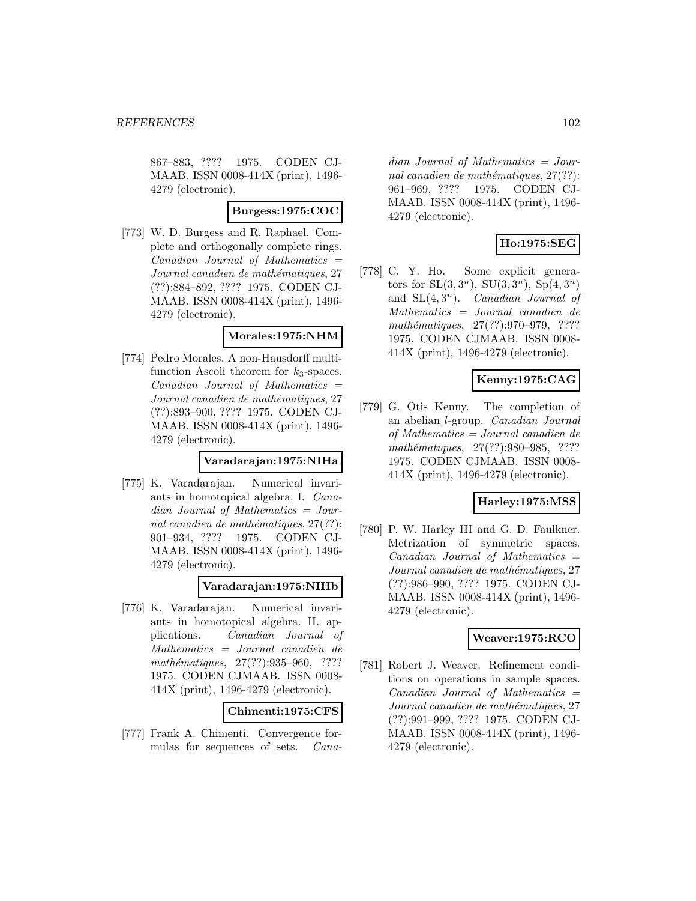867–883, ???? 1975. CODEN CJ-MAAB. ISSN 0008-414X (print), 1496- 4279 (electronic).

### **Burgess:1975:COC**

[773] W. D. Burgess and R. Raphael. Complete and orthogonally complete rings.  $Canadian$  Journal of Mathematics  $=$ Journal canadien de mathématiques, 27 (??):884–892, ???? 1975. CODEN CJ-MAAB. ISSN 0008-414X (print), 1496- 4279 (electronic).

### **Morales:1975:NHM**

[774] Pedro Morales. A non-Hausdorff multifunction Ascoli theorem for  $k_3$ -spaces.  $Canadian$  Journal of Mathematics  $=$ Journal canadien de mathématiques, 27 (??):893–900, ???? 1975. CODEN CJ-MAAB. ISSN 0008-414X (print), 1496- 4279 (electronic).

#### **Varadarajan:1975:NIHa**

[775] K. Varadarajan. Numerical invariants in homotopical algebra. I. Canadian Journal of Mathematics = Journal canadien de mathématiques,  $27(??)$ : 901–934, ???? 1975. CODEN CJ-MAAB. ISSN 0008-414X (print), 1496- 4279 (electronic).

### **Varadarajan:1975:NIHb**

[776] K. Varadarajan. Numerical invariants in homotopical algebra. II. applications. Canadian Journal of Mathematics = Journal canadien de mathématiques, 27(??):935-960, ???? 1975. CODEN CJMAAB. ISSN 0008- 414X (print), 1496-4279 (electronic).

**Chimenti:1975:CFS**

[777] Frank A. Chimenti. Convergence formulas for sequences of sets. Cana-

dian Journal of Mathematics = Journal canadien de mathématiques,  $27(??)$ : 961–969, ???? 1975. CODEN CJ-MAAB. ISSN 0008-414X (print), 1496- 4279 (electronic).

## **Ho:1975:SEG**

[778] C. Y. Ho. Some explicit generators for  $SL(3,3^n)$ ,  $SU(3,3^n)$ ,  $Sp(4,3^n)$ and  $SL(4,3^n)$ . Canadian Journal of Mathematics = Journal canadien de mathématiques, 27(??):970–979, ???? 1975. CODEN CJMAAB. ISSN 0008- 414X (print), 1496-4279 (electronic).

### **Kenny:1975:CAG**

[779] G. Otis Kenny. The completion of an abelian l-group. Canadian Journal of Mathematics = Journal canadien de mathématiques, 27(??):980–985, ???? 1975. CODEN CJMAAB. ISSN 0008- 414X (print), 1496-4279 (electronic).

## **Harley:1975:MSS**

[780] P. W. Harley III and G. D. Faulkner. Metrization of symmetric spaces. Canadian Journal of Mathematics = Journal canadien de mathématiques, 27 (??):986–990, ???? 1975. CODEN CJ-MAAB. ISSN 0008-414X (print), 1496- 4279 (electronic).

# **Weaver:1975:RCO**

[781] Robert J. Weaver. Refinement conditions on operations in sample spaces.  $Canadian$  Journal of Mathematics  $=$ Journal canadien de mathématiques, 27 (??):991–999, ???? 1975. CODEN CJ-MAAB. ISSN 0008-414X (print), 1496- 4279 (electronic).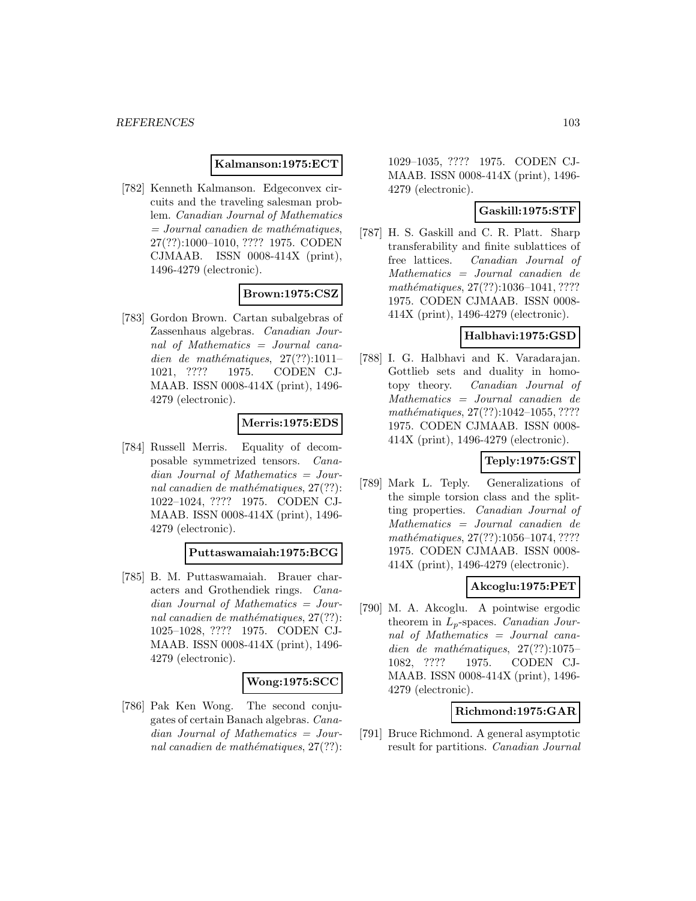### **Kalmanson:1975:ECT**

[782] Kenneth Kalmanson. Edgeconvex circuits and the traveling salesman problem. Canadian Journal of Mathematics  $=$  Journal canadien de mathématiques, 27(??):1000–1010, ???? 1975. CODEN CJMAAB. ISSN 0008-414X (print), 1496-4279 (electronic).

## **Brown:1975:CSZ**

[783] Gordon Brown. Cartan subalgebras of Zassenhaus algebras. Canadian Journal of Mathematics = Journal canadien de mathématiques,  $27(??):1011-$ 1021, ???? 1975. CODEN CJ-MAAB. ISSN 0008-414X (print), 1496- 4279 (electronic).

### **Merris:1975:EDS**

[784] Russell Merris. Equality of decomposable symmetrized tensors. Canadian Journal of Mathematics = Journal canadien de mathématiques,  $27(??)$ : 1022–1024, ???? 1975. CODEN CJ-MAAB. ISSN 0008-414X (print), 1496- 4279 (electronic).

#### **Puttaswamaiah:1975:BCG**

[785] B. M. Puttaswamaiah. Brauer characters and Grothendiek rings. Canadian Journal of Mathematics = Journal canadien de mathématiques,  $27(??)$ : 1025–1028, ???? 1975. CODEN CJ-MAAB. ISSN 0008-414X (print), 1496- 4279 (electronic).

### **Wong:1975:SCC**

[786] Pak Ken Wong. The second conjugates of certain Banach algebras. Canadian Journal of Mathematics = Journal canadien de mathématiques,  $27(??)$ :

1029–1035, ???? 1975. CODEN CJ-MAAB. ISSN 0008-414X (print), 1496- 4279 (electronic).

### **Gaskill:1975:STF**

[787] H. S. Gaskill and C. R. Platt. Sharp transferability and finite sublattices of free lattices. Canadian Journal of Mathematics = Journal canadien de mathématiques, 27(??):1036-1041, ???? 1975. CODEN CJMAAB. ISSN 0008- 414X (print), 1496-4279 (electronic).

### **Halbhavi:1975:GSD**

[788] I. G. Halbhavi and K. Varadarajan. Gottlieb sets and duality in homotopy theory. Canadian Journal of Mathematics = Journal canadien de  $mathématiques, 27(??):1042–1055, ????$ 1975. CODEN CJMAAB. ISSN 0008- 414X (print), 1496-4279 (electronic).

## **Teply:1975:GST**

[789] Mark L. Teply. Generalizations of the simple torsion class and the splitting properties. Canadian Journal of Mathematics = Journal canadien de  $mathématiques, 27(??): 1056–1074, ????$ 1975. CODEN CJMAAB. ISSN 0008- 414X (print), 1496-4279 (electronic).

### **Akcoglu:1975:PET**

[790] M. A. Akcoglu. A pointwise ergodic theorem in  $L_p$ -spaces. *Canadian Jour*nal of Mathematics = Journal canadien de mathématiques,  $27(??):1075-$ 1082, ???? 1975. CODEN CJ-MAAB. ISSN 0008-414X (print), 1496- 4279 (electronic).

## **Richmond:1975:GAR**

[791] Bruce Richmond. A general asymptotic result for partitions. Canadian Journal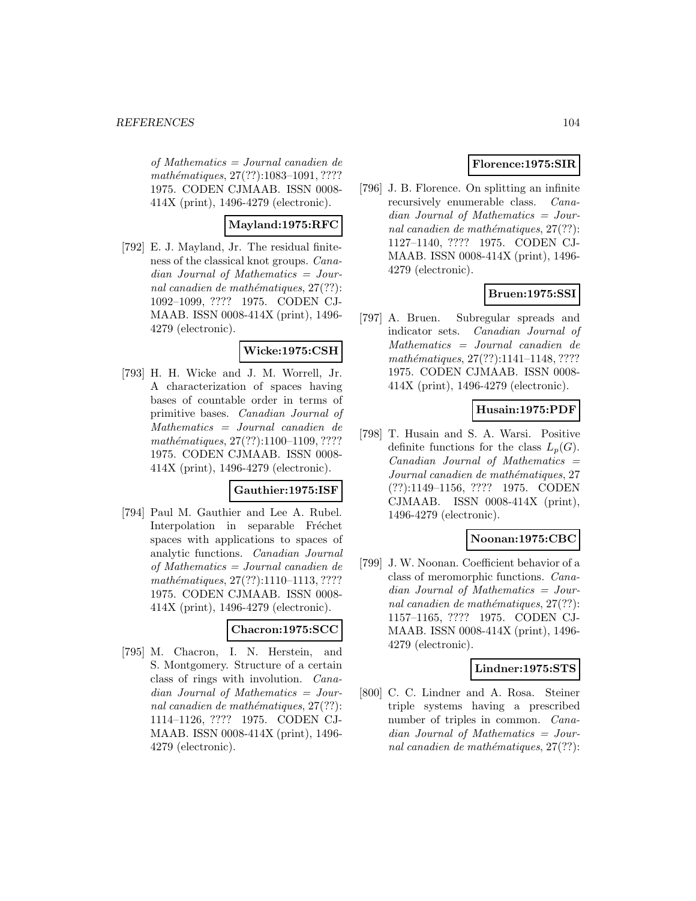of Mathematics = Journal canadien de mathématiques, 27(??):1083-1091, ???? 1975. CODEN CJMAAB. ISSN 0008- 414X (print), 1496-4279 (electronic).

# **Mayland:1975:RFC**

[792] E. J. Mayland, Jr. The residual finiteness of the classical knot groups. Canadian Journal of Mathematics = Journal canadien de mathématiques,  $27(??)$ : 1092–1099, ???? 1975. CODEN CJ-MAAB. ISSN 0008-414X (print), 1496- 4279 (electronic).

## **Wicke:1975:CSH**

[793] H. H. Wicke and J. M. Worrell, Jr. A characterization of spaces having bases of countable order in terms of primitive bases. Canadian Journal of Mathematics = Journal canadien de  $mathématiques, 27(??): 1100–1109, ????$ 1975. CODEN CJMAAB. ISSN 0008- 414X (print), 1496-4279 (electronic).

### **Gauthier:1975:ISF**

[794] Paul M. Gauthier and Lee A. Rubel. Interpolation in separable Fréchet spaces with applications to spaces of analytic functions. Canadian Journal of Mathematics = Journal canadien de mathématiques, 27(??):1110-1113, ???? 1975. CODEN CJMAAB. ISSN 0008- 414X (print), 1496-4279 (electronic).

## **Chacron:1975:SCC**

[795] M. Chacron, I. N. Herstein, and S. Montgomery. Structure of a certain class of rings with involution. Canadian Journal of Mathematics = Journal canadien de mathématiques,  $27(??)$ : 1114–1126, ???? 1975. CODEN CJ-MAAB. ISSN 0008-414X (print), 1496- 4279 (electronic).

# **Florence:1975:SIR**

[796] J. B. Florence. On splitting an infinite recursively enumerable class. Canadian Journal of Mathematics = Journal canadien de mathématiques,  $27(??)$ : 1127–1140, ???? 1975. CODEN CJ-MAAB. ISSN 0008-414X (print), 1496- 4279 (electronic).

# **Bruen:1975:SSI**

[797] A. Bruen. Subregular spreads and indicator sets. Canadian Journal of Mathematics = Journal canadien de mathématiques,  $27(??):1141-1148, ????$ 1975. CODEN CJMAAB. ISSN 0008- 414X (print), 1496-4279 (electronic).

## **Husain:1975:PDF**

[798] T. Husain and S. A. Warsi. Positive definite functions for the class  $L_n(G)$ .  $Canadian$  Journal of Mathematics  $=$ Journal canadien de mathématiques, 27 (??):1149–1156, ???? 1975. CODEN CJMAAB. ISSN 0008-414X (print), 1496-4279 (electronic).

## **Noonan:1975:CBC**

[799] J. W. Noonan. Coefficient behavior of a class of meromorphic functions. Canadian Journal of Mathematics = Journal canadien de mathématiques,  $27(??)$ : 1157–1165, ???? 1975. CODEN CJ-MAAB. ISSN 0008-414X (print), 1496- 4279 (electronic).

## **Lindner:1975:STS**

[800] C. C. Lindner and A. Rosa. Steiner triple systems having a prescribed number of triples in common. *Cana*dian Journal of Mathematics = Journal canadien de mathématiques,  $27(??)$ :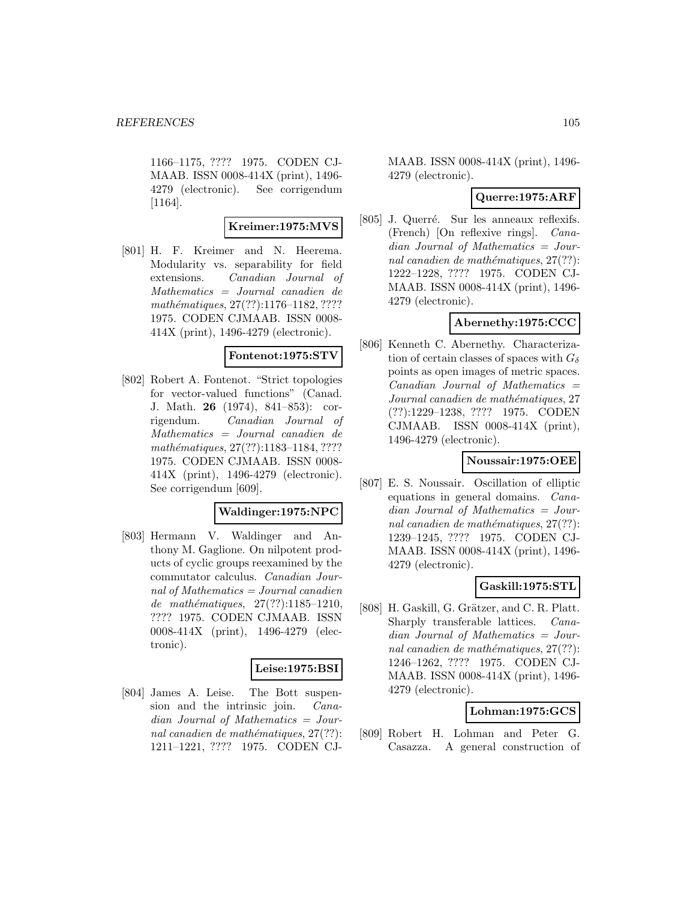1166–1175, ???? 1975. CODEN CJ-MAAB. ISSN 0008-414X (print), 1496- 4279 (electronic). See corrigendum [1164].

### **Kreimer:1975:MVS**

[801] H. F. Kreimer and N. Heerema. Modularity vs. separability for field extensions. Canadian Journal of Mathematics = Journal canadien de mathématiques, 27(??):1176–1182, ???? 1975. CODEN CJMAAB. ISSN 0008- 414X (print), 1496-4279 (electronic).

## **Fontenot:1975:STV**

[802] Robert A. Fontenot. "Strict topologies for vector-valued functions" (Canad. J. Math. **26** (1974), 841–853): corrigendum. Canadian Journal of Mathematics = Journal canadien de mathématiques, 27(??):1183-1184, ???? 1975. CODEN CJMAAB. ISSN 0008- 414X (print), 1496-4279 (electronic). See corrigendum [609].

### **Waldinger:1975:NPC**

[803] Hermann V. Waldinger and Anthony M. Gaglione. On nilpotent products of cyclic groups reexamined by the commutator calculus. Canadian Journal of Mathematics = Journal canadien de mathématiques,  $27(??):1185-1210$ , ???? 1975. CODEN CJMAAB. ISSN 0008-414X (print), 1496-4279 (electronic).

### **Leise:1975:BSI**

[804] James A. Leise. The Bott suspension and the intrinsic join. Canadian Journal of Mathematics = Journal canadien de mathématiques,  $27(??)$ : 1211–1221, ???? 1975. CODEN CJ-

MAAB. ISSN 0008-414X (print), 1496- 4279 (electronic).

### **Querre:1975:ARF**

[805] J. Querré. Sur les anneaux reflexifs. (French) [On reflexive rings]. Canadian Journal of Mathematics = Journal canadien de mathématiques,  $27(??)$ : 1222–1228, ???? 1975. CODEN CJ-MAAB. ISSN 0008-414X (print), 1496- 4279 (electronic).

## **Abernethy:1975:CCC**

[806] Kenneth C. Abernethy. Characterization of certain classes of spaces with  $G_{\delta}$ points as open images of metric spaces.  $Canadian$  Journal of Mathematics  $=$ Journal canadien de mathématiques, 27 (??):1229–1238, ???? 1975. CODEN CJMAAB. ISSN 0008-414X (print), 1496-4279 (electronic).

### **Noussair:1975:OEE**

[807] E. S. Noussair. Oscillation of elliptic equations in general domains. Canadian Journal of Mathematics = Journal canadien de mathématiques,  $27(??)$ : 1239–1245, ???? 1975. CODEN CJ-MAAB. ISSN 0008-414X (print), 1496- 4279 (electronic).

### **Gaskill:1975:STL**

[808] H. Gaskill, G. Grätzer, and C. R. Platt. Sharply transferable lattices. Canadian Journal of Mathematics = Journal canadien de mathématiques,  $27(??)$ : 1246–1262, ???? 1975. CODEN CJ-MAAB. ISSN 0008-414X (print), 1496- 4279 (electronic).

## **Lohman:1975:GCS**

[809] Robert H. Lohman and Peter G. Casazza. A general construction of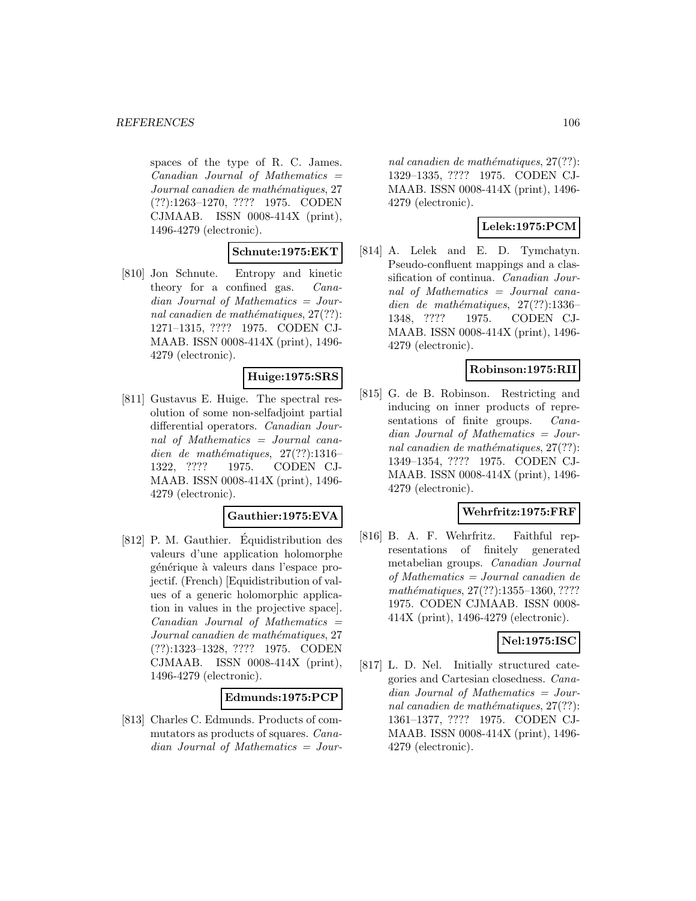spaces of the type of R. C. James.  $Canadian$  Journal of Mathematics  $=$ Journal canadien de mathématiques, 27 (??):1263–1270, ???? 1975. CODEN CJMAAB. ISSN 0008-414X (print), 1496-4279 (electronic).

### **Schnute:1975:EKT**

[810] Jon Schnute. Entropy and kinetic theory for a confined gas. Canadian Journal of Mathematics = Journal canadien de mathématiques,  $27(??)$ : 1271–1315, ???? 1975. CODEN CJ-MAAB. ISSN 0008-414X (print), 1496- 4279 (electronic).

# **Huige:1975:SRS**

[811] Gustavus E. Huige. The spectral resolution of some non-selfadjoint partial differential operators. Canadian Journal of Mathematics = Journal canadien de mathématiques,  $27(??):1316-$ 1322, ???? 1975. CODEN CJ-MAAB. ISSN 0008-414X (print), 1496- 4279 (electronic).

## **Gauthier:1975:EVA**

[812] P. M. Gauthier. Equidistribution des valeurs d'une application holomorphe générique à valeurs dans l'espace projectif. (French) [Equidistribution of values of a generic holomorphic application in values in the projective space].  $Canadian$  Journal of Mathematics  $=$ Journal canadien de mathématiques, 27 (??):1323–1328, ???? 1975. CODEN CJMAAB. ISSN 0008-414X (print), 1496-4279 (electronic).

### **Edmunds:1975:PCP**

[813] Charles C. Edmunds. Products of commutators as products of squares. Canadian Journal of Mathematics = Jour-

nal canadien de mathématiques,  $27(??)$ : 1329–1335, ???? 1975. CODEN CJ-MAAB. ISSN 0008-414X (print), 1496- 4279 (electronic).

# **Lelek:1975:PCM**

[814] A. Lelek and E. D. Tymchatyn. Pseudo-confluent mappings and a classification of continua. Canadian Journal of Mathematics = Journal canadien de mathématiques,  $27(??):1336-$ 1348, ???? 1975. CODEN CJ-MAAB. ISSN 0008-414X (print), 1496- 4279 (electronic).

## **Robinson:1975:RII**

[815] G. de B. Robinson. Restricting and inducing on inner products of representations of finite groups. *Cana*dian Journal of Mathematics = Journal canadien de mathématiques,  $27(??)$ : 1349–1354, ???? 1975. CODEN CJ-MAAB. ISSN 0008-414X (print), 1496- 4279 (electronic).

### **Wehrfritz:1975:FRF**

[816] B. A. F. Wehrfritz. Faithful representations of finitely generated metabelian groups. Canadian Journal of Mathematics = Journal canadien de mathématiques,  $27(??):1355-1360, ????$ 1975. CODEN CJMAAB. ISSN 0008- 414X (print), 1496-4279 (electronic).

### **Nel:1975:ISC**

[817] L. D. Nel. Initially structured categories and Cartesian closedness. Canadian Journal of Mathematics = Journal canadien de mathématiques,  $27(??)$ : 1361–1377, ???? 1975. CODEN CJ-MAAB. ISSN 0008-414X (print), 1496- 4279 (electronic).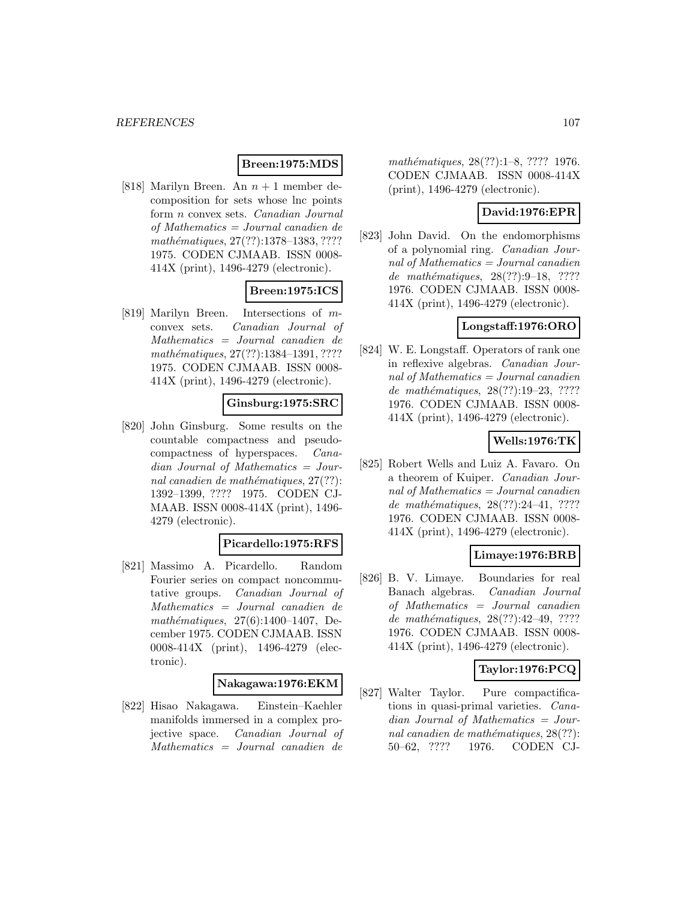### **Breen:1975:MDS**

[818] Marilyn Breen. An  $n + 1$  member decomposition for sets whose lnc points form n convex sets. Canadian Journal of Mathematics = Journal canadien de mathématiques, 27(??):1378-1383, ???? 1975. CODEN CJMAAB. ISSN 0008- 414X (print), 1496-4279 (electronic).

# **Breen:1975:ICS**

[819] Marilyn Breen. Intersections of mconvex sets. Canadian Journal of Mathematics = Journal canadien de mathématiques, 27(??):1384-1391, ???? 1975. CODEN CJMAAB. ISSN 0008- 414X (print), 1496-4279 (electronic).

### **Ginsburg:1975:SRC**

[820] John Ginsburg. Some results on the countable compactness and pseudocompactness of hyperspaces. Canadian Journal of Mathematics = Journal canadien de mathématiques,  $27(??)$ : 1392–1399, ???? 1975. CODEN CJ-MAAB. ISSN 0008-414X (print), 1496- 4279 (electronic).

## **Picardello:1975:RFS**

[821] Massimo A. Picardello. Random Fourier series on compact noncommutative groups. Canadian Journal of Mathematics = Journal canadien de mathématiques,  $27(6):1400-1407$ , December 1975. CODEN CJMAAB. ISSN 0008-414X (print), 1496-4279 (electronic).

#### **Nakagawa:1976:EKM**

[822] Hisao Nakagawa. Einstein–Kaehler manifolds immersed in a complex projective space. Canadian Journal of Mathematics = Journal canadien de

mathématiques, 28(??):1–8, ???? 1976. CODEN CJMAAB. ISSN 0008-414X (print), 1496-4279 (electronic).

# **David:1976:EPR**

[823] John David. On the endomorphisms of a polynomial ring. Canadian Journal of Mathematics = Journal canadien de mathématiques,  $28(??):9-18$ , ???? 1976. CODEN CJMAAB. ISSN 0008- 414X (print), 1496-4279 (electronic).

### **Longstaff:1976:ORO**

[824] W. E. Longstaff. Operators of rank one in reflexive algebras. Canadian Journal of Mathematics  $=$  Journal canadien de mathématiques,  $28(??):19-23, ????$ 1976. CODEN CJMAAB. ISSN 0008- 414X (print), 1496-4279 (electronic).

## **Wells:1976:TK**

[825] Robert Wells and Luiz A. Favaro. On a theorem of Kuiper. Canadian Journal of Mathematics  $=$  Journal canadien de mathématiques,  $28(??):24-41, ????$ 1976. CODEN CJMAAB. ISSN 0008- 414X (print), 1496-4279 (electronic).

### **Limaye:1976:BRB**

[826] B. V. Limaye. Boundaries for real Banach algebras. Canadian Journal of Mathematics = Journal canadien de mathématiques, 28(??):42-49, ???? 1976. CODEN CJMAAB. ISSN 0008- 414X (print), 1496-4279 (electronic).

## **Taylor:1976:PCQ**

[827] Walter Taylor. Pure compactifications in quasi-primal varieties. Canadian Journal of Mathematics = Journal canadien de mathématiques,  $28(??)$ : 50–62, ???? 1976. CODEN CJ-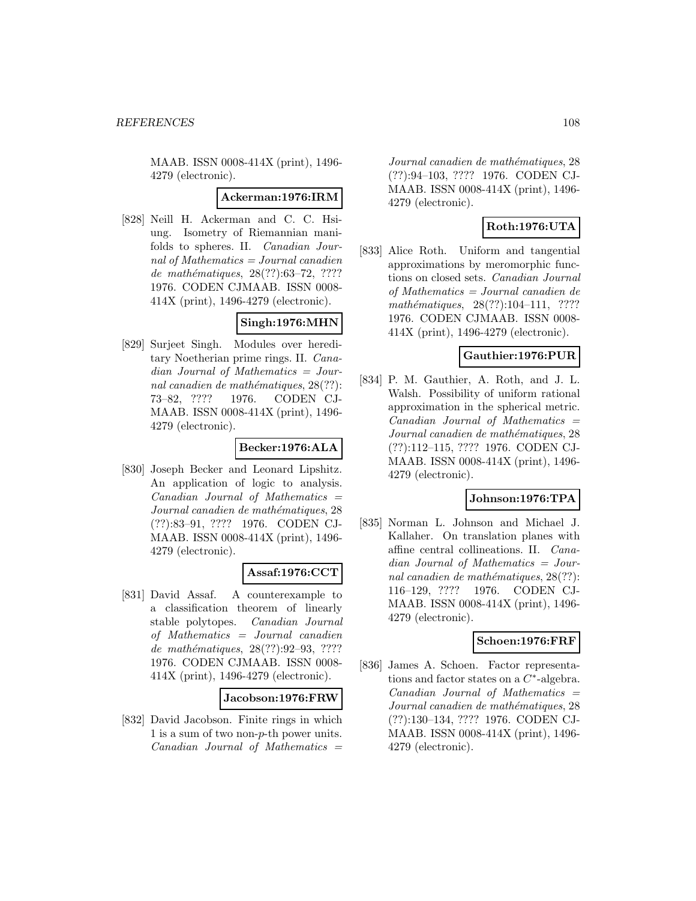MAAB. ISSN 0008-414X (print), 1496- 4279 (electronic).

#### **Ackerman:1976:IRM**

[828] Neill H. Ackerman and C. C. Hsiung. Isometry of Riemannian manifolds to spheres. II. Canadian Journal of Mathematics = Journal canadien de mathématiques, 28(??):63-72, ???? 1976. CODEN CJMAAB. ISSN 0008- 414X (print), 1496-4279 (electronic).

## **Singh:1976:MHN**

[829] Surjeet Singh. Modules over hereditary Noetherian prime rings. II. Canadian Journal of Mathematics = Journal canadien de mathématiques,  $28(??)$ : 73–82, ???? 1976. CODEN CJ-MAAB. ISSN 0008-414X (print), 1496- 4279 (electronic).

## **Becker:1976:ALA**

[830] Joseph Becker and Leonard Lipshitz. An application of logic to analysis.  $Canadian$  Journal of Mathematics  $=$ Journal canadien de mathématiques, 28 (??):83–91, ???? 1976. CODEN CJ-MAAB. ISSN 0008-414X (print), 1496- 4279 (electronic).

### **Assaf:1976:CCT**

[831] David Assaf. A counterexample to a classification theorem of linearly stable polytopes. Canadian Journal of Mathematics = Journal canadien de mathématiques, 28(??):92-93, ???? 1976. CODEN CJMAAB. ISSN 0008- 414X (print), 1496-4279 (electronic).

### **Jacobson:1976:FRW**

[832] David Jacobson. Finite rings in which 1 is a sum of two non-p-th power units.  $Canadian$  Journal of Mathematics  $=$ 

Journal canadien de mathématiques, 28 (??):94–103, ???? 1976. CODEN CJ-MAAB. ISSN 0008-414X (print), 1496- 4279 (electronic).

# **Roth:1976:UTA**

[833] Alice Roth. Uniform and tangential approximations by meromorphic functions on closed sets. Canadian Journal of Mathematics = Journal canadien de  $mathématiques, 28(??):104–111, ????$ 1976. CODEN CJMAAB. ISSN 0008- 414X (print), 1496-4279 (electronic).

## **Gauthier:1976:PUR**

[834] P. M. Gauthier, A. Roth, and J. L. Walsh. Possibility of uniform rational approximation in the spherical metric.  $Canadian$  Journal of Mathematics  $=$ Journal canadien de mathématiques, 28 (??):112–115, ???? 1976. CODEN CJ-MAAB. ISSN 0008-414X (print), 1496- 4279 (electronic).

## **Johnson:1976:TPA**

[835] Norman L. Johnson and Michael J. Kallaher. On translation planes with affine central collineations. II. Canadian Journal of Mathematics = Journal canadien de mathématiques,  $28(??)$ : 116–129, ???? 1976. CODEN CJ-MAAB. ISSN 0008-414X (print), 1496- 4279 (electronic).

### **Schoen:1976:FRF**

[836] James A. Schoen. Factor representations and factor states on a  $C^*$ -algebra.  $Canadian$  Journal of Mathematics  $=$ Journal canadien de mathématiques, 28 (??):130–134, ???? 1976. CODEN CJ-MAAB. ISSN 0008-414X (print), 1496- 4279 (electronic).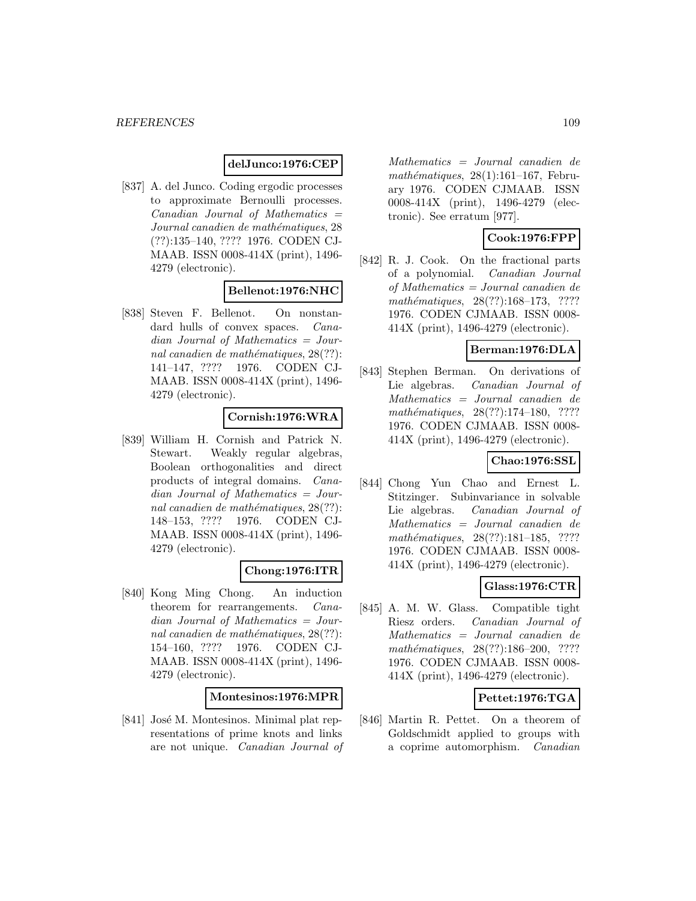## **delJunco:1976:CEP**

[837] A. del Junco. Coding ergodic processes to approximate Bernoulli processes.  $Canadian$  Journal of Mathematics  $=$ Journal canadien de mathématiques, 28 (??):135–140, ???? 1976. CODEN CJ-MAAB. ISSN 0008-414X (print), 1496- 4279 (electronic).

## **Bellenot:1976:NHC**

[838] Steven F. Bellenot. On nonstandard hulls of convex spaces. *Cana*dian Journal of Mathematics = Journal canadien de mathématiques,  $28(??)$ : 141–147, ???? 1976. CODEN CJ-MAAB. ISSN 0008-414X (print), 1496- 4279 (electronic).

# **Cornish:1976:WRA**

[839] William H. Cornish and Patrick N. Stewart. Weakly regular algebras, Boolean orthogonalities and direct products of integral domains. Canadian Journal of Mathematics = Journal canadien de mathématiques,  $28(??)$ : 148–153, ???? 1976. CODEN CJ-MAAB. ISSN 0008-414X (print), 1496- 4279 (electronic).

#### **Chong:1976:ITR**

[840] Kong Ming Chong. An induction theorem for rearrangements. Canadian Journal of Mathematics = Journal canadien de mathématiques,  $28(??)$ : 154–160, ???? 1976. CODEN CJ-MAAB. ISSN 0008-414X (print), 1496- 4279 (electronic).

#### **Montesinos:1976:MPR**

[841] José M. Montesinos. Minimal plat representations of prime knots and links are not unique. Canadian Journal of

Mathematics = Journal canadien de mathématiques,  $28(1):161-167$ , February 1976. CODEN CJMAAB. ISSN 0008-414X (print), 1496-4279 (electronic). See erratum [977].

## **Cook:1976:FPP**

[842] R. J. Cook. On the fractional parts of a polynomial. Canadian Journal of Mathematics = Journal canadien de mathématiques, 28(??):168-173, ???? 1976. CODEN CJMAAB. ISSN 0008- 414X (print), 1496-4279 (electronic).

# **Berman:1976:DLA**

[843] Stephen Berman. On derivations of Lie algebras. Canadian Journal of Mathematics = Journal canadien de  $mathématiques, 28(??):174–180, ????$ 1976. CODEN CJMAAB. ISSN 0008- 414X (print), 1496-4279 (electronic).

## **Chao:1976:SSL**

[844] Chong Yun Chao and Ernest L. Stitzinger. Subinvariance in solvable Lie algebras. Canadian Journal of Mathematics = Journal canadien de mathématiques, 28(??):181-185, ???? 1976. CODEN CJMAAB. ISSN 0008- 414X (print), 1496-4279 (electronic).

#### **Glass:1976:CTR**

[845] A. M. W. Glass. Compatible tight Riesz orders. Canadian Journal of Mathematics = Journal canadien de mathématiques, 28(??):186–200, ???? 1976. CODEN CJMAAB. ISSN 0008- 414X (print), 1496-4279 (electronic).

## **Pettet:1976:TGA**

[846] Martin R. Pettet. On a theorem of Goldschmidt applied to groups with a coprime automorphism. Canadian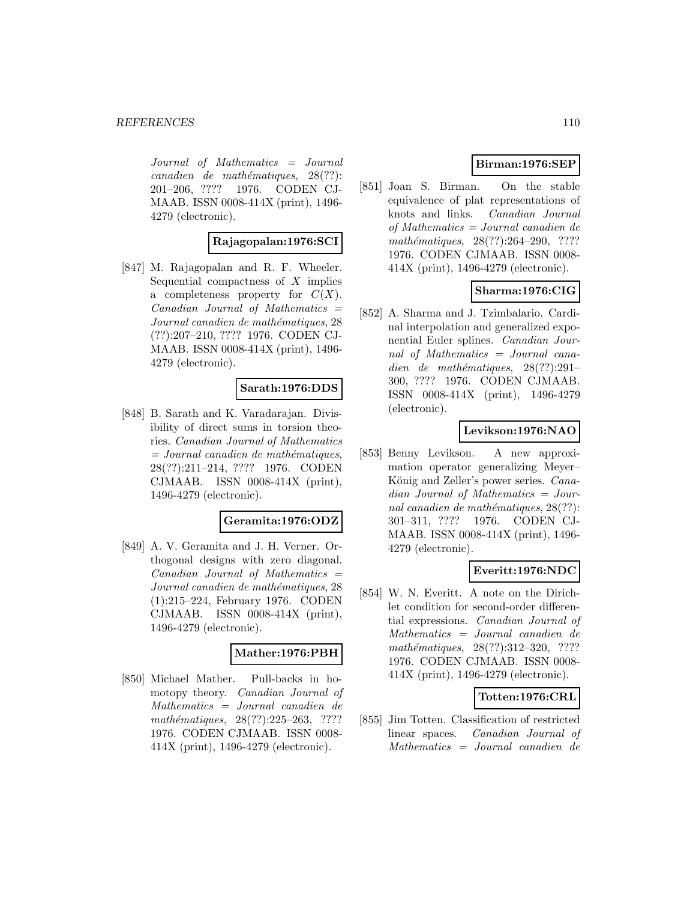Journal of Mathematics = Journal  $cana dien de mathématiques, 28(??):$ 201–206, ???? 1976. CODEN CJ-MAAB. ISSN 0008-414X (print), 1496- 4279 (electronic).

## **Rajagopalan:1976:SCI**

[847] M. Rajagopalan and R. F. Wheeler. Sequential compactness of  $X$  implies a completeness property for  $C(X)$ .  $Canadian$  Journal of Mathematics  $=$ Journal canadien de mathématiques, 28 (??):207–210, ???? 1976. CODEN CJ-MAAB. ISSN 0008-414X (print), 1496- 4279 (electronic).

## **Sarath:1976:DDS**

[848] B. Sarath and K. Varadarajan. Divisibility of direct sums in torsion theories. Canadian Journal of Mathematics  $=$  Journal canadien de mathématiques, 28(??):211–214, ???? 1976. CODEN CJMAAB. ISSN 0008-414X (print), 1496-4279 (electronic).

#### **Geramita:1976:ODZ**

[849] A. V. Geramita and J. H. Verner. Orthogonal designs with zero diagonal.  $Canadian$  Journal of Mathematics  $=$ Journal canadien de mathématiques, 28 (1):215–224, February 1976. CODEN CJMAAB. ISSN 0008-414X (print), 1496-4279 (electronic).

#### **Mather:1976:PBH**

[850] Michael Mather. Pull-backs in homotopy theory. Canadian Journal of Mathematics = Journal canadien de mathématiques, 28(??):225-263, ???? 1976. CODEN CJMAAB. ISSN 0008- 414X (print), 1496-4279 (electronic).

# **Birman:1976:SEP**

[851] Joan S. Birman. On the stable equivalence of plat representations of knots and links. Canadian Journal of Mathematics = Journal canadien de mathématiques, 28(??):264–290, ???? 1976. CODEN CJMAAB. ISSN 0008- 414X (print), 1496-4279 (electronic).

# **Sharma:1976:CIG**

[852] A. Sharma and J. Tzimbalario. Cardinal interpolation and generalized exponential Euler splines. Canadian Journal of Mathematics = Journal canadien de mathématiques,  $28(??):291-$ 300, ???? 1976. CODEN CJMAAB. ISSN 0008-414X (print), 1496-4279 (electronic).

## **Levikson:1976:NAO**

[853] Benny Levikson. A new approximation operator generalizing Meyer– König and Zeller's power series. Canadian Journal of Mathematics = Journal canadien de mathématiques,  $28(??)$ : 301–311, ???? 1976. CODEN CJ-MAAB. ISSN 0008-414X (print), 1496- 4279 (electronic).

## **Everitt:1976:NDC**

[854] W. N. Everitt. A note on the Dirichlet condition for second-order differential expressions. Canadian Journal of Mathematics = Journal canadien de mathématiques, 28(??):312-320, ???? 1976. CODEN CJMAAB. ISSN 0008- 414X (print), 1496-4279 (electronic).

## **Totten:1976:CRL**

[855] Jim Totten. Classification of restricted linear spaces. Canadian Journal of Mathematics = Journal canadien de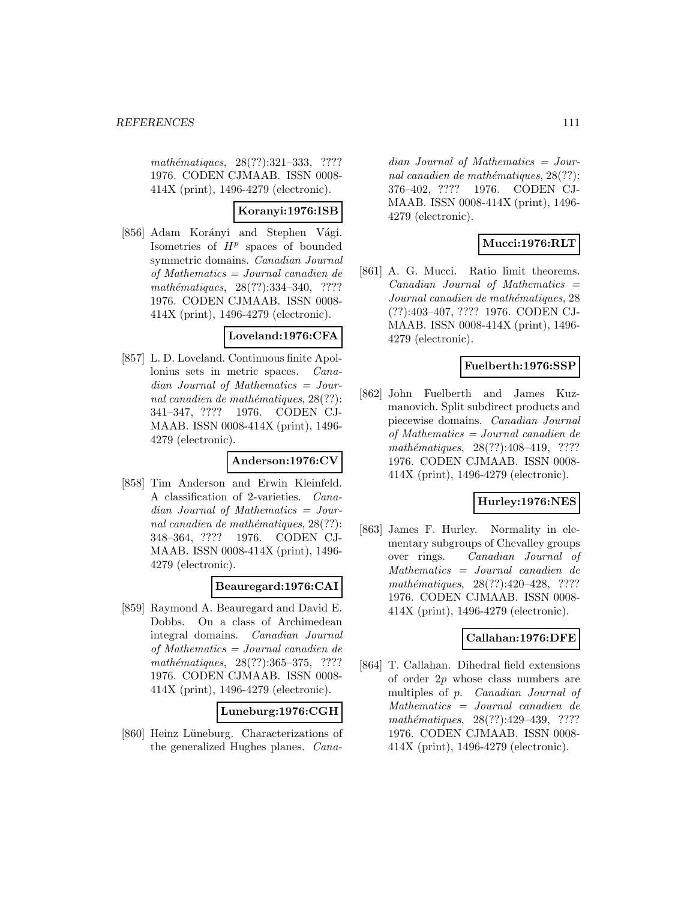mathématiques, 28(??):321-333, ???? 1976. CODEN CJMAAB. ISSN 0008- 414X (print), 1496-4279 (electronic).

## **Koranyi:1976:ISB**

[856] Adam Korányi and Stephen Vági. Isometries of  $H^p$  spaces of bounded symmetric domains. Canadian Journal of Mathematics = Journal canadien de  $mathématiques, 28(??):334–340, ????$ 1976. CODEN CJMAAB. ISSN 0008- 414X (print), 1496-4279 (electronic).

#### **Loveland:1976:CFA**

[857] L. D. Loveland. Continuous finite Apollonius sets in metric spaces. Canadian Journal of Mathematics = Journal canadien de mathématiques,  $28(??)$ : 341–347, ???? 1976. CODEN CJ-MAAB. ISSN 0008-414X (print), 1496- 4279 (electronic).

#### **Anderson:1976:CV**

[858] Tim Anderson and Erwin Kleinfeld. A classification of 2-varieties. Canadian Journal of Mathematics = Journal canadien de mathématiques,  $28(??)$ : 348–364, ???? 1976. CODEN CJ-MAAB. ISSN 0008-414X (print), 1496- 4279 (electronic).

## **Beauregard:1976:CAI**

[859] Raymond A. Beauregard and David E. Dobbs. On a class of Archimedean integral domains. Canadian Journal of Mathematics = Journal canadien de mathématiques, 28(??):365-375, ???? 1976. CODEN CJMAAB. ISSN 0008- 414X (print), 1496-4279 (electronic).

#### **Luneburg:1976:CGH**

[860] Heinz Lüneburg. Characterizations of the generalized Hughes planes. Cana-

dian Journal of Mathematics = Journal canadien de mathématiques,  $28(??)$ : 376–402, ???? 1976. CODEN CJ-MAAB. ISSN 0008-414X (print), 1496- 4279 (electronic).

# **Mucci:1976:RLT**

[861] A. G. Mucci. Ratio limit theorems.  $Canadian$  Journal of Mathematics  $=$ Journal canadien de mathématiques, 28 (??):403–407, ???? 1976. CODEN CJ-MAAB. ISSN 0008-414X (print), 1496- 4279 (electronic).

## **Fuelberth:1976:SSP**

[862] John Fuelberth and James Kuzmanovich. Split subdirect products and piecewise domains. Canadian Journal of Mathematics = Journal canadien de mathématiques,  $28(??):408-419$ , ???? 1976. CODEN CJMAAB. ISSN 0008- 414X (print), 1496-4279 (electronic).

## **Hurley:1976:NES**

[863] James F. Hurley. Normality in elementary subgroups of Chevalley groups over rings. Canadian Journal of Mathematics = Journal canadien de mathématiques,  $28(??):420-428$ , ???? 1976. CODEN CJMAAB. ISSN 0008- 414X (print), 1496-4279 (electronic).

## **Callahan:1976:DFE**

[864] T. Callahan. Dihedral field extensions of order 2p whose class numbers are multiples of p. Canadian Journal of Mathematics = Journal canadien de mathématiques, 28(??):429-439, ???? 1976. CODEN CJMAAB. ISSN 0008- 414X (print), 1496-4279 (electronic).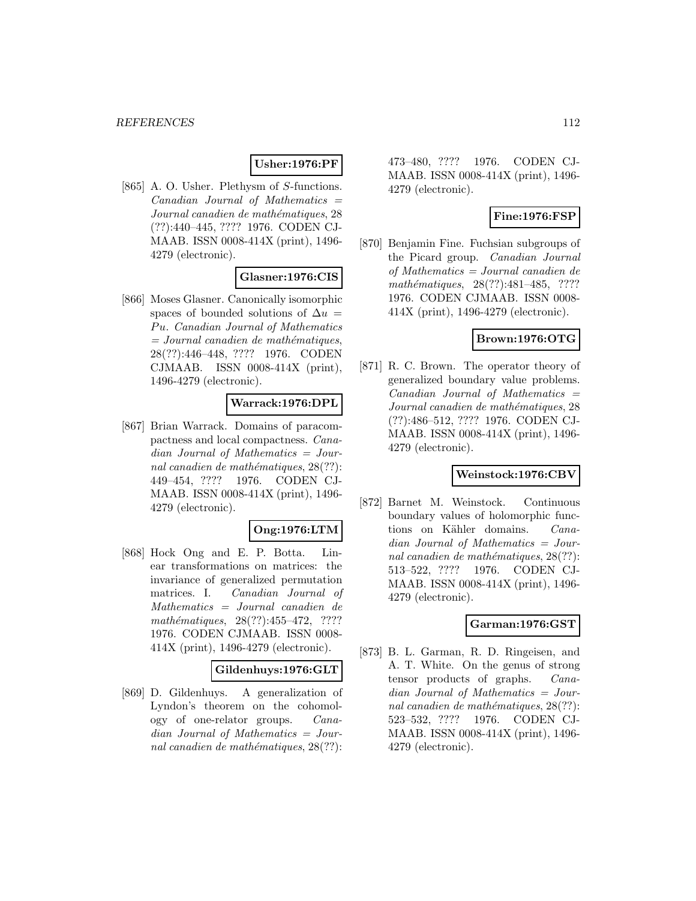## **Usher:1976:PF**

[865] A. O. Usher. Plethysm of S-functions.  $Canadian$  Journal of Mathematics  $=$ Journal canadien de mathématiques, 28 (??):440–445, ???? 1976. CODEN CJ-MAAB. ISSN 0008-414X (print), 1496- 4279 (electronic).

# **Glasner:1976:CIS**

[866] Moses Glasner. Canonically isomorphic spaces of bounded solutions of  $\Delta u$  = Pu. Canadian Journal of Mathematics  $=$  Journal canadien de mathématiques, 28(??):446–448, ???? 1976. CODEN CJMAAB. ISSN 0008-414X (print), 1496-4279 (electronic).

#### **Warrack:1976:DPL**

[867] Brian Warrack. Domains of paracompactness and local compactness. Canadian Journal of Mathematics = Journal canadien de mathématiques,  $28(??)$ : 449–454, ???? 1976. CODEN CJ-MAAB. ISSN 0008-414X (print), 1496- 4279 (electronic).

## **Ong:1976:LTM**

[868] Hock Ong and E. P. Botta. Linear transformations on matrices: the invariance of generalized permutation matrices. I. Canadian Journal of Mathematics = Journal canadien de mathématiques,  $28(??):455-472$ , ???? 1976. CODEN CJMAAB. ISSN 0008- 414X (print), 1496-4279 (electronic).

#### **Gildenhuys:1976:GLT**

[869] D. Gildenhuys. A generalization of Lyndon's theorem on the cohomology of one-relator groups. Canadian Journal of Mathematics = Journal canadien de mathématiques,  $28(??)$ :

473–480, ???? 1976. CODEN CJ-MAAB. ISSN 0008-414X (print), 1496- 4279 (electronic).

## **Fine:1976:FSP**

[870] Benjamin Fine. Fuchsian subgroups of the Picard group. Canadian Journal of Mathematics = Journal canadien de mathématiques,  $28(??):481-485$ , ???? 1976. CODEN CJMAAB. ISSN 0008- 414X (print), 1496-4279 (electronic).

## **Brown:1976:OTG**

[871] R. C. Brown. The operator theory of generalized boundary value problems.  $Canadian$  Journal of Mathematics  $=$ Journal canadien de mathématiques, 28 (??):486–512, ???? 1976. CODEN CJ-MAAB. ISSN 0008-414X (print), 1496- 4279 (electronic).

## **Weinstock:1976:CBV**

[872] Barnet M. Weinstock. Continuous boundary values of holomorphic functions on Kähler domains. Canadian Journal of Mathematics = Journal canadien de mathématiques,  $28(??)$ : 513–522, ???? 1976. CODEN CJ-MAAB. ISSN 0008-414X (print), 1496- 4279 (electronic).

## **Garman:1976:GST**

[873] B. L. Garman, R. D. Ringeisen, and A. T. White. On the genus of strong tensor products of graphs. Canadian Journal of Mathematics = Journal canadien de mathématiques,  $28(??)$ : 523–532, ???? 1976. CODEN CJ-MAAB. ISSN 0008-414X (print), 1496- 4279 (electronic).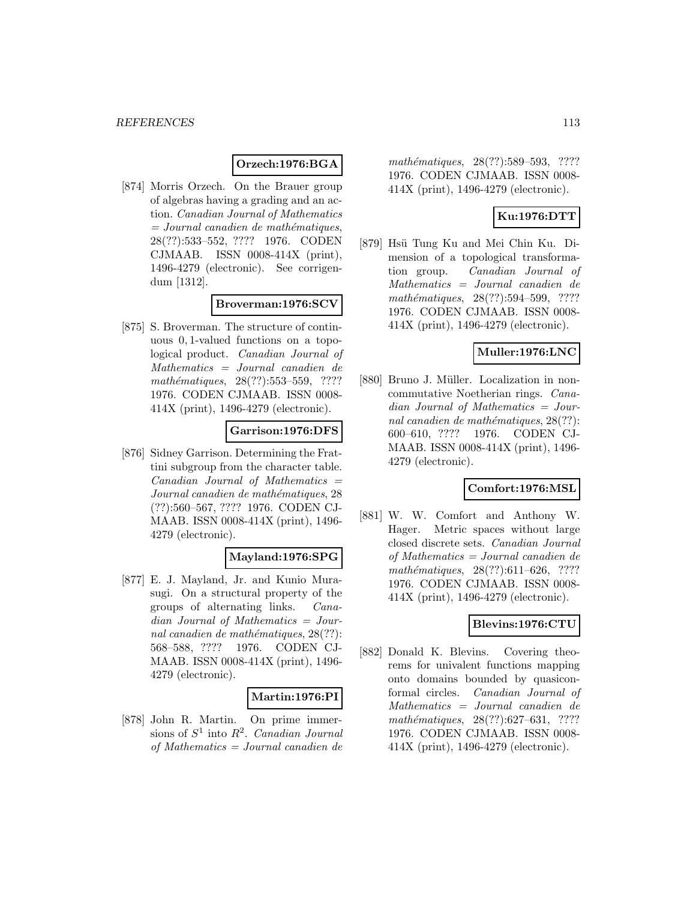## **Orzech:1976:BGA**

[874] Morris Orzech. On the Brauer group of algebras having a grading and an action. Canadian Journal of Mathematics  $= Journal\; can a dien\; de\; mathématiques,$ 28(??):533–552, ???? 1976. CODEN CJMAAB. ISSN 0008-414X (print), 1496-4279 (electronic). See corrigendum [1312].

# **Broverman:1976:SCV**

[875] S. Broverman. The structure of continuous 0, 1-valued functions on a topological product. Canadian Journal of Mathematics = Journal canadien de mathématiques, 28(??):553–559, ???? 1976. CODEN CJMAAB. ISSN 0008- 414X (print), 1496-4279 (electronic).

## **Garrison:1976:DFS**

[876] Sidney Garrison. Determining the Frattini subgroup from the character table.  $Canadian$  Journal of Mathematics  $=$ Journal canadien de mathématiques, 28 (??):560–567, ???? 1976. CODEN CJ-MAAB. ISSN 0008-414X (print), 1496- 4279 (electronic).

## **Mayland:1976:SPG**

[877] E. J. Mayland, Jr. and Kunio Murasugi. On a structural property of the groups of alternating links. Canadian Journal of Mathematics = Journal canadien de mathématiques,  $28(??)$ : 568–588, ???? 1976. CODEN CJ-MAAB. ISSN 0008-414X (print), 1496- 4279 (electronic).

## **Martin:1976:PI**

[878] John R. Martin. On prime immersions of  $S^1$  into  $R^2$ . Canadian Journal of Mathematics = Journal canadien de

mathématiques, 28(??):589–593, ???? 1976. CODEN CJMAAB. ISSN 0008- 414X (print), 1496-4279 (electronic).

# **Ku:1976:DTT**

[879] Hsü Tung Ku and Mei Chin Ku. Dimension of a topological transformation group. Canadian Journal of Mathematics = Journal canadien de mathématiques, 28(??):594–599, ???? 1976. CODEN CJMAAB. ISSN 0008- 414X (print), 1496-4279 (electronic).

## **Muller:1976:LNC**

[880] Bruno J. Müller. Localization in noncommutative Noetherian rings. Canadian Journal of Mathematics = Journal canadien de mathématiques,  $28(??)$ : 600–610, ???? 1976. CODEN CJ-MAAB. ISSN 0008-414X (print), 1496- 4279 (electronic).

## **Comfort:1976:MSL**

[881] W. W. Comfort and Anthony W. Hager. Metric spaces without large closed discrete sets. Canadian Journal of Mathematics = Journal canadien de mathématiques, 28(??):611–626, ???? 1976. CODEN CJMAAB. ISSN 0008- 414X (print), 1496-4279 (electronic).

## **Blevins:1976:CTU**

[882] Donald K. Blevins. Covering theorems for univalent functions mapping onto domains bounded by quasiconformal circles. Canadian Journal of Mathematics = Journal canadien de mathématiques, 28(??):627–631, ???? 1976. CODEN CJMAAB. ISSN 0008- 414X (print), 1496-4279 (electronic).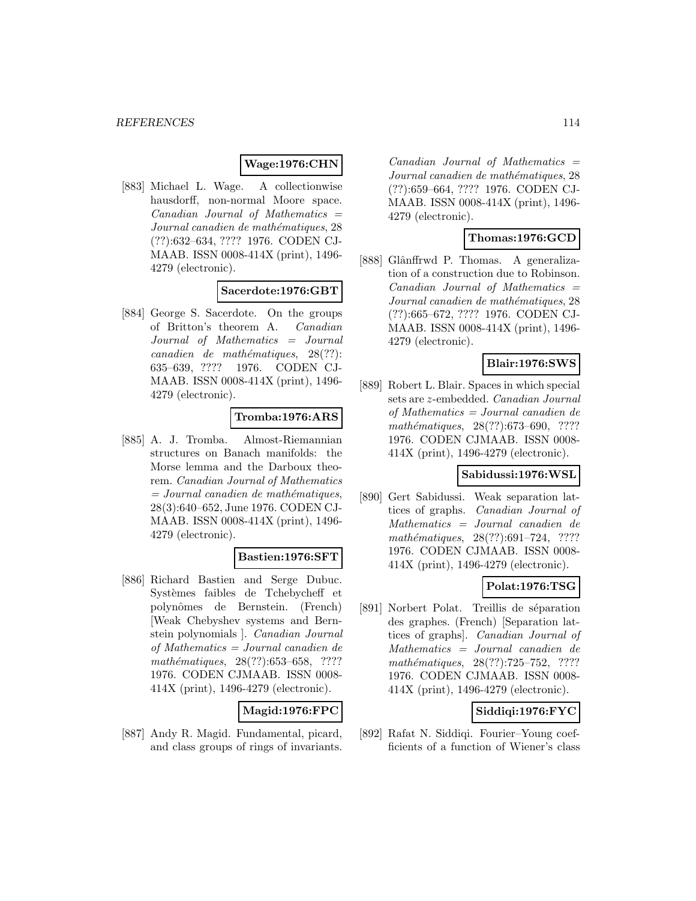## **Wage:1976:CHN**

[883] Michael L. Wage. A collectionwise hausdorff, non-normal Moore space.  $Canadian$  Journal of Mathematics  $=$ Journal canadien de mathématiques, 28 (??):632–634, ???? 1976. CODEN CJ-MAAB. ISSN 0008-414X (print), 1496- 4279 (electronic).

## **Sacerdote:1976:GBT**

[884] George S. Sacerdote. On the groups of Britton's theorem A. Canadian Journal of Mathematics = Journal  $cana dien de mathématiques, 28(??):$ 635–639, ???? 1976. CODEN CJ-MAAB. ISSN 0008-414X (print), 1496- 4279 (electronic).

#### **Tromba:1976:ARS**

[885] A. J. Tromba. Almost-Riemannian structures on Banach manifolds: the Morse lemma and the Darboux theorem. Canadian Journal of Mathematics  $=$  Journal canadien de mathématiques, 28(3):640–652, June 1976. CODEN CJ-MAAB. ISSN 0008-414X (print), 1496- 4279 (electronic).

## **Bastien:1976:SFT**

[886] Richard Bastien and Serge Dubuc. Systèmes faibles de Tchebycheff et polynˆomes de Bernstein. (French) [Weak Chebyshev systems and Bernstein polynomials ]. Canadian Journal of Mathematics = Journal canadien de mathématiques,  $28(??):653–658$ , ???? 1976. CODEN CJMAAB. ISSN 0008- 414X (print), 1496-4279 (electronic).

## **Magid:1976:FPC**

[887] Andy R. Magid. Fundamental, picard, and class groups of rings of invariants.

 $Canadian$  Journal of Mathematics  $=$ Journal canadien de mathématiques, 28 (??):659–664, ???? 1976. CODEN CJ-MAAB. ISSN 0008-414X (print), 1496- 4279 (electronic).

## **Thomas:1976:GCD**

[888] Glânffrwd P. Thomas. A generalization of a construction due to Robinson.  $Canadian$  Journal of Mathematics  $=$ Journal canadien de mathématiques, 28 (??):665–672, ???? 1976. CODEN CJ-MAAB. ISSN 0008-414X (print), 1496- 4279 (electronic).

## **Blair:1976:SWS**

[889] Robert L. Blair. Spaces in which special sets are z-embedded. Canadian Journal of Mathematics = Journal canadien de mathématiques, 28(??):673-690, ???? 1976. CODEN CJMAAB. ISSN 0008- 414X (print), 1496-4279 (electronic).

## **Sabidussi:1976:WSL**

[890] Gert Sabidussi. Weak separation lattices of graphs. Canadian Journal of Mathematics = Journal canadien de mathématiques, 28(??):691–724, ???? 1976. CODEN CJMAAB. ISSN 0008- 414X (print), 1496-4279 (electronic).

#### **Polat:1976:TSG**

[891] Norbert Polat. Treillis de séparation des graphes. (French) [Separation lattices of graphs]. Canadian Journal of Mathematics = Journal canadien de mathématiques, 28(??):725–752, ???? 1976. CODEN CJMAAB. ISSN 0008- 414X (print), 1496-4279 (electronic).

## **Siddiqi:1976:FYC**

[892] Rafat N. Siddiqi. Fourier–Young coefficients of a function of Wiener's class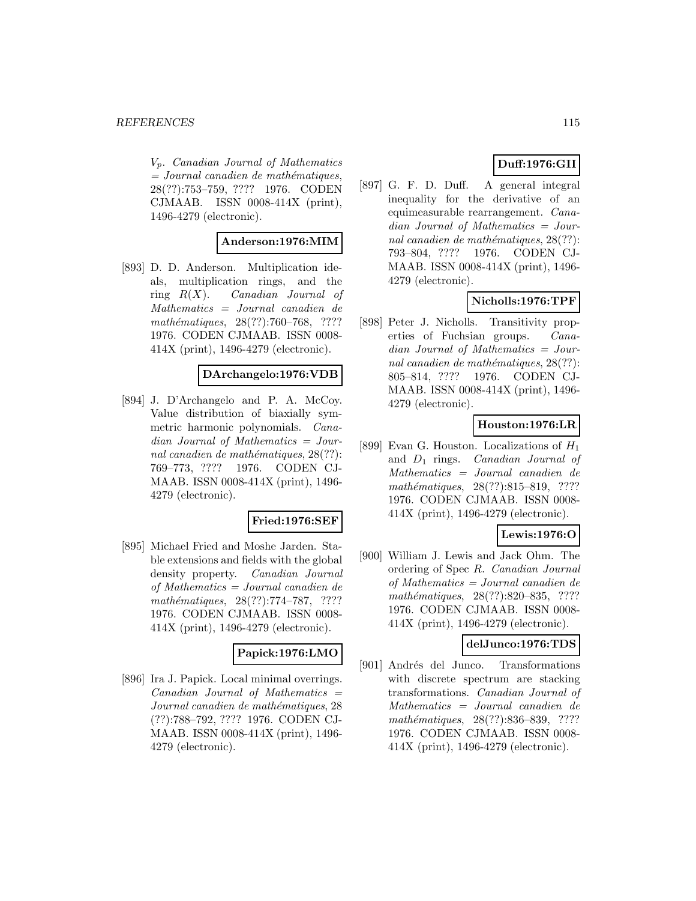Vp. Canadian Journal of Mathematics  $=$  Journal canadien de mathématiques, 28(??):753–759, ???? 1976. CODEN CJMAAB. ISSN 0008-414X (print), 1496-4279 (electronic).

## **Anderson:1976:MIM**

[893] D. D. Anderson. Multiplication ideals, multiplication rings, and the ring  $R(X)$ . Canadian Journal of Mathematics = Journal canadien de mathématiques, 28(??):760–768, ???? 1976. CODEN CJMAAB. ISSN 0008- 414X (print), 1496-4279 (electronic).

## **DArchangelo:1976:VDB**

[894] J. D'Archangelo and P. A. McCoy. Value distribution of biaxially symmetric harmonic polynomials. Canadian Journal of Mathematics = Journal canadien de mathématiques,  $28(??)$ : 769–773, ???? 1976. CODEN CJ-MAAB. ISSN 0008-414X (print), 1496- 4279 (electronic).

#### **Fried:1976:SEF**

[895] Michael Fried and Moshe Jarden. Stable extensions and fields with the global density property. Canadian Journal of Mathematics = Journal canadien de mathématiques, 28(??):774–787, ???? 1976. CODEN CJMAAB. ISSN 0008- 414X (print), 1496-4279 (electronic).

#### **Papick:1976:LMO**

[896] Ira J. Papick. Local minimal overrings.  $Canadian$  Journal of Mathematics  $=$ Journal canadien de mathématiques, 28 (??):788–792, ???? 1976. CODEN CJ-MAAB. ISSN 0008-414X (print), 1496- 4279 (electronic).

# **Duff:1976:GII**

[897] G. F. D. Duff. A general integral inequality for the derivative of an equimeasurable rearrangement. Canadian Journal of Mathematics = Journal canadien de mathématiques,  $28(??)$ : 793–804, ???? 1976. CODEN CJ-MAAB. ISSN 0008-414X (print), 1496- 4279 (electronic).

# **Nicholls:1976:TPF**

[898] Peter J. Nicholls. Transitivity properties of Fuchsian groups. Canadian Journal of Mathematics = Journal canadien de mathématiques,  $28(??)$ : 805–814, ???? 1976. CODEN CJ-MAAB. ISSN 0008-414X (print), 1496- 4279 (electronic).

## **Houston:1976:LR**

[899] Evan G. Houston. Localizations of  $H_1$ and  $D_1$  rings. Canadian Journal of Mathematics = Journal canadien de mathématiques, 28(??):815–819, ???? 1976. CODEN CJMAAB. ISSN 0008- 414X (print), 1496-4279 (electronic).

## **Lewis:1976:O**

[900] William J. Lewis and Jack Ohm. The ordering of Spec R. Canadian Journal of Mathematics = Journal canadien de mathématiques, 28(??):820–835, ???? 1976. CODEN CJMAAB. ISSN 0008- 414X (print), 1496-4279 (electronic).

#### **delJunco:1976:TDS**

[901] Andrés del Junco. Transformations with discrete spectrum are stacking transformations. Canadian Journal of Mathematics = Journal canadien de mathématiques, 28(??):836-839, ???? 1976. CODEN CJMAAB. ISSN 0008- 414X (print), 1496-4279 (electronic).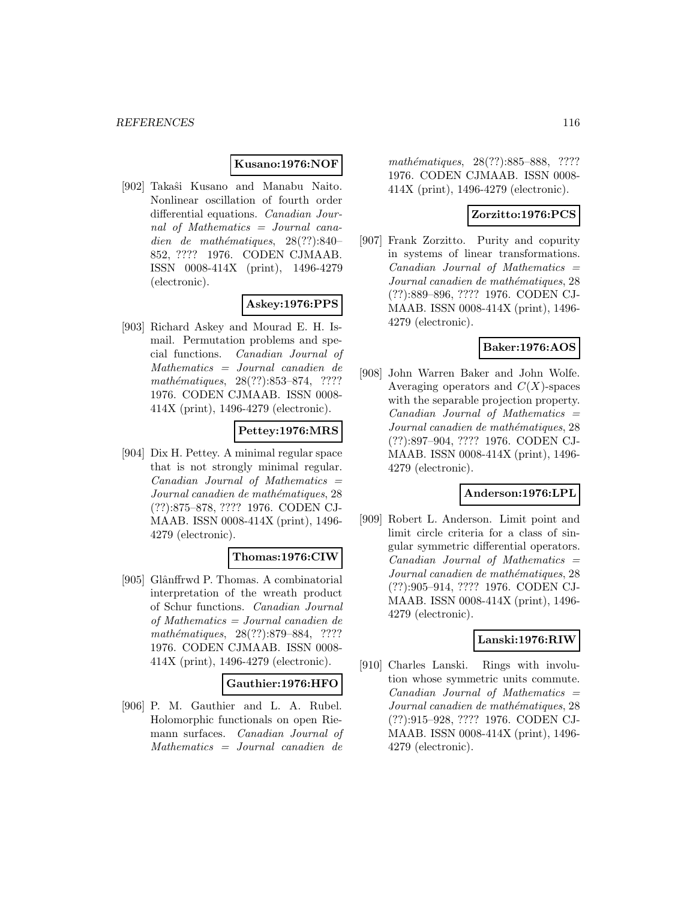#### **Kusano:1976:NOF**

[902] Takaˆsi Kusano and Manabu Naito. Nonlinear oscillation of fourth order differential equations. Canadian Journal of Mathematics = Journal canadien de mathématiques,  $28(??):840-$ 852, ???? 1976. CODEN CJMAAB. ISSN 0008-414X (print), 1496-4279 (electronic).

# **Askey:1976:PPS**

[903] Richard Askey and Mourad E. H. Ismail. Permutation problems and special functions. Canadian Journal of Mathematics = Journal canadien de mathématiques, 28(??):853–874, ???? 1976. CODEN CJMAAB. ISSN 0008- 414X (print), 1496-4279 (electronic).

# **Pettey:1976:MRS**

[904] Dix H. Pettey. A minimal regular space that is not strongly minimal regular.  $Canadian$  Journal of Mathematics  $=$ Journal canadien de mathématiques, 28 (??):875–878, ???? 1976. CODEN CJ-MAAB. ISSN 0008-414X (print), 1496- 4279 (electronic).

#### **Thomas:1976:CIW**

[905] Glânffrwd P. Thomas. A combinatorial interpretation of the wreath product of Schur functions. Canadian Journal of Mathematics = Journal canadien de mathématiques, 28(??):879–884, ???? 1976. CODEN CJMAAB. ISSN 0008- 414X (print), 1496-4279 (electronic).

#### **Gauthier:1976:HFO**

[906] P. M. Gauthier and L. A. Rubel. Holomorphic functionals on open Riemann surfaces. Canadian Journal of Mathematics = Journal canadien de

mathématiques, 28(??):885–888, ???? 1976. CODEN CJMAAB. ISSN 0008- 414X (print), 1496-4279 (electronic).

## **Zorzitto:1976:PCS**

[907] Frank Zorzitto. Purity and copurity in systems of linear transformations.  $Canadian$  Journal of Mathematics  $=$ Journal canadien de mathématiques, 28 (??):889–896, ???? 1976. CODEN CJ-MAAB. ISSN 0008-414X (print), 1496- 4279 (electronic).

#### **Baker:1976:AOS**

[908] John Warren Baker and John Wolfe. Averaging operators and  $C(X)$ -spaces with the separable projection property.  $Canadian$  Journal of Mathematics  $=$ Journal canadien de mathématiques, 28 (??):897–904, ???? 1976. CODEN CJ-MAAB. ISSN 0008-414X (print), 1496- 4279 (electronic).

#### **Anderson:1976:LPL**

[909] Robert L. Anderson. Limit point and limit circle criteria for a class of singular symmetric differential operators.  $Canadian$  Journal of Mathematics  $=$ Journal canadien de mathématiques, 28 (??):905–914, ???? 1976. CODEN CJ-MAAB. ISSN 0008-414X (print), 1496- 4279 (electronic).

#### **Lanski:1976:RIW**

[910] Charles Lanski. Rings with involution whose symmetric units commute.  $Canadian$  Journal of Mathematics  $=$ Journal canadien de mathématiques, 28 (??):915–928, ???? 1976. CODEN CJ-MAAB. ISSN 0008-414X (print), 1496- 4279 (electronic).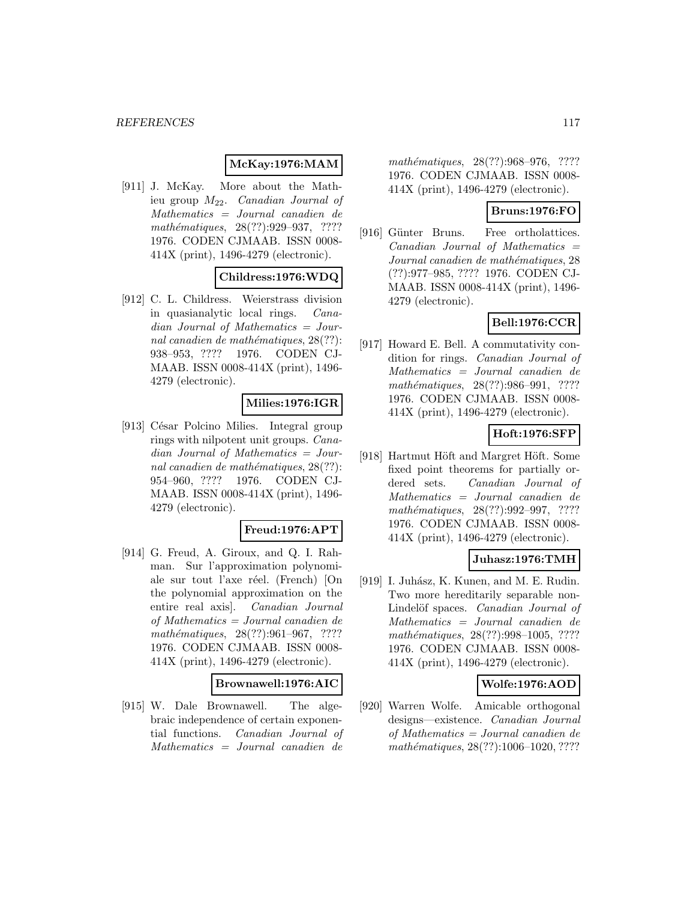# **McKay:1976:MAM**

[911] J. McKay. More about the Mathieu group  $M_{22}$ . *Canadian Journal of* Mathematics = Journal canadien de mathématiques, 28(??):929–937, ???? 1976. CODEN CJMAAB. ISSN 0008- 414X (print), 1496-4279 (electronic).

## **Childress:1976:WDQ**

[912] C. L. Childress. Weierstrass division in quasianalytic local rings. Canadian Journal of Mathematics = Journal canadien de mathématiques,  $28(??)$ : 938–953, ???? 1976. CODEN CJ-MAAB. ISSN 0008-414X (print), 1496- 4279 (electronic).

## **Milies:1976:IGR**

[913] César Polcino Milies. Integral group rings with nilpotent unit groups. Canadian Journal of Mathematics = Journal canadien de mathématiques,  $28(??)$ : 954–960, ???? 1976. CODEN CJ-MAAB. ISSN 0008-414X (print), 1496- 4279 (electronic).

#### **Freud:1976:APT**

[914] G. Freud, A. Giroux, and Q. I. Rahman. Sur l'approximation polynomiale sur tout l'axe réel. (French) [On the polynomial approximation on the entire real axis]. Canadian Journal of Mathematics = Journal canadien de mathématiques,  $28(??):961-967$ , ???? 1976. CODEN CJMAAB. ISSN 0008- 414X (print), 1496-4279 (electronic).

#### **Brownawell:1976:AIC**

[915] W. Dale Brownawell. The algebraic independence of certain exponential functions. Canadian Journal of Mathematics = Journal canadien de

mathématiques, 28(??):968–976, ???? 1976. CODEN CJMAAB. ISSN 0008- 414X (print), 1496-4279 (electronic).

# **Bruns:1976:FO**

[916] Günter Bruns. Free ortholattices.  $Canadian$  Journal of Mathematics  $=$ Journal canadien de mathématiques, 28 (??):977–985, ???? 1976. CODEN CJ-MAAB. ISSN 0008-414X (print), 1496- 4279 (electronic).

# **Bell:1976:CCR**

[917] Howard E. Bell. A commutativity condition for rings. Canadian Journal of Mathematics = Journal canadien de mathématiques, 28(??):986-991, ???? 1976. CODEN CJMAAB. ISSN 0008- 414X (print), 1496-4279 (electronic).

## **Hoft:1976:SFP**

[918] Hartmut Höft and Margret Höft. Some fixed point theorems for partially ordered sets. Canadian Journal of Mathematics = Journal canadien de mathématiques, 28(??):992–997, ???? 1976. CODEN CJMAAB. ISSN 0008- 414X (print), 1496-4279 (electronic).

#### **Juhasz:1976:TMH**

[919] I. Juhász, K. Kunen, and M. E. Rudin. Two more hereditarily separable non-Lindelöf spaces. Canadian Journal of Mathematics = Journal canadien de mathématiques, 28(??):998-1005, ???? 1976. CODEN CJMAAB. ISSN 0008- 414X (print), 1496-4279 (electronic).

#### **Wolfe:1976:AOD**

[920] Warren Wolfe. Amicable orthogonal designs—existence. Canadian Journal of Mathematics = Journal canadien de mathématiques,  $28(??):1006-1020, ????$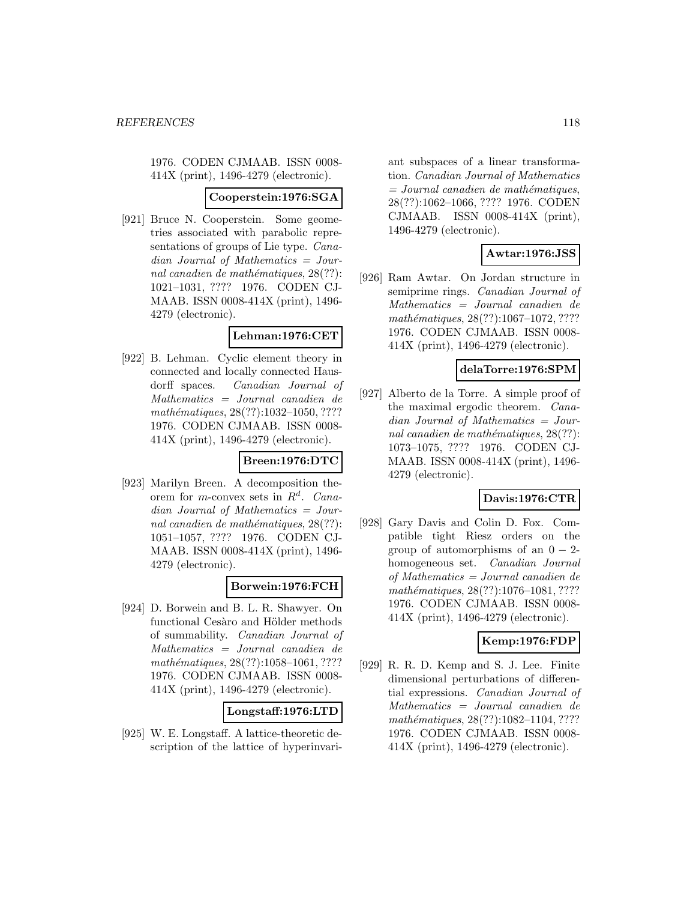1976. CODEN CJMAAB. ISSN 0008- 414X (print), 1496-4279 (electronic).

#### **Cooperstein:1976:SGA**

[921] Bruce N. Cooperstein. Some geometries associated with parabolic representations of groups of Lie type. Canadian Journal of Mathematics = Journal canadien de mathématiques,  $28(??)$ : 1021–1031, ???? 1976. CODEN CJ-MAAB. ISSN 0008-414X (print), 1496- 4279 (electronic).

#### **Lehman:1976:CET**

[922] B. Lehman. Cyclic element theory in connected and locally connected Hausdorff spaces. Canadian Journal of Mathematics = Journal canadien de mathématiques, 28(??):1032-1050, ???? 1976. CODEN CJMAAB. ISSN 0008- 414X (print), 1496-4279 (electronic).

## **Breen:1976:DTC**

[923] Marilyn Breen. A decomposition theorem for m-convex sets in  $R^d$ . Canadian Journal of Mathematics = Journal canadien de mathématiques,  $28(??)$ : 1051–1057, ???? 1976. CODEN CJ-MAAB. ISSN 0008-414X (print), 1496- 4279 (electronic).

#### **Borwein:1976:FCH**

[924] D. Borwein and B. L. R. Shawyer. On functional Cesàro and Hölder methods of summability. Canadian Journal of Mathematics = Journal canadien de mathématiques, 28(??):1058-1061, ???? 1976. CODEN CJMAAB. ISSN 0008- 414X (print), 1496-4279 (electronic).

#### **Longstaff:1976:LTD**

[925] W. E. Longstaff. A lattice-theoretic description of the lattice of hyperinvariant subspaces of a linear transformation. Canadian Journal of Mathematics  $=$  Journal canadien de mathématiques, 28(??):1062–1066, ???? 1976. CODEN CJMAAB. ISSN 0008-414X (print), 1496-4279 (electronic).

# **Awtar:1976:JSS**

[926] Ram Awtar. On Jordan structure in semiprime rings. Canadian Journal of Mathematics = Journal canadien de  $mathématiques, 28(??): 1067–1072, ????$ 1976. CODEN CJMAAB. ISSN 0008- 414X (print), 1496-4279 (electronic).

## **delaTorre:1976:SPM**

[927] Alberto de la Torre. A simple proof of the maximal ergodic theorem. Canadian Journal of Mathematics = Journal canadien de mathématiques,  $28(??)$ : 1073–1075, ???? 1976. CODEN CJ-MAAB. ISSN 0008-414X (print), 1496- 4279 (electronic).

## **Davis:1976:CTR**

[928] Gary Davis and Colin D. Fox. Compatible tight Riesz orders on the group of automorphisms of an  $0 - 2$ homogeneous set. Canadian Journal of Mathematics = Journal canadien de mathématiques, 28(??):1076-1081, ???? 1976. CODEN CJMAAB. ISSN 0008- 414X (print), 1496-4279 (electronic).

## **Kemp:1976:FDP**

[929] R. R. D. Kemp and S. J. Lee. Finite dimensional perturbations of differential expressions. Canadian Journal of Mathematics = Journal canadien de mathématiques, 28(??):1082-1104, ???? 1976. CODEN CJMAAB. ISSN 0008- 414X (print), 1496-4279 (electronic).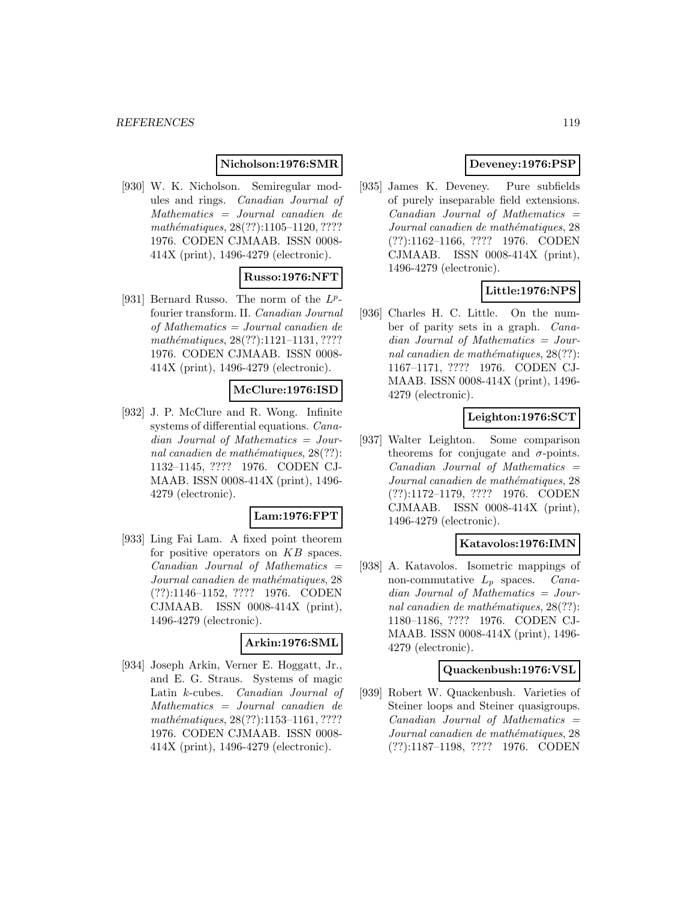## **Nicholson:1976:SMR**

[930] W. K. Nicholson. Semiregular modules and rings. Canadian Journal of Mathematics = Journal canadien de mathématiques, 28(??):1105–1120, ???? 1976. CODEN CJMAAB. ISSN 0008- 414X (print), 1496-4279 (electronic).

# **Russo:1976:NFT**

[931] Bernard Russo. The norm of the  $L^p$ fourier transform. II. Canadian Journal of Mathematics = Journal canadien de mathématiques, 28(??):1121-1131, ???? 1976. CODEN CJMAAB. ISSN 0008- 414X (print), 1496-4279 (electronic).

#### **McClure:1976:ISD**

[932] J. P. McClure and R. Wong. Infinite systems of differential equations. Canadian Journal of Mathematics = Journal canadien de mathématiques,  $28(??)$ : 1132–1145, ???? 1976. CODEN CJ-MAAB. ISSN 0008-414X (print), 1496- 4279 (electronic).

## **Lam:1976:FPT**

[933] Ling Fai Lam. A fixed point theorem for positive operators on KB spaces.  $Canadian$  Journal of Mathematics  $=$ Journal canadien de mathématiques, 28 (??):1146–1152, ???? 1976. CODEN CJMAAB. ISSN 0008-414X (print), 1496-4279 (electronic).

## **Arkin:1976:SML**

[934] Joseph Arkin, Verner E. Hoggatt, Jr., and E. G. Straus. Systems of magic Latin k-cubes. Canadian Journal of Mathematics = Journal canadien de mathématiques, 28(??):1153-1161, ???? 1976. CODEN CJMAAB. ISSN 0008- 414X (print), 1496-4279 (electronic).

# **Deveney:1976:PSP**

[935] James K. Deveney. Pure subfields of purely inseparable field extensions.  $Canadian$  Journal of Mathematics  $=$ Journal canadien de mathématiques, 28 (??):1162–1166, ???? 1976. CODEN CJMAAB. ISSN 0008-414X (print), 1496-4279 (electronic).

# **Little:1976:NPS**

[936] Charles H. C. Little. On the number of parity sets in a graph. Canadian Journal of Mathematics = Journal canadien de mathématiques,  $28(??)$ : 1167–1171, ???? 1976. CODEN CJ-MAAB. ISSN 0008-414X (print), 1496- 4279 (electronic).

## **Leighton:1976:SCT**

[937] Walter Leighton. Some comparison theorems for conjugate and  $\sigma$ -points.  $Canadian$  Journal of Mathematics  $=$ Journal canadien de mathématiques, 28 (??):1172–1179, ???? 1976. CODEN CJMAAB. ISSN 0008-414X (print), 1496-4279 (electronic).

#### **Katavolos:1976:IMN**

[938] A. Katavolos. Isometric mappings of non-commutative  $L_p$  spaces. *Cana*dian Journal of Mathematics = Journal canadien de mathématiques,  $28(??)$ : 1180–1186, ???? 1976. CODEN CJ-MAAB. ISSN 0008-414X (print), 1496- 4279 (electronic).

#### **Quackenbush:1976:VSL**

[939] Robert W. Quackenbush. Varieties of Steiner loops and Steiner quasigroups.  $Canadian$  Journal of Mathematics  $=$ Journal canadien de mathématiques, 28 (??):1187–1198, ???? 1976. CODEN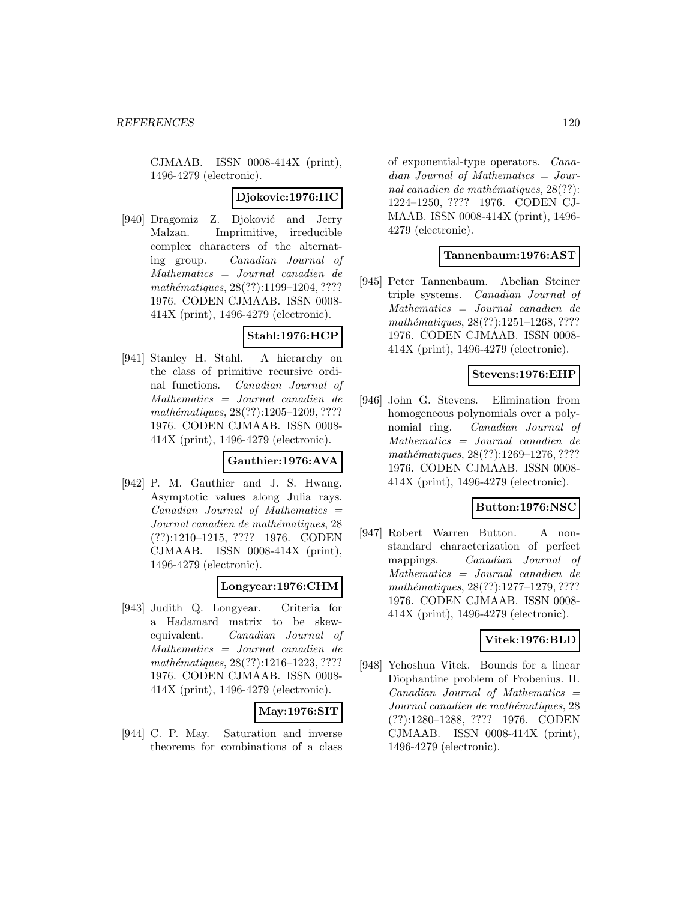CJMAAB. ISSN 0008-414X (print), 1496-4279 (electronic).

## **Djokovic:1976:IIC**

[940] Dragomiz Z. Djoković and Jerry Malzan. Imprimitive, irreducible complex characters of the alternating group. Canadian Journal of Mathematics = Journal canadien de mathématiques, 28(??):1199-1204, ???? 1976. CODEN CJMAAB. ISSN 0008- 414X (print), 1496-4279 (electronic).

#### **Stahl:1976:HCP**

[941] Stanley H. Stahl. A hierarchy on the class of primitive recursive ordinal functions. Canadian Journal of Mathematics = Journal canadien de mathématiques, 28(??):1205-1209, ???? 1976. CODEN CJMAAB. ISSN 0008- 414X (print), 1496-4279 (electronic).

#### **Gauthier:1976:AVA**

[942] P. M. Gauthier and J. S. Hwang. Asymptotic values along Julia rays.  $Canadian$  Journal of Mathematics  $=$ Journal canadien de mathématiques, 28 (??):1210–1215, ???? 1976. CODEN CJMAAB. ISSN 0008-414X (print), 1496-4279 (electronic).

#### **Longyear:1976:CHM**

[943] Judith Q. Longyear. Criteria for a Hadamard matrix to be skewequivalent. Canadian Journal of Mathematics = Journal canadien de mathématiques, 28(??):1216-1223, ???? 1976. CODEN CJMAAB. ISSN 0008- 414X (print), 1496-4279 (electronic).

**May:1976:SIT**

[944] C. P. May. Saturation and inverse theorems for combinations of a class of exponential-type operators. Canadian Journal of Mathematics = Journal canadien de mathématiques,  $28(??)$ : 1224–1250, ???? 1976. CODEN CJ-MAAB. ISSN 0008-414X (print), 1496- 4279 (electronic).

# **Tannenbaum:1976:AST**

[945] Peter Tannenbaum. Abelian Steiner triple systems. Canadian Journal of Mathematics = Journal canadien de mathématiques,  $28(??):1251-1268, ????$ 1976. CODEN CJMAAB. ISSN 0008- 414X (print), 1496-4279 (electronic).

## **Stevens:1976:EHP**

[946] John G. Stevens. Elimination from homogeneous polynomials over a polynomial ring. Canadian Journal of Mathematics = Journal canadien de mathématiques, 28(??):1269-1276, ???? 1976. CODEN CJMAAB. ISSN 0008- 414X (print), 1496-4279 (electronic).

## **Button:1976:NSC**

[947] Robert Warren Button. A nonstandard characterization of perfect mappings. Canadian Journal of Mathematics = Journal canadien de mathématiques, 28(??):1277-1279, ???? 1976. CODEN CJMAAB. ISSN 0008- 414X (print), 1496-4279 (electronic).

## **Vitek:1976:BLD**

[948] Yehoshua Vitek. Bounds for a linear Diophantine problem of Frobenius. II.  $Canadian$  Journal of Mathematics  $=$ Journal canadien de mathématiques, 28 (??):1280–1288, ???? 1976. CODEN CJMAAB. ISSN 0008-414X (print), 1496-4279 (electronic).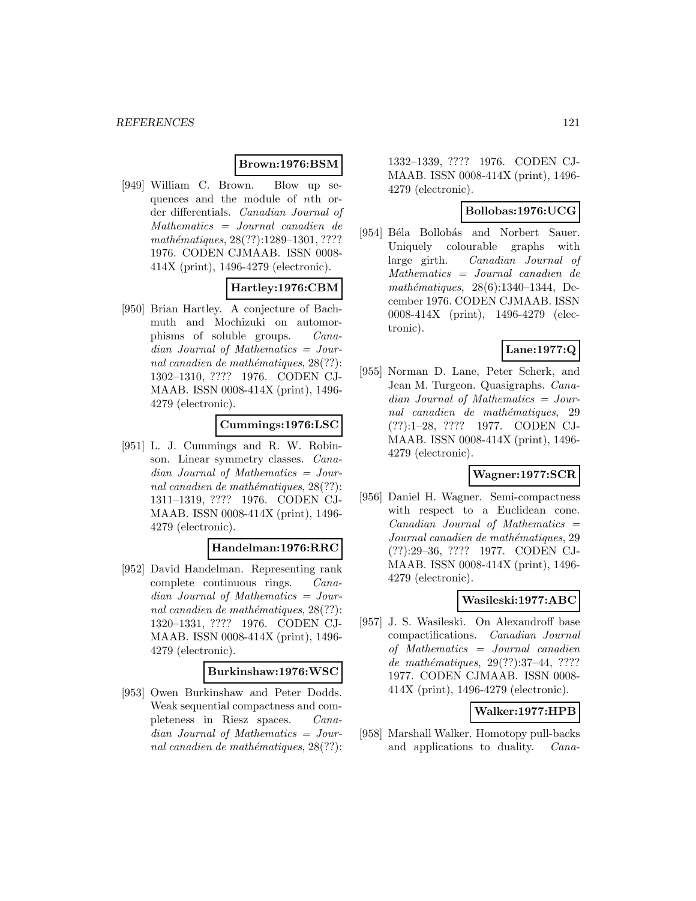## **Brown:1976:BSM**

[949] William C. Brown. Blow up sequences and the module of nth order differentials. Canadian Journal of Mathematics = Journal canadien de mathématiques, 28(??):1289-1301, ???? 1976. CODEN CJMAAB. ISSN 0008- 414X (print), 1496-4279 (electronic).

## **Hartley:1976:CBM**

[950] Brian Hartley. A conjecture of Bachmuth and Mochizuki on automorphisms of soluble groups. Canadian Journal of Mathematics = Journal canadien de mathématiques,  $28(??)$ : 1302–1310, ???? 1976. CODEN CJ-MAAB. ISSN 0008-414X (print), 1496- 4279 (electronic).

## **Cummings:1976:LSC**

[951] L. J. Cummings and R. W. Robinson. Linear symmetry classes. Canadian Journal of Mathematics = Journal canadien de mathématiques,  $28(??)$ : 1311–1319, ???? 1976. CODEN CJ-MAAB. ISSN 0008-414X (print), 1496- 4279 (electronic).

#### **Handelman:1976:RRC**

[952] David Handelman. Representing rank complete continuous rings. Canadian Journal of Mathematics = Journal canadien de mathématiques,  $28(??)$ : 1320–1331, ???? 1976. CODEN CJ-MAAB. ISSN 0008-414X (print), 1496- 4279 (electronic).

#### **Burkinshaw:1976:WSC**

[953] Owen Burkinshaw and Peter Dodds. Weak sequential compactness and completeness in Riesz spaces. Canadian Journal of Mathematics = Journal canadien de mathématiques,  $28(??)$ :

1332–1339, ???? 1976. CODEN CJ-MAAB. ISSN 0008-414X (print), 1496- 4279 (electronic).

#### **Bollobas:1976:UCG**

[954] Béla Bollobás and Norbert Sauer. Uniquely colourable graphs with large girth. Canadian Journal of Mathematics = Journal canadien de mathématiques,  $28(6):1340-1344$ , December 1976. CODEN CJMAAB. ISSN 0008-414X (print), 1496-4279 (electronic).

# **Lane:1977:Q**

[955] Norman D. Lane, Peter Scherk, and Jean M. Turgeon. Quasigraphs. Canadian Journal of Mathematics = Journal canadien de mathématiques, 29 (??):1–28, ???? 1977. CODEN CJ-MAAB. ISSN 0008-414X (print), 1496- 4279 (electronic).

## **Wagner:1977:SCR**

[956] Daniel H. Wagner. Semi-compactness with respect to a Euclidean cone.  $Canadian$  Journal of Mathematics  $=$ Journal canadien de mathématiques, 29 (??):29–36, ???? 1977. CODEN CJ-MAAB. ISSN 0008-414X (print), 1496- 4279 (electronic).

## **Wasileski:1977:ABC**

[957] J. S. Wasileski. On Alexandroff base compactifications. Canadian Journal of Mathematics = Journal canadien de mathématiques, 29(??):37-44, ???? 1977. CODEN CJMAAB. ISSN 0008- 414X (print), 1496-4279 (electronic).

#### **Walker:1977:HPB**

[958] Marshall Walker. Homotopy pull-backs and applications to duality. Cana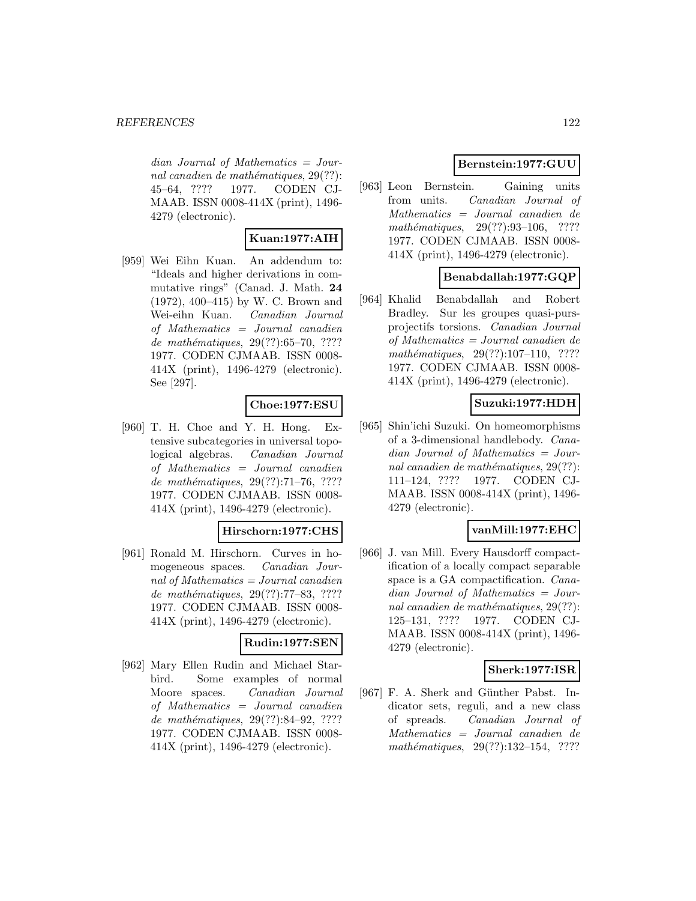$dian$  Journal of Mathematics = Journal canadien de mathématiques,  $29(??)$ : 45–64, ???? 1977. CODEN CJ-MAAB. ISSN 0008-414X (print), 1496- 4279 (electronic).

# **Kuan:1977:AIH**

[959] Wei Eihn Kuan. An addendum to: "Ideals and higher derivations in commutative rings" (Canad. J. Math. **24** (1972), 400–415) by W. C. Brown and Wei-eihn Kuan. Canadian Journal of Mathematics = Journal canadien de mathématiques,  $29(??):65–70, ????$ 1977. CODEN CJMAAB. ISSN 0008- 414X (print), 1496-4279 (electronic). See [297].

## **Choe:1977:ESU**

[960] T. H. Choe and Y. H. Hong. Extensive subcategories in universal topological algebras. Canadian Journal of Mathematics = Journal canadien de mathématiques,  $29(??):71–76, ????$ 1977. CODEN CJMAAB. ISSN 0008- 414X (print), 1496-4279 (electronic).

#### **Hirschorn:1977:CHS**

[961] Ronald M. Hirschorn. Curves in homogeneous spaces. Canadian Journal of Mathematics = Journal canadien de mathématiques, 29(??):77–83, ???? 1977. CODEN CJMAAB. ISSN 0008- 414X (print), 1496-4279 (electronic).

## **Rudin:1977:SEN**

[962] Mary Ellen Rudin and Michael Starbird. Some examples of normal Moore spaces. Canadian Journal of Mathematics = Journal canadien de mathématiques, 29(??):84-92, ???? 1977. CODEN CJMAAB. ISSN 0008- 414X (print), 1496-4279 (electronic).

## **Bernstein:1977:GUU**

[963] Leon Bernstein. Gaining units from units. Canadian Journal of Mathematics = Journal canadien de mathématiques,  $29(??):93-106$ , ???? 1977. CODEN CJMAAB. ISSN 0008- 414X (print), 1496-4279 (electronic).

# **Benabdallah:1977:GQP**

[964] Khalid Benabdallah and Robert Bradley. Sur les groupes quasi-pursprojectifs torsions. Canadian Journal of Mathematics = Journal canadien de  $mathématiques, 29(??):107–110, ????$ 1977. CODEN CJMAAB. ISSN 0008- 414X (print), 1496-4279 (electronic).

# **Suzuki:1977:HDH**

[965] Shin'ichi Suzuki. On homeomorphisms of a 3-dimensional handlebody. Canadian Journal of Mathematics = Journal canadien de mathématiques,  $29(??)$ : 111–124, ???? 1977. CODEN CJ-MAAB. ISSN 0008-414X (print), 1496- 4279 (electronic).

## **vanMill:1977:EHC**

[966] J. van Mill. Every Hausdorff compactification of a locally compact separable space is a GA compactification. Canadian Journal of Mathematics = Journal canadien de mathématiques,  $29(??)$ : 125–131, ???? 1977. CODEN CJ-MAAB. ISSN 0008-414X (print), 1496- 4279 (electronic).

## **Sherk:1977:ISR**

[967] F. A. Sherk and Günther Pabst. Indicator sets, reguli, and a new class of spreads. Canadian Journal of Mathematics = Journal canadien de mathématiques,  $29(??):132-154$ , ????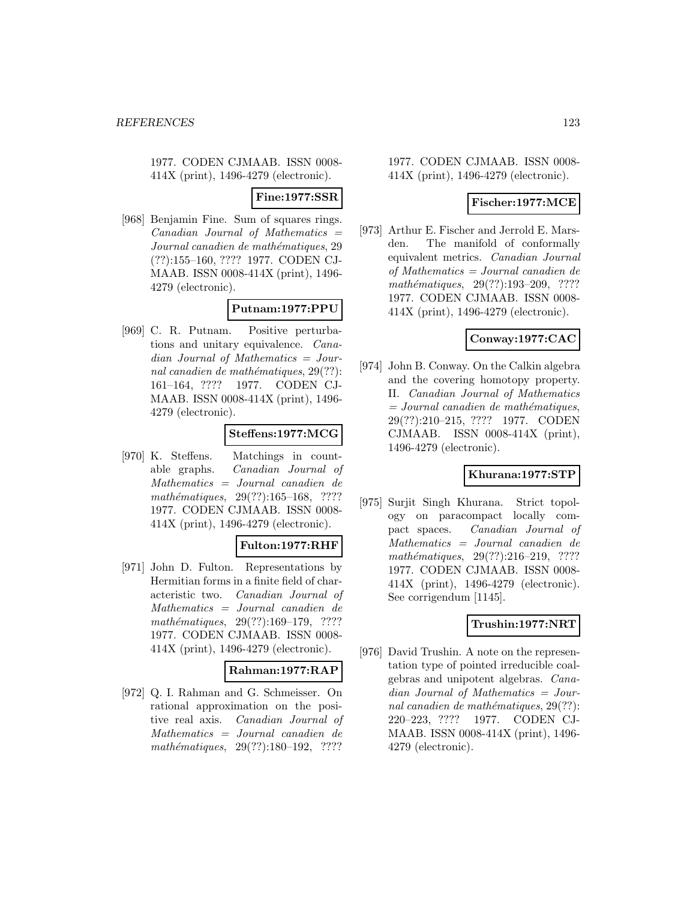1977. CODEN CJMAAB. ISSN 0008- 414X (print), 1496-4279 (electronic).

**Fine:1977:SSR**

[968] Benjamin Fine. Sum of squares rings.  $Canadian$  Journal of Mathematics  $=$ Journal canadien de mathématiques, 29 (??):155–160, ???? 1977. CODEN CJ-MAAB. ISSN 0008-414X (print), 1496- 4279 (electronic).

## **Putnam:1977:PPU**

[969] C. R. Putnam. Positive perturbations and unitary equivalence. Canadian Journal of Mathematics = Journal canadien de mathématiques,  $29(??)$ : 161–164, ???? 1977. CODEN CJ-MAAB. ISSN 0008-414X (print), 1496- 4279 (electronic).

# **Steffens:1977:MCG**

[970] K. Steffens. Matchings in countable graphs. Canadian Journal of Mathematics = Journal canadien de mathématiques, 29(??):165-168, ???? 1977. CODEN CJMAAB. ISSN 0008- 414X (print), 1496-4279 (electronic).

## **Fulton:1977:RHF**

[971] John D. Fulton. Representations by Hermitian forms in a finite field of characteristic two. Canadian Journal of Mathematics = Journal canadien de mathématiques,  $29(??):169-179$ , ???? 1977. CODEN CJMAAB. ISSN 0008- 414X (print), 1496-4279 (electronic).

#### **Rahman:1977:RAP**

[972] Q. I. Rahman and G. Schmeisser. On rational approximation on the positive real axis. Canadian Journal of Mathematics = Journal canadien de mathématiques, 29(??):180-192, ????

#### 1977. CODEN CJMAAB. ISSN 0008- 414X (print), 1496-4279 (electronic).

## **Fischer:1977:MCE**

[973] Arthur E. Fischer and Jerrold E. Marsden. The manifold of conformally equivalent metrics. Canadian Journal of Mathematics = Journal canadien de mathématiques,  $29(??):193-209$ , ???? 1977. CODEN CJMAAB. ISSN 0008- 414X (print), 1496-4279 (electronic).

## **Conway:1977:CAC**

[974] John B. Conway. On the Calkin algebra and the covering homotopy property. II. Canadian Journal of Mathematics  $= Journal\; can a dien\; de\; mathématiques,$ 29(??):210–215, ???? 1977. CODEN CJMAAB. ISSN 0008-414X (print), 1496-4279 (electronic).

# **Khurana:1977:STP**

[975] Surjit Singh Khurana. Strict topology on paracompact locally compact spaces. Canadian Journal of Mathematics = Journal canadien de  $mathématiques, 29(??):216-219, ????$ 1977. CODEN CJMAAB. ISSN 0008- 414X (print), 1496-4279 (electronic). See corrigendum [1145].

## **Trushin:1977:NRT**

[976] David Trushin. A note on the representation type of pointed irreducible coalgebras and unipotent algebras. Canadian Journal of Mathematics = Journal canadien de mathématiques,  $29(??)$ : 220–223, ???? 1977. CODEN CJ-MAAB. ISSN 0008-414X (print), 1496- 4279 (electronic).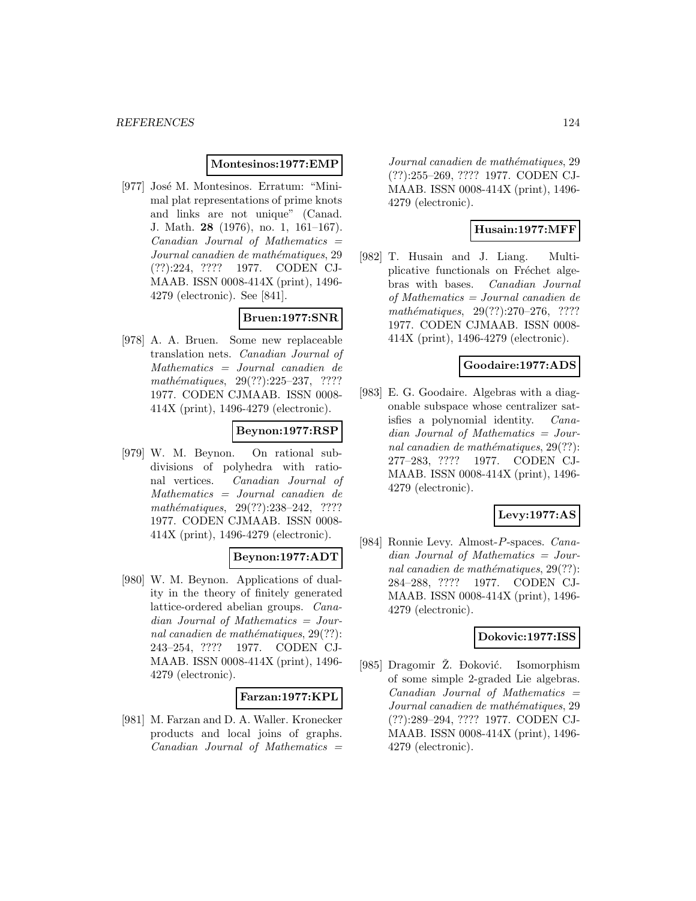#### **Montesinos:1977:EMP**

[977] José M. Montesinos. Erratum: "Minimal plat representations of prime knots and links are not unique" (Canad. J. Math. **28** (1976), no. 1, 161–167).  $Canadian$  Journal of Mathematics  $=$ Journal canadien de mathématiques, 29 (??):224, ???? 1977. CODEN CJ-MAAB. ISSN 0008-414X (print), 1496- 4279 (electronic). See [841].

## **Bruen:1977:SNR**

[978] A. A. Bruen. Some new replaceable translation nets. Canadian Journal of Mathematics = Journal canadien de  $mathématiques, 29(??):225-237, ????$ 1977. CODEN CJMAAB. ISSN 0008- 414X (print), 1496-4279 (electronic).

# **Beynon:1977:RSP**

[979] W. M. Beynon. On rational subdivisions of polyhedra with rational vertices. Canadian Journal of Mathematics = Journal canadien de mathématiques, 29(??):238-242, ???? 1977. CODEN CJMAAB. ISSN 0008- 414X (print), 1496-4279 (electronic).

## **Beynon:1977:ADT**

[980] W. M. Beynon. Applications of duality in the theory of finitely generated lattice-ordered abelian groups. Canadian Journal of Mathematics = Journal canadien de mathématiques,  $29(??)$ : 243–254, ???? 1977. CODEN CJ-MAAB. ISSN 0008-414X (print), 1496- 4279 (electronic).

#### **Farzan:1977:KPL**

[981] M. Farzan and D. A. Waller. Kronecker products and local joins of graphs.  $Canadian$  Journal of Mathematics  $=$ 

Journal canadien de mathématiques, 29 (??):255–269, ???? 1977. CODEN CJ-MAAB. ISSN 0008-414X (print), 1496- 4279 (electronic).

## **Husain:1977:MFF**

[982] T. Husain and J. Liang. Multiplicative functionals on Fréchet algebras with bases. Canadian Journal of Mathematics = Journal canadien de mathématiques, 29(??):270–276, ???? 1977. CODEN CJMAAB. ISSN 0008- 414X (print), 1496-4279 (electronic).

#### **Goodaire:1977:ADS**

[983] E. G. Goodaire. Algebras with a diagonable subspace whose centralizer satisfies a polynomial identity. Canadian Journal of Mathematics = Journal canadien de mathématiques,  $29(??)$ : 277–283, ???? 1977. CODEN CJ-MAAB. ISSN 0008-414X (print), 1496- 4279 (electronic).

#### **Levy:1977:AS**

[984] Ronnie Levy. Almost-P-spaces. Canadian Journal of Mathematics = Journal canadien de mathématiques,  $29(??)$ : 284–288, ???? 1977. CODEN CJ-MAAB. ISSN 0008-414X (print), 1496- 4279 (electronic).

## **Dokovic:1977:ISS**

[985] Dragomir Z.  $\Delta$  boković. Isomorphism of some simple 2-graded Lie algebras.  $Canadian$  Journal of Mathematics  $=$ Journal canadien de mathématiques, 29 (??):289–294, ???? 1977. CODEN CJ-MAAB. ISSN 0008-414X (print), 1496- 4279 (electronic).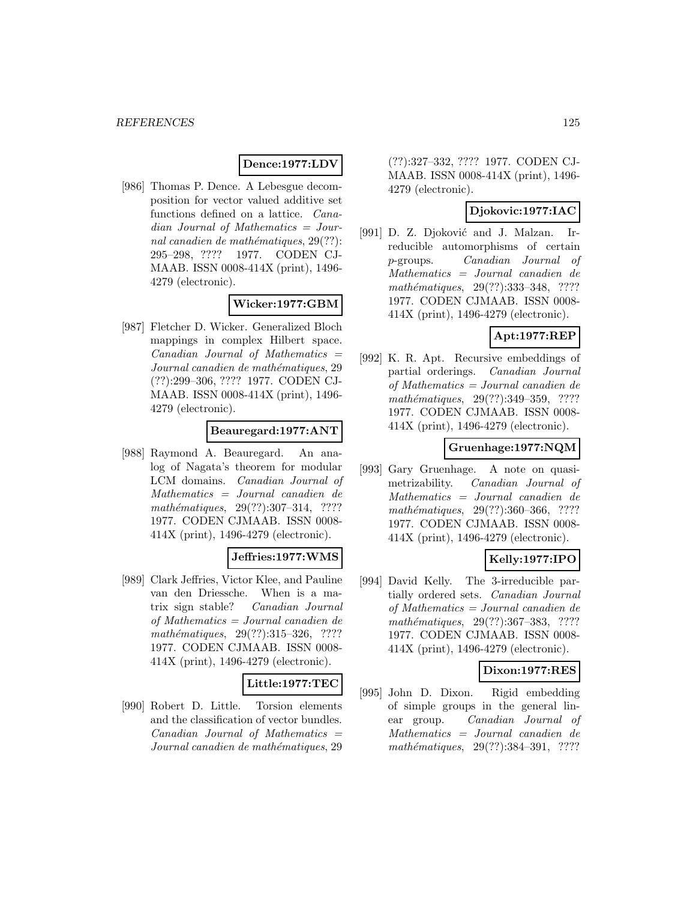# **Dence:1977:LDV**

[986] Thomas P. Dence. A Lebesgue decomposition for vector valued additive set functions defined on a lattice. Canadian Journal of Mathematics = Journal canadien de mathématiques,  $29(??)$ : 295–298, ???? 1977. CODEN CJ-MAAB. ISSN 0008-414X (print), 1496- 4279 (electronic).

# **Wicker:1977:GBM**

[987] Fletcher D. Wicker. Generalized Bloch mappings in complex Hilbert space.  $Canadian$  Journal of Mathematics  $=$ Journal canadien de mathématiques, 29 (??):299–306, ???? 1977. CODEN CJ-MAAB. ISSN 0008-414X (print), 1496- 4279 (electronic).

# **Beauregard:1977:ANT**

[988] Raymond A. Beauregard. An analog of Nagata's theorem for modular LCM domains. Canadian Journal of Mathematics = Journal canadien de mathématiques, 29(??):307–314, ???? 1977. CODEN CJMAAB. ISSN 0008- 414X (print), 1496-4279 (electronic).

## **Jeffries:1977:WMS**

[989] Clark Jeffries, Victor Klee, and Pauline van den Driessche. When is a matrix sign stable? Canadian Journal of Mathematics = Journal canadien de mathématiques,  $29(??):315-326$ , ???? 1977. CODEN CJMAAB. ISSN 0008- 414X (print), 1496-4279 (electronic).

#### **Little:1977:TEC**

[990] Robert D. Little. Torsion elements and the classification of vector bundles.  $Canadian$  Journal of Mathematics  $=$ Journal canadien de mathématiques, 29

(??):327–332, ???? 1977. CODEN CJ-MAAB. ISSN 0008-414X (print), 1496- 4279 (electronic).

## **Djokovic:1977:IAC**

[991] D. Z. Djoković and J. Malzan. Irreducible automorphisms of certain p-groups. Canadian Journal of Mathematics = Journal canadien de mathématiques, 29(??):333-348, ???? 1977. CODEN CJMAAB. ISSN 0008- 414X (print), 1496-4279 (electronic).

## **Apt:1977:REP**

[992] K. R. Apt. Recursive embeddings of partial orderings. Canadian Journal of Mathematics = Journal canadien de mathématiques, 29(??):349–359, ???? 1977. CODEN CJMAAB. ISSN 0008- 414X (print), 1496-4279 (electronic).

## **Gruenhage:1977:NQM**

[993] Gary Gruenhage. A note on quasimetrizability. Canadian Journal of Mathematics = Journal canadien de mathématiques, 29(??):360–366, ???? 1977. CODEN CJMAAB. ISSN 0008- 414X (print), 1496-4279 (electronic).

# **Kelly:1977:IPO**

[994] David Kelly. The 3-irreducible partially ordered sets. Canadian Journal of Mathematics = Journal canadien de mathématiques, 29(??):367–383, ???? 1977. CODEN CJMAAB. ISSN 0008- 414X (print), 1496-4279 (electronic).

## **Dixon:1977:RES**

[995] John D. Dixon. Rigid embedding of simple groups in the general linear group. Canadian Journal of Mathematics = Journal canadien de mathématiques,  $29(??):384-391$ , ????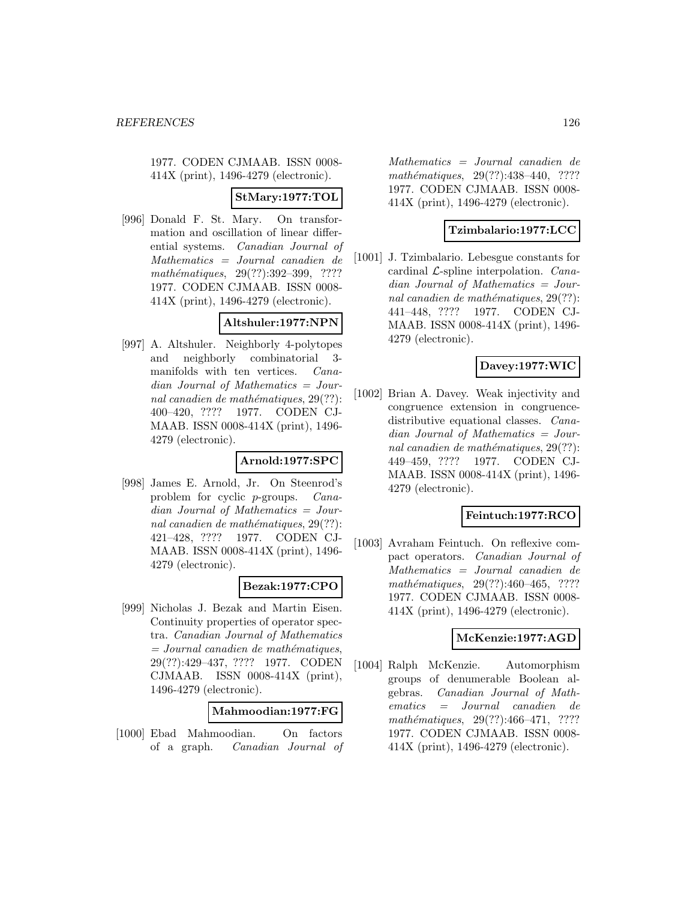1977. CODEN CJMAAB. ISSN 0008- 414X (print), 1496-4279 (electronic).

#### **StMary:1977:TOL**

[996] Donald F. St. Mary. On transformation and oscillation of linear differential systems. Canadian Journal of Mathematics = Journal canadien de mathématiques, 29(??):392–399, ???? 1977. CODEN CJMAAB. ISSN 0008- 414X (print), 1496-4279 (electronic).

## **Altshuler:1977:NPN**

[997] A. Altshuler. Neighborly 4-polytopes and neighborly combinatorial 3 manifolds with ten vertices. Canadian Journal of Mathematics = Journal canadien de mathématiques,  $29(??)$ : 400–420, ???? 1977. CODEN CJ-MAAB. ISSN 0008-414X (print), 1496- 4279 (electronic).

# **Arnold:1977:SPC**

[998] James E. Arnold, Jr. On Steenrod's problem for cyclic p-groups. Canadian Journal of Mathematics = Journal canadien de mathématiques,  $29(??)$ : 421–428, ???? 1977. CODEN CJ-MAAB. ISSN 0008-414X (print), 1496- 4279 (electronic).

## **Bezak:1977:CPO**

[999] Nicholas J. Bezak and Martin Eisen. Continuity properties of operator spectra. Canadian Journal of Mathematics  $=$  Journal canadien de mathématiques, 29(??):429–437, ???? 1977. CODEN CJMAAB. ISSN 0008-414X (print), 1496-4279 (electronic).

#### **Mahmoodian:1977:FG**

[1000] Ebad Mahmoodian. On factors of a graph. Canadian Journal of

Mathematics = Journal canadien de mathématiques, 29(??):438-440, ???? 1977. CODEN CJMAAB. ISSN 0008- 414X (print), 1496-4279 (electronic).

## **Tzimbalario:1977:LCC**

[1001] J. Tzimbalario. Lebesgue constants for cardinal  $\mathcal{L}$ -spline interpolation. *Cana*dian Journal of Mathematics = Journal canadien de mathématiques,  $29(??)$ : 441–448, ???? 1977. CODEN CJ-MAAB. ISSN 0008-414X (print), 1496- 4279 (electronic).

## **Davey:1977:WIC**

[1002] Brian A. Davey. Weak injectivity and congruence extension in congruencedistributive equational classes. Canadian Journal of Mathematics = Journal canadien de mathématiques,  $29(??)$ : 449–459, ???? 1977. CODEN CJ-MAAB. ISSN 0008-414X (print), 1496- 4279 (electronic).

#### **Feintuch:1977:RCO**

[1003] Avraham Feintuch. On reflexive compact operators. Canadian Journal of Mathematics = Journal canadien de mathématiques, 29(??):460-465, ???? 1977. CODEN CJMAAB. ISSN 0008- 414X (print), 1496-4279 (electronic).

## **McKenzie:1977:AGD**

[1004] Ralph McKenzie. Automorphism groups of denumerable Boolean algebras. Canadian Journal of Mathematics = Journal canadien de mathématiques,  $29(??):466-471$ , ???? 1977. CODEN CJMAAB. ISSN 0008- 414X (print), 1496-4279 (electronic).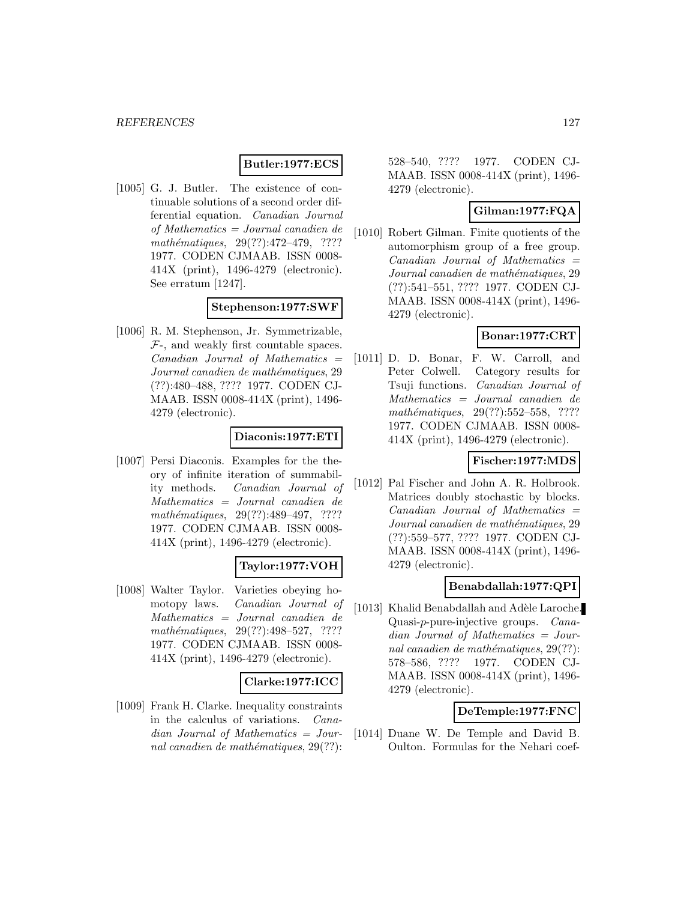## **Butler:1977:ECS**

[1005] G. J. Butler. The existence of continuable solutions of a second order differential equation. Canadian Journal of Mathematics = Journal canadien de  $mathématiques, 29(??):472–479, ????$ 1977. CODEN CJMAAB. ISSN 0008- 414X (print), 1496-4279 (electronic). See erratum [1247].

#### **Stephenson:1977:SWF**

[1006] R. M. Stephenson, Jr. Symmetrizable,  $F<sub>-</sub>$ , and weakly first countable spaces.  $Canadian$  Journal of Mathematics  $=$ Journal canadien de mathématiques, 29 (??):480–488, ???? 1977. CODEN CJ-MAAB. ISSN 0008-414X (print), 1496- 4279 (electronic).

#### **Diaconis:1977:ETI**

[1007] Persi Diaconis. Examples for the theory of infinite iteration of summability methods. Canadian Journal of Mathematics = Journal canadien de mathématiques, 29(??):489-497, ???? 1977. CODEN CJMAAB. ISSN 0008- 414X (print), 1496-4279 (electronic).

#### **Taylor:1977:VOH**

[1008] Walter Taylor. Varieties obeying homotopy laws. Canadian Journal of Mathematics = Journal canadien de mathématiques, 29(??):498–527, ???? 1977. CODEN CJMAAB. ISSN 0008- 414X (print), 1496-4279 (electronic).

#### **Clarke:1977:ICC**

[1009] Frank H. Clarke. Inequality constraints in the calculus of variations. Canadian Journal of Mathematics = Journal canadien de mathématiques,  $29(??)$ :

528–540, ???? 1977. CODEN CJ-MAAB. ISSN 0008-414X (print), 1496- 4279 (electronic).

# **Gilman:1977:FQA**

[1010] Robert Gilman. Finite quotients of the automorphism group of a free group.  $Canadian$  Journal of Mathematics  $=$ Journal canadien de mathématiques, 29 (??):541–551, ???? 1977. CODEN CJ-MAAB. ISSN 0008-414X (print), 1496- 4279 (electronic).

#### **Bonar:1977:CRT**

[1011] D. D. Bonar, F. W. Carroll, and Peter Colwell. Category results for Tsuji functions. Canadian Journal of Mathematics = Journal canadien de  $mathématiques, 29(??):552–558, ????$ 1977. CODEN CJMAAB. ISSN 0008- 414X (print), 1496-4279 (electronic).

#### **Fischer:1977:MDS**

[1012] Pal Fischer and John A. R. Holbrook. Matrices doubly stochastic by blocks.  $Canadian$  Journal of Mathematics  $=$ Journal canadien de mathématiques, 29 (??):559–577, ???? 1977. CODEN CJ-MAAB. ISSN 0008-414X (print), 1496- 4279 (electronic).

#### **Benabdallah:1977:QPI**

[1013] Khalid Benabdallah and Adèle Laroche. Quasi-p-pure-injective groups. Canadian Journal of Mathematics = Journal canadien de mathématiques,  $29(??)$ : 578–586, ???? 1977. CODEN CJ-MAAB. ISSN 0008-414X (print), 1496- 4279 (electronic).

#### **DeTemple:1977:FNC**

[1014] Duane W. De Temple and David B. Oulton. Formulas for the Nehari coef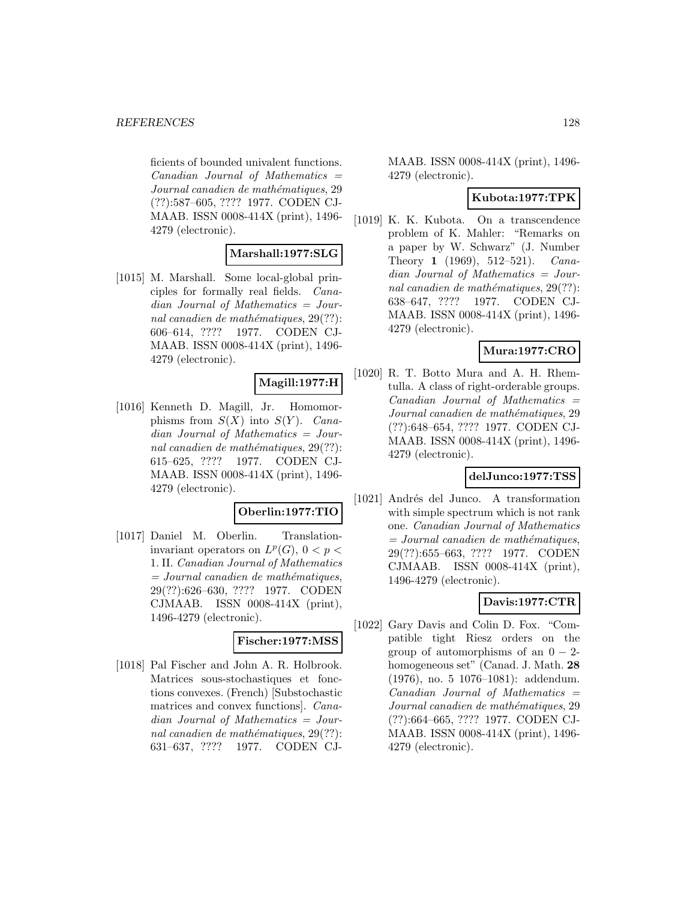ficients of bounded univalent functions.  $Canadian$  Journal of Mathematics  $=$ Journal canadien de mathématiques, 29 (??):587–605, ???? 1977. CODEN CJ-MAAB. ISSN 0008-414X (print), 1496- 4279 (electronic).

## **Marshall:1977:SLG**

[1015] M. Marshall. Some local-global principles for formally real fields. Canadian Journal of Mathematics = Journal canadien de mathématiques,  $29(??)$ : 606–614, ???? 1977. CODEN CJ-MAAB. ISSN 0008-414X (print), 1496- 4279 (electronic).

## **Magill:1977:H**

[1016] Kenneth D. Magill, Jr. Homomorphisms from  $S(X)$  into  $S(Y)$ . Canadian Journal of Mathematics = Journal canadien de mathématiques,  $29(??)$ : 615–625, ???? 1977. CODEN CJ-MAAB. ISSN 0008-414X (print), 1496- 4279 (electronic).

#### **Oberlin:1977:TIO**

[1017] Daniel M. Oberlin. Translationinvariant operators on  $L^p(G)$ ,  $0 < p <$ 1. II. Canadian Journal of Mathematics  $=$  Journal canadien de mathématiques, 29(??):626–630, ???? 1977. CODEN CJMAAB. ISSN 0008-414X (print), 1496-4279 (electronic).

#### **Fischer:1977:MSS**

[1018] Pal Fischer and John A. R. Holbrook. Matrices sous-stochastiques et fonctions convexes. (French) [Substochastic matrices and convex functions]. Canadian Journal of Mathematics = Journal canadien de mathématiques,  $29(??)$ : 631–637, ???? 1977. CODEN CJ-

MAAB. ISSN 0008-414X (print), 1496- 4279 (electronic).

## **Kubota:1977:TPK**

[1019] K. K. Kubota. On a transcendence problem of K. Mahler: "Remarks on a paper by W. Schwarz" (J. Number Theory **1** (1969), 512–521). Canadian Journal of Mathematics = Journal canadien de mathématiques,  $29(??)$ : 638–647, ???? 1977. CODEN CJ-MAAB. ISSN 0008-414X (print), 1496- 4279 (electronic).

## **Mura:1977:CRO**

[1020] R. T. Botto Mura and A. H. Rhemtulla. A class of right-orderable groups.  $Canadian$  Journal of Mathematics  $=$ Journal canadien de mathématiques, 29 (??):648–654, ???? 1977. CODEN CJ-MAAB. ISSN 0008-414X (print), 1496- 4279 (electronic).

#### **delJunco:1977:TSS**

[1021] Andrés del Junco. A transformation with simple spectrum which is not rank one. Canadian Journal of Mathematics  $=$  Journal canadien de mathématiques, 29(??):655–663, ???? 1977. CODEN CJMAAB. ISSN 0008-414X (print), 1496-4279 (electronic).

## **Davis:1977:CTR**

[1022] Gary Davis and Colin D. Fox. "Compatible tight Riesz orders on the group of automorphisms of an  $0 - 2$ homogeneous set" (Canad. J. Math. **28** (1976), no. 5 1076–1081): addendum.  $Canadian$  Journal of Mathematics  $=$ Journal canadien de mathématiques, 29 (??):664–665, ???? 1977. CODEN CJ-MAAB. ISSN 0008-414X (print), 1496- 4279 (electronic).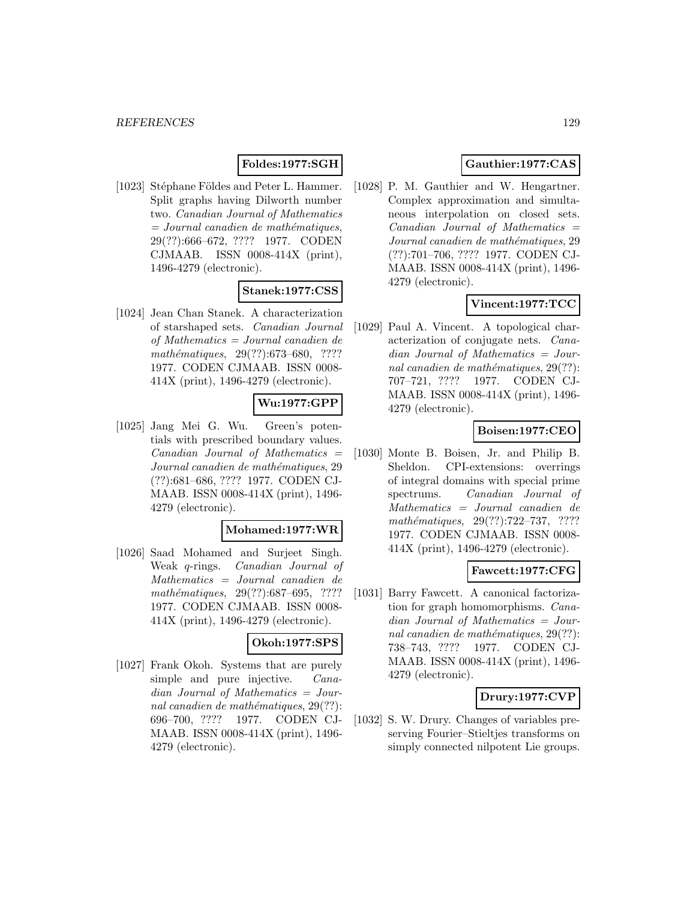# **Foldes:1977:SGH**

[1023] Stéphane Földes and Peter L. Hammer. Split graphs having Dilworth number two. Canadian Journal of Mathematics  $= Journal\; can a dien\; de\; mathématiques,$ 29(??):666–672, ???? 1977. CODEN CJMAAB. ISSN 0008-414X (print), 1496-4279 (electronic).

# **Stanek:1977:CSS**

[1024] Jean Chan Stanek. A characterization of starshaped sets. Canadian Journal of Mathematics = Journal canadien de mathématiques, 29(??):673–680, ???? 1977. CODEN CJMAAB. ISSN 0008- 414X (print), 1496-4279 (electronic).

# **Wu:1977:GPP**

[1025] Jang Mei G. Wu. Green's potentials with prescribed boundary values.  $Canadian$  Journal of Mathematics  $=$ Journal canadien de mathématiques, 29 (??):681–686, ???? 1977. CODEN CJ-MAAB. ISSN 0008-414X (print), 1496- 4279 (electronic).

#### **Mohamed:1977:WR**

[1026] Saad Mohamed and Surjeet Singh. Weak q-rings. Canadian Journal of Mathematics = Journal canadien de mathématiques, 29(??):687–695, ???? 1977. CODEN CJMAAB. ISSN 0008- 414X (print), 1496-4279 (electronic).

#### **Okoh:1977:SPS**

[1027] Frank Okoh. Systems that are purely simple and pure injective. *Cana*dian Journal of Mathematics = Journal canadien de mathématiques,  $29(??)$ : 696–700, ???? 1977. CODEN CJ-MAAB. ISSN 0008-414X (print), 1496- 4279 (electronic).

# **Gauthier:1977:CAS**

[1028] P. M. Gauthier and W. Hengartner. Complex approximation and simultaneous interpolation on closed sets.  $Canadian$  Journal of Mathematics  $=$ Journal canadien de mathématiques, 29 (??):701–706, ???? 1977. CODEN CJ-MAAB. ISSN 0008-414X (print), 1496- 4279 (electronic).

# **Vincent:1977:TCC**

[1029] Paul A. Vincent. A topological characterization of conjugate nets. Canadian Journal of Mathematics = Journal canadien de mathématiques,  $29(??)$ : 707–721, ???? 1977. CODEN CJ-MAAB. ISSN 0008-414X (print), 1496- 4279 (electronic).

# **Boisen:1977:CEO**

[1030] Monte B. Boisen, Jr. and Philip B. Sheldon. CPI-extensions: overrings of integral domains with special prime spectrums. Canadian Journal of Mathematics = Journal canadien de mathématiques, 29(??):722–737, ???? 1977. CODEN CJMAAB. ISSN 0008- 414X (print), 1496-4279 (electronic).

#### **Fawcett:1977:CFG**

[1031] Barry Fawcett. A canonical factorization for graph homomorphisms. Canadian Journal of Mathematics = Journal canadien de mathématiques,  $29(??)$ : 738–743, ???? 1977. CODEN CJ-MAAB. ISSN 0008-414X (print), 1496- 4279 (electronic).

## **Drury:1977:CVP**

[1032] S. W. Drury. Changes of variables preserving Fourier–Stieltjes transforms on simply connected nilpotent Lie groups.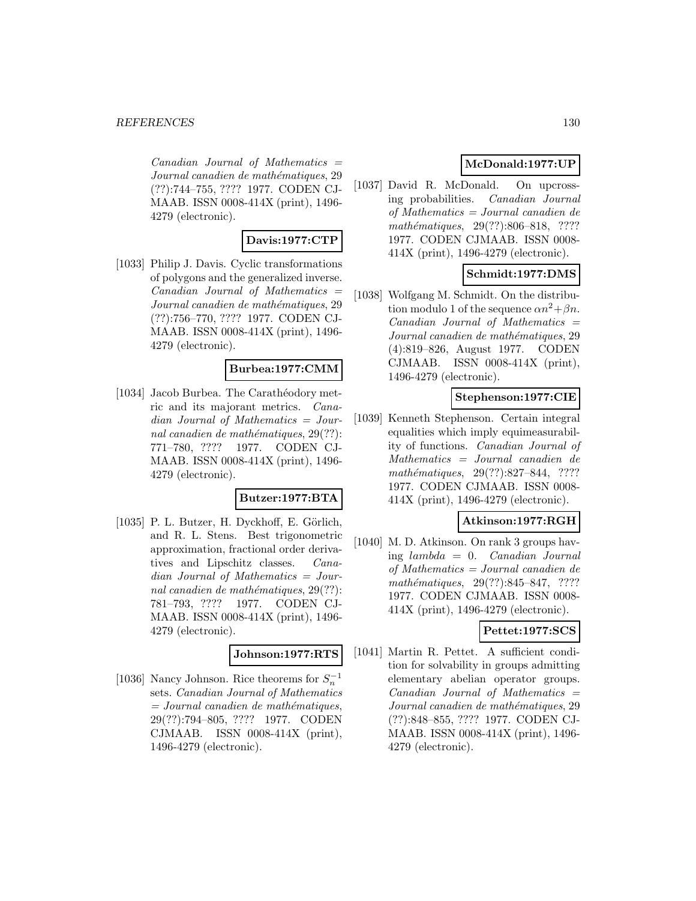$Canadian$  Journal of Mathematics  $=$ Journal canadien de mathématiques, 29 (??):744–755, ???? 1977. CODEN CJ-MAAB. ISSN 0008-414X (print), 1496- 4279 (electronic).

## **Davis:1977:CTP**

[1033] Philip J. Davis. Cyclic transformations of polygons and the generalized inverse.  $Canadian$  Journal of Mathematics  $=$ Journal canadien de mathématiques, 29 (??):756–770, ???? 1977. CODEN CJ-MAAB. ISSN 0008-414X (print), 1496- 4279 (electronic).

#### **Burbea:1977:CMM**

[1034] Jacob Burbea. The Carathéodory metric and its majorant metrics. Canadian Journal of Mathematics = Journal canadien de mathématiques,  $29(??)$ : 771–780, ???? 1977. CODEN CJ-MAAB. ISSN 0008-414X (print), 1496- 4279 (electronic).

#### **Butzer:1977:BTA**

 $[1035]$  P. L. Butzer, H. Dyckhoff, E. Görlich. and R. L. Stens. Best trigonometric approximation, fractional order derivatives and Lipschitz classes. Canadian Journal of Mathematics = Journal canadien de mathématiques,  $29(??)$ : 781–793, ???? 1977. CODEN CJ-MAAB. ISSN 0008-414X (print), 1496- 4279 (electronic).

#### **Johnson:1977:RTS**

[1036] Nancy Johnson. Rice theorems for  $S_n^{-1}$ sets. Canadian Journal of Mathematics  $=$  Journal canadien de mathématiques, 29(??):794–805, ???? 1977. CODEN CJMAAB. ISSN 0008-414X (print), 1496-4279 (electronic).

## **McDonald:1977:UP**

[1037] David R. McDonald. On upcrossing probabilities. Canadian Journal of Mathematics = Journal canadien de mathématiques, 29(??):806–818, ???? 1977. CODEN CJMAAB. ISSN 0008- 414X (print), 1496-4279 (electronic).

## **Schmidt:1977:DMS**

[1038] Wolfgang M. Schmidt. On the distribution modulo 1 of the sequence  $\alpha n^2 + \beta n$ .  $Canadian$  Journal of Mathematics  $=$ Journal canadien de mathématiques, 29 (4):819–826, August 1977. CODEN CJMAAB. ISSN 0008-414X (print), 1496-4279 (electronic).

## **Stephenson:1977:CIE**

[1039] Kenneth Stephenson. Certain integral equalities which imply equimeasurability of functions. Canadian Journal of Mathematics = Journal canadien de mathématiques, 29(??):827–844, ???? 1977. CODEN CJMAAB. ISSN 0008- 414X (print), 1496-4279 (electronic).

#### **Atkinson:1977:RGH**

[1040] M. D. Atkinson. On rank 3 groups having lambda = 0. Canadian Journal of Mathematics = Journal canadien de mathématiques, 29(??):845–847, ???? 1977. CODEN CJMAAB. ISSN 0008- 414X (print), 1496-4279 (electronic).

## **Pettet:1977:SCS**

[1041] Martin R. Pettet. A sufficient condition for solvability in groups admitting elementary abelian operator groups.  $Canadian$  Journal of Mathematics  $=$ Journal canadien de mathématiques, 29 (??):848–855, ???? 1977. CODEN CJ-MAAB. ISSN 0008-414X (print), 1496- 4279 (electronic).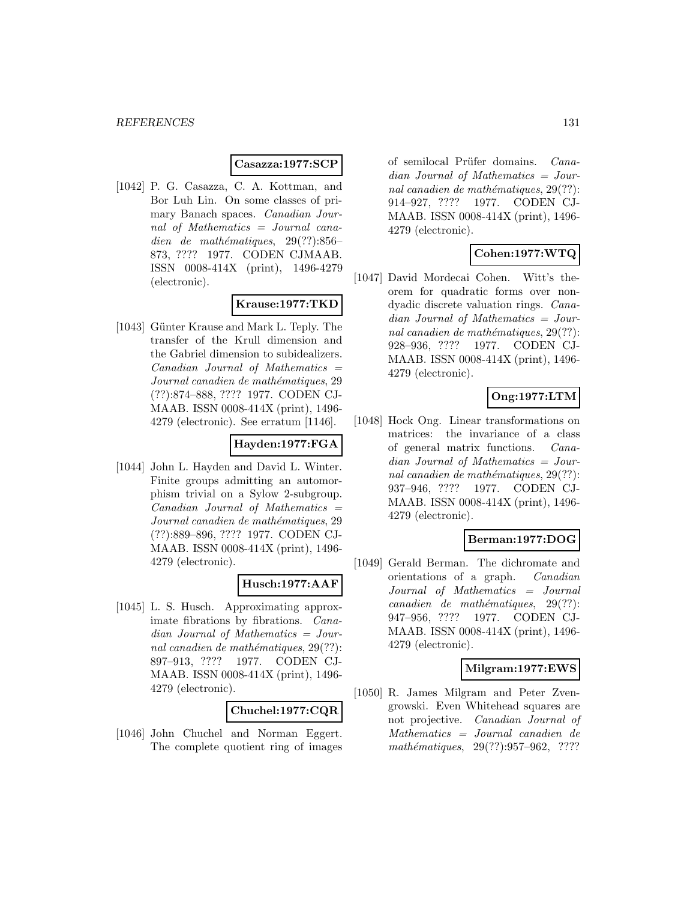#### **Casazza:1977:SCP**

[1042] P. G. Casazza, C. A. Kottman, and Bor Luh Lin. On some classes of primary Banach spaces. Canadian Journal of Mathematics = Journal canadien de mathématiques,  $29(??):856-$ 873, ???? 1977. CODEN CJMAAB. ISSN 0008-414X (print), 1496-4279 (electronic).

# **Krause:1977:TKD**

[1043] Günter Krause and Mark L. Teply. The transfer of the Krull dimension and the Gabriel dimension to subidealizers.  $Canadian$  Journal of Mathematics  $=$ Journal canadien de mathématiques, 29 (??):874–888, ???? 1977. CODEN CJ-MAAB. ISSN 0008-414X (print), 1496- 4279 (electronic). See erratum [1146].

# **Hayden:1977:FGA**

[1044] John L. Hayden and David L. Winter. Finite groups admitting an automorphism trivial on a Sylow 2-subgroup.  $Canadian$  Journal of Mathematics  $=$ Journal canadien de mathématiques, 29 (??):889–896, ???? 1977. CODEN CJ-MAAB. ISSN 0008-414X (print), 1496- 4279 (electronic).

## **Husch:1977:AAF**

[1045] L. S. Husch. Approximating approximate fibrations by fibrations. Canadian Journal of Mathematics = Journal canadien de mathématiques,  $29(??)$ : 897–913, ???? 1977. CODEN CJ-MAAB. ISSN 0008-414X (print), 1496- 4279 (electronic).

#### **Chuchel:1977:CQR**

[1046] John Chuchel and Norman Eggert. The complete quotient ring of images of semilocal Prüfer domains. Canadian Journal of Mathematics = Journal canadien de mathématiques,  $29(??)$ : 914–927, ???? 1977. CODEN CJ-MAAB. ISSN 0008-414X (print), 1496- 4279 (electronic).

# **Cohen:1977:WTQ**

[1047] David Mordecai Cohen. Witt's theorem for quadratic forms over nondyadic discrete valuation rings. Canadian Journal of Mathematics = Journal canadien de mathématiques,  $29(??)$ : 928–936, ???? 1977. CODEN CJ-MAAB. ISSN 0008-414X (print), 1496- 4279 (electronic).

# **Ong:1977:LTM**

[1048] Hock Ong. Linear transformations on matrices: the invariance of a class of general matrix functions. Canadian Journal of Mathematics = Journal canadien de mathématiques,  $29(??)$ : 937–946, ???? 1977. CODEN CJ-MAAB. ISSN 0008-414X (print), 1496- 4279 (electronic).

## **Berman:1977:DOG**

[1049] Gerald Berman. The dichromate and orientations of a graph. Canadian Journal of Mathematics = Journal  $cana dien$  de mathématiques,  $29(??)$ : 947–956, ???? 1977. CODEN CJ-MAAB. ISSN 0008-414X (print), 1496- 4279 (electronic).

## **Milgram:1977:EWS**

[1050] R. James Milgram and Peter Zvengrowski. Even Whitehead squares are not projective. Canadian Journal of Mathematics = Journal canadien de mathématiques,  $29(??):957-962$ , ????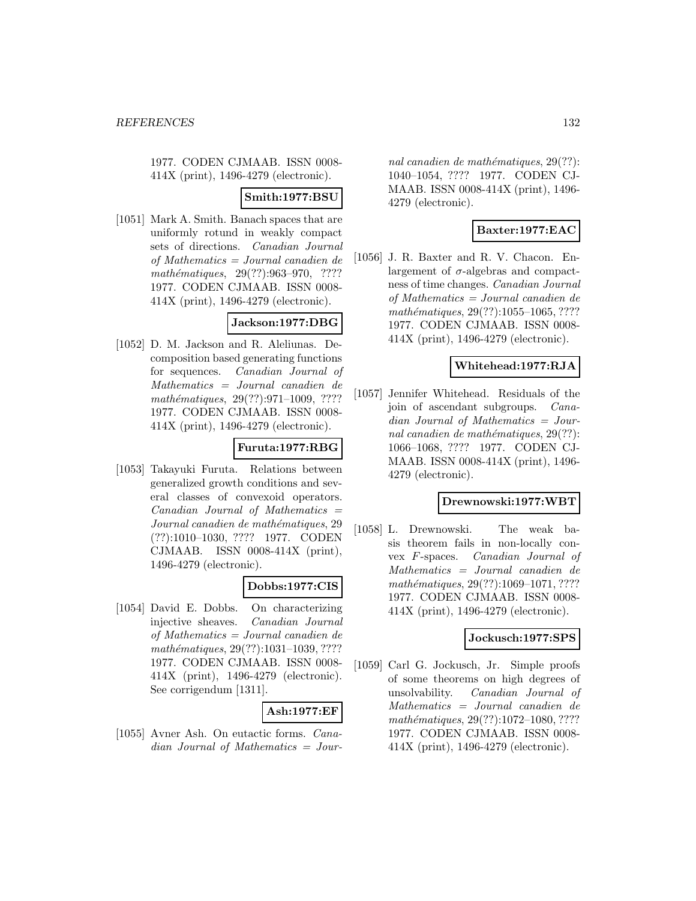1977. CODEN CJMAAB. ISSN 0008- 414X (print), 1496-4279 (electronic).

## **Smith:1977:BSU**

[1051] Mark A. Smith. Banach spaces that are uniformly rotund in weakly compact sets of directions. Canadian Journal of Mathematics = Journal canadien de mathématiques, 29(??):963-970, ???? 1977. CODEN CJMAAB. ISSN 0008- 414X (print), 1496-4279 (electronic).

## **Jackson:1977:DBG**

[1052] D. M. Jackson and R. Aleliunas. Decomposition based generating functions for sequences. Canadian Journal of Mathematics = Journal canadien de mathématiques,  $29(??):971-1009$ , ???? 1977. CODEN CJMAAB. ISSN 0008- 414X (print), 1496-4279 (electronic).

## **Furuta:1977:RBG**

[1053] Takayuki Furuta. Relations between generalized growth conditions and several classes of convexoid operators.  $Canadian$  Journal of Mathematics  $=$ Journal canadien de mathématiques, 29 (??):1010–1030, ???? 1977. CODEN CJMAAB. ISSN 0008-414X (print), 1496-4279 (electronic).

#### **Dobbs:1977:CIS**

[1054] David E. Dobbs. On characterizing injective sheaves. Canadian Journal of Mathematics = Journal canadien de mathématiques, 29(??):1031-1039, ???? 1977. CODEN CJMAAB. ISSN 0008- 414X (print), 1496-4279 (electronic). See corrigendum [1311].

## **Ash:1977:EF**

[1055] Avner Ash. On eutactic forms. Canadian Journal of Mathematics = Jour-

nal canadien de mathématiques,  $29(??)$ : 1040–1054, ???? 1977. CODEN CJ-MAAB. ISSN 0008-414X (print), 1496- 4279 (electronic).

# **Baxter:1977:EAC**

[1056] J. R. Baxter and R. V. Chacon. Enlargement of  $\sigma$ -algebras and compactness of time changes. Canadian Journal of Mathematics = Journal canadien de mathématiques,  $29(??):1055-1065, ????$ 1977. CODEN CJMAAB. ISSN 0008- 414X (print), 1496-4279 (electronic).

## **Whitehead:1977:RJA**

[1057] Jennifer Whitehead. Residuals of the join of ascendant subgroups. Canadian Journal of Mathematics = Journal canadien de mathématiques,  $29(??)$ : 1066–1068, ???? 1977. CODEN CJ-MAAB. ISSN 0008-414X (print), 1496- 4279 (electronic).

#### **Drewnowski:1977:WBT**

[1058] L. Drewnowski. The weak basis theorem fails in non-locally convex F-spaces. Canadian Journal of Mathematics = Journal canadien de mathématiques, 29(??):1069-1071, ???? 1977. CODEN CJMAAB. ISSN 0008- 414X (print), 1496-4279 (electronic).

## **Jockusch:1977:SPS**

[1059] Carl G. Jockusch, Jr. Simple proofs of some theorems on high degrees of unsolvability. Canadian Journal of Mathematics = Journal canadien de mathématiques, 29(??):1072-1080, ???? 1977. CODEN CJMAAB. ISSN 0008- 414X (print), 1496-4279 (electronic).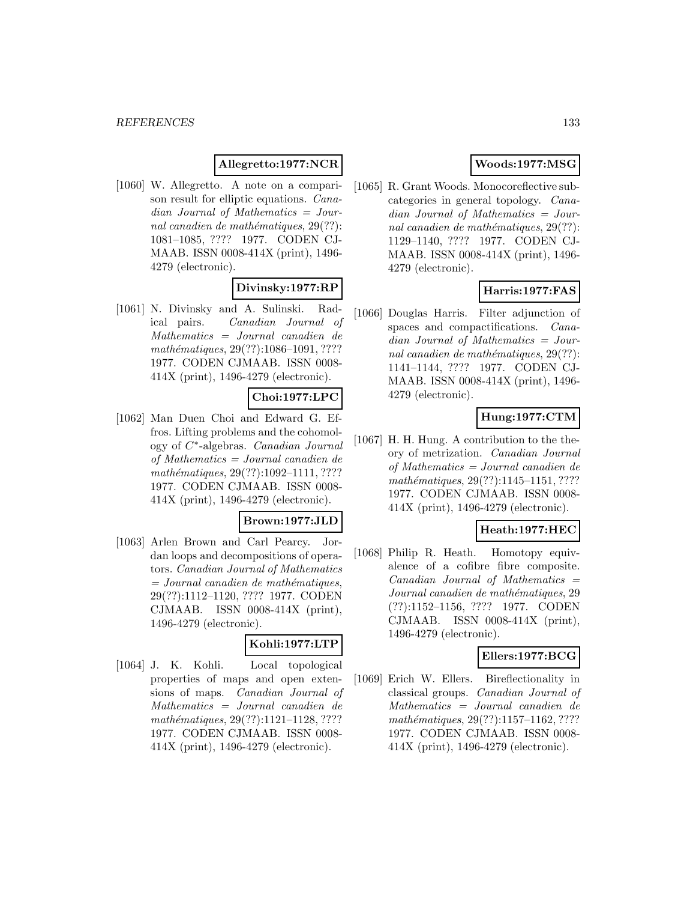## **Allegretto:1977:NCR**

[1060] W. Allegretto. A note on a comparison result for elliptic equations. Canadian Journal of Mathematics = Journal canadien de mathématiques,  $29(??)$ : 1081–1085, ???? 1977. CODEN CJ-MAAB. ISSN 0008-414X (print), 1496- 4279 (electronic).

## **Divinsky:1977:RP**

[1061] N. Divinsky and A. Sulinski. Radical pairs. Canadian Journal of Mathematics = Journal canadien de mathématiques, 29(??):1086-1091, ???? 1977. CODEN CJMAAB. ISSN 0008- 414X (print), 1496-4279 (electronic).

## **Choi:1977:LPC**

[1062] Man Duen Choi and Edward G. Effros. Lifting problems and the cohomology of C∗-algebras. Canadian Journal of Mathematics = Journal canadien de mathématiques, 29(??):1092-1111, ???? 1977. CODEN CJMAAB. ISSN 0008- 414X (print), 1496-4279 (electronic).

## **Brown:1977:JLD**

[1063] Arlen Brown and Carl Pearcy. Jordan loops and decompositions of operators. Canadian Journal of Mathematics  $=$  Journal canadien de mathématiques, 29(??):1112–1120, ???? 1977. CODEN CJMAAB. ISSN 0008-414X (print), 1496-4279 (electronic).

## **Kohli:1977:LTP**

[1064] J. K. Kohli. Local topological properties of maps and open extensions of maps. Canadian Journal of Mathematics = Journal canadien de mathématiques, 29(??):1121-1128, ???? 1977. CODEN CJMAAB. ISSN 0008- 414X (print), 1496-4279 (electronic).

# **Woods:1977:MSG**

[1065] R. Grant Woods. Monocoreflective subcategories in general topology. Canadian Journal of Mathematics = Journal canadien de mathématiques,  $29(??)$ : 1129–1140, ???? 1977. CODEN CJ-MAAB. ISSN 0008-414X (print), 1496- 4279 (electronic).

## **Harris:1977:FAS**

[1066] Douglas Harris. Filter adjunction of spaces and compactifications. Canadian Journal of Mathematics = Journal canadien de mathématiques,  $29(??)$ : 1141–1144, ???? 1977. CODEN CJ-MAAB. ISSN 0008-414X (print), 1496- 4279 (electronic).

## **Hung:1977:CTM**

[1067] H. H. Hung. A contribution to the theory of metrization. Canadian Journal of Mathematics = Journal canadien de mathématiques, 29(??):1145–1151, ???? 1977. CODEN CJMAAB. ISSN 0008- 414X (print), 1496-4279 (electronic).

#### **Heath:1977:HEC**

[1068] Philip R. Heath. Homotopy equivalence of a cofibre fibre composite.  $Canadian$  Journal of Mathematics  $=$ Journal canadien de mathématiques, 29 (??):1152–1156, ???? 1977. CODEN CJMAAB. ISSN 0008-414X (print), 1496-4279 (electronic).

## **Ellers:1977:BCG**

[1069] Erich W. Ellers. Bireflectionality in classical groups. Canadian Journal of Mathematics = Journal canadien de  $mathématiques, 29(??): 1157–1162, ????$ 1977. CODEN CJMAAB. ISSN 0008- 414X (print), 1496-4279 (electronic).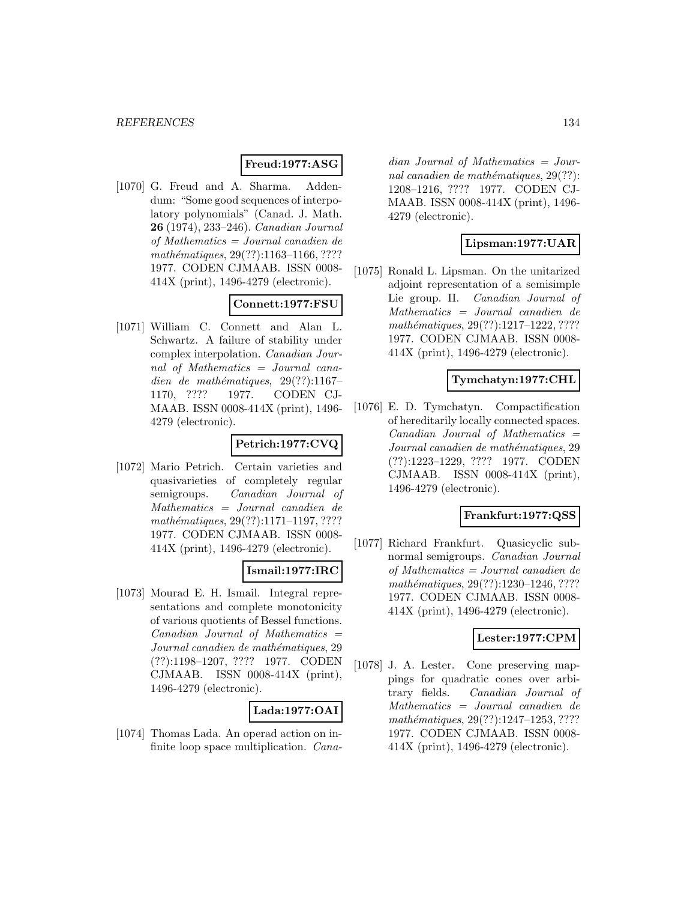## **Freud:1977:ASG**

[1070] G. Freud and A. Sharma. Addendum: "Some good sequences of interpolatory polynomials" (Canad. J. Math. **26** (1974), 233–246). Canadian Journal of Mathematics = Journal canadien de mathématiques, 29(??):1163-1166, ???? 1977. CODEN CJMAAB. ISSN 0008- 414X (print), 1496-4279 (electronic).

# **Connett:1977:FSU**

[1071] William C. Connett and Alan L. Schwartz. A failure of stability under complex interpolation. Canadian Journal of Mathematics = Journal canadien de mathématiques,  $29(??):1167-$ 1170, ???? 1977. CODEN CJ-MAAB. ISSN 0008-414X (print), 1496- 4279 (electronic).

# **Petrich:1977:CVQ**

[1072] Mario Petrich. Certain varieties and quasivarieties of completely regular semigroups. Canadian Journal of Mathematics = Journal canadien de mathématiques, 29(??):1171-1197, ???? 1977. CODEN CJMAAB. ISSN 0008- 414X (print), 1496-4279 (electronic).

#### **Ismail:1977:IRC**

[1073] Mourad E. H. Ismail. Integral representations and complete monotonicity of various quotients of Bessel functions.  $Canadian$  Journal of Mathematics  $=$ Journal canadien de mathématiques, 29 (??):1198–1207, ???? 1977. CODEN CJMAAB. ISSN 0008-414X (print), 1496-4279 (electronic).

## **Lada:1977:OAI**

[1074] Thomas Lada. An operad action on infinite loop space multiplication. Cana-

dian Journal of Mathematics = Journal canadien de mathématiques,  $29(??)$ : 1208–1216, ???? 1977. CODEN CJ-MAAB. ISSN 0008-414X (print), 1496- 4279 (electronic).

#### **Lipsman:1977:UAR**

[1075] Ronald L. Lipsman. On the unitarized adjoint representation of a semisimple Lie group. II. Canadian Journal of Mathematics = Journal canadien de mathématiques, 29(??):1217-1222, ???? 1977. CODEN CJMAAB. ISSN 0008- 414X (print), 1496-4279 (electronic).

## **Tymchatyn:1977:CHL**

[1076] E. D. Tymchatyn. Compactification of hereditarily locally connected spaces.  $Canadian$  Journal of Mathematics  $=$ Journal canadien de mathématiques, 29 (??):1223–1229, ???? 1977. CODEN CJMAAB. ISSN 0008-414X (print), 1496-4279 (electronic).

#### **Frankfurt:1977:QSS**

[1077] Richard Frankfurt. Quasicyclic subnormal semigroups. Canadian Journal of Mathematics = Journal canadien de mathématiques, 29(??):1230-1246, ???? 1977. CODEN CJMAAB. ISSN 0008- 414X (print), 1496-4279 (electronic).

## **Lester:1977:CPM**

[1078] J. A. Lester. Cone preserving mappings for quadratic cones over arbitrary fields. Canadian Journal of Mathematics = Journal canadien de mathématiques, 29(??):1247-1253, ???? 1977. CODEN CJMAAB. ISSN 0008- 414X (print), 1496-4279 (electronic).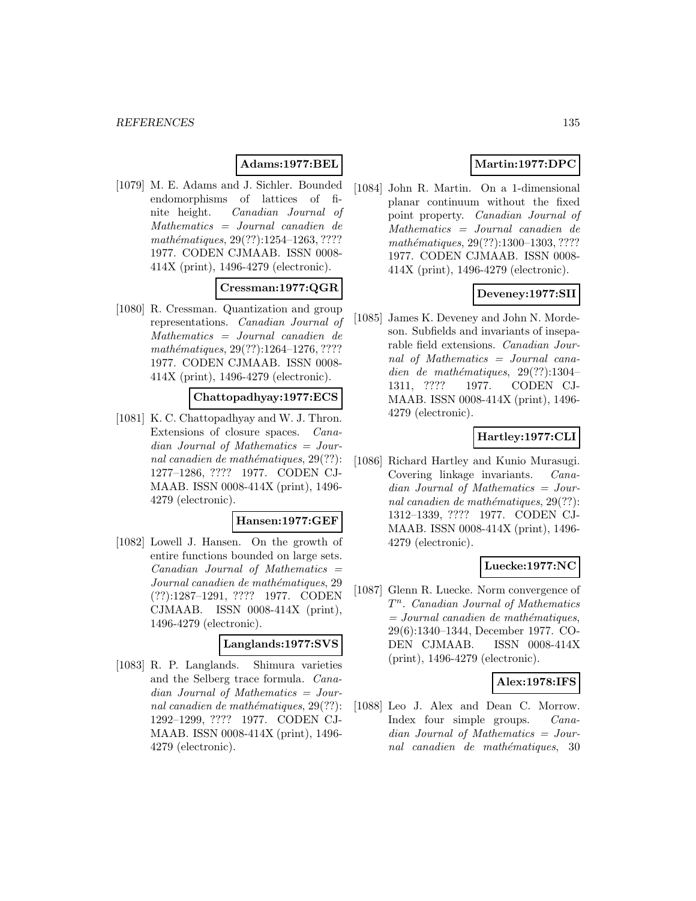## **Adams:1977:BEL**

[1079] M. E. Adams and J. Sichler. Bounded endomorphisms of lattices of finite height. Canadian Journal of Mathematics = Journal canadien de mathématiques,  $29(??):1254-1263, ????$ 1977. CODEN CJMAAB. ISSN 0008- 414X (print), 1496-4279 (electronic).

# **Cressman:1977:QGR**

[1080] R. Cressman. Quantization and group representations. Canadian Journal of Mathematics = Journal canadien de mathématiques, 29(??):1264-1276, ???? 1977. CODEN CJMAAB. ISSN 0008- 414X (print), 1496-4279 (electronic).

## **Chattopadhyay:1977:ECS**

[1081] K. C. Chattopadhyay and W. J. Thron. Extensions of closure spaces. Canadian Journal of Mathematics = Journal canadien de mathématiques,  $29(??)$ : 1277–1286, ???? 1977. CODEN CJ-MAAB. ISSN 0008-414X (print), 1496- 4279 (electronic).

#### **Hansen:1977:GEF**

[1082] Lowell J. Hansen. On the growth of entire functions bounded on large sets.  $Canadian$  Journal of Mathematics  $=$ Journal canadien de mathématiques, 29 (??):1287–1291, ???? 1977. CODEN CJMAAB. ISSN 0008-414X (print), 1496-4279 (electronic).

#### **Langlands:1977:SVS**

[1083] R. P. Langlands. Shimura varieties and the Selberg trace formula. Canadian Journal of Mathematics = Journal canadien de mathématiques,  $29(??)$ : 1292–1299, ???? 1977. CODEN CJ-MAAB. ISSN 0008-414X (print), 1496- 4279 (electronic).

# **Martin:1977:DPC**

[1084] John R. Martin. On a 1-dimensional planar continuum without the fixed point property. Canadian Journal of Mathematics = Journal canadien de mathématiques, 29(??):1300–1303, ???? 1977. CODEN CJMAAB. ISSN 0008- 414X (print), 1496-4279 (electronic).

## **Deveney:1977:SII**

[1085] James K. Deveney and John N. Mordeson. Subfields and invariants of inseparable field extensions. Canadian Journal of Mathematics = Journal canadien de mathématiques,  $29(??):1304-$ 1311, ???? 1977. CODEN CJ-MAAB. ISSN 0008-414X (print), 1496- 4279 (electronic).

# **Hartley:1977:CLI**

[1086] Richard Hartley and Kunio Murasugi. Covering linkage invariants. Canadian Journal of Mathematics = Journal canadien de mathématiques,  $29(??)$ : 1312–1339, ???? 1977. CODEN CJ-MAAB. ISSN 0008-414X (print), 1496- 4279 (electronic).

## **Luecke:1977:NC**

[1087] Glenn R. Luecke. Norm convergence of  $T<sup>n</sup>$ . Canadian Journal of Mathematics  $=$  Journal canadien de mathématiques, 29(6):1340–1344, December 1977. CO-DEN CJMAAB. ISSN 0008-414X (print), 1496-4279 (electronic).

#### **Alex:1978:IFS**

[1088] Leo J. Alex and Dean C. Morrow. Index four simple groups. Canadian Journal of Mathematics = Journal canadien de mathématiques, 30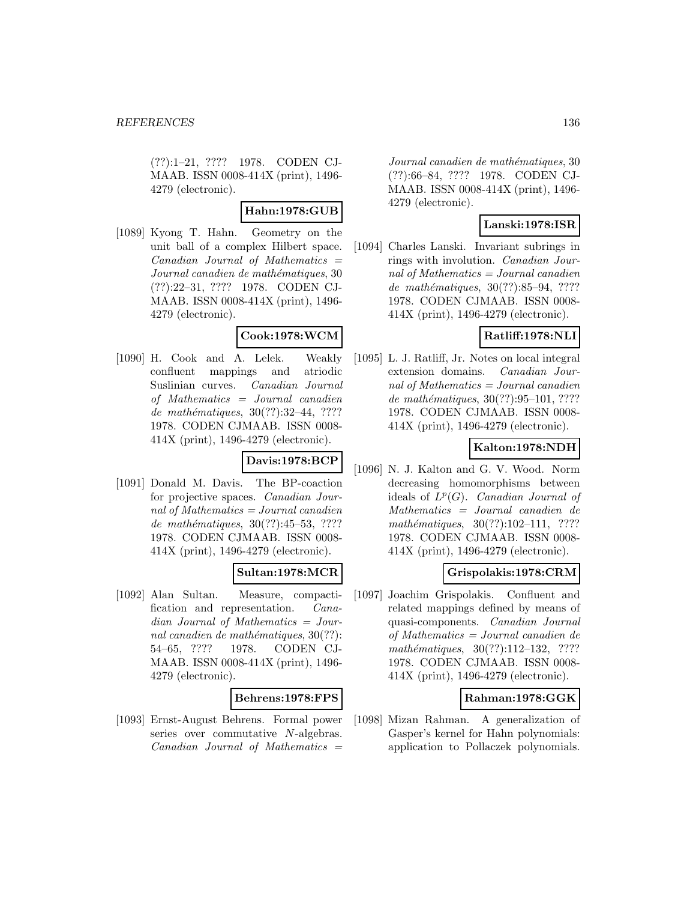(??):1–21, ???? 1978. CODEN CJ-MAAB. ISSN 0008-414X (print), 1496- 4279 (electronic).

# **Hahn:1978:GUB**

[1089] Kyong T. Hahn. Geometry on the unit ball of a complex Hilbert space.  $Canadian$  Journal of Mathematics  $=$ Journal canadien de mathématiques, 30 (??):22–31, ???? 1978. CODEN CJ-MAAB. ISSN 0008-414X (print), 1496- 4279 (electronic).

## **Cook:1978:WCM**

[1090] H. Cook and A. Lelek. Weakly confluent mappings and atriodic Suslinian curves. Canadian Journal of Mathematics = Journal canadien de mathématiques, 30(??):32-44, ???? 1978. CODEN CJMAAB. ISSN 0008- 414X (print), 1496-4279 (electronic).

## **Davis:1978:BCP**

[1091] Donald M. Davis. The BP-coaction for projective spaces. Canadian Journal of Mathematics  $=$  Journal canadien de mathématiques, 30(??):45–53, ???? 1978. CODEN CJMAAB. ISSN 0008- 414X (print), 1496-4279 (electronic).

# **Sultan:1978:MCR**

[1092] Alan Sultan. Measure, compactification and representation. Canadian Journal of Mathematics = Journal canadien de mathématiques,  $30(??)$ : 54–65, ???? 1978. CODEN CJ-MAAB. ISSN 0008-414X (print), 1496- 4279 (electronic).

## **Behrens:1978:FPS**

[1093] Ernst-August Behrens. Formal power series over commutative N-algebras.  $Canadian$  Journal of Mathematics  $=$ 

Journal canadien de mathématiques, 30 (??):66–84, ???? 1978. CODEN CJ-MAAB. ISSN 0008-414X (print), 1496- 4279 (electronic).

# **Lanski:1978:ISR**

[1094] Charles Lanski. Invariant subrings in rings with involution. Canadian Journal of Mathematics  $=$  Journal canadien de mathématiques, 30(??):85–94, ???? 1978. CODEN CJMAAB. ISSN 0008- 414X (print), 1496-4279 (electronic).

## **Ratliff:1978:NLI**

[1095] L. J. Ratliff, Jr. Notes on local integral extension domains. Canadian Journal of Mathematics = Journal canadien de mathématiques,  $30(??):95-101, ????$ 1978. CODEN CJMAAB. ISSN 0008- 414X (print), 1496-4279 (electronic).

# **Kalton:1978:NDH**

[1096] N. J. Kalton and G. V. Wood. Norm decreasing homomorphisms between ideals of  $L^p(G)$ . Canadian Journal of Mathematics = Journal canadien de mathématiques,  $30(??):102-111$ , ???? 1978. CODEN CJMAAB. ISSN 0008- 414X (print), 1496-4279 (electronic).

## **Grispolakis:1978:CRM**

[1097] Joachim Grispolakis. Confluent and related mappings defined by means of quasi-components. Canadian Journal of Mathematics = Journal canadien de mathématiques,  $30(??):112-132$ , ???? 1978. CODEN CJMAAB. ISSN 0008- 414X (print), 1496-4279 (electronic).

## **Rahman:1978:GGK**

[1098] Mizan Rahman. A generalization of Gasper's kernel for Hahn polynomials: application to Pollaczek polynomials.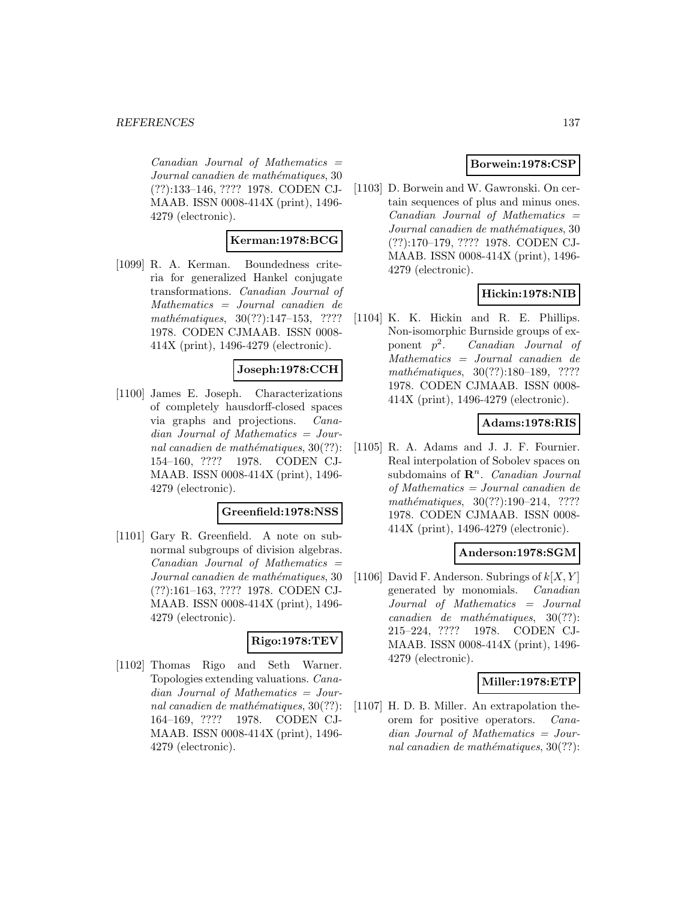$Canadian$  Journal of Mathematics  $=$ Journal canadien de mathématiques, 30 (??):133–146, ???? 1978. CODEN CJ-MAAB. ISSN 0008-414X (print), 1496- 4279 (electronic).

## **Kerman:1978:BCG**

[1099] R. A. Kerman. Boundedness criteria for generalized Hankel conjugate transformations. Canadian Journal of Mathematics = Journal canadien de  $mathématiques, 30(??):147-153, ????$ 1978. CODEN CJMAAB. ISSN 0008- 414X (print), 1496-4279 (electronic).

## **Joseph:1978:CCH**

[1100] James E. Joseph. Characterizations of completely hausdorff-closed spaces via graphs and projections. Canadian Journal of Mathematics = Journal canadien de mathématiques,  $30(??)$ : 154–160, ???? 1978. CODEN CJ-MAAB. ISSN 0008-414X (print), 1496- 4279 (electronic).

#### **Greenfield:1978:NSS**

[1101] Gary R. Greenfield. A note on subnormal subgroups of division algebras. Canadian Journal of Mathematics = Journal canadien de mathématiques, 30 (??):161–163, ???? 1978. CODEN CJ-MAAB. ISSN 0008-414X (print), 1496- 4279 (electronic).

#### **Rigo:1978:TEV**

[1102] Thomas Rigo and Seth Warner. Topologies extending valuations. Canadian Journal of Mathematics = Journal canadien de mathématiques,  $30(??)$ : 164–169, ???? 1978. CODEN CJ-MAAB. ISSN 0008-414X (print), 1496- 4279 (electronic).

## **Borwein:1978:CSP**

[1103] D. Borwein and W. Gawronski. On certain sequences of plus and minus ones.  $Canadian$  Journal of Mathematics  $=$ Journal canadien de mathématiques, 30 (??):170–179, ???? 1978. CODEN CJ-MAAB. ISSN 0008-414X (print), 1496- 4279 (electronic).

## **Hickin:1978:NIB**

[1104] K. K. Hickin and R. E. Phillips. Non-isomorphic Burnside groups of exponent  $p^2$ . *Canadian Journal of* Mathematics = Journal canadien de mathématiques,  $30(??):180-189$ , ???? 1978. CODEN CJMAAB. ISSN 0008- 414X (print), 1496-4279 (electronic).

## **Adams:1978:RIS**

[1105] R. A. Adams and J. J. F. Fournier. Real interpolation of Sobolev spaces on subdomains of  $\mathbb{R}^n$ . *Canadian Journal* of Mathematics = Journal canadien de mathématiques,  $30(??):190-214$ , ???? 1978. CODEN CJMAAB. ISSN 0008- 414X (print), 1496-4279 (electronic).

#### **Anderson:1978:SGM**

[1106] David F. Anderson. Subrings of  $k[X, Y]$ generated by monomials. Canadian Journal of Mathematics = Journal  $cana dien de mathématiques, 30(??):$ 215–224, ???? 1978. CODEN CJ-MAAB. ISSN 0008-414X (print), 1496- 4279 (electronic).

#### **Miller:1978:ETP**

[1107] H. D. B. Miller. An extrapolation theorem for positive operators. Canadian Journal of Mathematics = Journal canadien de mathématiques,  $30(??)$ :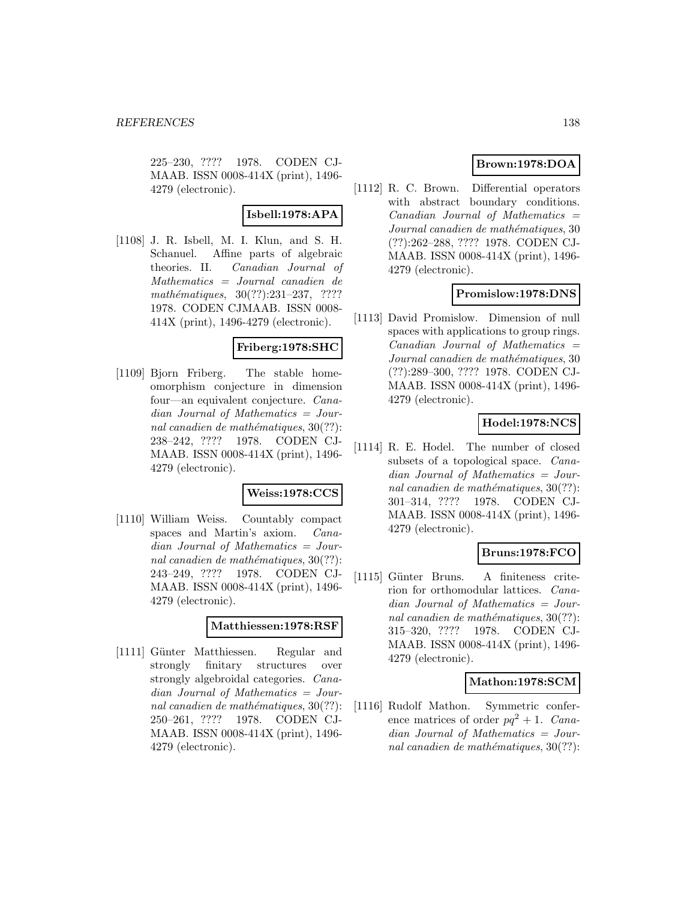225–230, ???? 1978. CODEN CJ-MAAB. ISSN 0008-414X (print), 1496- 4279 (electronic).

## **Isbell:1978:APA**

[1108] J. R. Isbell, M. I. Klun, and S. H. Schanuel. Affine parts of algebraic theories. II. Canadian Journal of Mathematics = Journal canadien de  $mathématiques, 30(??):231-237, ????$ 1978. CODEN CJMAAB. ISSN 0008- 414X (print), 1496-4279 (electronic).

## **Friberg:1978:SHC**

[1109] Bjorn Friberg. The stable homeomorphism conjecture in dimension four—an equivalent conjecture. Canadian Journal of Mathematics = Journal canadien de mathématiques,  $30(??)$ : 238–242, ???? 1978. CODEN CJ-MAAB. ISSN 0008-414X (print), 1496- 4279 (electronic).

#### **Weiss:1978:CCS**

[1110] William Weiss. Countably compact spaces and Martin's axiom. Canadian Journal of Mathematics = Journal canadien de mathématiques,  $30(??)$ : 243–249, ???? 1978. CODEN CJ-MAAB. ISSN 0008-414X (print), 1496- 4279 (electronic).

#### **Matthiessen:1978:RSF**

[1111] Günter Matthiessen. Regular and strongly finitary structures over strongly algebroidal categories. Canadian Journal of Mathematics = Journal canadien de mathématiques,  $30(??)$ : 250–261, ???? 1978. CODEN CJ-MAAB. ISSN 0008-414X (print), 1496- 4279 (electronic).

# **Brown:1978:DOA**

[1112] R. C. Brown. Differential operators with abstract boundary conditions.  $Canadian$  Journal of Mathematics  $=$ Journal canadien de mathématiques, 30 (??):262–288, ???? 1978. CODEN CJ-MAAB. ISSN 0008-414X (print), 1496- 4279 (electronic).

## **Promislow:1978:DNS**

[1113] David Promislow. Dimension of null spaces with applications to group rings.  $Canadian$  Journal of Mathematics  $=$ Journal canadien de mathématiques, 30 (??):289–300, ???? 1978. CODEN CJ-MAAB. ISSN 0008-414X (print), 1496- 4279 (electronic).

## **Hodel:1978:NCS**

[1114] R. E. Hodel. The number of closed subsets of a topological space. Canadian Journal of Mathematics = Journal canadien de mathématiques,  $30(??)$ : 301–314, ???? 1978. CODEN CJ-MAAB. ISSN 0008-414X (print), 1496- 4279 (electronic).

## **Bruns:1978:FCO**

[1115] Günter Bruns. A finiteness criterion for orthomodular lattices. Canadian Journal of Mathematics = Journal canadien de mathématiques,  $30(??)$ : 315–320, ???? 1978. CODEN CJ-MAAB. ISSN 0008-414X (print), 1496- 4279 (electronic).

#### **Mathon:1978:SCM**

[1116] Rudolf Mathon. Symmetric conference matrices of order  $pq^2 + 1$ . Canadian Journal of Mathematics = Journal canadien de mathématiques,  $30(??)$ :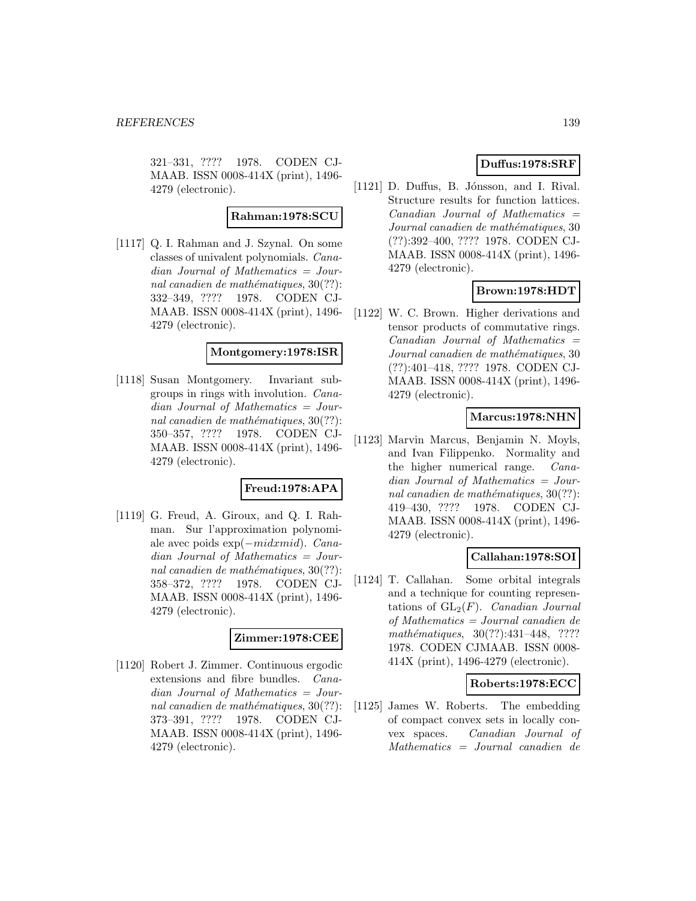321–331, ???? 1978. CODEN CJ-MAAB. ISSN 0008-414X (print), 1496- 4279 (electronic).

#### **Rahman:1978:SCU**

[1117] Q. I. Rahman and J. Szynal. On some classes of univalent polynomials. Canadian Journal of Mathematics = Journal canadien de mathématiques,  $30(??)$ : 332–349, ???? 1978. CODEN CJ-MAAB. ISSN 0008-414X (print), 1496- 4279 (electronic).

#### **Montgomery:1978:ISR**

[1118] Susan Montgomery. Invariant subgroups in rings with involution. Canadian Journal of Mathematics = Journal canadien de mathématiques,  $30(??)$ : 350–357, ???? 1978. CODEN CJ-MAAB. ISSN 0008-414X (print), 1496- 4279 (electronic).

## **Freud:1978:APA**

[1119] G. Freud, A. Giroux, and Q. I. Rahman. Sur l'approximation polynomiale avec poids exp(−midxmid). Canadian Journal of Mathematics = Journal canadien de mathématiques,  $30(??)$ : 358–372, ???? 1978. CODEN CJ-MAAB. ISSN 0008-414X (print), 1496- 4279 (electronic).

## **Zimmer:1978:CEE**

[1120] Robert J. Zimmer. Continuous ergodic extensions and fibre bundles. Canadian Journal of Mathematics = Journal canadien de mathématiques,  $30(??)$ : 373–391, ???? 1978. CODEN CJ-MAAB. ISSN 0008-414X (print), 1496- 4279 (electronic).

## **Duffus:1978:SRF**

[1121] D. Duffus, B. Jónsson, and I. Rival. Structure results for function lattices.  $Canadian$  Journal of Mathematics  $=$ Journal canadien de mathématiques, 30 (??):392–400, ???? 1978. CODEN CJ-MAAB. ISSN 0008-414X (print), 1496- 4279 (electronic).

# **Brown:1978:HDT**

[1122] W. C. Brown. Higher derivations and tensor products of commutative rings.  $Canadian$  Journal of Mathematics  $=$ Journal canadien de mathématiques, 30 (??):401–418, ???? 1978. CODEN CJ-MAAB. ISSN 0008-414X (print), 1496- 4279 (electronic).

## **Marcus:1978:NHN**

[1123] Marvin Marcus, Benjamin N. Moyls, and Ivan Filippenko. Normality and the higher numerical range. Canadian Journal of Mathematics = Journal canadien de mathématiques,  $30(??)$ : 419–430, ???? 1978. CODEN CJ-MAAB. ISSN 0008-414X (print), 1496- 4279 (electronic).

## **Callahan:1978:SOI**

[1124] T. Callahan. Some orbital integrals and a technique for counting representations of  $GL_2(F)$ . Canadian Journal of Mathematics = Journal canadien de mathématiques,  $30(??):431-448$ , ???? 1978. CODEN CJMAAB. ISSN 0008- 414X (print), 1496-4279 (electronic).

#### **Roberts:1978:ECC**

[1125] James W. Roberts. The embedding of compact convex sets in locally convex spaces. Canadian Journal of Mathematics = Journal canadien de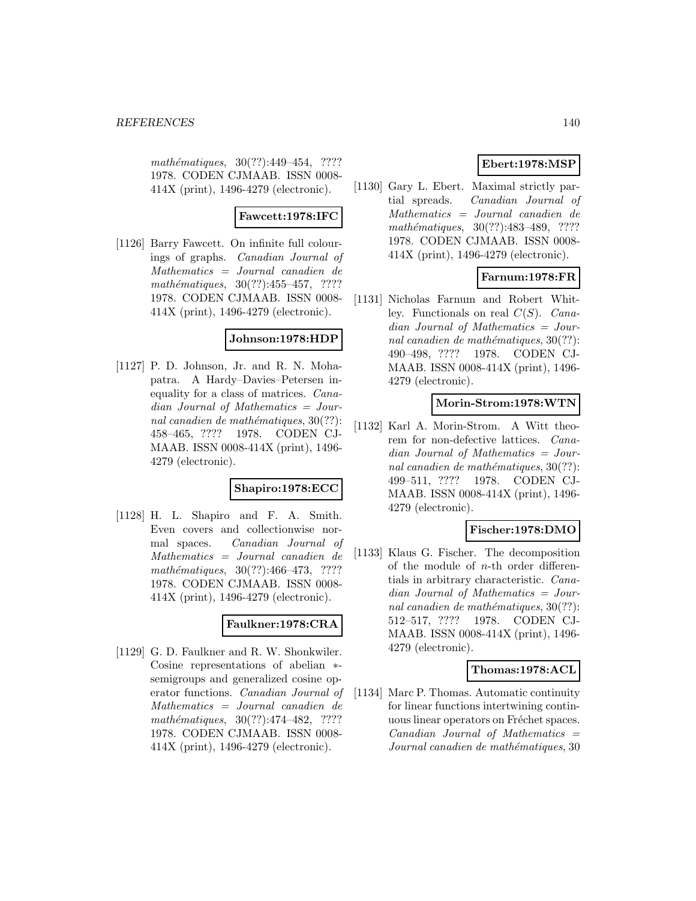$mathématiques, 30(??): 449-454, ????$ 1978. CODEN CJMAAB. ISSN 0008- 414X (print), 1496-4279 (electronic).

## **Fawcett:1978:IFC**

[1126] Barry Fawcett. On infinite full colourings of graphs. Canadian Journal of Mathematics = Journal canadien de mathématiques,  $30(??):455-457$ , ???? 1978. CODEN CJMAAB. ISSN 0008- 414X (print), 1496-4279 (electronic).

## **Johnson:1978:HDP**

[1127] P. D. Johnson, Jr. and R. N. Mohapatra. A Hardy–Davies–Petersen inequality for a class of matrices. Canadian Journal of Mathematics = Journal canadien de mathématiques,  $30(??)$ : 458–465, ???? 1978. CODEN CJ-MAAB. ISSN 0008-414X (print), 1496- 4279 (electronic).

#### **Shapiro:1978:ECC**

[1128] H. L. Shapiro and F. A. Smith. Even covers and collectionwise normal spaces. Canadian Journal of Mathematics = Journal canadien de mathématiques,  $30(??):466-473$ , ???? 1978. CODEN CJMAAB. ISSN 0008- 414X (print), 1496-4279 (electronic).

## **Faulkner:1978:CRA**

[1129] G. D. Faulkner and R. W. Shonkwiler. Cosine representations of abelian ∗ semigroups and generalized cosine operator functions. Canadian Journal of Mathematics = Journal canadien de  $mathématiques, 30(??):474-482, ????$ 1978. CODEN CJMAAB. ISSN 0008- 414X (print), 1496-4279 (electronic).

# **Ebert:1978:MSP**

[1130] Gary L. Ebert. Maximal strictly partial spreads. Canadian Journal of Mathematics = Journal canadien de mathématiques, 30(??):483-489, ???? 1978. CODEN CJMAAB. ISSN 0008- 414X (print), 1496-4279 (electronic).

## **Farnum:1978:FR**

[1131] Nicholas Farnum and Robert Whitley. Functionals on real  $C(S)$ . Canadian Journal of Mathematics = Journal canadien de mathématiques,  $30(??)$ : 490–498, ???? 1978. CODEN CJ-MAAB. ISSN 0008-414X (print), 1496- 4279 (electronic).

#### **Morin-Strom:1978:WTN**

[1132] Karl A. Morin-Strom. A Witt theorem for non-defective lattices. Canadian Journal of Mathematics = Journal canadien de mathématiques,  $30(??)$ : 499–511, ???? 1978. CODEN CJ-MAAB. ISSN 0008-414X (print), 1496- 4279 (electronic).

#### **Fischer:1978:DMO**

[1133] Klaus G. Fischer. The decomposition of the module of n-th order differentials in arbitrary characteristic. Canadian Journal of Mathematics = Journal canadien de mathématiques,  $30(??)$ : 512–517, ???? 1978. CODEN CJ-MAAB. ISSN 0008-414X (print), 1496- 4279 (electronic).

#### **Thomas:1978:ACL**

[1134] Marc P. Thomas. Automatic continuity for linear functions intertwining continuous linear operators on Fréchet spaces.  $Canadian$  Journal of Mathematics  $=$ Journal canadien de mathématiques, 30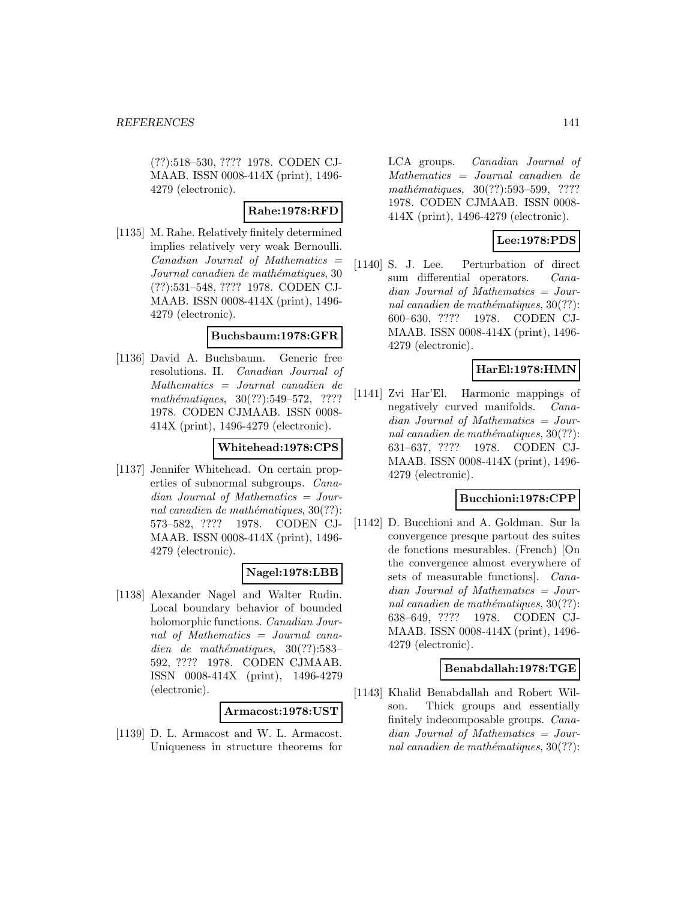(??):518–530, ???? 1978. CODEN CJ-MAAB. ISSN 0008-414X (print), 1496- 4279 (electronic).

## **Rahe:1978:RFD**

[1135] M. Rahe. Relatively finitely determined implies relatively very weak Bernoulli.  $Canadian$  Journal of Mathematics  $=$ Journal canadien de mathématiques, 30 (??):531–548, ???? 1978. CODEN CJ-MAAB. ISSN 0008-414X (print), 1496- 4279 (electronic).

#### **Buchsbaum:1978:GFR**

[1136] David A. Buchsbaum. Generic free resolutions. II. Canadian Journal of Mathematics = Journal canadien de  $mathématiques, 30(??):549-572, ????$ 1978. CODEN CJMAAB. ISSN 0008- 414X (print), 1496-4279 (electronic).

# **Whitehead:1978:CPS**

[1137] Jennifer Whitehead. On certain properties of subnormal subgroups. Canadian Journal of Mathematics = Journal canadien de mathématiques,  $30(??)$ : 573–582, ???? 1978. CODEN CJ-MAAB. ISSN 0008-414X (print), 1496- 4279 (electronic).

## **Nagel:1978:LBB**

[1138] Alexander Nagel and Walter Rudin. Local boundary behavior of bounded holomorphic functions. Canadian Journal of Mathematics = Journal canadien de mathématiques,  $30(??):583-$ 592, ???? 1978. CODEN CJMAAB. ISSN 0008-414X (print), 1496-4279 (electronic).

#### **Armacost:1978:UST**

[1139] D. L. Armacost and W. L. Armacost. Uniqueness in structure theorems for LCA groups. Canadian Journal of Mathematics = Journal canadien de mathématiques, 30(??):593–599, ???? 1978. CODEN CJMAAB. ISSN 0008- 414X (print), 1496-4279 (electronic).

# **Lee:1978:PDS**

[1140] S. J. Lee. Perturbation of direct sum differential operators. Canadian Journal of Mathematics = Journal canadien de mathématiques,  $30(??)$ : 600–630, ???? 1978. CODEN CJ-MAAB. ISSN 0008-414X (print), 1496- 4279 (electronic).

# **HarEl:1978:HMN**

[1141] Zvi Har'El. Harmonic mappings of negatively curved manifolds. Canadian Journal of Mathematics = Journal canadien de mathématiques,  $30(??)$ : 631–637, ???? 1978. CODEN CJ-MAAB. ISSN 0008-414X (print), 1496- 4279 (electronic).

## **Bucchioni:1978:CPP**

[1142] D. Bucchioni and A. Goldman. Sur la convergence presque partout des suites de fonctions mesurables. (French) [On the convergence almost everywhere of sets of measurable functions]. Canadian Journal of Mathematics = Journal canadien de mathématiques,  $30(??)$ : 638–649, ???? 1978. CODEN CJ-MAAB. ISSN 0008-414X (print), 1496- 4279 (electronic).

## **Benabdallah:1978:TGE**

[1143] Khalid Benabdallah and Robert Wilson. Thick groups and essentially finitely indecomposable groups. Canadian Journal of Mathematics = Journal canadien de mathématiques,  $30(??)$ :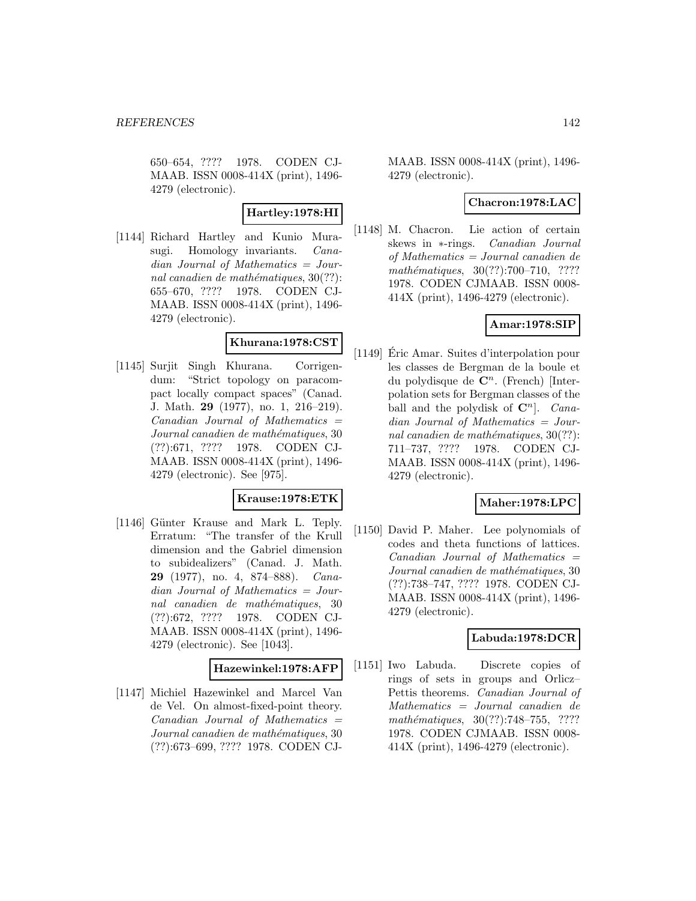650–654, ???? 1978. CODEN CJ-MAAB. ISSN 0008-414X (print), 1496- 4279 (electronic).

## **Hartley:1978:HI**

[1144] Richard Hartley and Kunio Murasugi. Homology invariants. *Cana*dian Journal of Mathematics = Journal canadien de mathématiques,  $30(??)$ : 655–670, ???? 1978. CODEN CJ-MAAB. ISSN 0008-414X (print), 1496- 4279 (electronic).

## **Khurana:1978:CST**

[1145] Surjit Singh Khurana. Corrigendum: "Strict topology on paracompact locally compact spaces" (Canad. J. Math. **29** (1977), no. 1, 216–219).  $Canadian$  Journal of Mathematics  $=$ Journal canadien de mathématiques, 30 (??):671, ???? 1978. CODEN CJ-MAAB. ISSN 0008-414X (print), 1496- 4279 (electronic). See [975].

## **Krause:1978:ETK**

[1146] Günter Krause and Mark L. Teply. Erratum: "The transfer of the Krull dimension and the Gabriel dimension to subidealizers" (Canad. J. Math. **29** (1977), no. 4, 874–888). Canadian Journal of Mathematics = Journal canadien de mathématiques, 30 (??):672, ???? 1978. CODEN CJ-MAAB. ISSN 0008-414X (print), 1496- 4279 (electronic). See [1043].

#### **Hazewinkel:1978:AFP**

[1147] Michiel Hazewinkel and Marcel Van de Vel. On almost-fixed-point theory.  $Canadian$  Journal of Mathematics  $=$ Journal canadien de mathématiques, 30 (??):673–699, ???? 1978. CODEN CJ-

MAAB. ISSN 0008-414X (print), 1496- 4279 (electronic).

#### **Chacron:1978:LAC**

[1148] M. Chacron. Lie action of certain skews in ∗-rings. Canadian Journal of Mathematics = Journal canadien de  $mathématiques, 30(??):700–710, ????$ 1978. CODEN CJMAAB. ISSN 0008- 414X (print), 1496-4279 (electronic).

# **Amar:1978:SIP**

[1149] Eric Amar. Suites d'interpolation pour ´ les classes de Bergman de la boule et du polydisque de  $\mathbb{C}^n$ . (French) [Interpolation sets for Bergman classes of the ball and the polydisk of  $\mathbb{C}^n$ . *Cana*dian Journal of Mathematics = Journal canadien de mathématiques,  $30(??)$ : 711–737, ???? 1978. CODEN CJ-MAAB. ISSN 0008-414X (print), 1496- 4279 (electronic).

#### **Maher:1978:LPC**

[1150] David P. Maher. Lee polynomials of codes and theta functions of lattices.  $Canadian$  Journal of Mathematics  $=$ Journal canadien de mathématiques, 30 (??):738–747, ???? 1978. CODEN CJ-MAAB. ISSN 0008-414X (print), 1496- 4279 (electronic).

## **Labuda:1978:DCR**

[1151] Iwo Labuda. Discrete copies of rings of sets in groups and Orlicz– Pettis theorems. Canadian Journal of Mathematics = Journal canadien de  $mathématiques, 30(??):748–755, ????$ 1978. CODEN CJMAAB. ISSN 0008- 414X (print), 1496-4279 (electronic).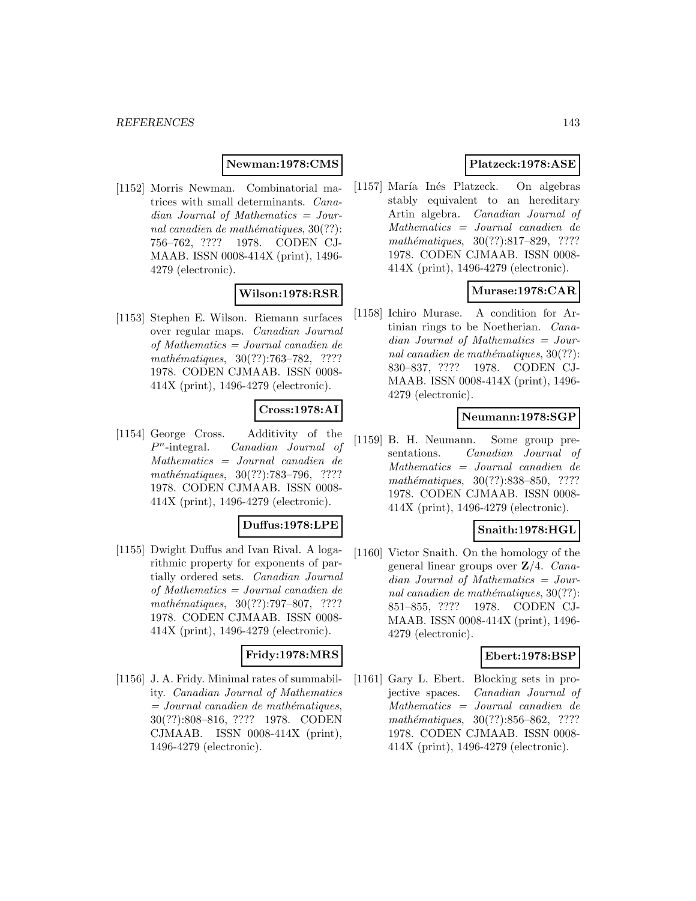## **Newman:1978:CMS**

[1152] Morris Newman. Combinatorial matrices with small determinants. Canadian Journal of Mathematics = Journal canadien de mathématiques,  $30(??)$ : 756–762, ???? 1978. CODEN CJ-MAAB. ISSN 0008-414X (print), 1496- 4279 (electronic).

# **Wilson:1978:RSR**

[1153] Stephen E. Wilson. Riemann surfaces over regular maps. Canadian Journal of Mathematics = Journal canadien de mathématiques, 30(??):763-782, ???? 1978. CODEN CJMAAB. ISSN 0008- 414X (print), 1496-4279 (electronic).

# **Cross:1978:AI**

[1154] George Cross. Additivity of the  $P<sup>n</sup>$ -integral. *Canadian Journal of* Mathematics = Journal canadien de mathématiques, 30(??):783-796, ???? 1978. CODEN CJMAAB. ISSN 0008- 414X (print), 1496-4279 (electronic).

#### **Duffus:1978:LPE**

[1155] Dwight Duffus and Ivan Rival. A logarithmic property for exponents of partially ordered sets. Canadian Journal of Mathematics = Journal canadien de mathématiques,  $30(??):797-807$ , ???? 1978. CODEN CJMAAB. ISSN 0008- 414X (print), 1496-4279 (electronic).

#### **Fridy:1978:MRS**

[1156] J. A. Fridy. Minimal rates of summability. Canadian Journal of Mathematics  $=$  Journal canadien de mathématiques, 30(??):808–816, ???? 1978. CODEN CJMAAB. ISSN 0008-414X (print), 1496-4279 (electronic).

# **Platzeck:1978:ASE**

[1157] María Inés Platzeck. On algebras stably equivalent to an hereditary Artin algebra. Canadian Journal of Mathematics = Journal canadien de  $mathématiques, 30(??):817–829, ????$ 1978. CODEN CJMAAB. ISSN 0008- 414X (print), 1496-4279 (electronic).

## **Murase:1978:CAR**

[1158] Ichiro Murase. A condition for Artinian rings to be Noetherian. Canadian Journal of Mathematics = Journal canadien de mathématiques,  $30(??)$ : 830–837, ???? 1978. CODEN CJ-MAAB. ISSN 0008-414X (print), 1496- 4279 (electronic).

## **Neumann:1978:SGP**

[1159] B. H. Neumann. Some group presentations. Canadian Journal of Mathematics = Journal canadien de mathématiques, 30(??):838–850, ???? 1978. CODEN CJMAAB. ISSN 0008- 414X (print), 1496-4279 (electronic).

#### **Snaith:1978:HGL**

[1160] Victor Snaith. On the homology of the general linear groups over **Z**/4. Canadian Journal of Mathematics = Journal canadien de mathématiques,  $30(??)$ : 851–855, ???? 1978. CODEN CJ-MAAB. ISSN 0008-414X (print), 1496- 4279 (electronic).

## **Ebert:1978:BSP**

[1161] Gary L. Ebert. Blocking sets in projective spaces. Canadian Journal of Mathematics = Journal canadien de mathématiques,  $30(??):856-862$ , ???? 1978. CODEN CJMAAB. ISSN 0008- 414X (print), 1496-4279 (electronic).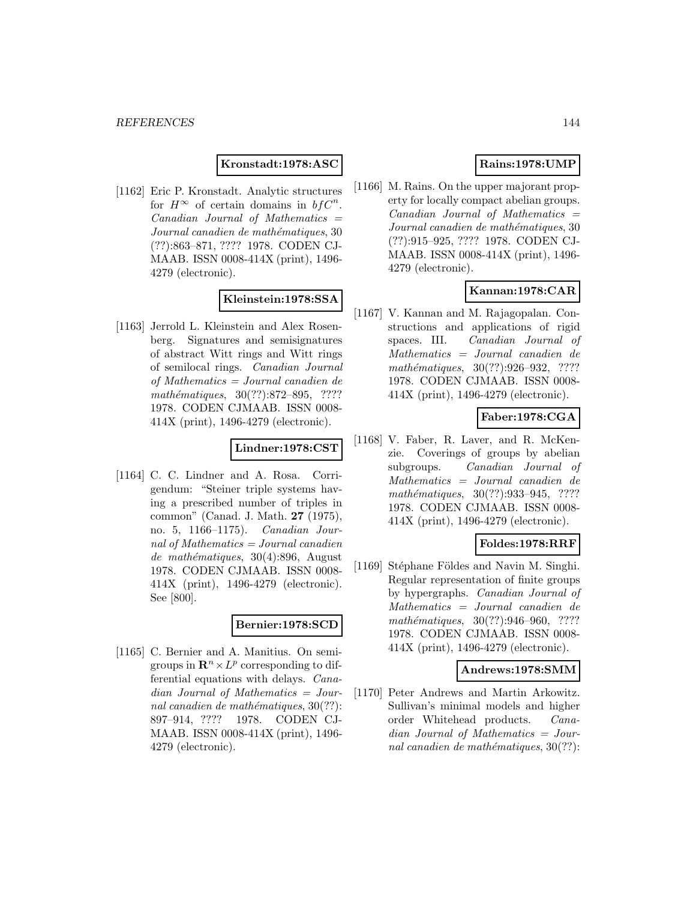#### **Kronstadt:1978:ASC**

[1162] Eric P. Kronstadt. Analytic structures for  $H^{\infty}$  of certain domains in  $bf C^n$ .  $Canadian$  Journal of Mathematics  $=$ Journal canadien de mathématiques, 30 (??):863–871, ???? 1978. CODEN CJ-MAAB. ISSN 0008-414X (print), 1496- 4279 (electronic).

# **Kleinstein:1978:SSA**

[1163] Jerrold L. Kleinstein and Alex Rosenberg. Signatures and semisignatures of abstract Witt rings and Witt rings of semilocal rings. Canadian Journal of Mathematics = Journal canadien de mathématiques, 30(??):872–895, ???? 1978. CODEN CJMAAB. ISSN 0008- 414X (print), 1496-4279 (electronic).

#### **Lindner:1978:CST**

[1164] C. C. Lindner and A. Rosa. Corrigendum: "Steiner triple systems having a prescribed number of triples in common" (Canad. J. Math. **27** (1975), no. 5, 1166–1175). Canadian Journal of Mathematics  $=$  Journal canadien  $demathématiques, 30(4):896, August$ 1978. CODEN CJMAAB. ISSN 0008- 414X (print), 1496-4279 (electronic). See [800].

# **Bernier:1978:SCD**

[1165] C. Bernier and A. Manitius. On semigroups in  $\mathbb{R}^n \times L^p$  corresponding to differential equations with delays. Canadian Journal of Mathematics = Journal canadien de mathématiques,  $30(??)$ : 897–914, ???? 1978. CODEN CJ-MAAB. ISSN 0008-414X (print), 1496- 4279 (electronic).

## **Rains:1978:UMP**

[1166] M. Rains. On the upper majorant property for locally compact abelian groups.  $Canadian$  Journal of Mathematics  $=$ Journal canadien de mathématiques, 30 (??):915–925, ???? 1978. CODEN CJ-MAAB. ISSN 0008-414X (print), 1496- 4279 (electronic).

## **Kannan:1978:CAR**

[1167] V. Kannan and M. Rajagopalan. Constructions and applications of rigid spaces. III. Canadian Journal of Mathematics = Journal canadien de mathématiques, 30(??):926-932, ???? 1978. CODEN CJMAAB. ISSN 0008- 414X (print), 1496-4279 (electronic).

## **Faber:1978:CGA**

[1168] V. Faber, R. Laver, and R. McKenzie. Coverings of groups by abelian subgroups. Canadian Journal of Mathematics = Journal canadien de mathématiques, 30(??):933-945, ???? 1978. CODEN CJMAAB. ISSN 0008- 414X (print), 1496-4279 (electronic).

#### **Foldes:1978:RRF**

[1169] Stéphane Földes and Navin M. Singhi. Regular representation of finite groups by hypergraphs. Canadian Journal of Mathematics = Journal canadien de mathématiques,  $30(??):946-960$ , ???? 1978. CODEN CJMAAB. ISSN 0008- 414X (print), 1496-4279 (electronic).

#### **Andrews:1978:SMM**

[1170] Peter Andrews and Martin Arkowitz. Sullivan's minimal models and higher order Whitehead products. Canadian Journal of Mathematics = Journal canadien de mathématiques,  $30(??)$ :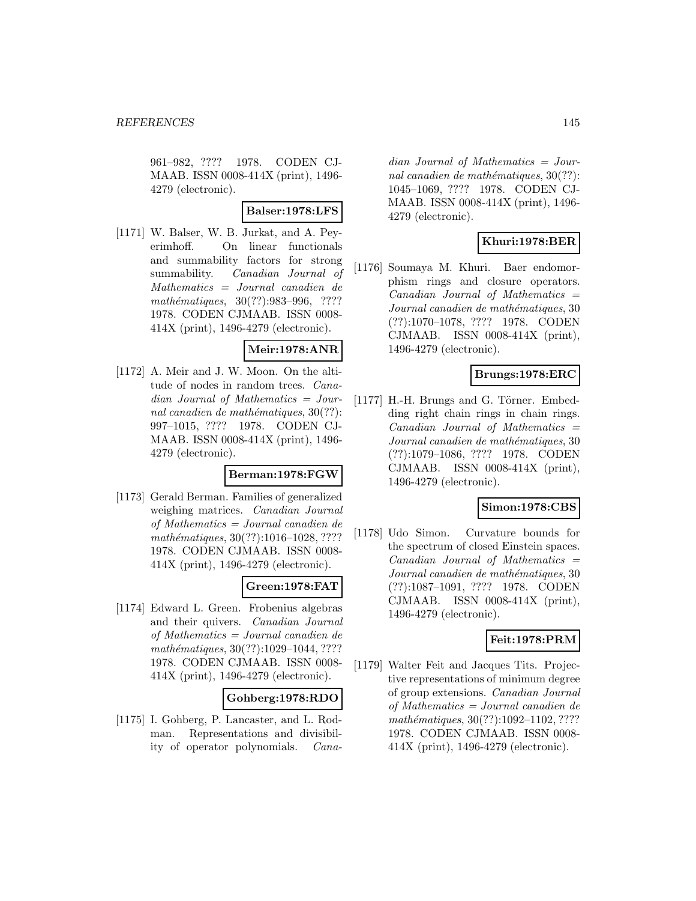961–982, ???? 1978. CODEN CJ-MAAB. ISSN 0008-414X (print), 1496- 4279 (electronic).

### **Balser:1978:LFS**

[1171] W. Balser, W. B. Jurkat, and A. Peyerimhoff. On linear functionals and summability factors for strong summability. Canadian Journal of Mathematics = Journal canadien de mathématiques, 30(??):983-996, ???? 1978. CODEN CJMAAB. ISSN 0008- 414X (print), 1496-4279 (electronic).

### **Meir:1978:ANR**

[1172] A. Meir and J. W. Moon. On the altitude of nodes in random trees. Canadian Journal of Mathematics = Journal canadien de mathématiques,  $30(??)$ : 997–1015, ???? 1978. CODEN CJ-MAAB. ISSN 0008-414X (print), 1496- 4279 (electronic).

### **Berman:1978:FGW**

[1173] Gerald Berman. Families of generalized weighing matrices. *Canadian Journal* of Mathematics = Journal canadien de mathématiques, 30(??):1016–1028, ???? 1978. CODEN CJMAAB. ISSN 0008- 414X (print), 1496-4279 (electronic).

### **Green:1978:FAT**

[1174] Edward L. Green. Frobenius algebras and their quivers. Canadian Journal of Mathematics = Journal canadien de mathématiques, 30(??):1029-1044, ???? 1978. CODEN CJMAAB. ISSN 0008- 414X (print), 1496-4279 (electronic).

### **Gohberg:1978:RDO**

[1175] I. Gohberg, P. Lancaster, and L. Rodman. Representations and divisibility of operator polynomials. Cana-

dian Journal of Mathematics = Journal canadien de mathématiques,  $30(??)$ : 1045–1069, ???? 1978. CODEN CJ-MAAB. ISSN 0008-414X (print), 1496- 4279 (electronic).

# **Khuri:1978:BER**

[1176] Soumaya M. Khuri. Baer endomorphism rings and closure operators.  $Canadian$  Journal of Mathematics  $=$ Journal canadien de mathématiques, 30 (??):1070–1078, ???? 1978. CODEN CJMAAB. ISSN 0008-414X (print), 1496-4279 (electronic).

## **Brungs:1978:ERC**

 $[1177]$  H.-H. Brungs and G. Törner. Embedding right chain rings in chain rings.  $Canadian$  Journal of Mathematics  $=$ Journal canadien de mathématiques, 30 (??):1079–1086, ???? 1978. CODEN CJMAAB. ISSN 0008-414X (print), 1496-4279 (electronic).

## **Simon:1978:CBS**

[1178] Udo Simon. Curvature bounds for the spectrum of closed Einstein spaces.  $Canadian$  Journal of Mathematics  $=$ Journal canadien de mathématiques, 30 (??):1087–1091, ???? 1978. CODEN CJMAAB. ISSN 0008-414X (print), 1496-4279 (electronic).

## **Feit:1978:PRM**

[1179] Walter Feit and Jacques Tits. Projective representations of minimum degree of group extensions. Canadian Journal of Mathematics = Journal canadien de  $mathématiques, 30(??):1092–1102, ????$ 1978. CODEN CJMAAB. ISSN 0008- 414X (print), 1496-4279 (electronic).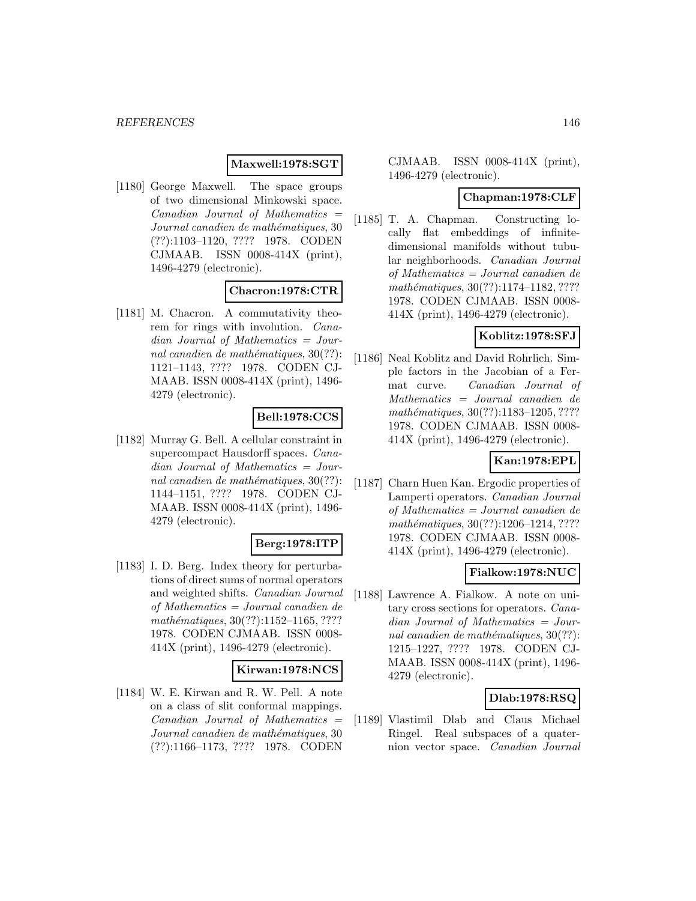### **Maxwell:1978:SGT**

[1180] George Maxwell. The space groups of two dimensional Minkowski space.  $Canadian$  Journal of Mathematics  $=$ Journal canadien de mathématiques, 30 (??):1103–1120, ???? 1978. CODEN CJMAAB. ISSN 0008-414X (print), 1496-4279 (electronic).

### **Chacron:1978:CTR**

[1181] M. Chacron. A commutativity theorem for rings with involution. Canadian Journal of Mathematics = Journal canadien de mathématiques,  $30(??)$ : 1121–1143, ???? 1978. CODEN CJ-MAAB. ISSN 0008-414X (print), 1496- 4279 (electronic).

## **Bell:1978:CCS**

[1182] Murray G. Bell. A cellular constraint in supercompact Hausdorff spaces. Canadian Journal of Mathematics = Journal canadien de mathématiques,  $30(??)$ : 1144–1151, ???? 1978. CODEN CJ-MAAB. ISSN 0008-414X (print), 1496- 4279 (electronic).

## **Berg:1978:ITP**

[1183] I. D. Berg. Index theory for perturbations of direct sums of normal operators and weighted shifts. Canadian Journal of Mathematics = Journal canadien de mathématiques,  $30(??):1152-1165, ????$ 1978. CODEN CJMAAB. ISSN 0008- 414X (print), 1496-4279 (electronic).

### **Kirwan:1978:NCS**

[1184] W. E. Kirwan and R. W. Pell. A note on a class of slit conformal mappings. Canadian Journal of Mathematics = Journal canadien de mathématiques, 30 (??):1166–1173, ???? 1978. CODEN

## CJMAAB. ISSN 0008-414X (print), 1496-4279 (electronic).

## **Chapman:1978:CLF**

[1185] T. A. Chapman. Constructing locally flat embeddings of infinitedimensional manifolds without tubular neighborhoods. Canadian Journal of Mathematics = Journal canadien de  $mathématiques, 30(??):1174–1182, ????$ 1978. CODEN CJMAAB. ISSN 0008- 414X (print), 1496-4279 (electronic).

### **Koblitz:1978:SFJ**

[1186] Neal Koblitz and David Rohrlich. Simple factors in the Jacobian of a Fermat curve. Canadian Journal of Mathematics = Journal canadien de mathématiques, 30(??):1183-1205, ???? 1978. CODEN CJMAAB. ISSN 0008- 414X (print), 1496-4279 (electronic).

## **Kan:1978:EPL**

[1187] Charn Huen Kan. Ergodic properties of Lamperti operators. Canadian Journal of Mathematics = Journal canadien de mathématiques, 30(??):1206-1214, ???? 1978. CODEN CJMAAB. ISSN 0008- 414X (print), 1496-4279 (electronic).

## **Fialkow:1978:NUC**

[1188] Lawrence A. Fialkow. A note on unitary cross sections for operators. Canadian Journal of Mathematics = Journal canadien de mathématiques,  $30(??)$ : 1215–1227, ???? 1978. CODEN CJ-MAAB. ISSN 0008-414X (print), 1496- 4279 (electronic).

## **Dlab:1978:RSQ**

[1189] Vlastimil Dlab and Claus Michael Ringel. Real subspaces of a quaternion vector space. Canadian Journal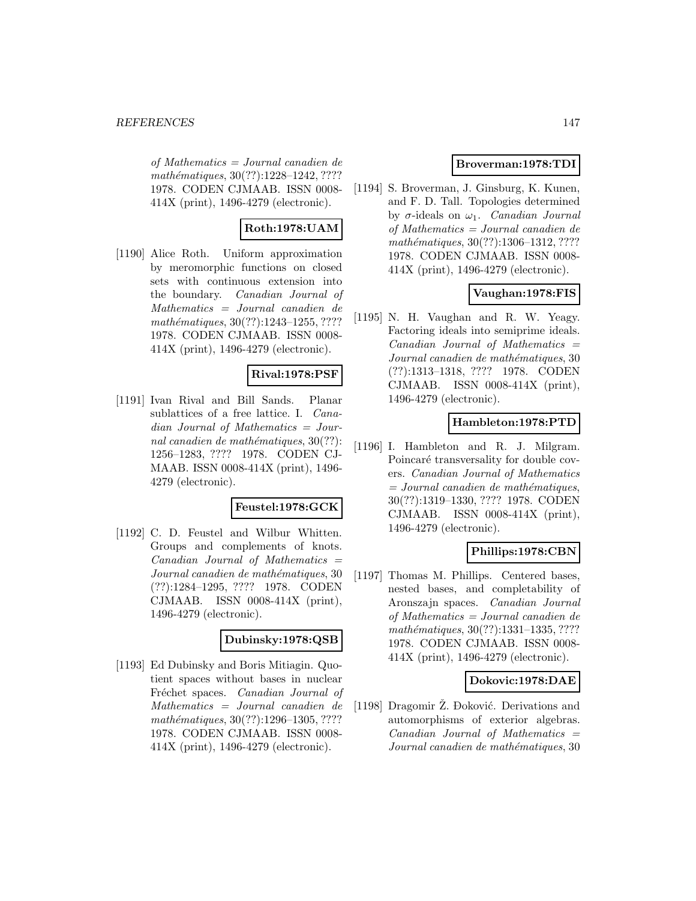of Mathematics = Journal canadien de mathématiques, 30(??):1228-1242, ???? 1978. CODEN CJMAAB. ISSN 0008- 414X (print), 1496-4279 (electronic).

# **Roth:1978:UAM**

[1190] Alice Roth. Uniform approximation by meromorphic functions on closed sets with continuous extension into the boundary. Canadian Journal of Mathematics = Journal canadien de  $mathématiques, 30(??):1243-1255, ????$ 1978. CODEN CJMAAB. ISSN 0008- 414X (print), 1496-4279 (electronic).

# **Rival:1978:PSF**

[1191] Ivan Rival and Bill Sands. Planar sublattices of a free lattice. I. Canadian Journal of Mathematics = Journal canadien de mathématiques,  $30(??)$ : 1256–1283, ???? 1978. CODEN CJ-MAAB. ISSN 0008-414X (print), 1496- 4279 (electronic).

### **Feustel:1978:GCK**

[1192] C. D. Feustel and Wilbur Whitten. Groups and complements of knots.  $Canadian$  Journal of Mathematics  $=$ Journal canadien de mathématiques, 30 (??):1284–1295, ???? 1978. CODEN CJMAAB. ISSN 0008-414X (print), 1496-4279 (electronic).

### **Dubinsky:1978:QSB**

[1193] Ed Dubinsky and Boris Mitiagin. Quotient spaces without bases in nuclear Fréchet spaces. Canadian Journal of Mathematics = Journal canadien de mathématiques, 30(??):1296-1305, ???? 1978. CODEN CJMAAB. ISSN 0008- 414X (print), 1496-4279 (electronic).

## **Broverman:1978:TDI**

[1194] S. Broverman, J. Ginsburg, K. Kunen, and F. D. Tall. Topologies determined by  $\sigma$ -ideals on  $\omega_1$ . *Canadian Journal* of Mathematics = Journal canadien de mathématiques,  $30(??):1306-1312, ????$ 1978. CODEN CJMAAB. ISSN 0008- 414X (print), 1496-4279 (electronic).

## **Vaughan:1978:FIS**

[1195] N. H. Vaughan and R. W. Yeagy. Factoring ideals into semiprime ideals.  $Canadian$  Journal of Mathematics  $=$ Journal canadien de mathématiques, 30 (??):1313–1318, ???? 1978. CODEN CJMAAB. ISSN 0008-414X (print), 1496-4279 (electronic).

### **Hambleton:1978:PTD**

[1196] I. Hambleton and R. J. Milgram. Poincaré transversality for double covers. Canadian Journal of Mathematics  $= Journal\; can a dien\; de\; mathématiques,$ 30(??):1319–1330, ???? 1978. CODEN CJMAAB. ISSN 0008-414X (print), 1496-4279 (electronic).

## **Phillips:1978:CBN**

[1197] Thomas M. Phillips. Centered bases, nested bases, and completability of Aronszajn spaces. Canadian Journal of Mathematics = Journal canadien de  $mathématiques, 30(??):1331–1335, ????$ 1978. CODEN CJMAAB. ISSN 0008- 414X (print), 1496-4279 (electronic).

### **Dokovic:1978:DAE**

[1198] Dragomir Ž. Đoković. Derivations and automorphisms of exterior algebras.  $Canadian$  Journal of Mathematics  $=$ Journal canadien de mathématiques, 30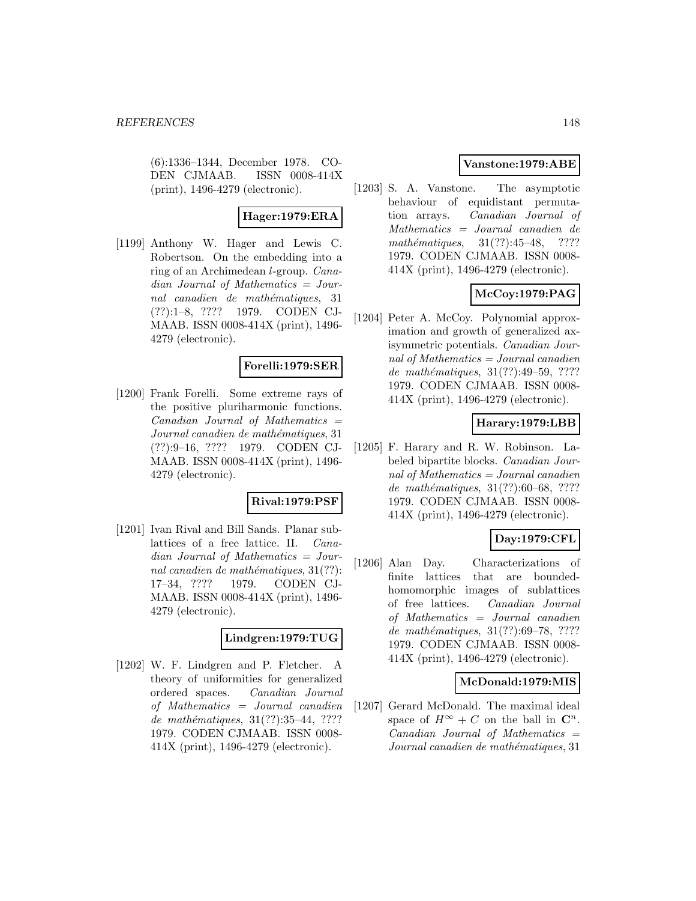(6):1336–1344, December 1978. CO-DEN CJMAAB. ISSN 0008-414X (print), 1496-4279 (electronic).

# **Hager:1979:ERA**

[1199] Anthony W. Hager and Lewis C. Robertson. On the embedding into a ring of an Archimedean l-group. Canadian Journal of Mathematics = Journal canadien de mathématiques, 31 (??):1–8, ???? 1979. CODEN CJ-MAAB. ISSN 0008-414X (print), 1496- 4279 (electronic).

### **Forelli:1979:SER**

[1200] Frank Forelli. Some extreme rays of the positive pluriharmonic functions.  $Canadian$  Journal of Mathematics  $=$ Journal canadien de mathématiques, 31 (??):9–16, ???? 1979. CODEN CJ-MAAB. ISSN 0008-414X (print), 1496- 4279 (electronic).

### **Rival:1979:PSF**

[1201] Ivan Rival and Bill Sands. Planar sublattices of a free lattice. II. Canadian Journal of Mathematics = Journal canadien de mathématiques,  $31(??)$ : 17–34, ???? 1979. CODEN CJ-MAAB. ISSN 0008-414X (print), 1496- 4279 (electronic).

### **Lindgren:1979:TUG**

[1202] W. F. Lindgren and P. Fletcher. A theory of uniformities for generalized ordered spaces. Canadian Journal of Mathematics = Journal canadien de mathématiques,  $31(??):35-44, ????$ 1979. CODEN CJMAAB. ISSN 0008- 414X (print), 1496-4279 (electronic).

## **Vanstone:1979:ABE**

[1203] S. A. Vanstone. The asymptotic behaviour of equidistant permutation arrays. Canadian Journal of Mathematics = Journal canadien de mathématiques,  $31(??):45-48$ , ???? 1979. CODEN CJMAAB. ISSN 0008- 414X (print), 1496-4279 (electronic).

# **McCoy:1979:PAG**

[1204] Peter A. McCoy. Polynomial approximation and growth of generalized axisymmetric potentials. Canadian Journal of Mathematics = Journal canadien de mathématiques,  $31(??):49-59, ????$ 1979. CODEN CJMAAB. ISSN 0008- 414X (print), 1496-4279 (electronic).

## **Harary:1979:LBB**

[1205] F. Harary and R. W. Robinson. Labeled bipartite blocks. Canadian Journal of Mathematics  $=$  Journal canadien de mathématiques, 31(??):60–68, ???? 1979. CODEN CJMAAB. ISSN 0008- 414X (print), 1496-4279 (electronic).

## **Day:1979:CFL**

[1206] Alan Day. Characterizations of finite lattices that are boundedhomomorphic images of sublattices of free lattices. Canadian Journal of Mathematics = Journal canadien de mathématiques, 31(??):69–78, ???? 1979. CODEN CJMAAB. ISSN 0008- 414X (print), 1496-4279 (electronic).

### **McDonald:1979:MIS**

[1207] Gerard McDonald. The maximal ideal space of  $H^{\infty} + C$  on the ball in  $\mathbb{C}^{n}$ .  $Canadian$  Journal of Mathematics  $=$ Journal canadien de mathématiques, 31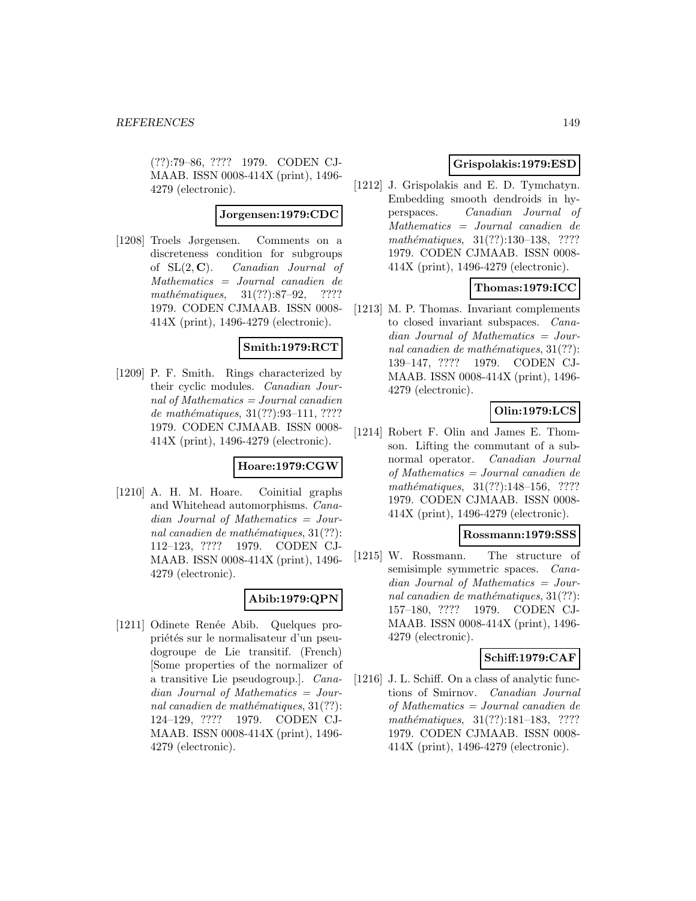(??):79–86, ???? 1979. CODEN CJ-MAAB. ISSN 0008-414X (print), 1496- 4279 (electronic).

#### **Jorgensen:1979:CDC**

[1208] Troels Jørgensen. Comments on a discreteness condition for subgroups of SL(2, **C**). Canadian Journal of Mathematics = Journal canadien de  $mathématiques, 31(??):87-92, ????$ 1979. CODEN CJMAAB. ISSN 0008- 414X (print), 1496-4279 (electronic).

### **Smith:1979:RCT**

[1209] P. F. Smith. Rings characterized by their cyclic modules. Canadian Journal of Mathematics = Journal canadien de mathématiques, 31(??):93-111, ???? 1979. CODEN CJMAAB. ISSN 0008- 414X (print), 1496-4279 (electronic).

### **Hoare:1979:CGW**

[1210] A. H. M. Hoare. Coinitial graphs and Whitehead automorphisms. Canadian Journal of Mathematics = Journal canadien de mathématiques,  $31(??)$ : 112–123, ???? 1979. CODEN CJ-MAAB. ISSN 0008-414X (print), 1496- 4279 (electronic).

## **Abib:1979:QPN**

[1211] Odinete Renée Abib. Quelques propriétés sur le normalisateur d'un pseudogroupe de Lie transitif. (French) [Some properties of the normalizer of a transitive Lie pseudogroup.]. Canadian Journal of Mathematics = Journal canadien de mathématiques,  $31(??)$ : 124–129, ???? 1979. CODEN CJ-MAAB. ISSN 0008-414X (print), 1496- 4279 (electronic).

## **Grispolakis:1979:ESD**

[1212] J. Grispolakis and E. D. Tymchatyn. Embedding smooth dendroids in hyperspaces. Canadian Journal of Mathematics = Journal canadien de mathématiques,  $31(??):130-138$ , ???? 1979. CODEN CJMAAB. ISSN 0008- 414X (print), 1496-4279 (electronic).

# **Thomas:1979:ICC**

[1213] M. P. Thomas. Invariant complements to closed invariant subspaces. Canadian Journal of Mathematics = Journal canadien de mathématiques,  $31(??)$ : 139–147, ???? 1979. CODEN CJ-MAAB. ISSN 0008-414X (print), 1496- 4279 (electronic).

# **Olin:1979:LCS**

[1214] Robert F. Olin and James E. Thomson. Lifting the commutant of a subnormal operator. Canadian Journal of Mathematics = Journal canadien de mathématiques,  $31(??):148-156$ , ???? 1979. CODEN CJMAAB. ISSN 0008- 414X (print), 1496-4279 (electronic).

### **Rossmann:1979:SSS**

[1215] W. Rossmann. The structure of semisimple symmetric spaces. Canadian Journal of Mathematics = Journal canadien de mathématiques,  $31(??)$ : 157–180, ???? 1979. CODEN CJ-MAAB. ISSN 0008-414X (print), 1496- 4279 (electronic).

## **Schiff:1979:CAF**

[1216] J. L. Schiff. On a class of analytic functions of Smirnov. Canadian Journal of Mathematics = Journal canadien de mathématiques, 31(??):181-183, ???? 1979. CODEN CJMAAB. ISSN 0008- 414X (print), 1496-4279 (electronic).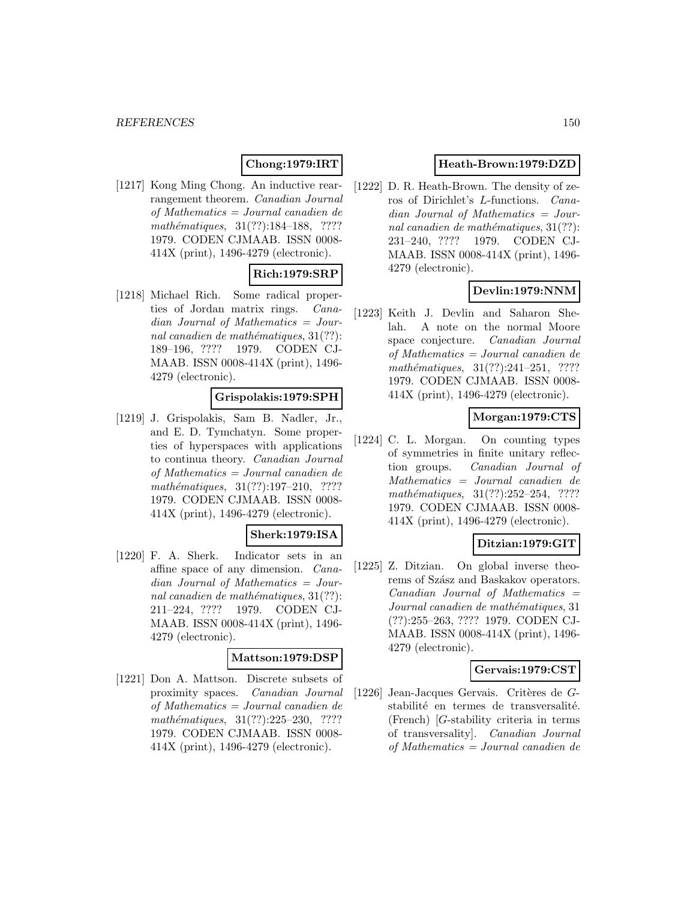# **Chong:1979:IRT**

[1217] Kong Ming Chong. An inductive rearrangement theorem. Canadian Journal of Mathematics = Journal canadien de mathématiques, 31(??):184-188, ???? 1979. CODEN CJMAAB. ISSN 0008- 414X (print), 1496-4279 (electronic).

# **Rich:1979:SRP**

[1218] Michael Rich. Some radical properties of Jordan matrix rings. Canadian Journal of Mathematics = Journal canadien de mathématiques,  $31(??)$ : 189–196, ???? 1979. CODEN CJ-MAAB. ISSN 0008-414X (print), 1496- 4279 (electronic).

### **Grispolakis:1979:SPH**

[1219] J. Grispolakis, Sam B. Nadler, Jr., and E. D. Tymchatyn. Some properties of hyperspaces with applications to continua theory. Canadian Journal of Mathematics = Journal canadien de mathématiques, 31(??):197-210, ???? 1979. CODEN CJMAAB. ISSN 0008- 414X (print), 1496-4279 (electronic).

#### **Sherk:1979:ISA**

[1220] F. A. Sherk. Indicator sets in an affine space of any dimension. Canadian Journal of Mathematics = Journal canadien de mathématiques,  $31(??)$ : 211–224, ???? 1979. CODEN CJ-MAAB. ISSN 0008-414X (print), 1496- 4279 (electronic).

## **Mattson:1979:DSP**

[1221] Don A. Mattson. Discrete subsets of proximity spaces. Canadian Journal of Mathematics = Journal canadien de  $mathématiques, 31(??):225-230, ????$ 1979. CODEN CJMAAB. ISSN 0008- 414X (print), 1496-4279 (electronic).

## **Heath-Brown:1979:DZD**

[1222] D. R. Heath-Brown. The density of zeros of Dirichlet's L-functions. Canadian Journal of Mathematics = Journal canadien de mathématiques,  $31(??)$ : 231–240, ???? 1979. CODEN CJ-MAAB. ISSN 0008-414X (print), 1496- 4279 (electronic).

## **Devlin:1979:NNM**

[1223] Keith J. Devlin and Saharon Shelah. A note on the normal Moore space conjecture. Canadian Journal of Mathematics = Journal canadien de mathématiques,  $31(??):241-251$ , ???? 1979. CODEN CJMAAB. ISSN 0008- 414X (print), 1496-4279 (electronic).

## **Morgan:1979:CTS**

[1224] C. L. Morgan. On counting types of symmetries in finite unitary reflection groups. Canadian Journal of Mathematics = Journal canadien de mathématiques,  $31(??):252-254$ , ???? 1979. CODEN CJMAAB. ISSN 0008- 414X (print), 1496-4279 (electronic).

## **Ditzian:1979:GIT**

[1225] Z. Ditzian. On global inverse theorems of Szász and Baskakov operators.  $Canadian$  Journal of Mathematics  $=$ Journal canadien de mathématiques, 31 (??):255–263, ???? 1979. CODEN CJ-MAAB. ISSN 0008-414X (print), 1496- 4279 (electronic).

## **Gervais:1979:CST**

[1226] Jean-Jacques Gervais. Critères de  $G$ stabilité en termes de transversalité. (French) [G-stability criteria in terms of transversality]. Canadian Journal of Mathematics = Journal canadien de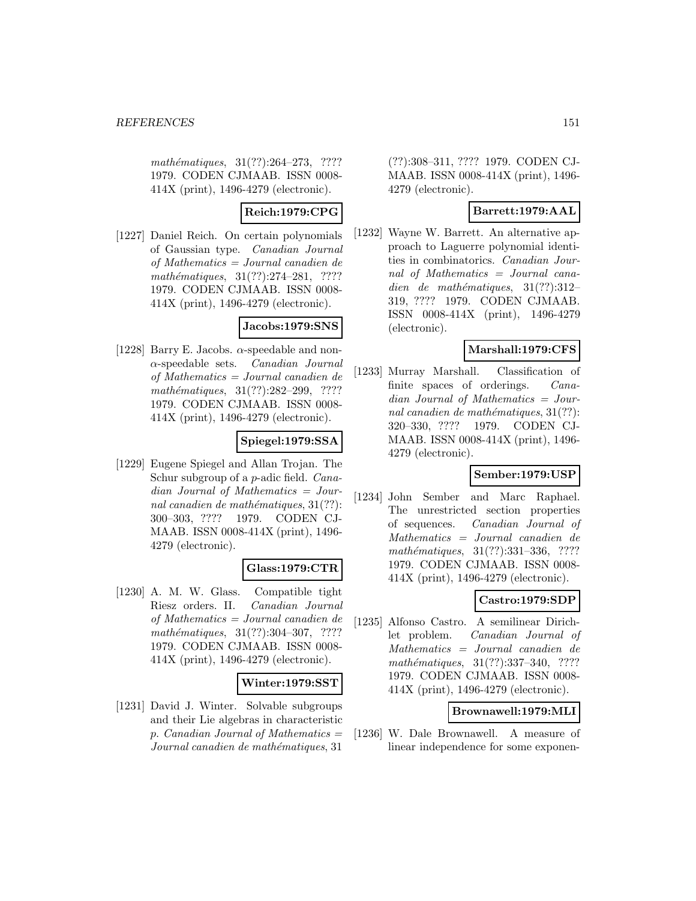$mathématiques, 31(??):264-273, ????$ 1979. CODEN CJMAAB. ISSN 0008- 414X (print), 1496-4279 (electronic).

## **Reich:1979:CPG**

[1227] Daniel Reich. On certain polynomials of Gaussian type. Canadian Journal of Mathematics = Journal canadien de mathématiques,  $31(??):274-281$ , ???? 1979. CODEN CJMAAB. ISSN 0008- 414X (print), 1496-4279 (electronic).

## **Jacobs:1979:SNS**

[1228] Barry E. Jacobs.  $\alpha$ -speedable and non- $\alpha$ -speedable sets. *Canadian Journal* of Mathematics = Journal canadien de mathématiques, 31(??):282–299, ???? 1979. CODEN CJMAAB. ISSN 0008- 414X (print), 1496-4279 (electronic).

# **Spiegel:1979:SSA**

[1229] Eugene Spiegel and Allan Trojan. The Schur subgroup of a p-adic field. Canadian Journal of Mathematics = Journal canadien de mathématiques,  $31(??)$ : 300–303, ???? 1979. CODEN CJ-MAAB. ISSN 0008-414X (print), 1496- 4279 (electronic).

## **Glass:1979:CTR**

[1230] A. M. W. Glass. Compatible tight Riesz orders. II. Canadian Journal of Mathematics = Journal canadien de mathématiques,  $31(??):304-307$ , ???? 1979. CODEN CJMAAB. ISSN 0008- 414X (print), 1496-4279 (electronic).

### **Winter:1979:SST**

[1231] David J. Winter. Solvable subgroups and their Lie algebras in characteristic p. Canadian Journal of Mathematics  $=$ Journal canadien de mathématiques, 31

(??):308–311, ???? 1979. CODEN CJ-MAAB. ISSN 0008-414X (print), 1496- 4279 (electronic).

## **Barrett:1979:AAL**

[1232] Wayne W. Barrett. An alternative approach to Laguerre polynomial identities in combinatorics. Canadian Journal of Mathematics = Journal canadien de mathématiques,  $31(??):312-$ 319, ???? 1979. CODEN CJMAAB. ISSN 0008-414X (print), 1496-4279 (electronic).

## **Marshall:1979:CFS**

[1233] Murray Marshall. Classification of finite spaces of orderings. Canadian Journal of Mathematics = Journal canadien de mathématiques,  $31(??)$ : 320–330, ???? 1979. CODEN CJ-MAAB. ISSN 0008-414X (print), 1496- 4279 (electronic).

## **Sember:1979:USP**

[1234] John Sember and Marc Raphael. The unrestricted section properties of sequences. Canadian Journal of Mathematics = Journal canadien de mathématiques, 31(??):331-336, ???? 1979. CODEN CJMAAB. ISSN 0008- 414X (print), 1496-4279 (electronic).

## **Castro:1979:SDP**

[1235] Alfonso Castro. A semilinear Dirichlet problem. Canadian Journal of Mathematics = Journal canadien de mathématiques,  $31(??):337-340$ , ???? 1979. CODEN CJMAAB. ISSN 0008- 414X (print), 1496-4279 (electronic).

### **Brownawell:1979:MLI**

[1236] W. Dale Brownawell. A measure of linear independence for some exponen-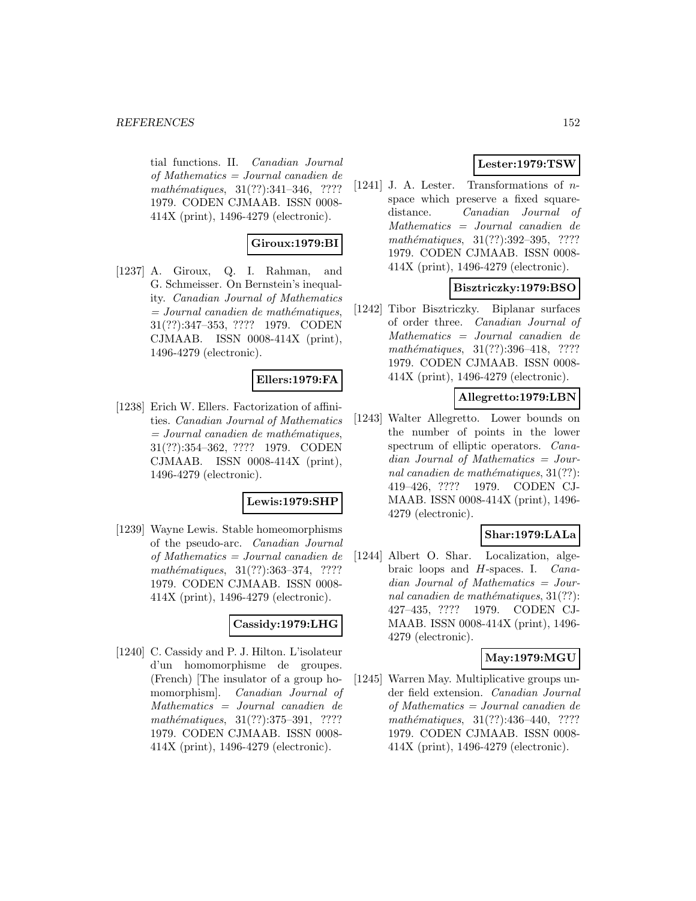tial functions. II. Canadian Journal of Mathematics = Journal canadien de mathématiques,  $31(??):341-346$ , ???? 1979. CODEN CJMAAB. ISSN 0008- 414X (print), 1496-4279 (electronic).

## **Giroux:1979:BI**

[1237] A. Giroux, Q. I. Rahman, and G. Schmeisser. On Bernstein's inequality. Canadian Journal of Mathematics  $=$  Journal canadien de mathématiques, 31(??):347–353, ???? 1979. CODEN CJMAAB. ISSN 0008-414X (print), 1496-4279 (electronic).

### **Ellers:1979:FA**

[1238] Erich W. Ellers. Factorization of affinities. Canadian Journal of Mathematics  $=$  Journal canadien de mathématiques, 31(??):354–362, ???? 1979. CODEN CJMAAB. ISSN 0008-414X (print), 1496-4279 (electronic).

### **Lewis:1979:SHP**

[1239] Wayne Lewis. Stable homeomorphisms of the pseudo-arc. Canadian Journal of Mathematics = Journal canadien de mathématiques,  $31(??):363-374$ , ???? 1979. CODEN CJMAAB. ISSN 0008- 414X (print), 1496-4279 (electronic).

### **Cassidy:1979:LHG**

[1240] C. Cassidy and P. J. Hilton. L'isolateur d'un homomorphisme de groupes. (French) [The insulator of a group homomorphism]. Canadian Journal of Mathematics = Journal canadien de mathématiques, 31(??):375-391, ???? 1979. CODEN CJMAAB. ISSN 0008- 414X (print), 1496-4279 (electronic).

## **Lester:1979:TSW**

[1241] J. A. Lester. Transformations of  $n$ space which preserve a fixed squaredistance. Canadian Journal of Mathematics = Journal canadien de mathématiques, 31(??):392–395, ???? 1979. CODEN CJMAAB. ISSN 0008- 414X (print), 1496-4279 (electronic).

### **Bisztriczky:1979:BSO**

[1242] Tibor Bisztriczky. Biplanar surfaces of order three. Canadian Journal of Mathematics = Journal canadien de mathématiques, 31(??):396-418, ???? 1979. CODEN CJMAAB. ISSN 0008- 414X (print), 1496-4279 (electronic).

### **Allegretto:1979:LBN**

[1243] Walter Allegretto. Lower bounds on the number of points in the lower spectrum of elliptic operators. Canadian Journal of Mathematics = Journal canadien de mathématiques,  $31(??)$ : 419–426, ???? 1979. CODEN CJ-MAAB. ISSN 0008-414X (print), 1496- 4279 (electronic).

## **Shar:1979:LALa**

[1244] Albert O. Shar. Localization, algebraic loops and H-spaces. I. Canadian Journal of Mathematics = Journal canadien de mathématiques,  $31(??)$ : 427–435, ???? 1979. CODEN CJ-MAAB. ISSN 0008-414X (print), 1496- 4279 (electronic).

## **May:1979:MGU**

[1245] Warren May. Multiplicative groups under field extension. Canadian Journal of Mathematics = Journal canadien de mathématiques,  $31(??):436-440$ , ???? 1979. CODEN CJMAAB. ISSN 0008- 414X (print), 1496-4279 (electronic).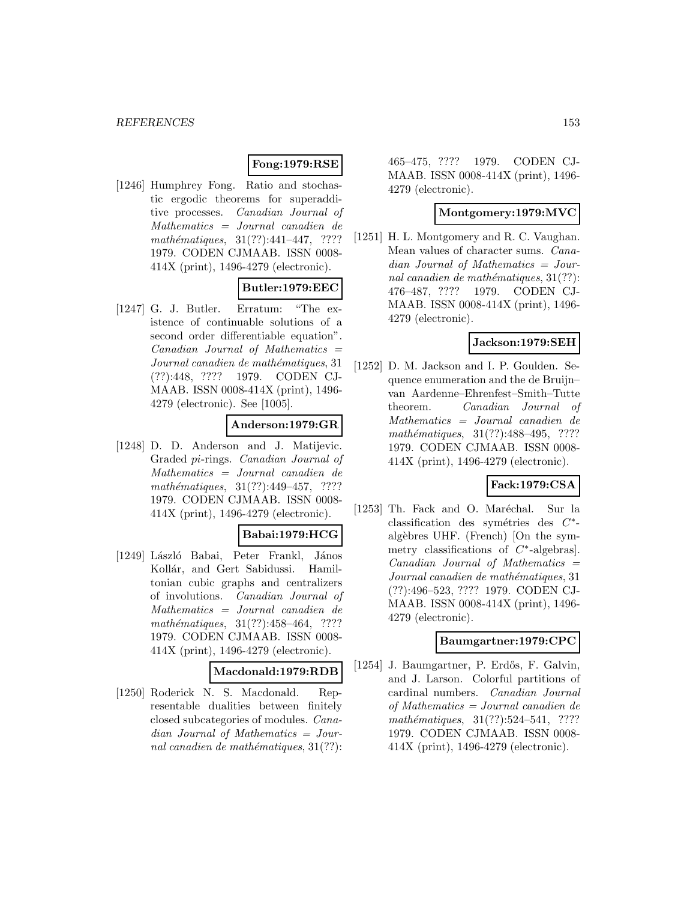## **Fong:1979:RSE**

[1246] Humphrey Fong. Ratio and stochastic ergodic theorems for superadditive processes. Canadian Journal of Mathematics = Journal canadien de mathématiques,  $31(??):441-447$ , ???? 1979. CODEN CJMAAB. ISSN 0008- 414X (print), 1496-4279 (electronic).

## **Butler:1979:EEC**

[1247] G. J. Butler. Erratum: "The existence of continuable solutions of a second order differentiable equation".  $Canadian$  Journal of Mathematics  $=$ Journal canadien de mathématiques, 31 (??):448, ???? 1979. CODEN CJ-MAAB. ISSN 0008-414X (print), 1496- 4279 (electronic). See [1005].

### **Anderson:1979:GR**

[1248] D. D. Anderson and J. Matijevic. Graded pi-rings. Canadian Journal of Mathematics = Journal canadien de mathématiques,  $31(??):449-457$ , ???? 1979. CODEN CJMAAB. ISSN 0008- 414X (print), 1496-4279 (electronic).

### **Babai:1979:HCG**

[1249] László Babai, Peter Frankl, János Kollár, and Gert Sabidussi. Hamiltonian cubic graphs and centralizers of involutions. Canadian Journal of Mathematics = Journal canadien de mathématiques,  $31(??):458-464$ , ???? 1979. CODEN CJMAAB. ISSN 0008- 414X (print), 1496-4279 (electronic).

### **Macdonald:1979:RDB**

[1250] Roderick N. S. Macdonald. Representable dualities between finitely closed subcategories of modules. Canadian Journal of Mathematics = Journal canadien de mathématiques,  $31(??)$ :

465–475, ???? 1979. CODEN CJ-MAAB. ISSN 0008-414X (print), 1496- 4279 (electronic).

### **Montgomery:1979:MVC**

[1251] H. L. Montgomery and R. C. Vaughan. Mean values of character sums. Canadian Journal of Mathematics = Journal canadien de mathématiques,  $31(??)$ : 476–487, ???? 1979. CODEN CJ-MAAB. ISSN 0008-414X (print), 1496- 4279 (electronic).

### **Jackson:1979:SEH**

[1252] D. M. Jackson and I. P. Goulden. Sequence enumeration and the de Bruijn– van Aardenne–Ehrenfest–Smith–Tutte theorem. Canadian Journal of Mathematics = Journal canadien de mathématiques,  $31(??):488-495$ , ???? 1979. CODEN CJMAAB. ISSN 0008- 414X (print), 1496-4279 (electronic).

## **Fack:1979:CSA**

[1253] Th. Fack and O. Maréchal. Sur la classification des symétries des  $C^*$ algèbres UHF. (French) [On the symmetry classifications of  $C^*$ -algebras]. Canadian Journal of Mathematics = Journal canadien de mathématiques, 31 (??):496–523, ???? 1979. CODEN CJ-MAAB. ISSN 0008-414X (print), 1496- 4279 (electronic).

## **Baumgartner:1979:CPC**

[1254] J. Baumgartner, P. Erdős, F. Galvin, and J. Larson. Colorful partitions of cardinal numbers. Canadian Journal of Mathematics = Journal canadien de mathématiques,  $31(??):524-541$ , ???? 1979. CODEN CJMAAB. ISSN 0008- 414X (print), 1496-4279 (electronic).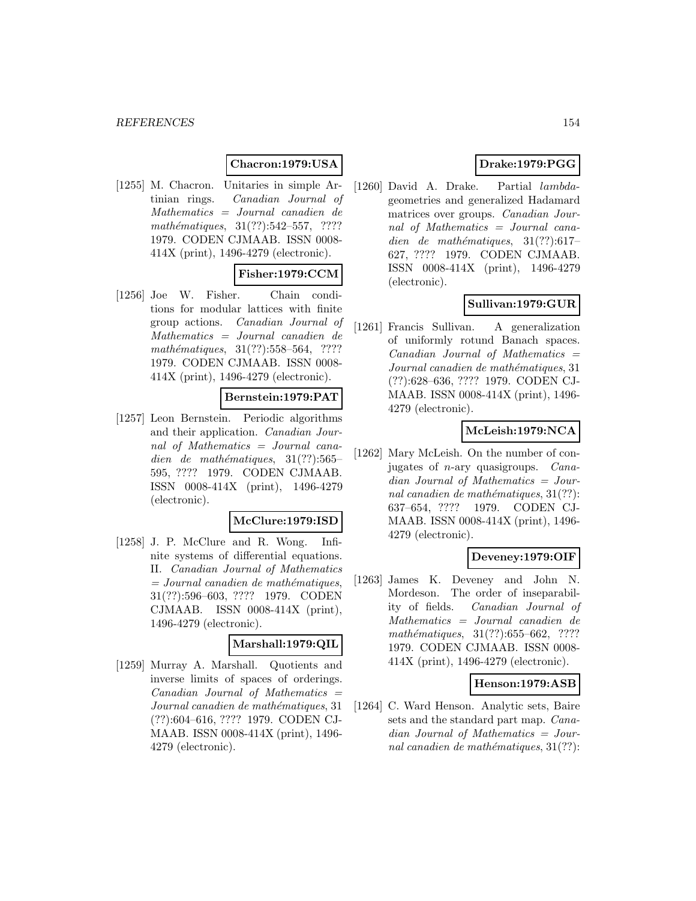## **Chacron:1979:USA**

[1255] M. Chacron. Unitaries in simple Artinian rings. Canadian Journal of Mathematics = Journal canadien de mathématiques,  $31(??):542-557$ , ???? 1979. CODEN CJMAAB. ISSN 0008- 414X (print), 1496-4279 (electronic).

## **Fisher:1979:CCM**

[1256] Joe W. Fisher. Chain conditions for modular lattices with finite group actions. Canadian Journal of Mathematics = Journal canadien de mathématiques,  $31(??):558–564$ , ???? 1979. CODEN CJMAAB. ISSN 0008- 414X (print), 1496-4279 (electronic).

## **Bernstein:1979:PAT**

[1257] Leon Bernstein. Periodic algorithms and their application. Canadian Journal of Mathematics = Journal canadien de mathématiques,  $31(??):565-$ 595, ???? 1979. CODEN CJMAAB. ISSN 0008-414X (print), 1496-4279 (electronic).

### **McClure:1979:ISD**

[1258] J. P. McClure and R. Wong. Infinite systems of differential equations. II. Canadian Journal of Mathematics  $=$  Journal canadien de mathématiques, 31(??):596–603, ???? 1979. CODEN CJMAAB. ISSN 0008-414X (print), 1496-4279 (electronic).

#### **Marshall:1979:QIL**

[1259] Murray A. Marshall. Quotients and inverse limits of spaces of orderings.  $Canadian$  Journal of Mathematics  $=$ Journal canadien de mathématiques, 31 (??):604–616, ???? 1979. CODEN CJ-MAAB. ISSN 0008-414X (print), 1496- 4279 (electronic).

## **Drake:1979:PGG**

[1260] David A. Drake. Partial lambdageometries and generalized Hadamard matrices over groups. Canadian Journal of Mathematics = Journal canadien de mathématiques,  $31(??):617-$ 627, ???? 1979. CODEN CJMAAB. ISSN 0008-414X (print), 1496-4279 (electronic).

## **Sullivan:1979:GUR**

[1261] Francis Sullivan. A generalization of uniformly rotund Banach spaces.  $Canadian$  Journal of Mathematics  $=$ Journal canadien de mathématiques, 31 (??):628–636, ???? 1979. CODEN CJ-MAAB. ISSN 0008-414X (print), 1496- 4279 (electronic).

## **McLeish:1979:NCA**

[1262] Mary McLeish. On the number of conjugates of n-ary quasigroups. Canadian Journal of Mathematics = Journal canadien de mathématiques,  $31(??)$ : 637–654, ???? 1979. CODEN CJ-MAAB. ISSN 0008-414X (print), 1496- 4279 (electronic).

## **Deveney:1979:OIF**

[1263] James K. Deveney and John N. Mordeson. The order of inseparability of fields. Canadian Journal of Mathematics = Journal canadien de mathématiques,  $31(??):655–662$ , ???? 1979. CODEN CJMAAB. ISSN 0008- 414X (print), 1496-4279 (electronic).

### **Henson:1979:ASB**

[1264] C. Ward Henson. Analytic sets, Baire sets and the standard part map. Canadian Journal of Mathematics = Journal canadien de mathématiques,  $31(??)$ :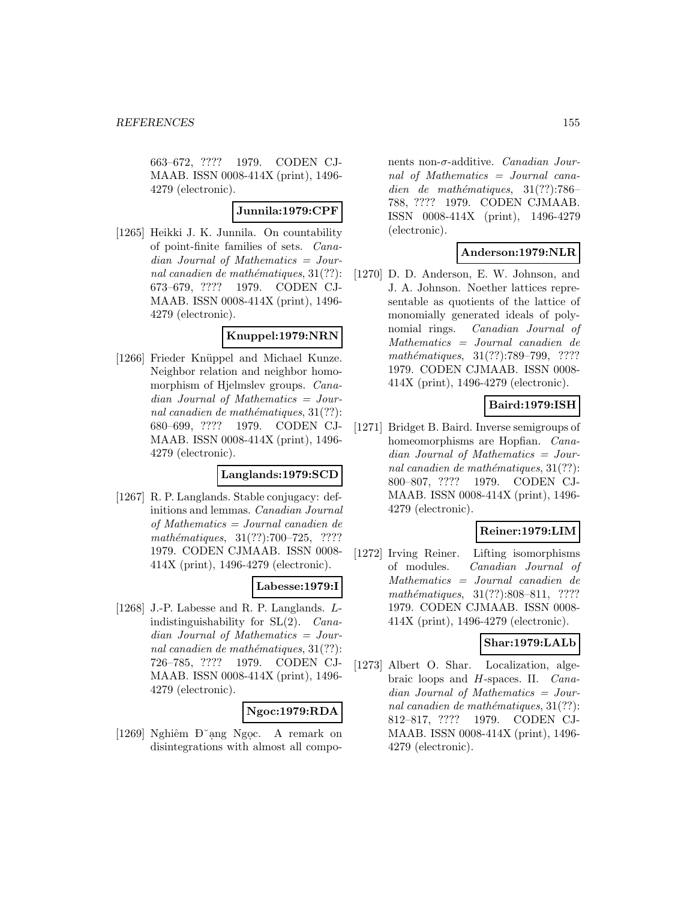663–672, ???? 1979. CODEN CJ-MAAB. ISSN 0008-414X (print), 1496- 4279 (electronic).

### **Junnila:1979:CPF**

[1265] Heikki J. K. Junnila. On countability of point-finite families of sets. Canadian Journal of Mathematics = Journal canadien de mathématiques,  $31(??)$ : 673–679, ???? 1979. CODEN CJ-MAAB. ISSN 0008-414X (print), 1496- 4279 (electronic).

### **Knuppel:1979:NRN**

[1266] Frieder Knüppel and Michael Kunze. Neighbor relation and neighbor homomorphism of Hjelmslev groups. Canadian Journal of Mathematics = Journal canadien de mathématiques,  $31(??)$ : 680–699, ???? 1979. CODEN CJ-MAAB. ISSN 0008-414X (print), 1496- 4279 (electronic).

## **Langlands:1979:SCD**

[1267] R. P. Langlands. Stable conjugacy: definitions and lemmas. Canadian Journal of Mathematics = Journal canadien de mathématiques, 31(??):700–725, ???? 1979. CODEN CJMAAB. ISSN 0008- 414X (print), 1496-4279 (electronic).

### **Labesse:1979:I**

[1268] J.-P. Labesse and R. P. Langlands. Lindistinguishability for  $SL(2)$ . *Cana*dian Journal of Mathematics = Journal canadien de mathématiques,  $31(??)$ : 726–785, ???? 1979. CODEN CJ-MAAB. ISSN 0008-414X (print), 1496- 4279 (electronic).

## **Ngoc:1979:RDA**

[1269] Nghiêm Đ<sup>o</sup>ạng Ngọc. A remark on disintegrations with almost all compo-

nents non- $\sigma$ -additive. *Canadian Jour*nal of Mathematics = Journal canadien de mathématiques,  $31(??):786-$ 788, ???? 1979. CODEN CJMAAB. ISSN 0008-414X (print), 1496-4279 (electronic).

### **Anderson:1979:NLR**

[1270] D. D. Anderson, E. W. Johnson, and J. A. Johnson. Noether lattices representable as quotients of the lattice of monomially generated ideals of polynomial rings. Canadian Journal of Mathematics = Journal canadien de mathématiques, 31(??):789–799, ???? 1979. CODEN CJMAAB. ISSN 0008- 414X (print), 1496-4279 (electronic).

## **Baird:1979:ISH**

[1271] Bridget B. Baird. Inverse semigroups of homeomorphisms are Hopfian. *Cana*dian Journal of Mathematics = Journal canadien de mathématiques,  $31(??)$ : 800–807, ???? 1979. CODEN CJ-MAAB. ISSN 0008-414X (print), 1496- 4279 (electronic).

## **Reiner:1979:LIM**

[1272] Irving Reiner. Lifting isomorphisms of modules. Canadian Journal of Mathematics = Journal canadien de mathématiques,  $31(??):808-811$ , ???? 1979. CODEN CJMAAB. ISSN 0008- 414X (print), 1496-4279 (electronic).

### **Shar:1979:LALb**

[1273] Albert O. Shar. Localization, algebraic loops and H-spaces. II. Canadian Journal of Mathematics = Journal canadien de mathématiques,  $31(??)$ : 812–817, ???? 1979. CODEN CJ-MAAB. ISSN 0008-414X (print), 1496- 4279 (electronic).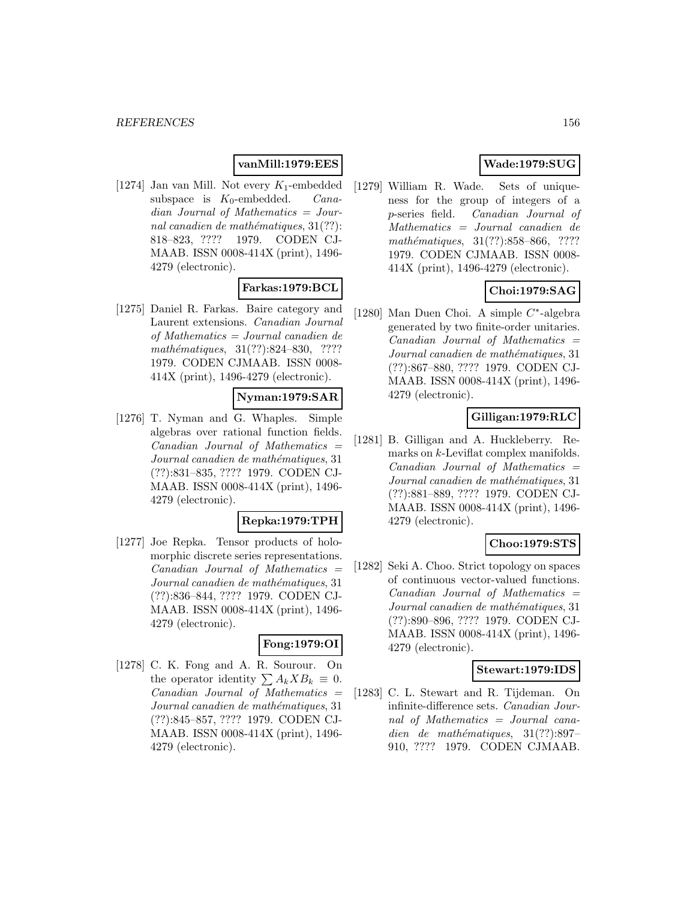## **vanMill:1979:EES**

[1274] Jan van Mill. Not every  $K_1$ -embedded subspace is  $K_0$ -embedded. *Cana*dian Journal of Mathematics = Journal canadien de mathématiques,  $31(??)$ : 818–823, ???? 1979. CODEN CJ-MAAB. ISSN 0008-414X (print), 1496- 4279 (electronic).

## **Farkas:1979:BCL**

[1275] Daniel R. Farkas. Baire category and Laurent extensions. Canadian Journal of Mathematics = Journal canadien de mathématiques,  $31(??):824-830$ , ???? 1979. CODEN CJMAAB. ISSN 0008- 414X (print), 1496-4279 (electronic).

## **Nyman:1979:SAR**

[1276] T. Nyman and G. Whaples. Simple algebras over rational function fields. Canadian Journal of Mathematics = Journal canadien de mathématiques, 31 (??):831–835, ???? 1979. CODEN CJ-MAAB. ISSN 0008-414X (print), 1496- 4279 (electronic).

### **Repka:1979:TPH**

[1277] Joe Repka. Tensor products of holomorphic discrete series representations.  $Canadian$  Journal of Mathematics  $=$ Journal canadien de mathématiques, 31 (??):836–844, ???? 1979. CODEN CJ-MAAB. ISSN 0008-414X (print), 1496- 4279 (electronic).

### **Fong:1979:OI**

[1278] C. K. Fong and A. R. Sourour. On the operator identity  $\sum A_k X B_k \equiv 0$ .  $Canadian$  Journal of Mathematics  $=$ Journal canadien de mathématiques, 31 (??):845–857, ???? 1979. CODEN CJ-MAAB. ISSN 0008-414X (print), 1496- 4279 (electronic).

## **Wade:1979:SUG**

[1279] William R. Wade. Sets of uniqueness for the group of integers of a p-series field. Canadian Journal of Mathematics = Journal canadien de mathématiques, 31(??):858–866, ???? 1979. CODEN CJMAAB. ISSN 0008- 414X (print), 1496-4279 (electronic).

## **Choi:1979:SAG**

[1280] Man Duen Choi. A simple C∗-algebra generated by two finite-order unitaries.  $Canadian$  Journal of Mathematics  $=$ Journal canadien de mathématiques, 31 (??):867–880, ???? 1979. CODEN CJ-MAAB. ISSN 0008-414X (print), 1496- 4279 (electronic).

### **Gilligan:1979:RLC**

[1281] B. Gilligan and A. Huckleberry. Remarks on k-Leviflat complex manifolds.  $Canadian$  Journal of Mathematics  $=$ Journal canadien de mathématiques, 31 (??):881–889, ???? 1979. CODEN CJ-MAAB. ISSN 0008-414X (print), 1496- 4279 (electronic).

## **Choo:1979:STS**

[1282] Seki A. Choo. Strict topology on spaces of continuous vector-valued functions. Canadian Journal of Mathematics = Journal canadien de mathématiques, 31 (??):890–896, ???? 1979. CODEN CJ-MAAB. ISSN 0008-414X (print), 1496- 4279 (electronic).

### **Stewart:1979:IDS**

[1283] C. L. Stewart and R. Tijdeman. On infinite-difference sets. Canadian Journal of Mathematics = Journal canadien de mathématiques,  $31(??):897-$ 910, ???? 1979. CODEN CJMAAB.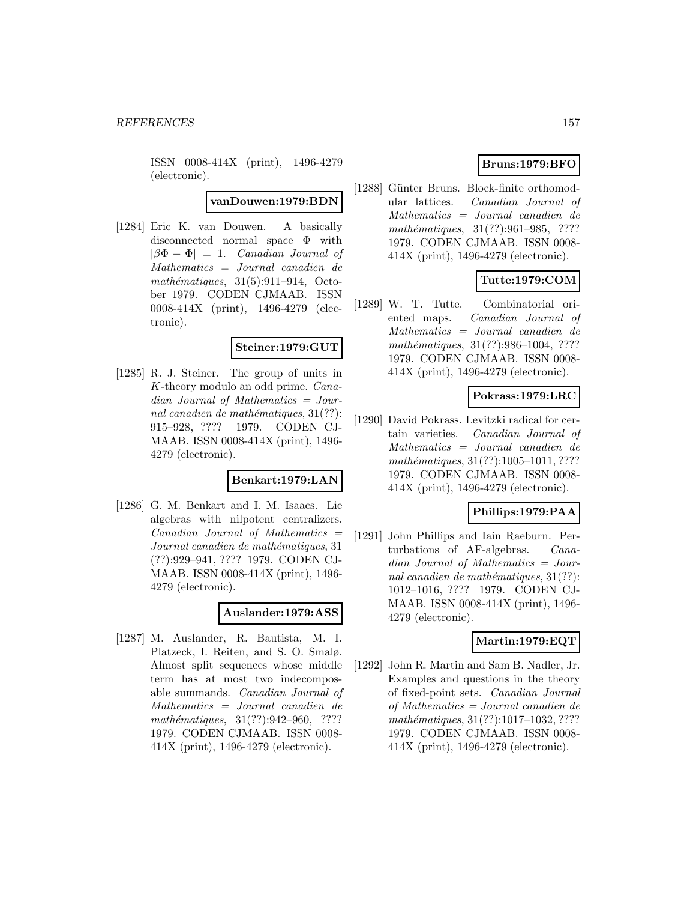ISSN 0008-414X (print), 1496-4279 (electronic).

**vanDouwen:1979:BDN**

[1284] Eric K. van Douwen. A basically disconnected normal space Φ with  $|\beta\Phi - \Phi| = 1$ . Canadian Journal of Mathematics = Journal canadien de  $mathématiques, 31(5):911-914, Octo$ ber 1979. CODEN CJMAAB. ISSN 0008-414X (print), 1496-4279 (electronic).

#### **Steiner:1979:GUT**

[1285] R. J. Steiner. The group of units in K-theory modulo an odd prime. Canadian Journal of Mathematics = Journal canadien de mathématiques,  $31(??)$ : 915–928, ???? 1979. CODEN CJ-MAAB. ISSN 0008-414X (print), 1496- 4279 (electronic).

## **Benkart:1979:LAN**

[1286] G. M. Benkart and I. M. Isaacs. Lie algebras with nilpotent centralizers.  $Canadian$  Journal of Mathematics  $=$ Journal canadien de mathématiques, 31 (??):929–941, ???? 1979. CODEN CJ-MAAB. ISSN 0008-414X (print), 1496- 4279 (electronic).

#### **Auslander:1979:ASS**

[1287] M. Auslander, R. Bautista, M. I. Platzeck, I. Reiten, and S. O. Smalø. Almost split sequences whose middle term has at most two indecomposable summands. Canadian Journal of Mathematics = Journal canadien de mathématiques, 31(??):942-960, ???? 1979. CODEN CJMAAB. ISSN 0008- 414X (print), 1496-4279 (electronic).

## **Bruns:1979:BFO**

[1288] Günter Bruns. Block-finite orthomodular lattices. Canadian Journal of Mathematics = Journal canadien de mathématiques,  $31(??):961-985$ , ???? 1979. CODEN CJMAAB. ISSN 0008- 414X (print), 1496-4279 (electronic).

## **Tutte:1979:COM**

[1289] W. T. Tutte. Combinatorial oriented maps. Canadian Journal of Mathematics = Journal canadien de mathématiques,  $31(??):986-1004$ , ???? 1979. CODEN CJMAAB. ISSN 0008- 414X (print), 1496-4279 (electronic).

### **Pokrass:1979:LRC**

[1290] David Pokrass. Levitzki radical for certain varieties. Canadian Journal of Mathematics = Journal canadien de mathématiques, 31(??):1005-1011, ???? 1979. CODEN CJMAAB. ISSN 0008- 414X (print), 1496-4279 (electronic).

## **Phillips:1979:PAA**

[1291] John Phillips and Iain Raeburn. Perturbations of AF-algebras. Canadian Journal of Mathematics = Journal canadien de mathématiques,  $31(??)$ : 1012–1016, ???? 1979. CODEN CJ-MAAB. ISSN 0008-414X (print), 1496- 4279 (electronic).

### **Martin:1979:EQT**

[1292] John R. Martin and Sam B. Nadler, Jr. Examples and questions in the theory of fixed-point sets. Canadian Journal of Mathematics = Journal canadien de mathématiques, 31(??):1017-1032, ???? 1979. CODEN CJMAAB. ISSN 0008- 414X (print), 1496-4279 (electronic).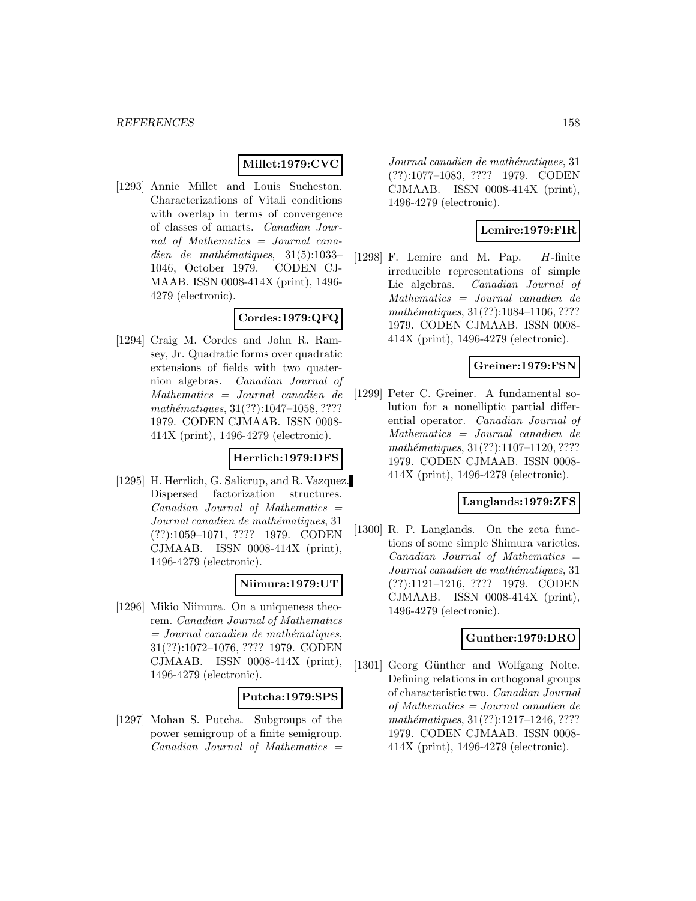## **Millet:1979:CVC**

[1293] Annie Millet and Louis Sucheston. Characterizations of Vitali conditions with overlap in terms of convergence of classes of amarts. Canadian Journal of Mathematics = Journal canadien de mathématiques,  $31(5):1033-$ 1046, October 1979. CODEN CJ-MAAB. ISSN 0008-414X (print), 1496- 4279 (electronic).

# **Cordes:1979:QFQ**

[1294] Craig M. Cordes and John R. Ramsey, Jr. Quadratic forms over quadratic extensions of fields with two quaternion algebras. Canadian Journal of Mathematics = Journal canadien de mathématiques, 31(??):1047-1058, ???? 1979. CODEN CJMAAB. ISSN 0008- 414X (print), 1496-4279 (electronic).

### **Herrlich:1979:DFS**

[1295] H. Herrlich, G. Salicrup, and R. Vazquez. Dispersed factorization structures.  $Canadian$  Journal of Mathematics  $=$ Journal canadien de mathématiques, 31 (??):1059–1071, ???? 1979. CODEN CJMAAB. ISSN 0008-414X (print), 1496-4279 (electronic).

### **Niimura:1979:UT**

[1296] Mikio Niimura. On a uniqueness theorem. Canadian Journal of Mathematics  $=$  Journal canadien de mathématiques, 31(??):1072–1076, ???? 1979. CODEN CJMAAB. ISSN 0008-414X (print), 1496-4279 (electronic).

### **Putcha:1979:SPS**

[1297] Mohan S. Putcha. Subgroups of the power semigroup of a finite semigroup.  $Canadian$  Journal of Mathematics  $=$ 

Journal canadien de mathématiques, 31 (??):1077–1083, ???? 1979. CODEN CJMAAB. ISSN 0008-414X (print), 1496-4279 (electronic).

### **Lemire:1979:FIR**

[1298] F. Lemire and M. Pap. H-finite irreducible representations of simple Lie algebras. Canadian Journal of Mathematics = Journal canadien de mathématiques,  $31(??):1084-1106, ????$ 1979. CODEN CJMAAB. ISSN 0008- 414X (print), 1496-4279 (electronic).

## **Greiner:1979:FSN**

[1299] Peter C. Greiner. A fundamental solution for a nonelliptic partial differential operator. Canadian Journal of Mathematics = Journal canadien de  $mathématiques, 31(??): 1107-1120, ????$ 1979. CODEN CJMAAB. ISSN 0008- 414X (print), 1496-4279 (electronic).

### **Langlands:1979:ZFS**

[1300] R. P. Langlands. On the zeta functions of some simple Shimura varieties. Canadian Journal of Mathematics = Journal canadien de mathématiques, 31 (??):1121–1216, ???? 1979. CODEN CJMAAB. ISSN 0008-414X (print), 1496-4279 (electronic).

## **Gunther:1979:DRO**

[1301] Georg Günther and Wolfgang Nolte. Defining relations in orthogonal groups of characteristic two. Canadian Journal of Mathematics = Journal canadien de mathématiques, 31(??):1217-1246, ???? 1979. CODEN CJMAAB. ISSN 0008- 414X (print), 1496-4279 (electronic).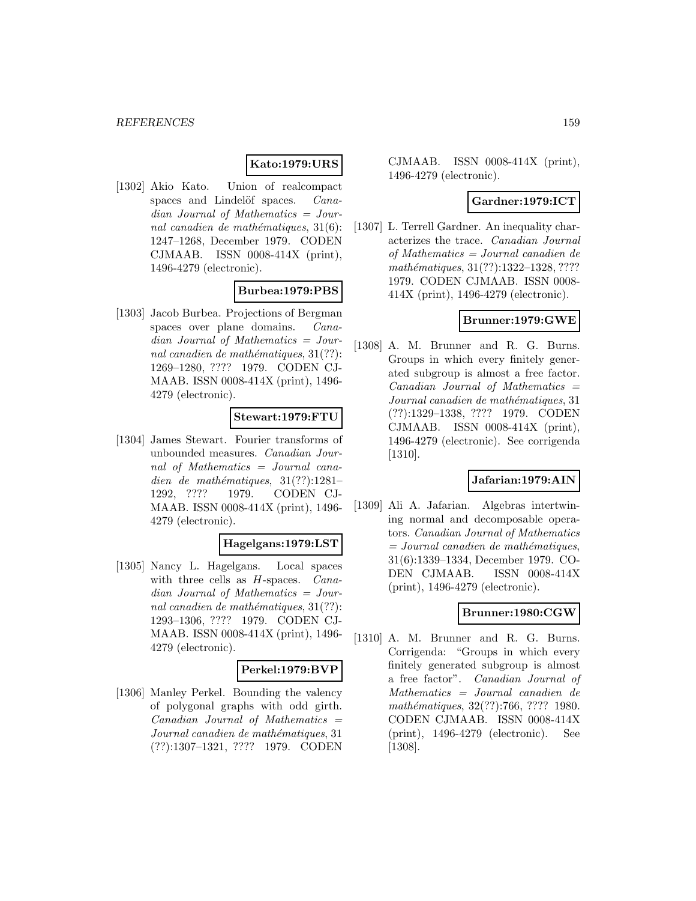# **Kato:1979:URS**

[1302] Akio Kato. Union of realcompact spaces and Lindelöf spaces. *Cana*dian Journal of Mathematics = Journal canadien de mathématiques,  $31(6)$ : 1247–1268, December 1979. CODEN CJMAAB. ISSN 0008-414X (print), 1496-4279 (electronic).

## **Burbea:1979:PBS**

[1303] Jacob Burbea. Projections of Bergman spaces over plane domains. Canadian Journal of Mathematics = Journal canadien de mathématiques,  $31(??)$ : 1269–1280, ???? 1979. CODEN CJ-MAAB. ISSN 0008-414X (print), 1496- 4279 (electronic).

## **Stewart:1979:FTU**

[1304] James Stewart. Fourier transforms of unbounded measures. Canadian Journal of Mathematics = Journal canadien de mathématiques,  $31(??):1281-$ 1292, ???? 1979. CODEN CJ-MAAB. ISSN 0008-414X (print), 1496- 4279 (electronic).

### **Hagelgans:1979:LST**

[1305] Nancy L. Hagelgans. Local spaces with three cells as *H*-spaces. *Cana*dian Journal of Mathematics = Journal canadien de mathématiques,  $31(??)$ : 1293–1306, ???? 1979. CODEN CJ-MAAB. ISSN 0008-414X (print), 1496- 4279 (electronic).

## **Perkel:1979:BVP**

[1306] Manley Perkel. Bounding the valency of polygonal graphs with odd girth.  $Canadian$  Journal of Mathematics  $=$ Journal canadien de mathématiques, 31 (??):1307–1321, ???? 1979. CODEN

CJMAAB. ISSN 0008-414X (print), 1496-4279 (electronic).

### **Gardner:1979:ICT**

[1307] L. Terrell Gardner. An inequality characterizes the trace. Canadian Journal of Mathematics = Journal canadien de mathématiques, 31(??):1322-1328, ???? 1979. CODEN CJMAAB. ISSN 0008- 414X (print), 1496-4279 (electronic).

### **Brunner:1979:GWE**

[1308] A. M. Brunner and R. G. Burns. Groups in which every finitely generated subgroup is almost a free factor.  $Canadian$  Journal of Mathematics  $=$ Journal canadien de mathématiques, 31 (??):1329–1338, ???? 1979. CODEN CJMAAB. ISSN 0008-414X (print), 1496-4279 (electronic). See corrigenda [1310].

## **Jafarian:1979:AIN**

[1309] Ali A. Jafarian. Algebras intertwining normal and decomposable operators. Canadian Journal of Mathematics  $= Journal\; can a dien\; de\; mathématiques,$ 31(6):1339–1334, December 1979. CO-DEN CJMAAB. ISSN 0008-414X (print), 1496-4279 (electronic).

### **Brunner:1980:CGW**

[1310] A. M. Brunner and R. G. Burns. Corrigenda: "Groups in which every finitely generated subgroup is almost a free factor". Canadian Journal of Mathematics = Journal canadien de mathématiques, 32(??):766, ???? 1980. CODEN CJMAAB. ISSN 0008-414X (print), 1496-4279 (electronic). See [1308].